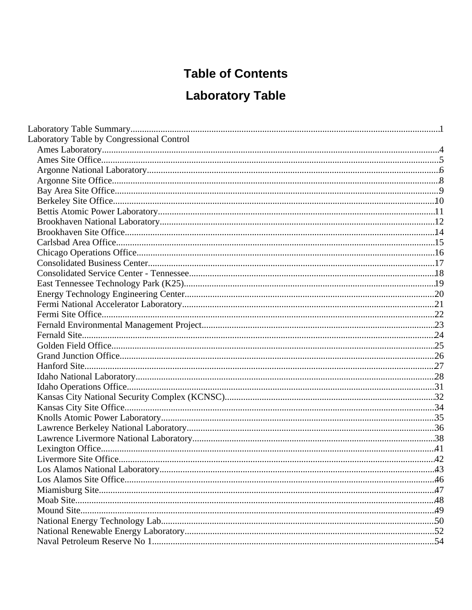# **Table of Contents**

# **Laboratory Table**

| Laboratory Table by Congressional Control |  |
|-------------------------------------------|--|
|                                           |  |
|                                           |  |
|                                           |  |
|                                           |  |
|                                           |  |
|                                           |  |
|                                           |  |
|                                           |  |
|                                           |  |
|                                           |  |
|                                           |  |
|                                           |  |
|                                           |  |
|                                           |  |
|                                           |  |
|                                           |  |
|                                           |  |
|                                           |  |
|                                           |  |
|                                           |  |
|                                           |  |
|                                           |  |
|                                           |  |
|                                           |  |
|                                           |  |
|                                           |  |
|                                           |  |
|                                           |  |
|                                           |  |
|                                           |  |
|                                           |  |
|                                           |  |
|                                           |  |
|                                           |  |
|                                           |  |
|                                           |  |
|                                           |  |
|                                           |  |
|                                           |  |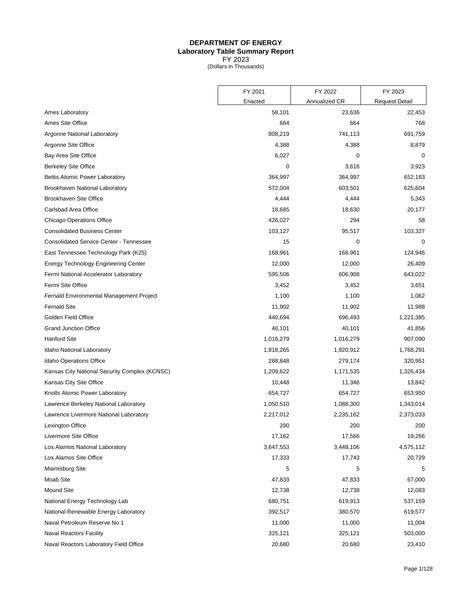#### **DEPARTMENT OF ENERGY Laboratory Table Summary Report** FY 2023

(Dollars in Thousands)

<span id="page-3-0"></span>

|                                                | FY 2021   | FY 2022       | FY 2023               |
|------------------------------------------------|-----------|---------------|-----------------------|
|                                                | Enacted   | Annualized CR | <b>Request Detail</b> |
| Ames Laboratory                                | 58,101    | 23,636        | 22,453                |
| Ames Site Office                               | 664       | 664           | 768                   |
| Argonne National Laboratory                    | 808,219   | 741,113       | 691,759               |
| Argonne Site Office                            | 4,388     | 4,388         | 8,879                 |
| Bay Area Site Office                           | 6,027     | 0             | 0                     |
| <b>Berkeley Site Office</b>                    | 0         | 3,616         | 3,923                 |
| Bettis Atomic Power Laboratory                 | 364,997   | 364,997       | 652,183               |
| Brookhaven National Laboratory                 | 572,004   | 603,501       | 625,604               |
| <b>Brookhaven Site Office</b>                  | 4,444     | 4,444         | 5,343                 |
| Carlsbad Area Office                           | 18,685    | 18,630        | 20,177                |
| <b>Chicago Operations Office</b>               | 426,027   | 294           | 58                    |
| <b>Consolidated Business Center</b>            | 103,127   | 95,517        | 103,327               |
| <b>Consolidated Service Center - Tennessee</b> | 15        | 0             | 0                     |
| East Tennessee Technology Park (K25)           | 168,961   | 168,961       | 124,946               |
| <b>Energy Technology Engineering Center</b>    | 12,000    | 12,000        | 26,409                |
| Fermi National Accelerator Laboratory          | 595,506   | 606,908       | 643,022               |
| Fermi Site Office                              | 3,452     | 3,452         | 3,651                 |
| Fernald Environmental Management Project       | 1,100     | 1,100         | 1,062                 |
| <b>Fernald Site</b>                            | 11,902    | 11,902        | 11,988                |
| Golden Field Office                            | 440,694   | 696,493       | 1,221,385             |
| <b>Grand Junction Office</b>                   | 40,101    | 40,101        | 41,856                |
| <b>Hanford Site</b>                            | 1,016,279 | 1,016,279     | 907,090               |
| Idaho National Laboratory                      | 1,818,265 | 1,820,912     | 1,768,291             |
| <b>Idaho Operations Office</b>                 | 288,848   | 279,174       | 320,951               |
| Kansas City National Security Complex (KCNSC)  | 1,209,622 | 1,171,535     | 1,326,434             |
| Kansas City Site Office                        | 10,448    | 11,346        | 13,842                |
| Knolls Atomic Power Laboratory                 | 654,727   | 654,727       | 653,950               |
| Lawrence Berkeley National Laboratory          | 1,050,510 | 1,088,300     | 1,343,014             |
| Lawrence Livermore National Laboratory         | 2,217,012 | 2,235,162     | 2,373,033             |
| Lexington Office                               | 200       | 200           | 200                   |
| Livermore Site Office                          | 17,162    | 17,566        | 19,266                |
| Los Alamos National Laboratory                 | 3,647,553 | 3,448,106     | 4,575,112             |
| Los Alamos Site Office                         | 17,333    | 17,743        | 20,729                |
| Miamisburg Site                                | 5         | 5             | 5                     |
| Moab Site                                      | 47,833    | 47,833        | 67,000                |
| Mound Site                                     | 12,738    | 12,738        | 12,083                |
| National Energy Technology Lab                 | 680,751   | 619,913       | 537,159               |
| National Renewable Energy Laboratory           | 392,517   | 380,570       | 619,577               |
| Naval Petroleum Reserve No 1                   | 11,000    | 11,000        | 11,004                |
| <b>Naval Reactors Facility</b>                 | 325,121   | 325,121       | 503,000               |
| Naval Reactors Laboratory Field Office         | 20,680    | 20,680        | 23,410                |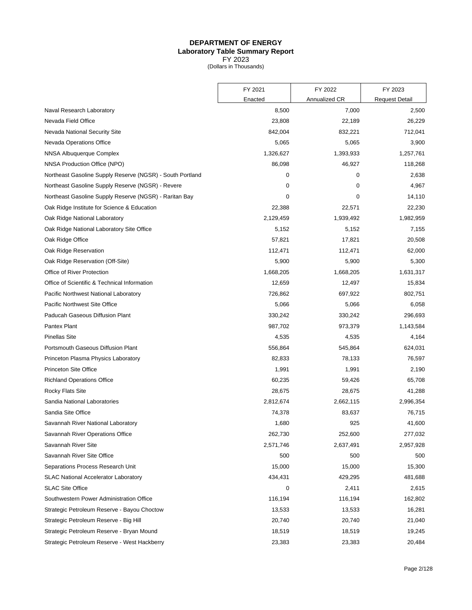#### **DEPARTMENT OF ENERGY Laboratory Table Summary Report** FY 2023

(Dollars in Thousands)

|                                                           | FY 2021   | FY 2022       | FY 2023               |
|-----------------------------------------------------------|-----------|---------------|-----------------------|
|                                                           | Enacted   | Annualized CR | <b>Request Detail</b> |
| Naval Research Laboratory                                 | 8,500     | 7,000         | 2,500                 |
| Nevada Field Office                                       | 23,808    | 22,189        | 26,229                |
| Nevada National Security Site                             | 842,004   | 832,221       | 712,041               |
| Nevada Operations Office                                  | 5,065     | 5,065         | 3,900                 |
| NNSA Albuquerque Complex                                  | 1,326,627 | 1,393,933     | 1,257,761             |
| NNSA Production Office (NPO)                              | 86,098    | 46,927        | 118,268               |
| Northeast Gasoline Supply Reserve (NGSR) - South Portland | 0         | 0             | 2,638                 |
| Northeast Gasoline Supply Reserve (NGSR) - Revere         | 0         | 0             | 4,967                 |
| Northeast Gasoline Supply Reserve (NGSR) - Raritan Bay    | 0         | 0             | 14,110                |
| Oak Ridge Institute for Science & Education               | 22,388    | 22,571        | 22,230                |
| Oak Ridge National Laboratory                             | 2,129,459 | 1,939,492     | 1,982,959             |
| Oak Ridge National Laboratory Site Office                 | 5,152     | 5,152         | 7,155                 |
| Oak Ridge Office                                          | 57,821    | 17,821        | 20,508                |
| Oak Ridge Reservation                                     | 112,471   | 112,471       | 62,000                |
| Oak Ridge Reservation (Off-Site)                          | 5,900     | 5,900         | 5,300                 |
| Office of River Protection                                | 1,668,205 | 1,668,205     | 1,631,317             |
| Office of Scientific & Technical Information              | 12,659    | 12,497        | 15,834                |
| Pacific Northwest National Laboratory                     | 726,862   | 697,922       | 802,751               |
| Pacific Northwest Site Office                             | 5,066     | 5,066         | 6,058                 |
| Paducah Gaseous Diffusion Plant                           | 330,242   | 330,242       | 296,693               |
| Pantex Plant                                              | 987,702   | 973,379       | 1,143,584             |
| <b>Pinellas Site</b>                                      | 4,535     | 4,535         | 4,164                 |
| Portsmouth Gaseous Diffusion Plant                        | 556,864   | 545,864       | 624,031               |
| Princeton Plasma Physics Laboratory                       | 82,833    | 78,133        | 76,597                |
| <b>Princeton Site Office</b>                              | 1,991     | 1,991         | 2,190                 |
| <b>Richland Operations Office</b>                         | 60,235    | 59,426        | 65,708                |
| <b>Rocky Flats Site</b>                                   | 28,675    | 28,675        | 41,288                |
| Sandia National Laboratories                              | 2,812,674 | 2,662,115     | 2,996,354             |
| Sandia Site Office                                        | 74,378    | 83,637        | 76,715                |
| Savannah River National Laboratory                        | 1,680     | 925           | 41,600                |
| Savannah River Operations Office                          | 262,730   | 252,600       | 277,032               |
| Savannah River Site                                       | 2,571,746 | 2,637,491     | 2,957,928             |
| Savannah River Site Office                                | 500       | 500           | 500                   |
| Separations Process Research Unit                         | 15,000    | 15,000        | 15,300                |
| <b>SLAC National Accelerator Laboratory</b>               | 434,431   | 429,295       | 481,688               |
| <b>SLAC Site Office</b>                                   | 0         | 2,411         | 2,615                 |
| Southwestern Power Administration Office                  | 116,194   | 116,194       | 162,802               |
| Strategic Petroleum Reserve - Bayou Choctow               | 13,533    | 13,533        | 16,281                |
| Strategic Petroleum Reserve - Big Hill                    | 20,740    | 20,740        | 21,040                |
| Strategic Petroleum Reserve - Bryan Mound                 | 18,519    | 18,519        | 19,245                |
| Strategic Petroleum Reserve - West Hackberry              | 23,383    | 23,383        | 20,484                |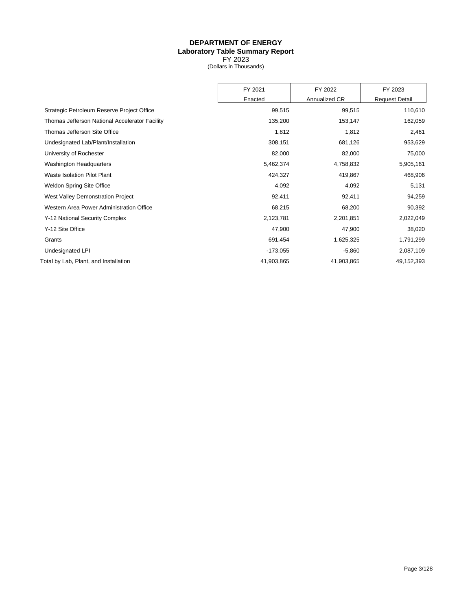#### **DEPARTMENT OF ENERGY Laboratory Table Summary Report** FY 2023

(Dollars in Thousands)

|                                                | FY 2021    | FY 2022       | FY 2023               |
|------------------------------------------------|------------|---------------|-----------------------|
|                                                | Enacted    | Annualized CR | <b>Request Detail</b> |
| Strategic Petroleum Reserve Project Office     | 99,515     | 99,515        | 110,610               |
| Thomas Jefferson National Accelerator Facility | 135,200    | 153,147       | 162,059               |
| Thomas Jefferson Site Office                   | 1,812      | 1,812         | 2,461                 |
| Undesignated Lab/Plant/Installation            | 308,151    | 681,126       | 953,629               |
| University of Rochester                        | 82,000     | 82,000        | 75,000                |
| <b>Washington Headquarters</b>                 | 5,462,374  | 4,758,832     | 5,905,161             |
| Waste Isolation Pilot Plant                    | 424,327    | 419,867       | 468,906               |
| <b>Weldon Spring Site Office</b>               | 4,092      | 4,092         | 5,131                 |
| West Valley Demonstration Project              | 92,411     | 92,411        | 94,259                |
| Western Area Power Administration Office       | 68,215     | 68,200        | 90,392                |
| Y-12 National Security Complex                 | 2,123,781  | 2,201,851     | 2,022,049             |
| Y-12 Site Office                               | 47,900     | 47,900        | 38,020                |
| Grants                                         | 691,454    | 1,625,325     | 1,791,299             |
| Undesignated LPI                               | $-173,055$ | $-5,860$      | 2,087,109             |
| Total by Lab, Plant, and Installation          | 41,903,865 | 41,903,865    | 49,152,393            |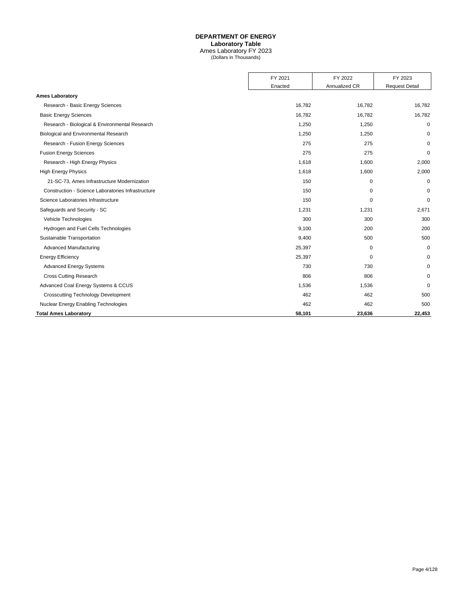#### **DEPARTMENT OF ENERGY**

**Laboratory Table**

Ames Laboratory FY 2023 (Dollars in Thousands)

<span id="page-6-0"></span>

|                                                    | FY 2021 | FY 2022<br>Annualized CR | FY 2023               |
|----------------------------------------------------|---------|--------------------------|-----------------------|
|                                                    | Enacted |                          | <b>Request Detail</b> |
| <b>Ames Laboratory</b>                             |         |                          |                       |
| Research - Basic Energy Sciences                   | 16,782  | 16,782                   | 16,782                |
| <b>Basic Energy Sciences</b>                       | 16,782  | 16,782                   | 16,782                |
| Research - Biological & Environmental Research     | 1,250   | 1,250                    | 0                     |
| Biological and Environmental Research              | 1,250   | 1,250                    | $\Omega$              |
| Research - Fusion Energy Sciences                  | 275     | 275                      | $\mathbf 0$           |
| <b>Fusion Energy Sciences</b>                      | 275     | 275                      | $\mathbf 0$           |
| Research - High Energy Physics                     | 1,618   | 1,600                    | 2,000                 |
| <b>High Energy Physics</b>                         | 1,618   | 1,600                    | 2,000                 |
| 21-SC-73, Ames Infrastructure Modernization        | 150     | 0                        | $\mathbf 0$           |
| Construction - Science Laboratories Infrastructure | 150     | 0                        | 0                     |
| Science Laboratories Infrastructure                | 150     | 0                        | $\Omega$              |
| Safeguards and Security - SC                       | 1,231   | 1,231                    | 2,671                 |
| Vehicle Technologies                               | 300     | 300                      | 300                   |
| Hydrogen and Fuel Cells Technologies               | 9,100   | 200                      | 200                   |
| Sustainable Transportation                         | 9,400   | 500                      | 500                   |
| <b>Advanced Manufacturing</b>                      | 25,397  | $\Omega$                 | $\mathbf 0$           |
| <b>Energy Efficiency</b>                           | 25,397  | 0                        | 0                     |
| <b>Advanced Energy Systems</b>                     | 730     | 730                      | $\Omega$              |
| <b>Cross Cutting Research</b>                      | 806     | 806                      | $\mathbf 0$           |
| Advanced Coal Energy Systems & CCUS                | 1,536   | 1,536                    | $\mathbf 0$           |
| <b>Crosscutting Technology Development</b>         | 462     | 462                      | 500                   |
| Nuclear Energy Enabling Technologies               | 462     | 462                      | 500                   |
| <b>Total Ames Laboratory</b>                       | 58,101  | 23,636                   | 22,453                |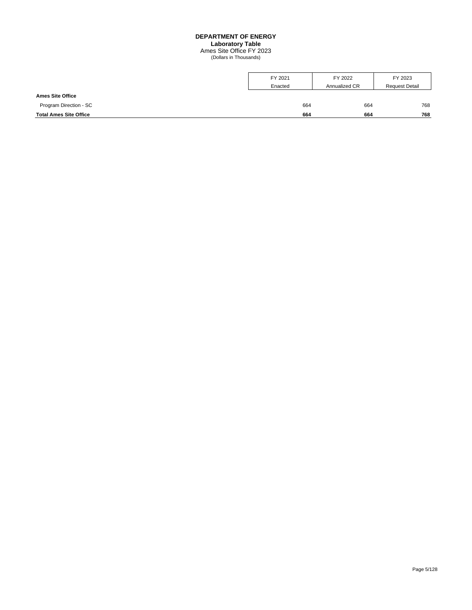## **DEPARTMENT OF ENERGY**

**Laboratory Table**

Ames Site Office FY 2023 (Dollars in Thousands)

<span id="page-7-0"></span>

|                               | FY 2021 | FY 2022       | FY 2023               |
|-------------------------------|---------|---------------|-----------------------|
|                               | Enacted | Annualized CR | <b>Request Detail</b> |
| <b>Ames Site Office</b>       |         |               |                       |
| Program Direction - SC        | 664     | 664           | 768                   |
| <b>Total Ames Site Office</b> | 664     | 664           | 768                   |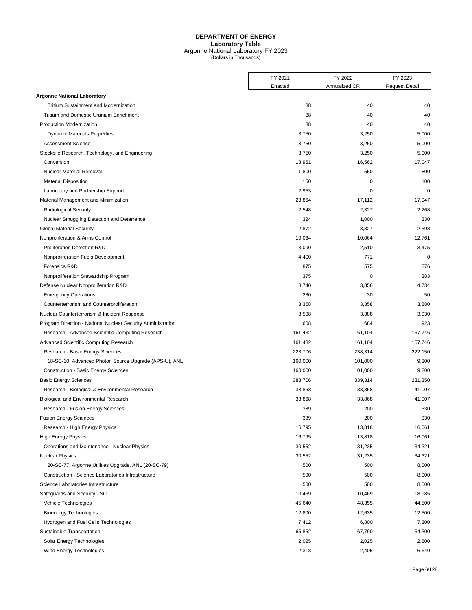## **DEPARTMENT OF ENERGY Laboratory Table** Argonne National Laboratory FY 2023 (Dollars in Thousands)

<span id="page-8-0"></span>

|                                                              | FY 2021 | FY 2022       | FY 2023               |
|--------------------------------------------------------------|---------|---------------|-----------------------|
|                                                              | Enacted | Annualized CR | <b>Request Detail</b> |
| <b>Argonne National Laboratory</b>                           |         |               |                       |
| <b>Tritium Sustainment and Modernization</b>                 | 38      | 40            | 40                    |
| <b>Tritium and Domestic Uranium Enrichment</b>               | 38      | 40            | 40                    |
| Production Modernization                                     | 38      | 40            | 40                    |
| <b>Dynamic Materials Properties</b>                          | 3,750   | 3,250         | 5,000                 |
| <b>Assessment Science</b>                                    | 3,750   | 3,250         | 5,000                 |
| Stockpile Research, Technology, and Engineering              | 3,750   | 3,250         | 5,000                 |
| Conversion                                                   | 18,961  | 16,562        | 17,047                |
| Nuclear Material Removal                                     | 1,800   | 550           | 800                   |
| <b>Material Disposition</b>                                  | 150     | $\mathbf 0$   | 100                   |
| Laboratory and Partnership Support                           | 2,953   | 0             | $\mathbf 0$           |
| Material Management and Minimization                         | 23,864  | 17,112        | 17,947                |
| <b>Radiological Security</b>                                 | 2,548   | 2,327         | 2,268                 |
| Nuclear Smuggling Detection and Deterrence                   | 324     | 1,000         | 330                   |
| <b>Global Material Security</b>                              | 2,872   | 3,327         | 2,598                 |
| Nonproliferation & Arms Control                              | 10,064  | 10,064        | 12,761                |
| <b>Proliferation Detection R&amp;D</b>                       | 3,090   | 2,510         | 3,475                 |
| Nonproliferation Fuels Development                           | 4,400   | 771           | $\mathbf 0$           |
| Forensics R&D                                                | 875     | 575           | 876                   |
| Nonproliferation Stewardship Program                         | 375     | 0             | 383                   |
| Defense Nuclear Nonproliferation R&D                         | 8,740   | 3,856         | 4,734                 |
| <b>Emergency Operations</b>                                  | 230     | 30            | 50                    |
| Counterterrorism and Counterproliferation                    | 3,358   | 3,358         | 3,880                 |
| Nuclear Counterterrorism & Incident Response                 | 3,588   | 3,388         | 3,930                 |
| Program Direction - National Nuclear Security Administration | 608     | 684           | 923                   |
| Research - Advanced Scientific Computing Research            | 161,432 | 161,104       | 167,746               |
| Advanced Scientific Computing Research                       | 161,432 | 161,104       | 167,746               |
| Research - Basic Energy Sciences                             | 223,706 | 238,314       | 222,150               |
| 18-SC-10, Advanced Photon Source Upgrade (APS-U), ANL        | 160,000 | 101,000       | 9,200                 |
| <b>Construction - Basic Energy Sciences</b>                  | 160,000 | 101,000       | 9,200                 |
| <b>Basic Energy Sciences</b>                                 | 383,706 | 339,314       | 231,350               |
| Research - Biological & Environmental Research               | 33,868  | 33,868        | 41,007                |
| Biological and Environmental Research                        | 33,868  | 33,868        | 41,007                |
| Research - Fusion Energy Sciences                            | 389     | 200           | 330                   |
| <b>Fusion Energy Sciences</b>                                | 389     | 200           | 330                   |
| Research - High Energy Physics                               | 16,795  | 13,818        | 16,061                |
| <b>High Energy Physics</b>                                   | 16,795  | 13,818        | 16,061                |
| Operations and Maintenance - Nuclear Physics                 | 30,552  | 31,235        | 34,321                |
| <b>Nuclear Physics</b>                                       | 30,552  | 31,235        | 34,321                |
| 20-SC-77, Argonne Utilities Upgrade, ANL (20-SC-79)          | 500     | 500           | 8,000                 |
| Construction - Science Laboratories Infrastructure           | 500     | 500           | 8,000                 |
| Science Laboratories Infrastructure                          | 500     | 500           | 8,000                 |
| Safeguards and Security - SC                                 | 10,469  | 10,469        | 18,985                |
| Vehicle Technologies                                         | 45,640  | 48,355        | 44,500                |
| <b>Bioenergy Technologies</b>                                | 12,800  | 12,635        | 12,500                |
| Hydrogen and Fuel Cells Technologies                         | 7,412   | 6,800         | 7,300                 |
| Sustainable Transportation                                   | 65,852  | 67,790        | 64,300                |
| Solar Energy Technologies                                    | 2,025   | 2,025         | 2,800                 |
| Wind Energy Technologies                                     | 2,318   | 2,405         | 6,640                 |
|                                                              |         |               |                       |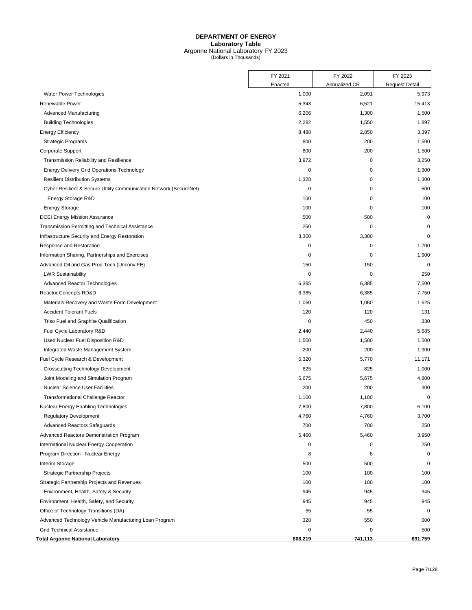## **DEPARTMENT OF ENERGY Laboratory Table** Argonne National Laboratory FY 2023 (Dollars in Thousands)

|                                                                    | FY 2021     | FY 2022       | FY 2023               |
|--------------------------------------------------------------------|-------------|---------------|-----------------------|
|                                                                    | Enacted     | Annualized CR | <b>Request Detail</b> |
| Water Power Technologies                                           | 1,000       | 2,091         | 5,973                 |
| Renewable Power                                                    | 5,343       | 6,521         | 15,413                |
| Advanced Manufacturing                                             | 6,206       | 1,300         | 1,500                 |
| <b>Building Technologies</b>                                       | 2,282       | 1,550         | 1,897                 |
| <b>Energy Efficiency</b>                                           | 8,488       | 2,850         | 3,397                 |
| <b>Strategic Programs</b>                                          | 800         | 200           | 1,500                 |
| Corporate Support                                                  | 800         | 200           | 1,500                 |
| Transmission Reliability and Resilience                            | 3,972       | $\pmb{0}$     | 3,250                 |
| <b>Energy Delivery Grid Operations Technology</b>                  | $\mathbf 0$ | 0             | 1,300                 |
| <b>Resilient Distribution Systems</b>                              | 1,328       | $\mathbf 0$   | 1,300                 |
| Cyber Resilient & Secure Utility Communication Network (SecureNet) | $\pmb{0}$   | 0             | 500                   |
| Energy Storage R&D                                                 | 100         | 0             | 100                   |
| <b>Energy Storage</b>                                              | 100         | $\mathbf 0$   | 100                   |
| <b>DCEI Energy Mission Assurance</b>                               | 500         | 500           | $\mathbf 0$           |
| Transmission Permitting and Technical Assistance                   | 250         | $\mathbf 0$   | 0                     |
| Infrastructure Security and Energy Restoration                     | 3,300       | 3,300         | $\mathbf 0$           |
| Response and Restoration                                           | 0           | 0             | 1,700                 |
| Information Sharing, Partnerships and Exercises                    | 0           | 0             | 1,900                 |
| Advanced Oil and Gas Prod Tech (Unconv FE)                         | 150         | 150           | $\mathbf 0$           |
| <b>LWR Sustainability</b>                                          | 0           | $\mathbf 0$   | 250                   |
| Advanced Reactor Technologies                                      | 6,385       | 6,385         | 7,500                 |
| Reactor Concepts RD&D                                              | 6,385       | 6,385         | 7,750                 |
| Materials Recovery and Waste Form Development                      | 1,060       | 1,060         | 1,625                 |
| <b>Accident Tolerant Fuels</b>                                     | 120         | 120           | 131                   |
| Triso Fuel and Graphite Qualification                              | 0           | 450           | 330                   |
| Fuel Cycle Laboratory R&D                                          | 2,440       | 2,440         | 5,685                 |
| Used Nuclear Fuel Disposition R&D                                  | 1,500       | 1,500         | 1,500                 |
| Integrated Waste Management System                                 | 200         | 200           | 1,900                 |
| Fuel Cycle Research & Development                                  | 5,320       | 5,770         | 11,171                |
| <b>Crosscutting Technology Development</b>                         | 825         | 825           | 1,000                 |
| Joint Modeling and Simulation Program                              | 5,675       | 5,675         | 4,800                 |
| <b>Nuclear Science User Facilities</b>                             | 200         | 200           | 300                   |
| <b>Transformational Challenge Reactor</b>                          | 1,100       | 1,100         | 0                     |
| Nuclear Energy Enabling Technologies                               | 7,800       | 7,800         | 6,100                 |
| <b>Regulatory Development</b>                                      | 4,760       | 4,760         | 3,700                 |
| <b>Advanced Reactors Safeguards</b>                                | 700         | 700           | 250                   |
| <b>Advanced Reactors Demonstration Program</b>                     | 5,460       | 5,460         | 3,950                 |
| International Nuclear Energy Cooperation                           | 0           | 0             | 250                   |
| Program Direction - Nuclear Energy                                 | 8           | 8             | 0                     |
| Interim Storage                                                    | 500         | 500           | 0                     |
| Strategic Partnership Projects                                     | 100         | 100           | 100                   |
| Strategic Partnership Projects and Revenues                        | 100         | 100           | 100                   |
| Environment, Health, Safety & Security                             | 945         | 945           | 945                   |
| Environment, Health, Safety, and Security                          | 945         | 945           | 945                   |
| Office of Technology Transitions (DA)                              | 55          | 55            | 0                     |
| Advanced Technology Vehicle Manufacturing Loan Program             | 328         | 550           | 600                   |
| <b>Grid Technical Assistance</b>                                   | 0           | 0             | 500                   |
| Total Argonne National Laboratory                                  | 808,219     | 741,113       | 691,759               |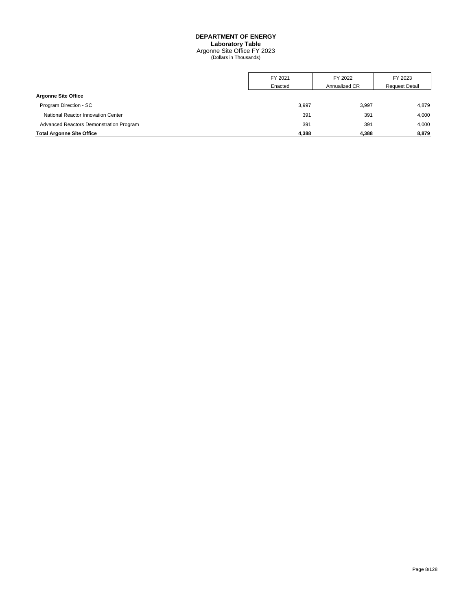# **DEPARTMENT OF ENERGY**

**Laboratory Table**

Argonne Site Office FY 2023 (Dollars in Thousands)

<span id="page-10-0"></span>

|                                         | FY 2021 | FY 2022       | FY 2023               |
|-----------------------------------------|---------|---------------|-----------------------|
|                                         | Enacted | Annualized CR | <b>Request Detail</b> |
| <b>Argonne Site Office</b>              |         |               |                       |
| Program Direction - SC                  | 3,997   | 3,997         | 4,879                 |
| National Reactor Innovation Center      | 391     | 391           | 4,000                 |
| Advanced Reactors Demonstration Program | 391     | 391           | 4,000                 |
| <b>Total Argonne Site Office</b>        | 4,388   | 4,388         | 8,879                 |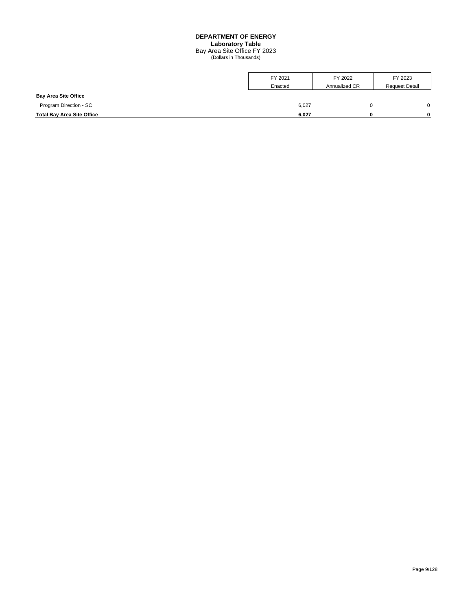#### **DEPARTMENT OF ENERGY Laboratory Table** Bay Area Site Office FY 2023 (Dollars in Thousands)

<span id="page-11-0"></span>

|                                   | FY 2021 | FY 2022       | FY 2023               |
|-----------------------------------|---------|---------------|-----------------------|
|                                   | Enacted | Annualized CR | <b>Request Detail</b> |
| <b>Bay Area Site Office</b>       |         |               |                       |
| Program Direction - SC            | 6,027   | 0             |                       |
| <b>Total Bay Area Site Office</b> | 6,027   | 0             |                       |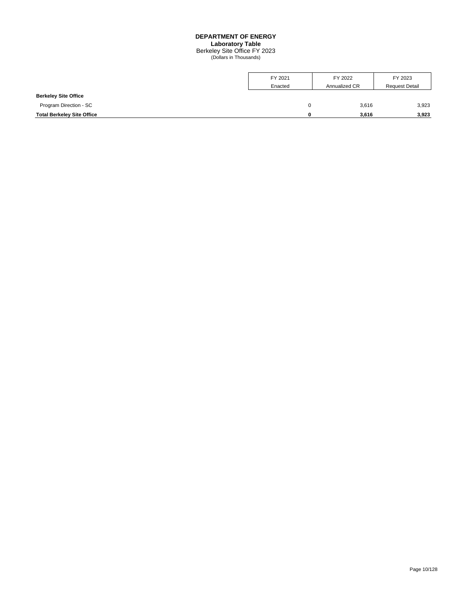#### **DEPARTMENT OF ENERGY Laboratory Table**

Berkeley Site Office FY 2023 (Dollars in Thousands)

<span id="page-12-0"></span>

|                                   | FY 2021 | FY 2022       | FY 2023               |
|-----------------------------------|---------|---------------|-----------------------|
|                                   | Enacted | Annualized CR | <b>Request Detail</b> |
| <b>Berkeley Site Office</b>       |         |               |                       |
| Program Direction - SC            | 0       | 3,616         | 3,923                 |
| <b>Total Berkeley Site Office</b> | o       | 3,616         | 3,923                 |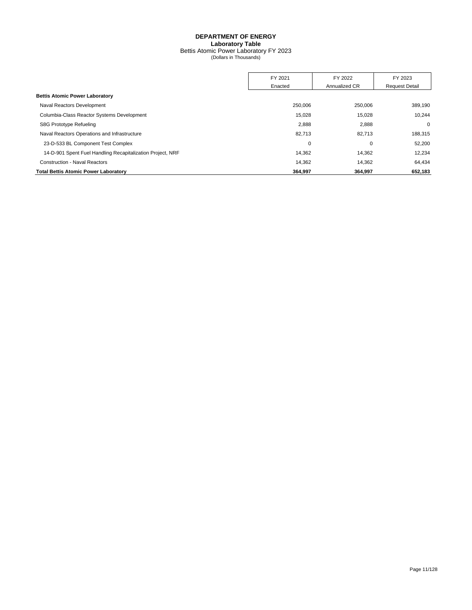## **DEPARTMENT OF ENERGY Laboratory Table** Bettis Atomic Power Laboratory FY 2023 (Dollars in Thousands)

<span id="page-13-0"></span>

|                                                            | FY 2021     | FY 2022       | FY 2023               |
|------------------------------------------------------------|-------------|---------------|-----------------------|
|                                                            | Enacted     | Annualized CR | <b>Request Detail</b> |
| <b>Bettis Atomic Power Laboratory</b>                      |             |               |                       |
| Naval Reactors Development                                 | 250,006     | 250,006       | 389,190               |
| Columbia-Class Reactor Systems Development                 | 15.028      | 15,028        | 10.244                |
| S8G Prototype Refueling                                    | 2,888       | 2,888         | $\mathbf 0$           |
| Naval Reactors Operations and Infrastructure               | 82,713      | 82,713        | 188,315               |
| 23-D-533 BL Component Test Complex                         | $\mathbf 0$ | 0             | 52,200                |
| 14-D-901 Spent Fuel Handling Recapitalization Project, NRF | 14.362      | 14,362        | 12,234                |
| <b>Construction - Naval Reactors</b>                       | 14.362      | 14.362        | 64.434                |
| <b>Total Bettis Atomic Power Laboratory</b>                | 364.997     | 364.997       | 652,183               |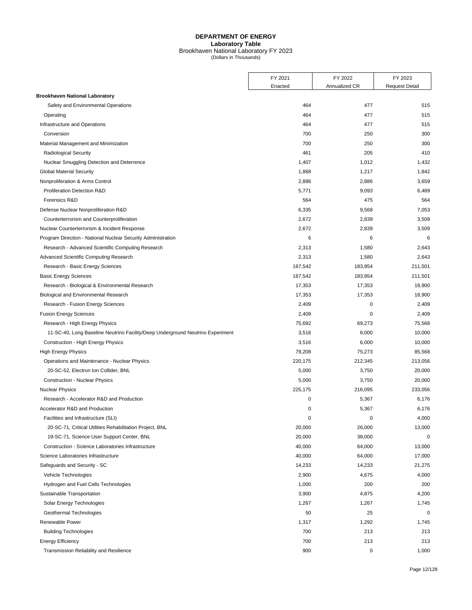## **DEPARTMENT OF ENERGY Laboratory Table** Brookhaven National Laboratory FY 2023 (Dollars in Thousands)

<span id="page-14-0"></span>

|                                                                                | FY 2021 | FY 2022       | FY 2023               |
|--------------------------------------------------------------------------------|---------|---------------|-----------------------|
|                                                                                | Enacted | Annualized CR | <b>Request Detail</b> |
| <b>Brookhaven National Laboratory</b>                                          |         |               |                       |
| Safety and Environmental Operations                                            | 464     | 477           | 515                   |
| Operating                                                                      | 464     | 477           | 515                   |
| Infrastructure and Operations                                                  | 464     | 477           | 515                   |
| Conversion                                                                     | 700     | 250           | 300                   |
| Material Management and Minimization                                           | 700     | 250           | 300                   |
| <b>Radiological Security</b>                                                   | 461     | 205           | 410                   |
| Nuclear Smuggling Detection and Deterrence                                     | 1,407   | 1,012         | 1,432                 |
| <b>Global Material Security</b>                                                | 1,868   | 1,217         | 1,842                 |
| Nonproliferation & Arms Control                                                | 2,886   | 2,886         | 3,659                 |
| Proliferation Detection R&D                                                    | 5,771   | 9,093         | 6,489                 |
| Forensics R&D                                                                  | 564     | 475           | 564                   |
| Defense Nuclear Nonproliferation R&D                                           | 6,335   | 9,568         | 7,053                 |
| Counterterrorism and Counterproliferation                                      | 2,672   | 2,839         | 3,509                 |
| Nuclear Counterterrorism & Incident Response                                   | 2,672   | 2,839         | 3,509                 |
| Program Direction - National Nuclear Security Administration                   | 6       | 6             | 6                     |
| Research - Advanced Scientific Computing Research                              | 2,313   | 1,580         | 2,643                 |
| <b>Advanced Scientific Computing Research</b>                                  | 2,313   | 1,580         | 2,643                 |
| Research - Basic Energy Sciences                                               | 167,542 | 183,954       | 211,501               |
| <b>Basic Energy Sciences</b>                                                   | 167,542 | 183,954       | 211,501               |
| Research - Biological & Environmental Research                                 | 17,353  | 17,353        | 18,900                |
| Biological and Environmental Research                                          | 17,353  | 17,353        | 18,900                |
| Research - Fusion Energy Sciences                                              | 2,409   | 0             | 2,409                 |
| <b>Fusion Energy Sciences</b>                                                  | 2,409   | 0             | 2,409                 |
| Research - High Energy Physics                                                 | 75,692  | 69,273        | 75,568                |
| 11-SC-40, Long Baseline Neutrino Facility/Deep Underground Neutrino Experiment | 3,516   | 6,000         | 10,000                |
| Construction - High Energy Physics                                             | 3,516   | 6,000         | 10,000                |
| <b>High Energy Physics</b>                                                     | 79,208  | 75,273        | 85,568                |
| Operations and Maintenance - Nuclear Physics                                   | 220,175 | 212,345       | 213,056               |
| 20-SC-52, Electron Ion Collider, BNL                                           | 5,000   | 3,750         | 20,000                |
| <b>Construction - Nuclear Physics</b>                                          | 5,000   | 3,750         | 20,000                |
| <b>Nuclear Physics</b>                                                         | 225,175 | 216,095       | 233,056               |
| Research - Accelerator R&D and Production                                      | 0       | 5,367         | 6,176                 |
| Accelerator R&D and Production                                                 | 0       | 5,367         | 6,176                 |
| Facilities and Infrastructure (SLI)                                            | 0       | 0             | 4,000                 |
| 20-SC-71, Critical Utilities Rehabilitation Project, BNL                       | 20,000  | 26,000        | 13,000                |
| 19-SC-71, Science User Support Center, BNL                                     | 20,000  | 38,000        | 0                     |
| Construction - Science Laboratories Infrastructure                             | 40,000  | 64,000        | 13,000                |
| Science Laboratories Infrastructure                                            | 40,000  | 64,000        | 17,000                |
| Safeguards and Security - SC                                                   | 14,233  | 14,233        | 21,275                |
| Vehicle Technologies                                                           | 2,900   | 4,675         | 4,000                 |
| Hydrogen and Fuel Cells Technologies                                           | 1,000   | 200           | 200                   |
| Sustainable Transportation                                                     | 3,900   | 4,875         | 4,200                 |
| Solar Energy Technologies                                                      | 1,267   | 1,267         | 1,745                 |
| Geothermal Technologies                                                        | 50      | 25            | $\mathbf 0$           |
| Renewable Power                                                                | 1,317   | 1,292         | 1,745                 |
| <b>Building Technologies</b>                                                   | 700     | 213           | 213                   |
| <b>Energy Efficiency</b>                                                       | 700     | 213           | 213                   |
| Transmission Reliability and Resilience                                        | 900     | 0             | 1,000                 |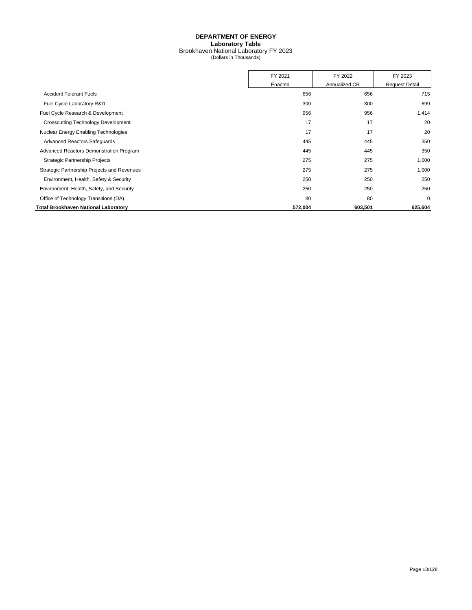## **DEPARTMENT OF ENERGY Laboratory Table** Brookhaven National Laboratory FY 2023 (Dollars in Thousands)

|                                             | FY 2021 | FY 2022       | FY 2023               |
|---------------------------------------------|---------|---------------|-----------------------|
|                                             | Enacted | Annualized CR | <b>Request Detail</b> |
| <b>Accident Tolerant Fuels</b>              |         | 656<br>656    | 715                   |
| Fuel Cycle Laboratory R&D                   |         | 300<br>300    | 699                   |
| Fuel Cycle Research & Development           |         | 956<br>956    | 1,414                 |
| <b>Crosscutting Technology Development</b>  |         | 17<br>17      | 20                    |
| Nuclear Energy Enabling Technologies        |         | 17<br>17      | 20                    |
| <b>Advanced Reactors Safeguards</b>         |         | 445<br>445    | 350                   |
| Advanced Reactors Demonstration Program     |         | 445<br>445    | 350                   |
| <b>Strategic Partnership Projects</b>       |         | 275<br>275    | 1,000                 |
| Strategic Partnership Projects and Revenues |         | 275<br>275    | 1,000                 |
| Environment, Health, Safety & Security      |         | 250<br>250    | 250                   |
| Environment, Health, Safety, and Security   |         | 250<br>250    | 250                   |
| Office of Technology Transitions (DA)       |         | 80<br>80      | $\mathbf 0$           |
| Total Brookhaven National Laboratory        | 572,004 | 603,501       | 625,604               |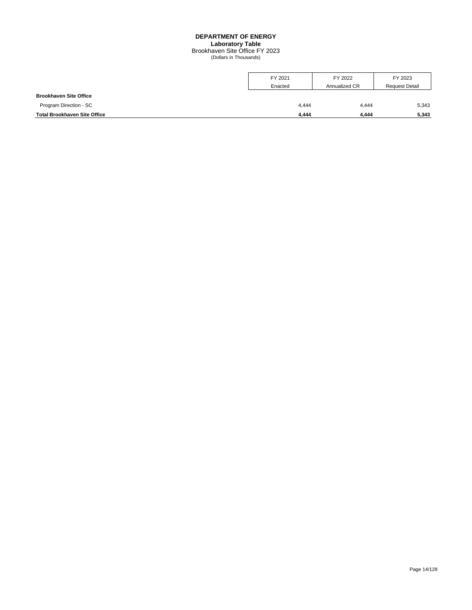## **DEPARTMENT OF ENERGY Laboratory Table** Brookhaven Site Office FY 2023 (Dollars in Thousands)

<span id="page-16-0"></span>

|                                     | FY 2021 | FY 2022       | FY 2023               |
|-------------------------------------|---------|---------------|-----------------------|
|                                     | Enacted | Annualized CR | <b>Request Detail</b> |
| <b>Brookhaven Site Office</b>       |         |               |                       |
| Program Direction - SC              | 4,444   | 4,444         | 5,343                 |
| <b>Total Brookhaven Site Office</b> | 4.444   | 4.444         | 5,343                 |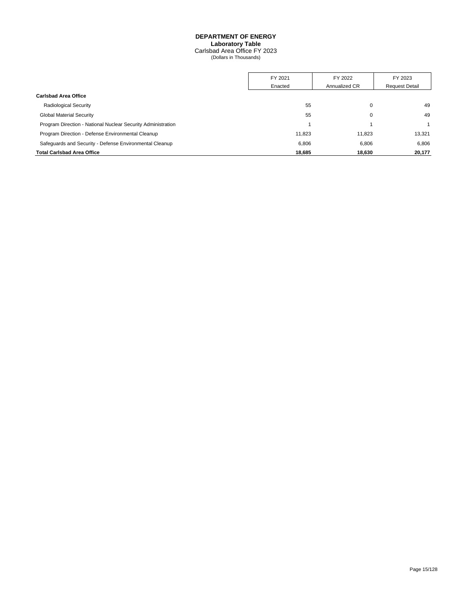## **DEPARTMENT OF ENERGY Laboratory Table**

Carlsbad Area Office FY 2023 (Dollars in Thousands)

<span id="page-17-0"></span>

|                                                              | FY 2021<br>Enacted | FY 2022<br>Annualized CR | FY 2023               |
|--------------------------------------------------------------|--------------------|--------------------------|-----------------------|
|                                                              |                    |                          | <b>Request Detail</b> |
| <b>Carlsbad Area Office</b>                                  |                    |                          |                       |
| <b>Radiological Security</b>                                 | 55                 | 0                        | 49                    |
| <b>Global Material Security</b>                              | 55                 | 0                        | 49                    |
| Program Direction - National Nuclear Security Administration |                    |                          |                       |
| Program Direction - Defense Environmental Cleanup            | 11.823             | 11.823                   | 13.321                |
| Safequards and Security - Defense Environmental Cleanup      | 6,806              | 6.806                    | 6,806                 |
| <b>Total Carlsbad Area Office</b>                            | 18,685             | 18.630                   | 20,177                |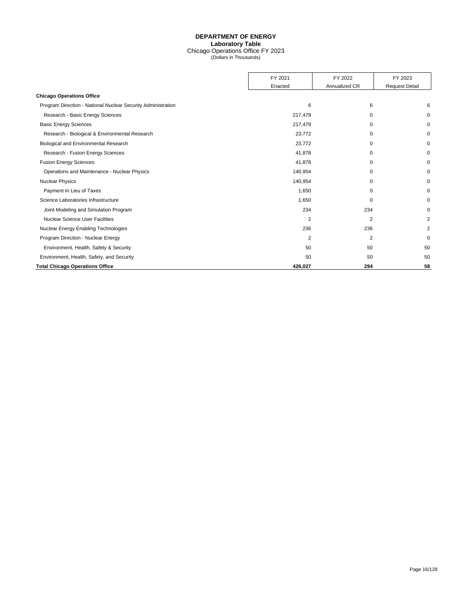## **DEPARTMENT OF ENERGY Laboratory Table** Chicago Operations Office FY 2023 (Dollars in Thousands)

<span id="page-18-0"></span>

|                                                              | FY 2021        | FY 2022        | FY 2023               |
|--------------------------------------------------------------|----------------|----------------|-----------------------|
|                                                              | Enacted        | Annualized CR  | <b>Request Detail</b> |
| <b>Chicago Operations Office</b>                             |                |                |                       |
| Program Direction - National Nuclear Security Administration | 6              | 6              | 6                     |
| Research - Basic Energy Sciences                             | 217,479        | 0              | $\Omega$              |
| <b>Basic Energy Sciences</b>                                 | 217,479        | $\Omega$       | $\Omega$              |
| Research - Biological & Environmental Research               | 23,772         | 0              | 0                     |
| Biological and Environmental Research                        | 23,772         | $\Omega$       | $\Omega$              |
| Research - Fusion Energy Sciences                            | 41,878         | $\Omega$       | O                     |
| <b>Fusion Energy Sciences</b>                                | 41,878         | $\Omega$       | $\Omega$              |
| Operations and Maintenance - Nuclear Physics                 | 140,954        | 0              | 0                     |
| <b>Nuclear Physics</b>                                       | 140,954        | $\Omega$       | $\Omega$              |
| Payment In Lieu of Taxes                                     | 1,650          | 0              | $\Omega$              |
| Science Laboratories Infrastructure                          | 1,650          | $\Omega$       | $\Omega$              |
| Joint Modeling and Simulation Program                        | 234            | 234            | $\Omega$              |
| <b>Nuclear Science User Facilities</b>                       | $\overline{2}$ | $\overline{2}$ | $\overline{2}$        |
| Nuclear Energy Enabling Technologies                         | 236            | 236            | 2                     |
| Program Direction - Nuclear Energy                           | 2              | 2              | $\Omega$              |
| Environment, Health, Safety & Security                       | 50             | 50             | 50                    |
| Environment, Health, Safety, and Security                    | 50             | 50             | 50                    |
| <b>Total Chicago Operations Office</b>                       | 426.027        | 294            | 58                    |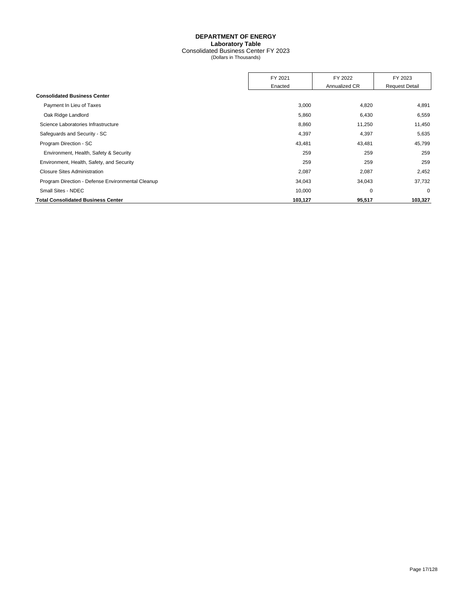## **DEPARTMENT OF ENERGY Laboratory Table** Consolidated Business Center FY 2023 (Dollars in Thousands)

<span id="page-19-0"></span>

|                                                   | FY 2021 | FY 2022       | FY 2023               |
|---------------------------------------------------|---------|---------------|-----------------------|
|                                                   | Enacted | Annualized CR | <b>Request Detail</b> |
| <b>Consolidated Business Center</b>               |         |               |                       |
| Payment In Lieu of Taxes                          | 3,000   | 4,820         | 4,891                 |
| Oak Ridge Landlord                                | 5,860   | 6,430         | 6,559                 |
| Science Laboratories Infrastructure               | 8,860   | 11,250        | 11,450                |
| Safeguards and Security - SC                      | 4,397   | 4,397         | 5,635                 |
| Program Direction - SC                            | 43,481  | 43,481        | 45,799                |
| Environment, Health, Safety & Security            | 259     | 259           | 259                   |
| Environment, Health, Safety, and Security         | 259     | 259           | 259                   |
| <b>Closure Sites Administration</b>               | 2,087   | 2,087         | 2,452                 |
| Program Direction - Defense Environmental Cleanup | 34,043  | 34,043        | 37,732                |
| Small Sites - NDEC                                | 10,000  | 0             | $\mathbf 0$           |
| <b>Total Consolidated Business Center</b>         | 103,127 | 95,517        | 103,327               |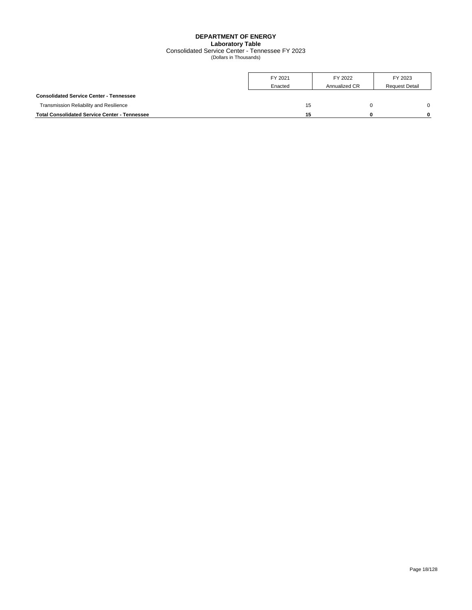## **DEPARTMENT OF ENERGY Laboratory Table** Consolidated Service Center - Tennessee FY 2023 (Dollars in Thousands)

<span id="page-20-0"></span>

|                                                      | FY 2021<br>Enacted | FY 2022<br>Annualized CR | FY 2023<br><b>Request Detail</b> |
|------------------------------------------------------|--------------------|--------------------------|----------------------------------|
| <b>Consolidated Service Center - Tennessee</b>       |                    |                          |                                  |
| Transmission Reliability and Resilience              | 15                 |                          | U                                |
| <b>Total Consolidated Service Center - Tennessee</b> | 15                 |                          |                                  |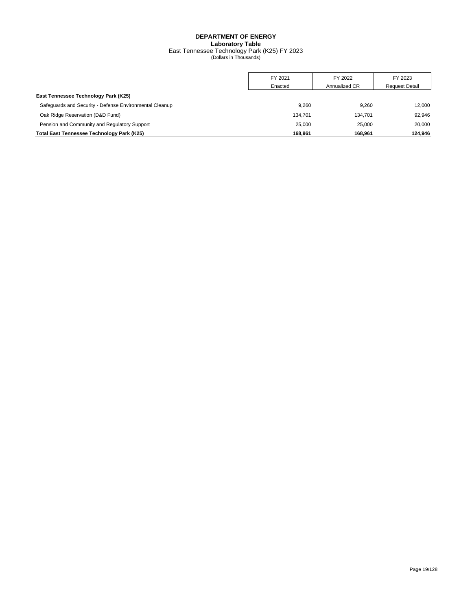## **DEPARTMENT OF ENERGY Laboratory Table** East Tennessee Technology Park (K25) FY 2023 (Dollars in Thousands)

<span id="page-21-0"></span>

|                                                         | FY 2021 | FY 2022       | FY 2023               |
|---------------------------------------------------------|---------|---------------|-----------------------|
|                                                         | Enacted | Annualized CR | <b>Request Detail</b> |
| East Tennessee Technology Park (K25)                    |         |               |                       |
| Safequards and Security - Defense Environmental Cleanup | 9.260   | 9.260         | 12.000                |
| Oak Ridge Reservation (D&D Fund)                        | 134.701 | 134.701       | 92.946                |
| Pension and Community and Regulatory Support            | 25,000  | 25.000        | 20.000                |
| <b>Total East Tennessee Technology Park (K25)</b>       | 168.961 | 168.961       | 124.946               |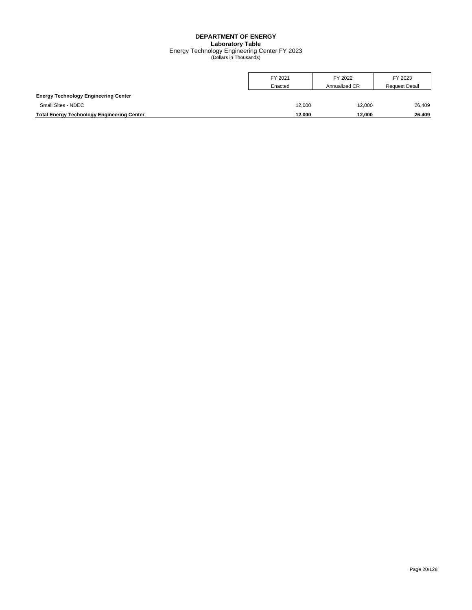## **DEPARTMENT OF ENERGY Laboratory Table** Energy Technology Engineering Center FY 2023 (Dollars in Thousands)

<span id="page-22-0"></span>

|                                                   | FY 2021 | FY 2022       | FY 2023               |
|---------------------------------------------------|---------|---------------|-----------------------|
|                                                   | Enacted | Annualized CR | <b>Request Detail</b> |
| <b>Energy Technology Engineering Center</b>       |         |               |                       |
| Small Sites - NDEC                                | 12.000  | 12.000        | 26,409                |
| <b>Total Energy Technology Engineering Center</b> | 12.000  | 12.000        | 26.409                |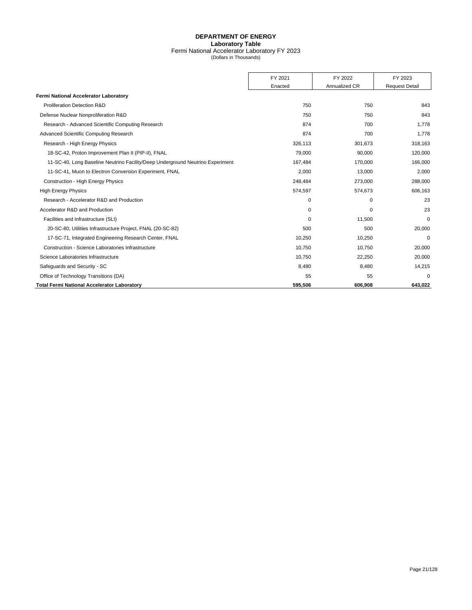## **DEPARTMENT OF ENERGY Laboratory Table** Fermi National Accelerator Laboratory FY 2023 (Dollars in Thousands)

<span id="page-23-0"></span>

|                                                                                | FY 2021  | FY 2022       | FY 2023               |
|--------------------------------------------------------------------------------|----------|---------------|-----------------------|
|                                                                                | Enacted  | Annualized CR | <b>Request Detail</b> |
| Fermi National Accelerator Laboratory                                          |          |               |                       |
| Proliferation Detection R&D                                                    | 750      | 750           | 843                   |
| Defense Nuclear Nonproliferation R&D                                           | 750      | 750           | 843                   |
| Research - Advanced Scientific Computing Research                              | 874      | 700           | 1,778                 |
| Advanced Scientific Computing Research                                         | 874      | 700           | 1.778                 |
|                                                                                |          |               |                       |
| Research - High Energy Physics                                                 | 326,113  | 301,673       | 318,163               |
| 18-SC-42, Proton Improvement Plan II (PIP-II), FNAL                            | 79,000   | 90,000        | 120,000               |
| 11-SC-40, Long Baseline Neutrino Facility/Deep Underground Neutrino Experiment | 167,484  | 170,000       | 166,000               |
| 11-SC-41, Muon to Electron Conversion Experiment, FNAL                         | 2,000    | 13,000        | 2,000                 |
| <b>Construction - High Energy Physics</b>                                      | 248,484  | 273,000       | 288,000               |
| <b>High Energy Physics</b>                                                     | 574,597  | 574,673       | 606,163               |
| Research - Accelerator R&D and Production                                      | 0        | 0             | 23                    |
| Accelerator R&D and Production                                                 | 0        | $\Omega$      | 23                    |
| Facilities and Infrastructure (SLI)                                            | $\Omega$ | 11,500        | $\mathbf 0$           |
| 20-SC-80, Utilities Infrastructure Project, FNAL (20-SC-82)                    | 500      | 500           | 20,000                |
| 17-SC-71, Integrated Engineering Research Center, FNAL                         | 10,250   | 10,250        | $\mathbf 0$           |
| Construction - Science Laboratories Infrastructure                             | 10,750   | 10,750        | 20,000                |
| Science Laboratories Infrastructure                                            | 10.750   | 22,250        | 20,000                |
| Safequards and Security - SC                                                   | 8,480    | 8,480         | 14,215                |
| Office of Technology Transitions (DA)                                          | 55       | 55            | $\Omega$              |
| <b>Total Fermi National Accelerator Laboratory</b>                             | 595.506  | 606.908       | 643.022               |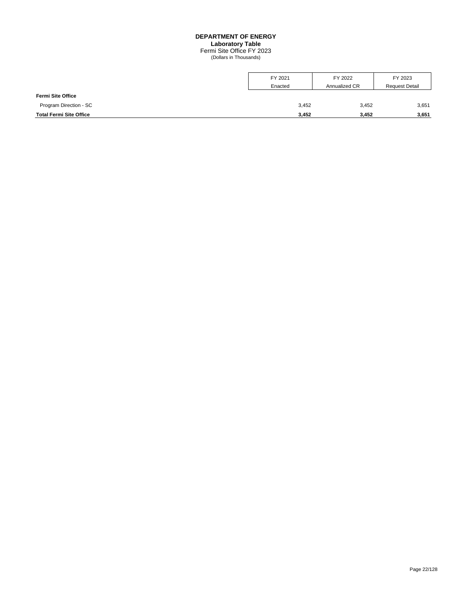#### **DEPARTMENT OF ENERGY**

**Laboratory Table**

Fermi Site Office FY 2023 (Dollars in Thousands)

<span id="page-24-0"></span>

|                                | FY 2021 | FY 2022       | FY 2023               |
|--------------------------------|---------|---------------|-----------------------|
|                                | Enacted | Annualized CR | <b>Request Detail</b> |
| <b>Fermi Site Office</b>       |         |               |                       |
| Program Direction - SC         | 3,452   | 3,452         | 3,651                 |
| <b>Total Fermi Site Office</b> | 3.452   | 3.452         | 3,651                 |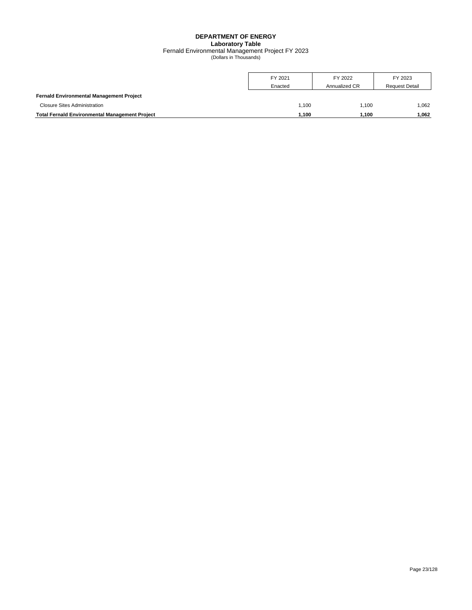## **DEPARTMENT OF ENERGY Laboratory Table** Fernald Environmental Management Project FY 2023 (Dollars in Thousands)

<span id="page-25-0"></span>

|                                                       | FY 2021<br>Enacted | FY 2022<br>Annualized CR | FY 2023<br><b>Request Detail</b> |
|-------------------------------------------------------|--------------------|--------------------------|----------------------------------|
| <b>Fernald Environmental Management Project</b>       |                    |                          |                                  |
| <b>Closure Sites Administration</b>                   | 1.100              | 1.100                    | 1.062                            |
| <b>Total Fernald Environmental Management Project</b> | .100               | 1.100                    | 1.062                            |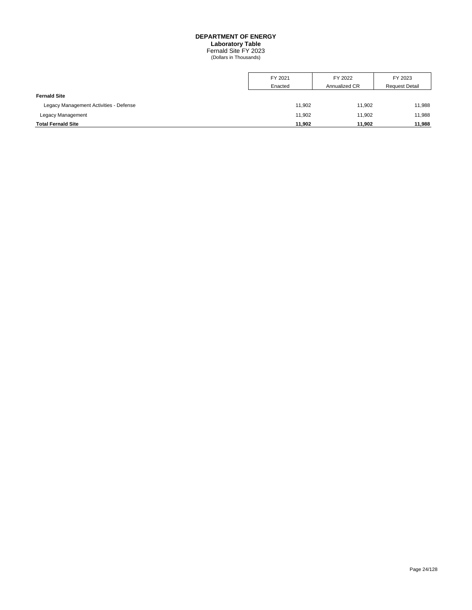#### **DEPARTMENT OF ENERGY Laboratory Table**

Fernald Site FY 2023 (Dollars in Thousands)

<span id="page-26-0"></span>

|                                        | FY 2021 | FY 2022       | FY 2023               |
|----------------------------------------|---------|---------------|-----------------------|
|                                        | Enacted | Annualized CR | <b>Request Detail</b> |
| <b>Fernald Site</b>                    |         |               |                       |
| Legacy Management Activities - Defense | 11,902  | 11.902        | 11,988                |
| Legacy Management                      | 11,902  | 11.902        | 11,988                |
| <b>Total Fernald Site</b>              | 11.902  | 11.902        | 11,988                |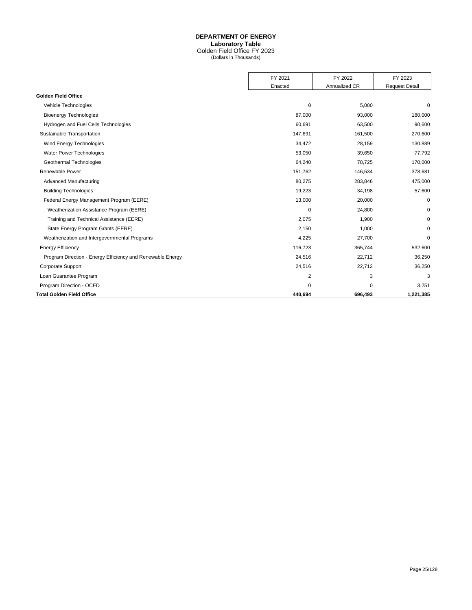## **DEPARTMENT OF ENERGY**

**Laboratory Table**

Golden Field Office FY 2023 (Dollars in Thousands)

<span id="page-27-0"></span>

|                                                            | FY 2021  | FY 2022       | FY 2023               |
|------------------------------------------------------------|----------|---------------|-----------------------|
|                                                            | Enacted  | Annualized CR | <b>Request Detail</b> |
| <b>Golden Field Office</b>                                 |          |               |                       |
| Vehicle Technologies                                       | 0        | 5,000         | 0                     |
| <b>Bioenergy Technologies</b>                              | 87,000   | 93,000        | 180,000               |
| Hydrogen and Fuel Cells Technologies                       | 60,691   | 63,500        | 90,600                |
| Sustainable Transportation                                 | 147,691  | 161,500       | 270,600               |
| Wind Energy Technologies                                   | 34,472   | 28,159        | 130,889               |
| <b>Water Power Technologies</b>                            | 53,050   | 39,650        | 77,792                |
| Geothermal Technologies                                    | 64,240   | 78,725        | 170,000               |
| Renewable Power                                            | 151,762  | 146,534       | 378,681               |
| <b>Advanced Manufacturing</b>                              | 80,275   | 283,846       | 475,000               |
| <b>Building Technologies</b>                               | 19,223   | 34,198        | 57,600                |
| Federal Energy Management Program (EERE)                   | 13,000   | 20,000        | $\mathbf 0$           |
| Weatherization Assistance Program (EERE)                   | 0        | 24,800        | 0                     |
| Training and Technical Assistance (EERE)                   | 2,075    | 1,900         | $\mathbf 0$           |
| State Energy Program Grants (EERE)                         | 2,150    | 1,000         | $\mathbf 0$           |
| Weatherization and Intergovernmental Programs              | 4,225    | 27,700        | $\mathbf 0$           |
| <b>Energy Efficiency</b>                                   | 116,723  | 365,744       | 532,600               |
| Program Direction - Energy Efficiency and Renewable Energy | 24,516   | 22,712        | 36,250                |
| Corporate Support                                          | 24,516   | 22,712        | 36,250                |
| Loan Guarantee Program                                     | 2        | 3             | 3                     |
| Program Direction - OCED                                   | $\Omega$ | 0             | 3,251                 |
| <b>Total Golden Field Office</b>                           | 440,694  | 696,493       | 1,221,385             |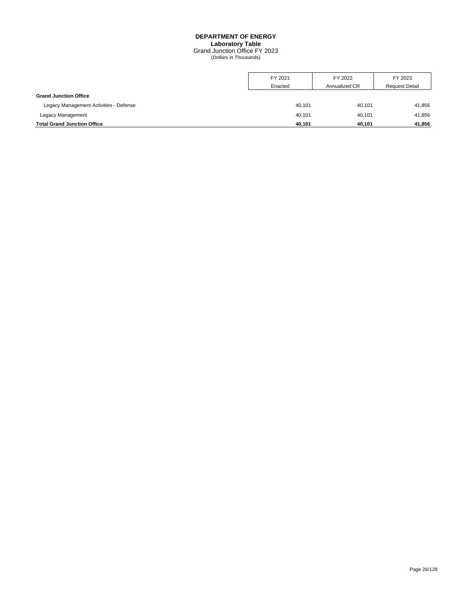## **DEPARTMENT OF ENERGY Laboratory Table** Grand Junction Office FY 2023 (Dollars in Thousands)

<span id="page-28-0"></span>

|                                        | FY 2021 | FY 2022       | FY 2023               |
|----------------------------------------|---------|---------------|-----------------------|
|                                        | Enacted | Annualized CR | <b>Request Detail</b> |
| <b>Grand Junction Office</b>           |         |               |                       |
| Legacy Management Activities - Defense | 40,101  | 40.101        | 41,856                |
| Legacy Management                      | 40,101  | 40.101        | 41,856                |
| <b>Total Grand Junction Office</b>     | 40.101  | 40.101        | 41,856                |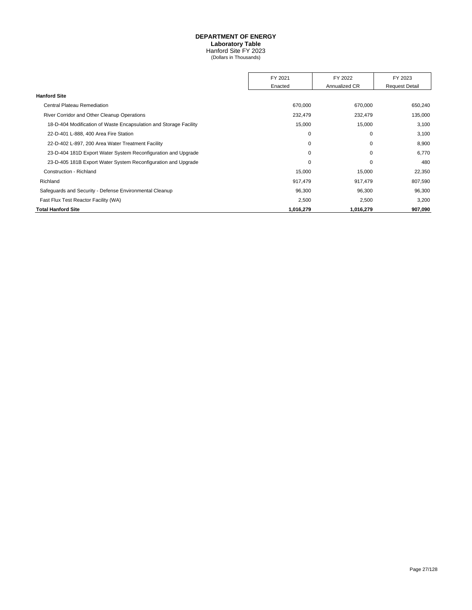#### **DEPARTMENT OF ENERGY Laboratory Table**

Hanford Site FY 2023 (Dollars in Thousands)

<span id="page-29-0"></span>

|                                                                   | FY 2021   | FY 2022       | FY 2023               |
|-------------------------------------------------------------------|-----------|---------------|-----------------------|
|                                                                   | Enacted   | Annualized CR | <b>Request Detail</b> |
| <b>Hanford Site</b>                                               |           |               |                       |
| <b>Central Plateau Remediation</b>                                | 670,000   | 670,000       | 650,240               |
| River Corridor and Other Cleanup Operations                       | 232,479   | 232,479       | 135,000               |
| 18-D-404 Modification of Waste Encapsulation and Storage Facility | 15,000    | 15,000        | 3,100                 |
| 22-D-401 L-888, 400 Area Fire Station                             | 0         | 0             | 3,100                 |
| 22-D-402 L-897, 200 Area Water Treatment Facility                 | 0         | 0             | 8,900                 |
| 23-D-404 181D Export Water System Reconfiguration and Upgrade     | 0         | 0             | 6,770                 |
| 23-D-405 181B Export Water System Reconfiguration and Upgrade     | $\Omega$  | 0             | 480                   |
| Construction - Richland                                           | 15,000    | 15,000        | 22,350                |
| Richland                                                          | 917,479   | 917,479       | 807,590               |
| Safeguards and Security - Defense Environmental Cleanup           | 96,300    | 96,300        | 96,300                |
| Fast Flux Test Reactor Facility (WA)                              | 2,500     | 2,500         | 3,200                 |
| <b>Total Hanford Site</b>                                         | 1,016,279 | 1,016,279     | 907,090               |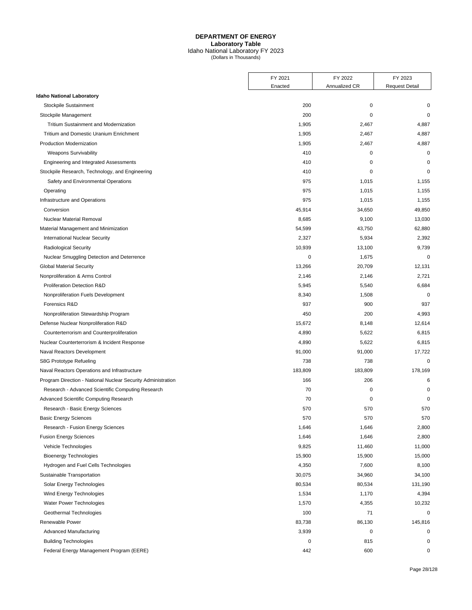## **DEPARTMENT OF ENERGY Laboratory Table** Idaho National Laboratory FY 2023 (Dollars in Thousands)

<span id="page-30-0"></span>

|                                                              | FY 2021   | FY 2022       | FY 2023               |
|--------------------------------------------------------------|-----------|---------------|-----------------------|
|                                                              | Enacted   | Annualized CR | <b>Request Detail</b> |
| <b>Idaho National Laboratory</b>                             |           |               |                       |
| Stockpile Sustainment                                        | 200       | $\mathbf 0$   | 0                     |
| Stockpile Management                                         | 200       | $\mathbf 0$   | $\mathbf 0$           |
| <b>Tritium Sustainment and Modernization</b>                 | 1,905     | 2,467         | 4,887                 |
| Tritium and Domestic Uranium Enrichment                      | 1,905     | 2,467         | 4,887                 |
| Production Modernization                                     | 1,905     | 2,467         | 4,887                 |
| <b>Weapons Survivability</b>                                 | 410       | $\mathbf 0$   | $\mathbf 0$           |
| Engineering and Integrated Assessments                       | 410       | $\mathbf 0$   | $\mathbf 0$           |
| Stockpile Research, Technology, and Engineering              | 410       | $\mathbf 0$   | $\mathbf 0$           |
| Safety and Environmental Operations                          | 975       | 1,015         | 1,155                 |
| Operating                                                    | 975       | 1,015         | 1,155                 |
| Infrastructure and Operations                                | 975       | 1,015         | 1,155                 |
| Conversion                                                   | 45,914    | 34,650        | 49,850                |
| <b>Nuclear Material Removal</b>                              | 8,685     | 9,100         | 13,030                |
| Material Management and Minimization                         | 54,599    | 43,750        | 62,880                |
| <b>International Nuclear Security</b>                        | 2,327     | 5,934         | 2,392                 |
| <b>Radiological Security</b>                                 | 10,939    | 13,100        | 9,739                 |
| Nuclear Smuggling Detection and Deterrence                   | 0         | 1,675         | $\mathbf 0$           |
| <b>Global Material Security</b>                              | 13,266    | 20,709        | 12,131                |
| Nonproliferation & Arms Control                              | 2,146     | 2,146         | 2,721                 |
| <b>Proliferation Detection R&amp;D</b>                       | 5,945     | 5,540         | 6,684                 |
| Nonproliferation Fuels Development                           | 8,340     | 1,508         | $\mathbf 0$           |
| Forensics R&D                                                | 937       | 900           | 937                   |
| Nonproliferation Stewardship Program                         | 450       | 200           | 4,993                 |
| Defense Nuclear Nonproliferation R&D                         | 15,672    | 8,148         | 12,614                |
| Counterterrorism and Counterproliferation                    | 4,890     | 5,622         | 6,815                 |
| Nuclear Counterterrorism & Incident Response                 | 4,890     | 5,622         | 6,815                 |
| Naval Reactors Development                                   | 91,000    | 91,000        | 17,722                |
| S8G Prototype Refueling                                      | 738       | 738           | $\mathbf 0$           |
| Naval Reactors Operations and Infrastructure                 | 183,809   | 183,809       | 178,169               |
| Program Direction - National Nuclear Security Administration | 166       | 206           | 6                     |
| Research - Advanced Scientific Computing Research            | 70        | 0             | $\mathbf 0$           |
| Advanced Scientific Computing Research                       | 70        | 0             | $\mathbf 0$           |
| Research - Basic Energy Sciences                             | 570       | 570           | 570                   |
| <b>Basic Energy Sciences</b>                                 | 570       | 570           | 570                   |
| Research - Fusion Energy Sciences                            | 1,646     | 1,646         | 2,800                 |
| <b>Fusion Energy Sciences</b>                                | 1,646     | 1,646         | 2,800                 |
| Vehicle Technologies                                         | 9,825     | 11,460        | 11,000                |
| <b>Bioenergy Technologies</b>                                | 15,900    | 15,900        | 15,000                |
| Hydrogen and Fuel Cells Technologies                         | 4,350     | 7,600         | 8,100                 |
| Sustainable Transportation                                   | 30,075    | 34,960        | 34,100                |
| Solar Energy Technologies                                    | 80,534    | 80,534        | 131,190               |
| Wind Energy Technologies                                     | 1,534     | 1,170         | 4,394                 |
| Water Power Technologies                                     | 1,570     | 4,355         | 10,232                |
| Geothermal Technologies                                      | 100       | 71            | 0                     |
| Renewable Power                                              | 83,738    | 86,130        | 145,816               |
| <b>Advanced Manufacturing</b>                                | 3,939     | $\pmb{0}$     | 0                     |
| <b>Building Technologies</b>                                 | $\pmb{0}$ | 815           | $\mathbf 0$           |
| Federal Energy Management Program (EERE)                     | 442       | 600           | 0                     |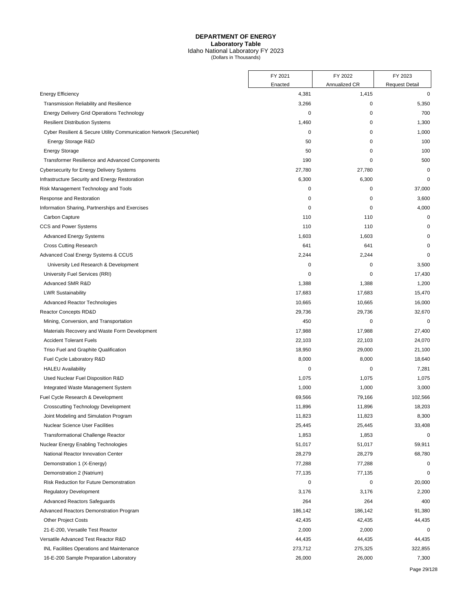## **DEPARTMENT OF ENERGY Laboratory Table** Idaho National Laboratory FY 2023 (Dollars in Thousands)

|                                                                    | FY 2021     | FY 2022       | FY 2023               |
|--------------------------------------------------------------------|-------------|---------------|-----------------------|
|                                                                    | Enacted     | Annualized CR | <b>Request Detail</b> |
| <b>Energy Efficiency</b>                                           | 4,381       | 1,415         | $\mathbf 0$           |
| Transmission Reliability and Resilience                            | 3,266       | 0             | 5,350                 |
| <b>Energy Delivery Grid Operations Technology</b>                  | $\mathbf 0$ | 0             | 700                   |
| <b>Resilient Distribution Systems</b>                              | 1,460       | 0             | 1,300                 |
| Cyber Resilient & Secure Utility Communication Network (SecureNet) | $\mathbf 0$ | 0             | 1,000                 |
| Energy Storage R&D                                                 | 50          | 0             | 100                   |
| <b>Energy Storage</b>                                              | 50          | 0             | 100                   |
| <b>Transformer Resilience and Advanced Components</b>              | 190         | 0             | 500                   |
| <b>Cybersecurity for Energy Delivery Systems</b>                   | 27,780      | 27,780        | $\mathbf 0$           |
| Infrastructure Security and Energy Restoration                     | 6,300       | 6,300         | $\mathbf 0$           |
| Risk Management Technology and Tools                               | $\pmb{0}$   | 0             | 37,000                |
| Response and Restoration                                           | 0           | 0             | 3,600                 |
| Information Sharing, Partnerships and Exercises                    | $\mathbf 0$ | 0             | 4,000                 |
| Carbon Capture                                                     | 110         | 110           | 0                     |
| <b>CCS and Power Systems</b>                                       | 110         | 110           | $\mathbf 0$           |
| <b>Advanced Energy Systems</b>                                     | 1,603       | 1,603         | $\mathbf 0$           |
| <b>Cross Cutting Research</b>                                      | 641         | 641           | 0                     |
| Advanced Coal Energy Systems & CCUS                                | 2,244       | 2,244         | 0                     |
| University Led Research & Development                              | $\mathbf 0$ | 0             | 3,500                 |
| University Fuel Services (RRI)                                     | $\mathbf 0$ | 0             | 17,430                |
| Advanced SMR R&D                                                   | 1,388       | 1,388         | 1,200                 |
| <b>LWR Sustainability</b>                                          | 17,683      | 17,683        | 15,470                |
| Advanced Reactor Technologies                                      | 10,665      | 10,665        | 16,000                |
| Reactor Concepts RD&D                                              | 29,736      | 29,736        | 32,670                |
| Mining, Conversion, and Transportation                             | 450         | 0             | 0                     |
| Materials Recovery and Waste Form Development                      | 17,988      | 17,988        | 27,400                |
| <b>Accident Tolerant Fuels</b>                                     | 22,103      | 22,103        | 24,070                |
| Triso Fuel and Graphite Qualification                              | 18,950      | 29,000        | 21,100                |
| Fuel Cycle Laboratory R&D                                          | 8,000       | 8,000         | 18,640                |
| <b>HALEU Availability</b>                                          | $\mathbf 0$ | 0             | 7,281                 |
| Used Nuclear Fuel Disposition R&D                                  | 1,075       | 1,075         | 1,075                 |
| Integrated Waste Management System                                 | 1,000       | 1,000         | 3,000                 |
| Fuel Cycle Research & Development                                  | 69,566      | 79,166        | 102,566               |
| <b>Crosscutting Technology Development</b>                         | 11,896      | 11,896        | 18,203                |
| Joint Modeling and Simulation Program                              | 11,823      | 11,823        | 8,300                 |
| <b>Nuclear Science User Facilities</b>                             | 25,445      | 25,445        | 33,408                |
| <b>Transformational Challenge Reactor</b>                          | 1,853       | 1,853         | 0                     |
| Nuclear Energy Enabling Technologies                               | 51,017      | 51,017        | 59,911                |
| National Reactor Innovation Center                                 | 28,279      | 28,279        | 68,780                |
| Demonstration 1 (X-Energy)                                         | 77,288      | 77,288        | 0                     |
| Demonstration 2 (Natrium)                                          | 77,135      | 77,135        | 0                     |
| Risk Reduction for Future Demonstration                            | $\pmb{0}$   | 0             | 20,000                |
| <b>Regulatory Development</b>                                      | 3,176       | 3,176         | 2,200                 |
| <b>Advanced Reactors Safeguards</b>                                | 264         | 264           | 400                   |
| Advanced Reactors Demonstration Program                            | 186,142     | 186,142       | 91,380                |
| <b>Other Project Costs</b>                                         | 42,435      | 42,435        | 44,435                |
| 21-E-200, Versatile Test Reactor                                   | 2,000       | 2,000         | 0                     |
| Versatile Advanced Test Reactor R&D                                | 44,435      | 44,435        | 44,435                |
| <b>INL Facilities Operations and Maintenance</b>                   | 273,712     | 275,325       | 322,855               |
| 16-E-200 Sample Preparation Laboratory                             | 26,000      | 26,000        | 7,300                 |
|                                                                    |             |               |                       |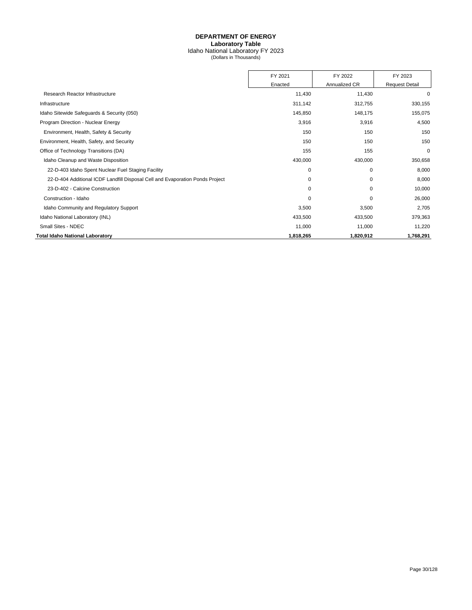## **DEPARTMENT OF ENERGY Laboratory Table** Idaho National Laboratory FY 2023 (Dollars in Thousands)

|                                                                               | FY 2021   | FY 2022       | FY 2023               |
|-------------------------------------------------------------------------------|-----------|---------------|-----------------------|
|                                                                               | Enacted   | Annualized CR | <b>Request Detail</b> |
| Research Reactor Infrastructure                                               | 11,430    | 11,430        | 0                     |
| Infrastructure                                                                | 311,142   | 312,755       | 330,155               |
| Idaho Sitewide Safeguards & Security (050)                                    | 145,850   | 148,175       | 155,075               |
| Program Direction - Nuclear Energy                                            | 3,916     | 3,916         | 4,500                 |
| Environment, Health, Safety & Security                                        | 150       | 150           | 150                   |
| Environment, Health, Safety, and Security                                     | 150       | 150           | 150                   |
| Office of Technology Transitions (DA)                                         | 155       | 155           | 0                     |
| Idaho Cleanup and Waste Disposition                                           | 430,000   | 430,000       | 350,658               |
| 22-D-403 Idaho Spent Nuclear Fuel Staging Facility                            | 0         | 0             | 8,000                 |
| 22-D-404 Additional ICDF Landfill Disposal Cell and Evaporation Ponds Project | 0         | 0             | 8,000                 |
| 23-D-402 - Calcine Construction                                               | 0         | 0             | 10,000                |
| Construction - Idaho                                                          | 0         | 0             | 26,000                |
| Idaho Community and Regulatory Support                                        | 3,500     | 3,500         | 2,705                 |
| Idaho National Laboratory (INL)                                               | 433,500   | 433,500       | 379,363               |
| Small Sites - NDEC                                                            | 11,000    | 11,000        | 11,220                |
| Total Idaho National Laboratory                                               | 1,818,265 | 1,820,912     | 1,768,291             |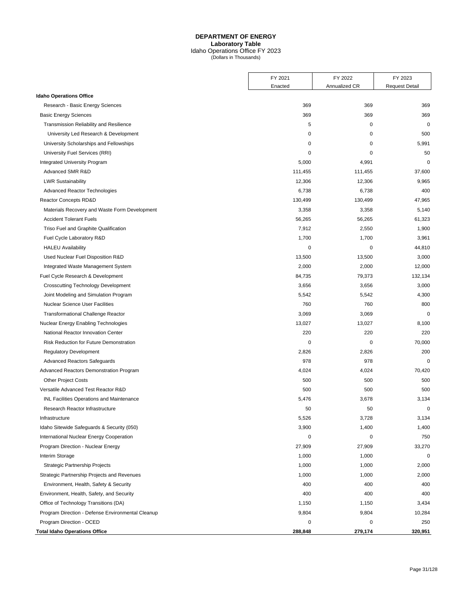## **DEPARTMENT OF ENERGY Laboratory Table**

Idaho Operations Office FY 2023 (Dollars in Thousands)

<span id="page-33-0"></span>

|                                                   | FY 2021     | FY 2022       | FY 2023               |
|---------------------------------------------------|-------------|---------------|-----------------------|
|                                                   | Enacted     | Annualized CR | <b>Request Detail</b> |
| <b>Idaho Operations Office</b>                    |             |               |                       |
| Research - Basic Energy Sciences                  | 369         | 369           | 369                   |
| <b>Basic Energy Sciences</b>                      | 369         | 369           | 369                   |
| Transmission Reliability and Resilience           | 5           | 0             | $\mathbf 0$           |
| University Led Research & Development             | 0           | 0             | 500                   |
| University Scholarships and Fellowships           | 0           | 0             | 5,991                 |
| University Fuel Services (RRI)                    | 0           | 0             | 50                    |
| Integrated University Program                     | 5,000       | 4,991         | $\mathbf 0$           |
| Advanced SMR R&D                                  | 111,455     | 111,455       | 37,600                |
| <b>LWR Sustainability</b>                         | 12,306      | 12,306        | 9,965                 |
| <b>Advanced Reactor Technologies</b>              | 6,738       | 6,738         | 400                   |
| Reactor Concepts RD&D                             | 130,499     | 130,499       | 47,965                |
| Materials Recovery and Waste Form Development     | 3,358       | 3,358         | 5,140                 |
| <b>Accident Tolerant Fuels</b>                    | 56,265      | 56,265        | 61,323                |
| Triso Fuel and Graphite Qualification             | 7,912       | 2,550         | 1,900                 |
| Fuel Cycle Laboratory R&D                         | 1,700       | 1,700         | 3,961                 |
| <b>HALEU Availability</b>                         | $\mathbf 0$ | 0             | 44,810                |
| Used Nuclear Fuel Disposition R&D                 | 13,500      | 13,500        | 3,000                 |
| Integrated Waste Management System                | 2,000       | 2,000         | 12,000                |
| Fuel Cycle Research & Development                 | 84,735      | 79,373        | 132,134               |
| <b>Crosscutting Technology Development</b>        | 3,656       | 3,656         | 3,000                 |
| Joint Modeling and Simulation Program             | 5,542       | 5,542         | 4,300                 |
| <b>Nuclear Science User Facilities</b>            | 760         | 760           | 800                   |
| <b>Transformational Challenge Reactor</b>         | 3,069       | 3,069         | $\mathbf 0$           |
| Nuclear Energy Enabling Technologies              | 13,027      | 13,027        | 8,100                 |
| National Reactor Innovation Center                | 220         | 220           | 220                   |
| Risk Reduction for Future Demonstration           | 0           | 0             | 70,000                |
| <b>Regulatory Development</b>                     | 2,826       | 2,826         | 200                   |
| <b>Advanced Reactors Safeguards</b>               | 978         | 978           | $\mathbf 0$           |
| Advanced Reactors Demonstration Program           | 4,024       | 4,024         | 70,420                |
| <b>Other Project Costs</b>                        | 500         | 500           | 500                   |
| Versatile Advanced Test Reactor R&D               | 500         | 500           | 500                   |
| <b>INL Facilities Operations and Maintenance</b>  | 5,476       | 3,678         | 3,134                 |
| Research Reactor Infrastructure                   | 50          | 50            | $\mathbf 0$           |
| Infrastructure                                    | 5,526       | 3,728         | 3,134                 |
| Idaho Sitewide Safeguards & Security (050)        | 3,900       | 1,400         | 1,400                 |
| International Nuclear Energy Cooperation          | 0           | 0             | 750                   |
| Program Direction - Nuclear Energy                | 27,909      | 27,909        | 33,270                |
| Interim Storage                                   | 1,000       | 1,000         | 0                     |
| Strategic Partnership Projects                    | 1,000       | 1,000         | 2,000                 |
| Strategic Partnership Projects and Revenues       | 1,000       | 1,000         | 2,000                 |
| Environment, Health, Safety & Security            | 400         | 400           | 400                   |
| Environment, Health, Safety, and Security         | 400         | 400           | 400                   |
| Office of Technology Transitions (DA)             | 1,150       | 1,150         | 3,434                 |
| Program Direction - Defense Environmental Cleanup | 9,804       | 9,804         | 10,284                |
| Program Direction - OCED                          | 0           | 0             | 250                   |
| <b>Total Idaho Operations Office</b>              | 288,848     | 279,174       | 320,951               |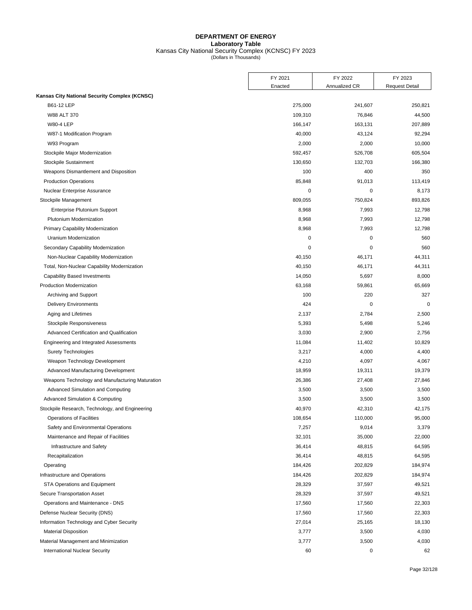## **DEPARTMENT OF ENERGY Laboratory Table** Kansas City National Security Complex (KCNSC) FY 2023 (Dollars in Thousands)

<span id="page-34-0"></span>

| Enacted<br>Annualized CR<br><b>Request Detail</b><br>B61-12 LEP<br>275,000<br>241,607<br>250,821<br>W88 ALT 370<br>109,310<br>76,846<br>44,500<br>207,889<br><b>W80-4 LEP</b><br>166,147<br>163,131<br>92,294<br>W87-1 Modification Program<br>40,000<br>43,124<br>2,000<br>10,000<br>W93 Program<br>2,000<br>605,504<br>Stockpile Major Modernization<br>592,457<br>526,708<br>Stockpile Sustainment<br>130,650<br>132,703<br>166,380<br>Weapons Dismantlement and Disposition<br>100<br>400<br>350<br>85,848<br>113,419<br><b>Production Operations</b><br>91,013<br>0<br>Nuclear Enterprise Assurance<br>0<br>8,173<br>809,055<br>Stockpile Management<br>750,824<br>893,826<br>Enterprise Plutonium Support<br>8,968<br>7,993<br>12,798<br>Plutonium Modernization<br>8,968<br>7,993<br>12,798<br>Primary Capability Modernization<br>8,968<br>7,993<br>12,798<br>$\mathbf 0$<br>Uranium Modernization<br>0<br>560<br>$\mathbf 0$<br>0<br>560<br>Secondary Capability Modernization<br>Non-Nuclear Capability Modernization<br>40,150<br>46,171<br>44,311<br>Total, Non-Nuclear Capability Modernization<br>40,150<br>46,171<br>44,311<br>8,000<br><b>Capability Based Investments</b><br>14,050<br>5,697<br>65,669<br><b>Production Modernization</b><br>63,168<br>59,861<br>100<br>327<br>Archiving and Support<br>220<br><b>Delivery Environments</b><br>424<br>0<br>0<br>Aging and Lifetimes<br>2,137<br>2,784<br>2,500<br>Stockpile Responsiveness<br>5,393<br>5,498<br>5,246<br>2,756<br>Advanced Certification and Qualification<br>3,030<br>2,900<br>10,829<br>Engineering and Integrated Assessments<br>11,084<br>11,402<br>4,400<br><b>Surety Technologies</b><br>3,217<br>4,000<br>4,067<br>Weapon Technology Development<br>4,210<br>4,097<br>18,959<br>19,311<br>19,379<br>Advanced Manufacturing Development<br>27,846<br>Weapons Technology and Manufacturing Maturation<br>26,386<br>27,408<br>Advanced Simulation and Computing<br>3,500<br>3,500<br>3,500<br>3,500<br>Advanced Simulation & Computing<br>3,500<br>3,500<br>Stockpile Research, Technology, and Engineering<br>40,970<br>42,310<br>42,175<br>95,000<br><b>Operations of Facilities</b><br>108,654<br>110,000<br>Safety and Environmental Operations<br>9,014<br>3,379<br>7,257<br>32,101<br>22,000<br>Maintenance and Repair of Facilities<br>35,000<br>Infrastructure and Safety<br>36,414<br>48,815<br>64,595<br>Recapitalization<br>36,414<br>48,815<br>64,595<br>202,829<br>Operating<br>184,426<br>184,974<br>Infrastructure and Operations<br>184,426<br>202,829<br>184,974<br>STA Operations and Equipment<br>28,329<br>37,597<br>49,521<br>Secure Transportation Asset<br>28,329<br>37,597<br>49,521<br>Operations and Maintenance - DNS<br>17,560<br>17,560<br>22,303<br>22,303<br>Defense Nuclear Security (DNS)<br>17,560<br>17,560<br>18,130<br>Information Technology and Cyber Security<br>27,014<br>25,165<br>3,500<br>4,030<br><b>Material Disposition</b><br>3,777<br>4,030<br>Material Management and Minimization<br>3,777<br>3,500<br>62<br>0 |                                               | FY 2021 | FY 2022 | FY 2023 |
|--------------------------------------------------------------------------------------------------------------------------------------------------------------------------------------------------------------------------------------------------------------------------------------------------------------------------------------------------------------------------------------------------------------------------------------------------------------------------------------------------------------------------------------------------------------------------------------------------------------------------------------------------------------------------------------------------------------------------------------------------------------------------------------------------------------------------------------------------------------------------------------------------------------------------------------------------------------------------------------------------------------------------------------------------------------------------------------------------------------------------------------------------------------------------------------------------------------------------------------------------------------------------------------------------------------------------------------------------------------------------------------------------------------------------------------------------------------------------------------------------------------------------------------------------------------------------------------------------------------------------------------------------------------------------------------------------------------------------------------------------------------------------------------------------------------------------------------------------------------------------------------------------------------------------------------------------------------------------------------------------------------------------------------------------------------------------------------------------------------------------------------------------------------------------------------------------------------------------------------------------------------------------------------------------------------------------------------------------------------------------------------------------------------------------------------------------------------------------------------------------------------------------------------------------------------------------------------------------------------------------------------------------------------------------------------------------------------------------------------------------------------------------------------------------------------------------------------------------------------------------------------------------------------------------------------------------------------------------------------------------------------------------------------------------------|-----------------------------------------------|---------|---------|---------|
|                                                                                                                                                                                                                                                                                                                                                                                                                                                                                                                                                                                                                                                                                                                                                                                                                                                                                                                                                                                                                                                                                                                                                                                                                                                                                                                                                                                                                                                                                                                                                                                                                                                                                                                                                                                                                                                                                                                                                                                                                                                                                                                                                                                                                                                                                                                                                                                                                                                                                                                                                                                                                                                                                                                                                                                                                                                                                                                                                                                                                                                        |                                               |         |         |         |
|                                                                                                                                                                                                                                                                                                                                                                                                                                                                                                                                                                                                                                                                                                                                                                                                                                                                                                                                                                                                                                                                                                                                                                                                                                                                                                                                                                                                                                                                                                                                                                                                                                                                                                                                                                                                                                                                                                                                                                                                                                                                                                                                                                                                                                                                                                                                                                                                                                                                                                                                                                                                                                                                                                                                                                                                                                                                                                                                                                                                                                                        | Kansas City National Security Complex (KCNSC) |         |         |         |
|                                                                                                                                                                                                                                                                                                                                                                                                                                                                                                                                                                                                                                                                                                                                                                                                                                                                                                                                                                                                                                                                                                                                                                                                                                                                                                                                                                                                                                                                                                                                                                                                                                                                                                                                                                                                                                                                                                                                                                                                                                                                                                                                                                                                                                                                                                                                                                                                                                                                                                                                                                                                                                                                                                                                                                                                                                                                                                                                                                                                                                                        |                                               |         |         |         |
|                                                                                                                                                                                                                                                                                                                                                                                                                                                                                                                                                                                                                                                                                                                                                                                                                                                                                                                                                                                                                                                                                                                                                                                                                                                                                                                                                                                                                                                                                                                                                                                                                                                                                                                                                                                                                                                                                                                                                                                                                                                                                                                                                                                                                                                                                                                                                                                                                                                                                                                                                                                                                                                                                                                                                                                                                                                                                                                                                                                                                                                        |                                               |         |         |         |
|                                                                                                                                                                                                                                                                                                                                                                                                                                                                                                                                                                                                                                                                                                                                                                                                                                                                                                                                                                                                                                                                                                                                                                                                                                                                                                                                                                                                                                                                                                                                                                                                                                                                                                                                                                                                                                                                                                                                                                                                                                                                                                                                                                                                                                                                                                                                                                                                                                                                                                                                                                                                                                                                                                                                                                                                                                                                                                                                                                                                                                                        |                                               |         |         |         |
|                                                                                                                                                                                                                                                                                                                                                                                                                                                                                                                                                                                                                                                                                                                                                                                                                                                                                                                                                                                                                                                                                                                                                                                                                                                                                                                                                                                                                                                                                                                                                                                                                                                                                                                                                                                                                                                                                                                                                                                                                                                                                                                                                                                                                                                                                                                                                                                                                                                                                                                                                                                                                                                                                                                                                                                                                                                                                                                                                                                                                                                        |                                               |         |         |         |
|                                                                                                                                                                                                                                                                                                                                                                                                                                                                                                                                                                                                                                                                                                                                                                                                                                                                                                                                                                                                                                                                                                                                                                                                                                                                                                                                                                                                                                                                                                                                                                                                                                                                                                                                                                                                                                                                                                                                                                                                                                                                                                                                                                                                                                                                                                                                                                                                                                                                                                                                                                                                                                                                                                                                                                                                                                                                                                                                                                                                                                                        |                                               |         |         |         |
|                                                                                                                                                                                                                                                                                                                                                                                                                                                                                                                                                                                                                                                                                                                                                                                                                                                                                                                                                                                                                                                                                                                                                                                                                                                                                                                                                                                                                                                                                                                                                                                                                                                                                                                                                                                                                                                                                                                                                                                                                                                                                                                                                                                                                                                                                                                                                                                                                                                                                                                                                                                                                                                                                                                                                                                                                                                                                                                                                                                                                                                        |                                               |         |         |         |
|                                                                                                                                                                                                                                                                                                                                                                                                                                                                                                                                                                                                                                                                                                                                                                                                                                                                                                                                                                                                                                                                                                                                                                                                                                                                                                                                                                                                                                                                                                                                                                                                                                                                                                                                                                                                                                                                                                                                                                                                                                                                                                                                                                                                                                                                                                                                                                                                                                                                                                                                                                                                                                                                                                                                                                                                                                                                                                                                                                                                                                                        |                                               |         |         |         |
|                                                                                                                                                                                                                                                                                                                                                                                                                                                                                                                                                                                                                                                                                                                                                                                                                                                                                                                                                                                                                                                                                                                                                                                                                                                                                                                                                                                                                                                                                                                                                                                                                                                                                                                                                                                                                                                                                                                                                                                                                                                                                                                                                                                                                                                                                                                                                                                                                                                                                                                                                                                                                                                                                                                                                                                                                                                                                                                                                                                                                                                        |                                               |         |         |         |
|                                                                                                                                                                                                                                                                                                                                                                                                                                                                                                                                                                                                                                                                                                                                                                                                                                                                                                                                                                                                                                                                                                                                                                                                                                                                                                                                                                                                                                                                                                                                                                                                                                                                                                                                                                                                                                                                                                                                                                                                                                                                                                                                                                                                                                                                                                                                                                                                                                                                                                                                                                                                                                                                                                                                                                                                                                                                                                                                                                                                                                                        |                                               |         |         |         |
|                                                                                                                                                                                                                                                                                                                                                                                                                                                                                                                                                                                                                                                                                                                                                                                                                                                                                                                                                                                                                                                                                                                                                                                                                                                                                                                                                                                                                                                                                                                                                                                                                                                                                                                                                                                                                                                                                                                                                                                                                                                                                                                                                                                                                                                                                                                                                                                                                                                                                                                                                                                                                                                                                                                                                                                                                                                                                                                                                                                                                                                        |                                               |         |         |         |
|                                                                                                                                                                                                                                                                                                                                                                                                                                                                                                                                                                                                                                                                                                                                                                                                                                                                                                                                                                                                                                                                                                                                                                                                                                                                                                                                                                                                                                                                                                                                                                                                                                                                                                                                                                                                                                                                                                                                                                                                                                                                                                                                                                                                                                                                                                                                                                                                                                                                                                                                                                                                                                                                                                                                                                                                                                                                                                                                                                                                                                                        |                                               |         |         |         |
|                                                                                                                                                                                                                                                                                                                                                                                                                                                                                                                                                                                                                                                                                                                                                                                                                                                                                                                                                                                                                                                                                                                                                                                                                                                                                                                                                                                                                                                                                                                                                                                                                                                                                                                                                                                                                                                                                                                                                                                                                                                                                                                                                                                                                                                                                                                                                                                                                                                                                                                                                                                                                                                                                                                                                                                                                                                                                                                                                                                                                                                        |                                               |         |         |         |
|                                                                                                                                                                                                                                                                                                                                                                                                                                                                                                                                                                                                                                                                                                                                                                                                                                                                                                                                                                                                                                                                                                                                                                                                                                                                                                                                                                                                                                                                                                                                                                                                                                                                                                                                                                                                                                                                                                                                                                                                                                                                                                                                                                                                                                                                                                                                                                                                                                                                                                                                                                                                                                                                                                                                                                                                                                                                                                                                                                                                                                                        |                                               |         |         |         |
|                                                                                                                                                                                                                                                                                                                                                                                                                                                                                                                                                                                                                                                                                                                                                                                                                                                                                                                                                                                                                                                                                                                                                                                                                                                                                                                                                                                                                                                                                                                                                                                                                                                                                                                                                                                                                                                                                                                                                                                                                                                                                                                                                                                                                                                                                                                                                                                                                                                                                                                                                                                                                                                                                                                                                                                                                                                                                                                                                                                                                                                        |                                               |         |         |         |
|                                                                                                                                                                                                                                                                                                                                                                                                                                                                                                                                                                                                                                                                                                                                                                                                                                                                                                                                                                                                                                                                                                                                                                                                                                                                                                                                                                                                                                                                                                                                                                                                                                                                                                                                                                                                                                                                                                                                                                                                                                                                                                                                                                                                                                                                                                                                                                                                                                                                                                                                                                                                                                                                                                                                                                                                                                                                                                                                                                                                                                                        |                                               |         |         |         |
|                                                                                                                                                                                                                                                                                                                                                                                                                                                                                                                                                                                                                                                                                                                                                                                                                                                                                                                                                                                                                                                                                                                                                                                                                                                                                                                                                                                                                                                                                                                                                                                                                                                                                                                                                                                                                                                                                                                                                                                                                                                                                                                                                                                                                                                                                                                                                                                                                                                                                                                                                                                                                                                                                                                                                                                                                                                                                                                                                                                                                                                        |                                               |         |         |         |
|                                                                                                                                                                                                                                                                                                                                                                                                                                                                                                                                                                                                                                                                                                                                                                                                                                                                                                                                                                                                                                                                                                                                                                                                                                                                                                                                                                                                                                                                                                                                                                                                                                                                                                                                                                                                                                                                                                                                                                                                                                                                                                                                                                                                                                                                                                                                                                                                                                                                                                                                                                                                                                                                                                                                                                                                                                                                                                                                                                                                                                                        |                                               |         |         |         |
|                                                                                                                                                                                                                                                                                                                                                                                                                                                                                                                                                                                                                                                                                                                                                                                                                                                                                                                                                                                                                                                                                                                                                                                                                                                                                                                                                                                                                                                                                                                                                                                                                                                                                                                                                                                                                                                                                                                                                                                                                                                                                                                                                                                                                                                                                                                                                                                                                                                                                                                                                                                                                                                                                                                                                                                                                                                                                                                                                                                                                                                        |                                               |         |         |         |
|                                                                                                                                                                                                                                                                                                                                                                                                                                                                                                                                                                                                                                                                                                                                                                                                                                                                                                                                                                                                                                                                                                                                                                                                                                                                                                                                                                                                                                                                                                                                                                                                                                                                                                                                                                                                                                                                                                                                                                                                                                                                                                                                                                                                                                                                                                                                                                                                                                                                                                                                                                                                                                                                                                                                                                                                                                                                                                                                                                                                                                                        |                                               |         |         |         |
|                                                                                                                                                                                                                                                                                                                                                                                                                                                                                                                                                                                                                                                                                                                                                                                                                                                                                                                                                                                                                                                                                                                                                                                                                                                                                                                                                                                                                                                                                                                                                                                                                                                                                                                                                                                                                                                                                                                                                                                                                                                                                                                                                                                                                                                                                                                                                                                                                                                                                                                                                                                                                                                                                                                                                                                                                                                                                                                                                                                                                                                        |                                               |         |         |         |
|                                                                                                                                                                                                                                                                                                                                                                                                                                                                                                                                                                                                                                                                                                                                                                                                                                                                                                                                                                                                                                                                                                                                                                                                                                                                                                                                                                                                                                                                                                                                                                                                                                                                                                                                                                                                                                                                                                                                                                                                                                                                                                                                                                                                                                                                                                                                                                                                                                                                                                                                                                                                                                                                                                                                                                                                                                                                                                                                                                                                                                                        |                                               |         |         |         |
|                                                                                                                                                                                                                                                                                                                                                                                                                                                                                                                                                                                                                                                                                                                                                                                                                                                                                                                                                                                                                                                                                                                                                                                                                                                                                                                                                                                                                                                                                                                                                                                                                                                                                                                                                                                                                                                                                                                                                                                                                                                                                                                                                                                                                                                                                                                                                                                                                                                                                                                                                                                                                                                                                                                                                                                                                                                                                                                                                                                                                                                        |                                               |         |         |         |
|                                                                                                                                                                                                                                                                                                                                                                                                                                                                                                                                                                                                                                                                                                                                                                                                                                                                                                                                                                                                                                                                                                                                                                                                                                                                                                                                                                                                                                                                                                                                                                                                                                                                                                                                                                                                                                                                                                                                                                                                                                                                                                                                                                                                                                                                                                                                                                                                                                                                                                                                                                                                                                                                                                                                                                                                                                                                                                                                                                                                                                                        |                                               |         |         |         |
|                                                                                                                                                                                                                                                                                                                                                                                                                                                                                                                                                                                                                                                                                                                                                                                                                                                                                                                                                                                                                                                                                                                                                                                                                                                                                                                                                                                                                                                                                                                                                                                                                                                                                                                                                                                                                                                                                                                                                                                                                                                                                                                                                                                                                                                                                                                                                                                                                                                                                                                                                                                                                                                                                                                                                                                                                                                                                                                                                                                                                                                        |                                               |         |         |         |
|                                                                                                                                                                                                                                                                                                                                                                                                                                                                                                                                                                                                                                                                                                                                                                                                                                                                                                                                                                                                                                                                                                                                                                                                                                                                                                                                                                                                                                                                                                                                                                                                                                                                                                                                                                                                                                                                                                                                                                                                                                                                                                                                                                                                                                                                                                                                                                                                                                                                                                                                                                                                                                                                                                                                                                                                                                                                                                                                                                                                                                                        |                                               |         |         |         |
|                                                                                                                                                                                                                                                                                                                                                                                                                                                                                                                                                                                                                                                                                                                                                                                                                                                                                                                                                                                                                                                                                                                                                                                                                                                                                                                                                                                                                                                                                                                                                                                                                                                                                                                                                                                                                                                                                                                                                                                                                                                                                                                                                                                                                                                                                                                                                                                                                                                                                                                                                                                                                                                                                                                                                                                                                                                                                                                                                                                                                                                        |                                               |         |         |         |
|                                                                                                                                                                                                                                                                                                                                                                                                                                                                                                                                                                                                                                                                                                                                                                                                                                                                                                                                                                                                                                                                                                                                                                                                                                                                                                                                                                                                                                                                                                                                                                                                                                                                                                                                                                                                                                                                                                                                                                                                                                                                                                                                                                                                                                                                                                                                                                                                                                                                                                                                                                                                                                                                                                                                                                                                                                                                                                                                                                                                                                                        |                                               |         |         |         |
|                                                                                                                                                                                                                                                                                                                                                                                                                                                                                                                                                                                                                                                                                                                                                                                                                                                                                                                                                                                                                                                                                                                                                                                                                                                                                                                                                                                                                                                                                                                                                                                                                                                                                                                                                                                                                                                                                                                                                                                                                                                                                                                                                                                                                                                                                                                                                                                                                                                                                                                                                                                                                                                                                                                                                                                                                                                                                                                                                                                                                                                        |                                               |         |         |         |
|                                                                                                                                                                                                                                                                                                                                                                                                                                                                                                                                                                                                                                                                                                                                                                                                                                                                                                                                                                                                                                                                                                                                                                                                                                                                                                                                                                                                                                                                                                                                                                                                                                                                                                                                                                                                                                                                                                                                                                                                                                                                                                                                                                                                                                                                                                                                                                                                                                                                                                                                                                                                                                                                                                                                                                                                                                                                                                                                                                                                                                                        |                                               |         |         |         |
|                                                                                                                                                                                                                                                                                                                                                                                                                                                                                                                                                                                                                                                                                                                                                                                                                                                                                                                                                                                                                                                                                                                                                                                                                                                                                                                                                                                                                                                                                                                                                                                                                                                                                                                                                                                                                                                                                                                                                                                                                                                                                                                                                                                                                                                                                                                                                                                                                                                                                                                                                                                                                                                                                                                                                                                                                                                                                                                                                                                                                                                        |                                               |         |         |         |
|                                                                                                                                                                                                                                                                                                                                                                                                                                                                                                                                                                                                                                                                                                                                                                                                                                                                                                                                                                                                                                                                                                                                                                                                                                                                                                                                                                                                                                                                                                                                                                                                                                                                                                                                                                                                                                                                                                                                                                                                                                                                                                                                                                                                                                                                                                                                                                                                                                                                                                                                                                                                                                                                                                                                                                                                                                                                                                                                                                                                                                                        |                                               |         |         |         |
|                                                                                                                                                                                                                                                                                                                                                                                                                                                                                                                                                                                                                                                                                                                                                                                                                                                                                                                                                                                                                                                                                                                                                                                                                                                                                                                                                                                                                                                                                                                                                                                                                                                                                                                                                                                                                                                                                                                                                                                                                                                                                                                                                                                                                                                                                                                                                                                                                                                                                                                                                                                                                                                                                                                                                                                                                                                                                                                                                                                                                                                        |                                               |         |         |         |
|                                                                                                                                                                                                                                                                                                                                                                                                                                                                                                                                                                                                                                                                                                                                                                                                                                                                                                                                                                                                                                                                                                                                                                                                                                                                                                                                                                                                                                                                                                                                                                                                                                                                                                                                                                                                                                                                                                                                                                                                                                                                                                                                                                                                                                                                                                                                                                                                                                                                                                                                                                                                                                                                                                                                                                                                                                                                                                                                                                                                                                                        |                                               |         |         |         |
|                                                                                                                                                                                                                                                                                                                                                                                                                                                                                                                                                                                                                                                                                                                                                                                                                                                                                                                                                                                                                                                                                                                                                                                                                                                                                                                                                                                                                                                                                                                                                                                                                                                                                                                                                                                                                                                                                                                                                                                                                                                                                                                                                                                                                                                                                                                                                                                                                                                                                                                                                                                                                                                                                                                                                                                                                                                                                                                                                                                                                                                        |                                               |         |         |         |
|                                                                                                                                                                                                                                                                                                                                                                                                                                                                                                                                                                                                                                                                                                                                                                                                                                                                                                                                                                                                                                                                                                                                                                                                                                                                                                                                                                                                                                                                                                                                                                                                                                                                                                                                                                                                                                                                                                                                                                                                                                                                                                                                                                                                                                                                                                                                                                                                                                                                                                                                                                                                                                                                                                                                                                                                                                                                                                                                                                                                                                                        |                                               |         |         |         |
|                                                                                                                                                                                                                                                                                                                                                                                                                                                                                                                                                                                                                                                                                                                                                                                                                                                                                                                                                                                                                                                                                                                                                                                                                                                                                                                                                                                                                                                                                                                                                                                                                                                                                                                                                                                                                                                                                                                                                                                                                                                                                                                                                                                                                                                                                                                                                                                                                                                                                                                                                                                                                                                                                                                                                                                                                                                                                                                                                                                                                                                        |                                               |         |         |         |
|                                                                                                                                                                                                                                                                                                                                                                                                                                                                                                                                                                                                                                                                                                                                                                                                                                                                                                                                                                                                                                                                                                                                                                                                                                                                                                                                                                                                                                                                                                                                                                                                                                                                                                                                                                                                                                                                                                                                                                                                                                                                                                                                                                                                                                                                                                                                                                                                                                                                                                                                                                                                                                                                                                                                                                                                                                                                                                                                                                                                                                                        |                                               |         |         |         |
|                                                                                                                                                                                                                                                                                                                                                                                                                                                                                                                                                                                                                                                                                                                                                                                                                                                                                                                                                                                                                                                                                                                                                                                                                                                                                                                                                                                                                                                                                                                                                                                                                                                                                                                                                                                                                                                                                                                                                                                                                                                                                                                                                                                                                                                                                                                                                                                                                                                                                                                                                                                                                                                                                                                                                                                                                                                                                                                                                                                                                                                        |                                               |         |         |         |
|                                                                                                                                                                                                                                                                                                                                                                                                                                                                                                                                                                                                                                                                                                                                                                                                                                                                                                                                                                                                                                                                                                                                                                                                                                                                                                                                                                                                                                                                                                                                                                                                                                                                                                                                                                                                                                                                                                                                                                                                                                                                                                                                                                                                                                                                                                                                                                                                                                                                                                                                                                                                                                                                                                                                                                                                                                                                                                                                                                                                                                                        |                                               |         |         |         |
|                                                                                                                                                                                                                                                                                                                                                                                                                                                                                                                                                                                                                                                                                                                                                                                                                                                                                                                                                                                                                                                                                                                                                                                                                                                                                                                                                                                                                                                                                                                                                                                                                                                                                                                                                                                                                                                                                                                                                                                                                                                                                                                                                                                                                                                                                                                                                                                                                                                                                                                                                                                                                                                                                                                                                                                                                                                                                                                                                                                                                                                        |                                               |         |         |         |
|                                                                                                                                                                                                                                                                                                                                                                                                                                                                                                                                                                                                                                                                                                                                                                                                                                                                                                                                                                                                                                                                                                                                                                                                                                                                                                                                                                                                                                                                                                                                                                                                                                                                                                                                                                                                                                                                                                                                                                                                                                                                                                                                                                                                                                                                                                                                                                                                                                                                                                                                                                                                                                                                                                                                                                                                                                                                                                                                                                                                                                                        |                                               |         |         |         |
|                                                                                                                                                                                                                                                                                                                                                                                                                                                                                                                                                                                                                                                                                                                                                                                                                                                                                                                                                                                                                                                                                                                                                                                                                                                                                                                                                                                                                                                                                                                                                                                                                                                                                                                                                                                                                                                                                                                                                                                                                                                                                                                                                                                                                                                                                                                                                                                                                                                                                                                                                                                                                                                                                                                                                                                                                                                                                                                                                                                                                                                        |                                               |         |         |         |
|                                                                                                                                                                                                                                                                                                                                                                                                                                                                                                                                                                                                                                                                                                                                                                                                                                                                                                                                                                                                                                                                                                                                                                                                                                                                                                                                                                                                                                                                                                                                                                                                                                                                                                                                                                                                                                                                                                                                                                                                                                                                                                                                                                                                                                                                                                                                                                                                                                                                                                                                                                                                                                                                                                                                                                                                                                                                                                                                                                                                                                                        |                                               |         |         |         |
|                                                                                                                                                                                                                                                                                                                                                                                                                                                                                                                                                                                                                                                                                                                                                                                                                                                                                                                                                                                                                                                                                                                                                                                                                                                                                                                                                                                                                                                                                                                                                                                                                                                                                                                                                                                                                                                                                                                                                                                                                                                                                                                                                                                                                                                                                                                                                                                                                                                                                                                                                                                                                                                                                                                                                                                                                                                                                                                                                                                                                                                        |                                               |         |         |         |
|                                                                                                                                                                                                                                                                                                                                                                                                                                                                                                                                                                                                                                                                                                                                                                                                                                                                                                                                                                                                                                                                                                                                                                                                                                                                                                                                                                                                                                                                                                                                                                                                                                                                                                                                                                                                                                                                                                                                                                                                                                                                                                                                                                                                                                                                                                                                                                                                                                                                                                                                                                                                                                                                                                                                                                                                                                                                                                                                                                                                                                                        |                                               |         |         |         |
|                                                                                                                                                                                                                                                                                                                                                                                                                                                                                                                                                                                                                                                                                                                                                                                                                                                                                                                                                                                                                                                                                                                                                                                                                                                                                                                                                                                                                                                                                                                                                                                                                                                                                                                                                                                                                                                                                                                                                                                                                                                                                                                                                                                                                                                                                                                                                                                                                                                                                                                                                                                                                                                                                                                                                                                                                                                                                                                                                                                                                                                        |                                               |         |         |         |
|                                                                                                                                                                                                                                                                                                                                                                                                                                                                                                                                                                                                                                                                                                                                                                                                                                                                                                                                                                                                                                                                                                                                                                                                                                                                                                                                                                                                                                                                                                                                                                                                                                                                                                                                                                                                                                                                                                                                                                                                                                                                                                                                                                                                                                                                                                                                                                                                                                                                                                                                                                                                                                                                                                                                                                                                                                                                                                                                                                                                                                                        |                                               |         |         |         |
|                                                                                                                                                                                                                                                                                                                                                                                                                                                                                                                                                                                                                                                                                                                                                                                                                                                                                                                                                                                                                                                                                                                                                                                                                                                                                                                                                                                                                                                                                                                                                                                                                                                                                                                                                                                                                                                                                                                                                                                                                                                                                                                                                                                                                                                                                                                                                                                                                                                                                                                                                                                                                                                                                                                                                                                                                                                                                                                                                                                                                                                        | International Nuclear Security                | 60      |         |         |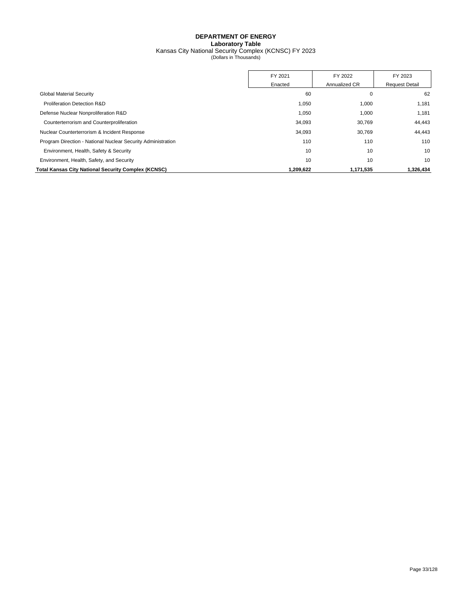## **DEPARTMENT OF ENERGY Laboratory Table** Kansas City National Security Complex (KCNSC) FY 2023 (Dollars in Thousands)

|                                                              | FY 2021   | FY 2022       | FY 2023               |
|--------------------------------------------------------------|-----------|---------------|-----------------------|
|                                                              | Enacted   | Annualized CR | <b>Request Detail</b> |
| <b>Global Material Security</b>                              | 60        | 0             | 62                    |
| Proliferation Detection R&D                                  | 1,050     | 1,000         | 1.181                 |
| Defense Nuclear Nonproliferation R&D                         | 1.050     | 1,000         | 1.181                 |
| Counterterrorism and Counterproliferation                    | 34,093    | 30,769        | 44,443                |
| Nuclear Counterterrorism & Incident Response                 | 34,093    | 30,769        | 44,443                |
| Program Direction - National Nuclear Security Administration | 110       | 110           | 110                   |
| Environment, Health, Safety & Security                       | 10        | 10            | 10                    |
| Environment, Health, Safety, and Security                    | 10        | 10            | 10                    |
| <b>Total Kansas City National Security Complex (KCNSC)</b>   | 1.209.622 | 1.171.535     | 1,326,434             |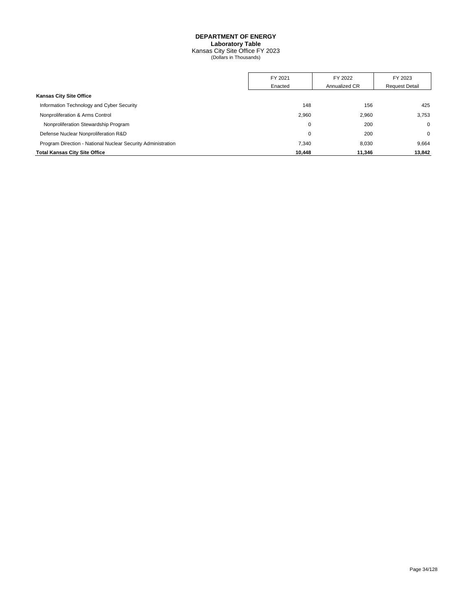## **DEPARTMENT OF ENERGY Laboratory Table** Kansas City Site Office FY 2023 (Dollars in Thousands)

|                                                              | FY 2021 | FY 2022       | FY 2023               |
|--------------------------------------------------------------|---------|---------------|-----------------------|
|                                                              | Enacted | Annualized CR | <b>Request Detail</b> |
| <b>Kansas City Site Office</b>                               |         |               |                       |
| Information Technology and Cyber Security                    | 148     | 156           | 425                   |
| Nonproliferation & Arms Control                              | 2,960   | 2,960         | 3.753                 |
| Nonproliferation Stewardship Program                         | 0       | 200           | $\mathbf 0$           |
| Defense Nuclear Nonproliferation R&D                         | 0       | 200           | $\mathbf 0$           |
| Program Direction - National Nuclear Security Administration | 7.340   | 8,030         | 9,664                 |
| <b>Total Kansas City Site Office</b>                         | 10.448  | 11,346        | 13,842                |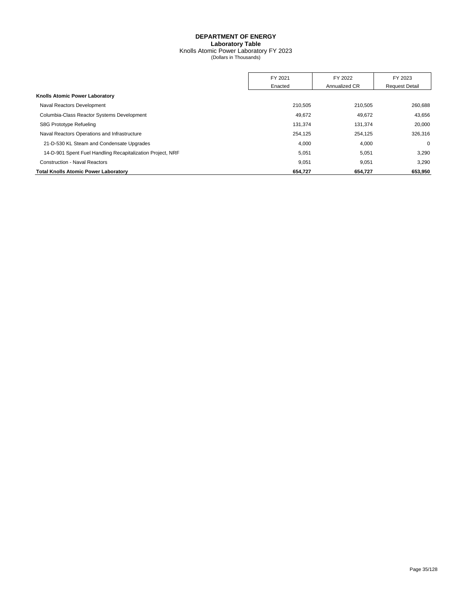## **DEPARTMENT OF ENERGY Laboratory Table** Knolls Atomic Power Laboratory FY 2023 (Dollars in Thousands)

|                                                            | FY 2021 | FY 2022       | FY 2023               |
|------------------------------------------------------------|---------|---------------|-----------------------|
|                                                            | Enacted | Annualized CR | <b>Request Detail</b> |
| Knolls Atomic Power Laboratory                             |         |               |                       |
| Naval Reactors Development                                 | 210,505 | 210,505       | 260,688               |
| Columbia-Class Reactor Systems Development                 | 49.672  | 49.672        | 43,656                |
| S8G Prototype Refueling                                    | 131,374 | 131,374       | 20,000                |
| Naval Reactors Operations and Infrastructure               | 254,125 | 254.125       | 326.316               |
| 21-D-530 KL Steam and Condensate Upgrades                  | 4,000   | 4,000         | $\mathbf 0$           |
| 14-D-901 Spent Fuel Handling Recapitalization Project, NRF | 5,051   | 5,051         | 3,290                 |
| <b>Construction - Naval Reactors</b>                       | 9.051   | 9.051         | 3,290                 |
| <b>Total Knolls Atomic Power Laboratory</b>                | 654.727 | 654.727       | 653,950               |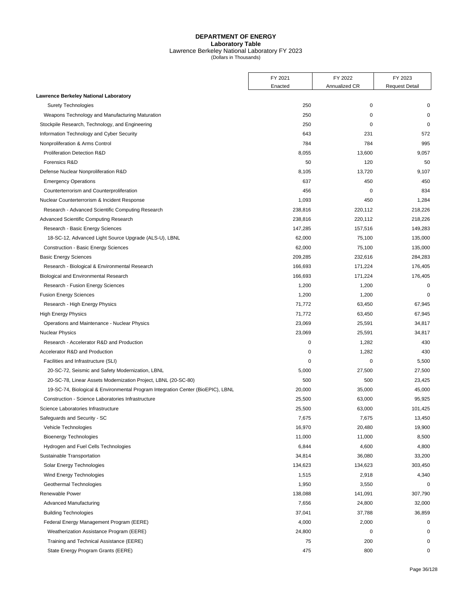#### **DEPARTMENT OF ENERGY Laboratory Table** Lawrence Berkeley National Laboratory FY 2023 (Dollars in Thousands)

FY 2021 FY 2022 FY 2023 Enacted | Annualized CR | Request Detail **Lawrence Berkeley National Laboratory** Surety Technologies and the control of the control of the control of the control of the control of the control of the control of the control of the control of the control of the control of the control of the control of the Weapons Technology and Manufacturing Maturation 250 0 0 Stockpile Research, Technology, and Engineering 250 0 0 Information Technology and Cyber Security 672 **643** 643 231 572 Nonproliferation & Arms Control 2005 2006 12:00 12:00 12:00 12:00 12:00 12:00 12:00 12:00 12:00 12:00 12:00 12:00 12:00 12:00 12:00 12:00 12:00 12:00 12:00 12:00 12:00 12:00 12:00 12:00 12:00 12:00 12:00 12:00 12:00 12:00 Proliferation Detection R&D 8,057 8,057 8,057 8,057 8,057 8,057 8,057 8,057 8,057 8,057 8,057 8,057 8,057 8,057 8,057 8,057 8,057 8,057 8,057 8,057 8,057 8,057 8,057 8,057 8,057 8,057 8,057 8,057 8,057 8,057 8,057 8,057 8, Forensics R&D 50 120 50 Defense Nuclear Nonproliferation R&D 8,105 8,105 13,720 9,107 Emergency Operations 637 450 and the set of the set of the set of the set of the set of the set of the set of the set of the set of the set of the set of the set of the set of the set of the set of the set of the set of th Counterterrorism and Counterproliferation and Counterproliferation and Counterterrorism and Counterproliferation and  $834$ Nuclear Counterterrorism & Incident Response 1,093 1,093 450 1,093 450 1,093 450 1,093 450 1,093 1,284 Research - Advanced Scientific Computing Research 238,816 220,112 218,226 Advanced Scientific Computing Research 218,226 218,226 220,112 218,226 Research - Basic Energy Sciences **149,283** 149,283 157,516 149,283 18-SC-12, Advanced Light Source Upgrade (ALS-U), LBNL 62,000 62,000 75,100 75,100 135,000 Construction - Basic Energy Sciences 62,000 75,100 135,000 Basic Energy Sciences 209,285 232,616 284,283 Research - Biological & Environmental Research 176,405 176,405 176,405 176,405 176,405 Biological and Environmental Research 166,693 176,405 176,405 Research - Fusion Energy Sciences 2008 1,200 1,200 1,200 1,200 1,200 1,200 1,200 1,200 1,200 1,200 1,200 1,200 Fusion Energy Sciences 1,200 1,200 0 Research - High Energy Physics **67,945** 67,945 High Energy Physics 67,945 Operations and Maintenance - Nuclear Physics 23,069 25,591 34,817 Nuclear Physics 23,069 25,591 34,817 Research - Accelerator R&D and Production **1,282** 430 Accelerator R&D and Production **Accelerator R&D** and Production **1,282** 430 Facilities and Infrastructure (SLI) 6.500 0 5.500 0 5.500 0 5.500 0 5.500 0 5.500 0 5.500 0 5.500 0 5.500 0 5.500 0 5.500 0 5.500 0 5.500 0 5.500 0 5.500 0 5.500 0 5.500 0 5.500 0 5.500 0 5.500 0 5.500 0 5.500 0 5.500 0 5. 20-SC-72, Seismic and Safety Modernization, LBNL 5,000 5,000 27,500 27,500 27,500 20-SC-78, Linear Assets Modernization Project, LBNL (20-SC-80) 500 500 23,425 19-SC-74, Biological & Environmental Program Integration Center (BioEPIC), LBNL 20,000 35,000 45,000 Construction - Science Laboratories Infrastructure 25,500 63,000 95,925 Science Laboratories Infrastructure 25,500 63,000 101,425 Safeguards and Security - SC 6. The Security - SC 6. The Security - SC 6. The Security - SC 6. The Security - SC 6. The Security - SC 6. The Security - SC 6. The Security - SC 6. The Security - SC 6. The Security - SC 6. T Vehicle Technologies **16,970** 20,480 20,480 20,480 20,480 20,480 20,480 20,480 20,480 20,480 20,480 20,480 20,480 20,480 20,480 20,480 20,480 20,480 20,480 20,480 20,480 20,480 20,480 20,480 20,480 20,480 20,480 20,480 20, Bioenergy Technologies and the state of the state of the state of the state of the state of the state of the state of the state of the state of the state of the state of the state of the state of the state of the state of Hydrogen and Fuel Cells Technologies and ASOO and Tues Associates and ASOO and ASOO and ASOO and ASOO and ASOO Sustainable Transportation 33,200 33,200 34,814 36,080 34,814 Solar Energy Technologies 134,623 134,623 303,450 Wind Energy Technologies and the control of the control of the control of the control of the control of the control of the control of the control of the control of the control of the control of the control of the control o Geothermal Technologies and the control of the control of the control of the control of the control of the control of the control of the control of the control of the control of the control of the control of the control of Renewable Power 2008 138,088 207,790 141,091 307,790 138,088 207,790 138,088 207,790 208 208 208 208 208 208 20 Advanced Manufacturing 2000 32,000 332,000 332,000 32,000 32,000 32,000 32,000 32,000 32,000 32,000 32,000 32,000 32,000 32,000 32,000 32,000 32,000 32,000 32,000 32,000 32,000 32,000 32,000 32,000 32,000 32,000 32,000 32, Building Technologies 36,859 36,859 37,041 37,788 37,88 36,859 Federal Energy Management Program (EERE) 4,000 2,000 0 Weatherization Assistance Program (EERE) 24,800 0 0 Training and Technical Assistance (EERE) 75 200 0 State Energy Program Grants (EERE) 6 (State Energy Program Grants (EERE) 6 (State Energy Program Grants (EERE)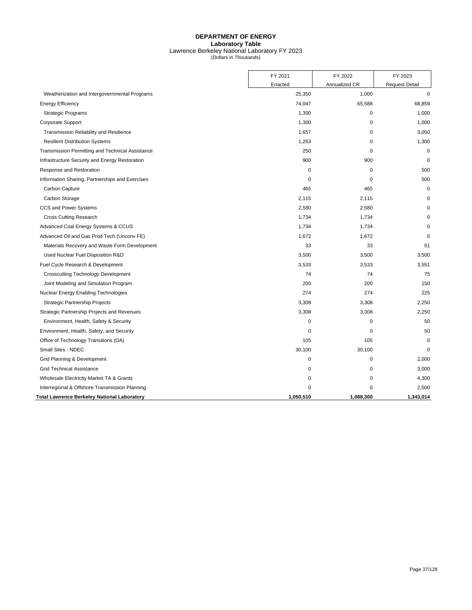## **DEPARTMENT OF ENERGY Laboratory Table** Lawrence Berkeley National Laboratory FY 2023 (Dollars in Thousands)

|                                                    | FY 2021     | FY 2022       | FY 2023               |
|----------------------------------------------------|-------------|---------------|-----------------------|
|                                                    | Enacted     | Annualized CR | <b>Request Detail</b> |
| Weatherization and Intergovernmental Programs      | 25,350      | 1,000         | $\mathbf 0$           |
| <b>Energy Efficiency</b>                           | 74,047      | 65,588        | 68,859                |
| <b>Strategic Programs</b>                          | 1,300       | 0             | 1,000                 |
| Corporate Support                                  | 1,300       | 0             | 1,000                 |
| Transmission Reliability and Resilience            | 1,657       | 0             | 3,050                 |
| <b>Resilient Distribution Systems</b>              | 1,263       | 0             | 1,300                 |
| Transmission Permitting and Technical Assistance   | 250         | $\mathbf 0$   | 0                     |
| Infrastructure Security and Energy Restoration     | 900         | 900           | $\Omega$              |
| Response and Restoration                           | 0           | $\mathbf 0$   | 500                   |
| Information Sharing, Partnerships and Exercises    | 0           | 0             | 500                   |
| Carbon Capture                                     | 465         | 465           | 0                     |
| Carbon Storage                                     | 2,115       | 2,115         | $\Omega$              |
| CCS and Power Systems                              | 2,580       | 2,580         |                       |
| <b>Cross Cutting Research</b>                      | 1,734       | 1,734         |                       |
| Advanced Coal Energy Systems & CCUS                | 1,734       | 1,734         |                       |
| Advanced Oil and Gas Prod Tech (Unconv FE)         | 1,672       | 1,672         | 0                     |
| Materials Recovery and Waste Form Development      | 33          | 33            | 51                    |
| Used Nuclear Fuel Disposition R&D                  | 3,500       | 3,500         | 3,500                 |
| Fuel Cycle Research & Development                  | 3,533       | 3,533         | 3,551                 |
| <b>Crosscutting Technology Development</b>         | 74          | 74            | 75                    |
| Joint Modeling and Simulation Program              | 200         | 200           | 150                   |
| Nuclear Energy Enabling Technologies               | 274         | 274           | 225                   |
| <b>Strategic Partnership Projects</b>              | 3,308       | 3,308         | 2.250                 |
| Strategic Partnership Projects and Revenues        | 3,308       | 3,308         | 2,250                 |
| Environment, Health, Safety & Security             | $\mathbf 0$ | $\Omega$      | 50                    |
| Environment, Health, Safety, and Security          | $\mathbf 0$ | 0             | 50                    |
| Office of Technology Transitions (DA)              | 105         | 105           | 0                     |
| Small Sites - NDEC                                 | 30,100      | 30,100        | 0                     |
| Grid Planning & Development                        | 0           | 0             | 2,000                 |
| <b>Grid Technical Assistance</b>                   | $\mathbf 0$ | $\mathbf 0$   | 3,000                 |
| Wholesale Electricity Market TA & Grants           | 0           | 0             | 4,300                 |
| Interregional & Offshore Transmission Planning     | $\Omega$    | 0             | 2,500                 |
| <b>Total Lawrence Berkeley National Laboratory</b> | 1,050,510   | 1,088,300     | 1,343,014             |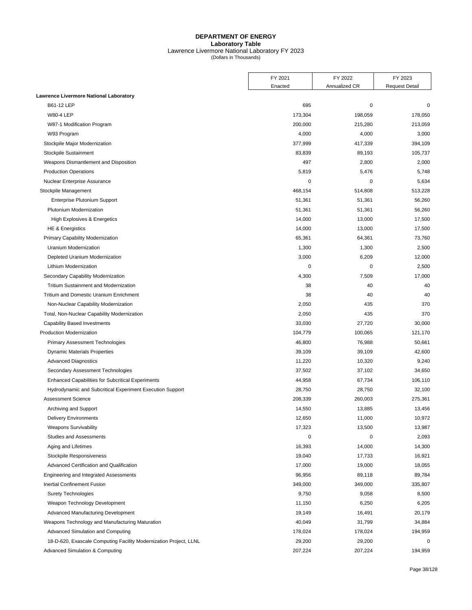## **DEPARTMENT OF ENERGY Laboratory Table** Lawrence Livermore National Laboratory FY 2023 (Dollars in Thousands)

|                                                                   | FY 2021     | FY 2022       | FY 2023               |
|-------------------------------------------------------------------|-------------|---------------|-----------------------|
|                                                                   | Enacted     | Annualized CR | <b>Request Detail</b> |
| Lawrence Livermore National Laboratory                            |             |               |                       |
| B61-12 LEP                                                        | 695         | $\pmb{0}$     | 0                     |
| <b>W80-4 LEP</b>                                                  | 173,304     | 198,059       | 178,050               |
| W87-1 Modification Program                                        | 200,000     | 215,280       | 213,059               |
| W93 Program                                                       | 4,000       | 4,000         | 3,000                 |
| Stockpile Major Modernization                                     | 377,999     | 417,339       | 394,109               |
| Stockpile Sustainment                                             | 83,839      | 89,193        | 105,737               |
| Weapons Dismantlement and Disposition                             | 497         | 2,800         | 2,000                 |
| <b>Production Operations</b>                                      | 5,819       | 5,476         | 5,748                 |
| Nuclear Enterprise Assurance                                      | $\mathbf 0$ | $\mathbf 0$   | 5,634                 |
| Stockpile Management                                              | 468,154     | 514,808       | 513,228               |
| Enterprise Plutonium Support                                      | 51,361      | 51,361        | 56,260                |
| Plutonium Modernization                                           | 51,361      | 51,361        | 56,260                |
| High Explosives & Energetics                                      | 14,000      | 13,000        | 17,500                |
| <b>HE &amp; Energistics</b>                                       | 14,000      | 13,000        | 17,500                |
| Primary Capability Modernization                                  | 65,361      | 64,361        | 73,760                |
| Uranium Modernization                                             | 1,300       | 1,300         | 2,500                 |
| Depleted Uranium Modernization                                    | 3,000       | 6,209         | 12,000                |
| Lithium Modernization                                             | 0           | 0             | 2,500                 |
| Secondary Capability Modernization                                | 4,300       | 7,509         | 17,000                |
| <b>Tritium Sustainment and Modernization</b>                      | 38          | 40            | 40                    |
| <b>Tritium and Domestic Uranium Enrichment</b>                    | 38          | 40            | 40                    |
| Non-Nuclear Capability Modernization                              | 2,050       | 435           | 370                   |
| Total, Non-Nuclear Capability Modernization                       | 2,050       | 435           | 370                   |
| <b>Capability Based Investments</b>                               | 33,030      | 27,720        | 30,000                |
| <b>Production Modernization</b>                                   | 104,779     | 100,065       | 121,170               |
| <b>Primary Assessment Technologies</b>                            | 46,800      | 76,988        | 50,661                |
| <b>Dynamic Materials Properties</b>                               | 39,109      | 39,109        | 42,600                |
| <b>Advanced Diagnostics</b>                                       | 11,220      | 10,320        | 9,240                 |
| Secondary Assessment Technologies                                 | 37,502      | 37,102        | 34,650                |
| <b>Enhanced Capabilities for Subcritical Experiments</b>          | 44,958      | 67,734        | 106,110               |
| Hydrodynamic and Subcritical Experiment Execution Support         | 28,750      | 28,750        | 32,100                |
| <b>Assessment Science</b>                                         | 208,339     | 260,003       | 275,361               |
| Archiving and Support                                             | 14,550      | 13,885        | 13,456                |
| <b>Delivery Environments</b>                                      | 12,650      | 11,000        | 10,972                |
| <b>Weapons Survivability</b>                                      | 17,323      | 13,500        | 13,987                |
| <b>Studies and Assessments</b>                                    | 0           | 0             | 2,093                 |
| Aging and Lifetimes                                               | 16,393      | 14,000        | 14,300                |
| Stockpile Responsiveness                                          | 19,040      | 17,733        | 16,921                |
| Advanced Certification and Qualification                          | 17,000      | 19,000        | 18,055                |
| Engineering and Integrated Assessments                            | 96,956      | 89,118        | 89,784                |
| <b>Inertial Confinement Fusion</b>                                | 349,000     | 349,000       | 335,807               |
| <b>Surety Technologies</b>                                        | 9,750       | 9,058         | 8,500                 |
| Weapon Technology Development                                     | 11,150      | 6,250         | 6,205                 |
| Advanced Manufacturing Development                                | 19,149      | 16,491        | 20,179                |
| Weapons Technology and Manufacturing Maturation                   | 40,049      | 31,799        | 34,884                |
| Advanced Simulation and Computing                                 | 178,024     | 178,024       | 194,959               |
| 18-D-620, Exascale Computing Facility Modernization Project, LLNL | 29,200      | 29,200        | 0                     |
| Advanced Simulation & Computing                                   | 207,224     | 207,224       | 194,959               |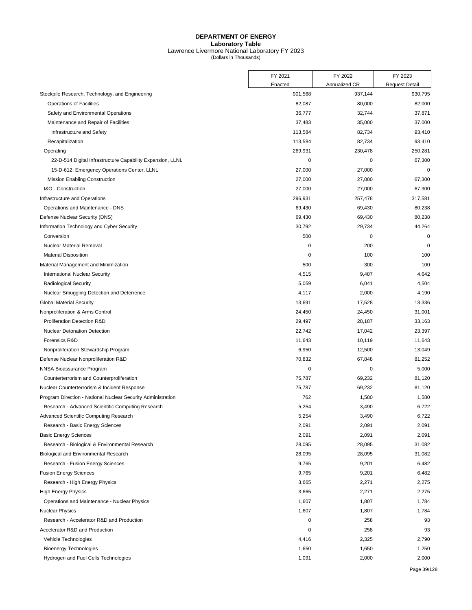## **DEPARTMENT OF ENERGY Laboratory Table** Lawrence Livermore National Laboratory FY 2023 (Dollars in Thousands)

|                                                              | FY 2021 | FY 2022       | FY 2023               |
|--------------------------------------------------------------|---------|---------------|-----------------------|
|                                                              | Enacted | Annualized CR | <b>Request Detail</b> |
| Stockpile Research, Technology, and Engineering              | 901,568 | 937,144       | 930,795               |
| <b>Operations of Facilities</b>                              | 82,087  | 80,000        | 82,000                |
| Safety and Environmental Operations                          | 36,777  | 32,744        | 37,871                |
| Maintenance and Repair of Facilities                         | 37,483  | 35,000        | 37,000                |
| Infrastructure and Safety                                    | 113,584 | 82,734        | 93,410                |
| Recapitalization                                             | 113,584 | 82,734        | 93,410                |
| Operating                                                    | 269,931 | 230,478       | 250,281               |
| 22-D-514 Digital Infrastructure Capability Expansion, LLNL   | 0       | 0             | 67,300                |
| 15-D-612, Emergency Operations Center, LLNL                  | 27,000  | 27,000        | $\mathbf 0$           |
| <b>Mission Enabling Construction</b>                         | 27,000  | 27,000        | 67,300                |
| I&O - Construction                                           | 27,000  | 27,000        | 67,300                |
| Infrastructure and Operations                                | 296,931 | 257,478       | 317,581               |
| Operations and Maintenance - DNS                             | 69,430  | 69,430        | 80,238                |
| Defense Nuclear Security (DNS)                               | 69,430  | 69,430        | 80,238                |
| Information Technology and Cyber Security                    | 30,792  | 29,734        | 44,264                |
| Conversion                                                   | 500     | 0             | 0                     |
| <b>Nuclear Material Removal</b>                              | 0       | 200           | $\mathbf 0$           |
| <b>Material Disposition</b>                                  | 0       | 100           | 100                   |
| Material Management and Minimization                         | 500     | 300           | 100                   |
| <b>International Nuclear Security</b>                        | 4,515   | 9,487         | 4,642                 |
| <b>Radiological Security</b>                                 | 5,059   | 6,041         | 4,504                 |
| Nuclear Smuggling Detection and Deterrence                   | 4,117   | 2,000         | 4,190                 |
| <b>Global Material Security</b>                              | 13,691  | 17,528        | 13,336                |
| Nonproliferation & Arms Control                              | 24,450  | 24,450        | 31,001                |
| Proliferation Detection R&D                                  | 29,497  | 28,187        | 33,163                |
| <b>Nuclear Detonation Detection</b>                          | 22,742  | 17,042        | 23,397                |
| Forensics R&D                                                | 11,643  | 10,119        | 11,643                |
| Nonproliferation Stewardship Program                         | 6,950   | 12,500        | 13,049                |
| Defense Nuclear Nonproliferation R&D                         | 70,832  | 67,848        | 81,252                |
| NNSA Bioassurance Program                                    | 0       | 0             | 5,000                 |
| Counterterrorism and Counterproliferation                    | 75,787  | 69,232        | 81,120                |
| Nuclear Counterterrorism & Incident Response                 | 75,787  | 69,232        | 81,120                |
| Program Direction - National Nuclear Security Administration | 762     | 1,580         | 1,580                 |
| Research - Advanced Scientific Computing Research            | 5,254   | 3,490         | 6,722                 |
| Advanced Scientific Computing Research                       | 5,254   | 3,490         | 6,722                 |
| Research - Basic Energy Sciences                             | 2,091   | 2,091         | 2,091                 |
| <b>Basic Energy Sciences</b>                                 | 2,091   | 2,091         | 2,091                 |
| Research - Biological & Environmental Research               | 28,095  | 28,095        | 31,082                |
| Biological and Environmental Research                        | 28,095  | 28,095        | 31,082                |
| Research - Fusion Energy Sciences                            | 9,765   | 9,201         | 6,482                 |
| <b>Fusion Energy Sciences</b>                                | 9,765   | 9,201         | 6,482                 |
| Research - High Energy Physics                               | 3,665   | 2,271         | 2,275                 |
| <b>High Energy Physics</b>                                   | 3,665   | 2,271         | 2,275                 |
| Operations and Maintenance - Nuclear Physics                 | 1,607   | 1,807         | 1,784                 |
| <b>Nuclear Physics</b>                                       | 1,607   | 1,807         | 1,784                 |
| Research - Accelerator R&D and Production                    | 0       | 258           | 93                    |
| Accelerator R&D and Production                               | 0       | 258           | 93                    |
| Vehicle Technologies                                         | 4,416   | 2,325         | 2,790                 |
| <b>Bioenergy Technologies</b>                                | 1,650   | 1,650         | 1,250                 |
| Hydrogen and Fuel Cells Technologies                         | 1,091   | 2,000         | 2,000                 |
|                                                              |         |               |                       |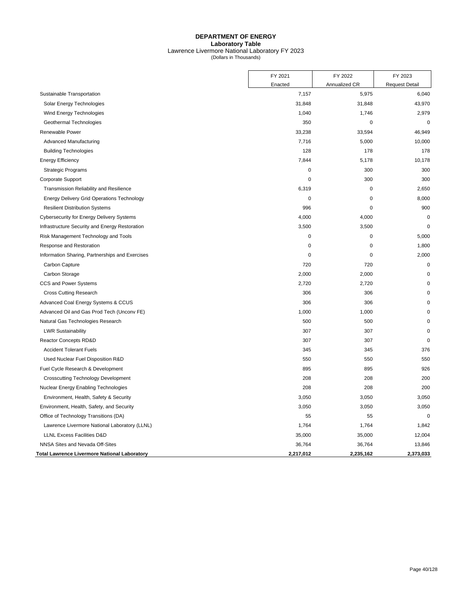## **DEPARTMENT OF ENERGY Laboratory Table** Lawrence Livermore National Laboratory FY 2023 (Dollars in Thousands)

|                                                   | FY 2021     | FY 2022       | FY 2023               |
|---------------------------------------------------|-------------|---------------|-----------------------|
|                                                   | Enacted     | Annualized CR | <b>Request Detail</b> |
| Sustainable Transportation                        | 7,157       | 5,975         | 6,040                 |
| Solar Energy Technologies                         | 31,848      | 31,848        | 43,970                |
| Wind Energy Technologies                          | 1,040       | 1,746         | 2,979                 |
| Geothermal Technologies                           | 350         | $\mathbf 0$   | $\mathbf 0$           |
| Renewable Power                                   | 33,238      | 33,594        | 46,949                |
| Advanced Manufacturing                            | 7,716       | 5,000         | 10,000                |
| <b>Building Technologies</b>                      | 128         | 178           | 178                   |
| <b>Energy Efficiency</b>                          | 7,844       | 5,178         | 10,178                |
| <b>Strategic Programs</b>                         | $\mathbf 0$ | 300           | 300                   |
| Corporate Support                                 | $\mathbf 0$ | 300           | 300                   |
| Transmission Reliability and Resilience           | 6,319       | $\mathbf 0$   | 2,650                 |
| <b>Energy Delivery Grid Operations Technology</b> | 0           | $\mathbf 0$   | 8,000                 |
| <b>Resilient Distribution Systems</b>             | 996         | 0             | 900                   |
| Cybersecurity for Energy Delivery Systems         | 4,000       | 4,000         | $\mathbf 0$           |
| Infrastructure Security and Energy Restoration    | 3,500       | 3,500         | $\mathbf 0$           |
| Risk Management Technology and Tools              | $\mathbf 0$ | $\mathbf 0$   | 5,000                 |
| Response and Restoration                          | $\mathbf 0$ | $\mathbf 0$   | 1,800                 |
| Information Sharing, Partnerships and Exercises   | 0           | $\mathbf 0$   | 2,000                 |
| Carbon Capture                                    | 720         | 720           | $\mathbf 0$           |
| Carbon Storage                                    | 2,000       | 2,000         | $\mathbf 0$           |
| CCS and Power Systems                             | 2,720       | 2,720         | $\Omega$              |
| <b>Cross Cutting Research</b>                     | 306         | 306           | $\Omega$              |
| Advanced Coal Energy Systems & CCUS               | 306         | 306           | $\mathbf 0$           |
| Advanced Oil and Gas Prod Tech (Unconv FE)        | 1,000       | 1,000         | $\mathbf 0$           |
| Natural Gas Technologies Research                 | 500         | 500           | $\mathbf 0$           |
| <b>LWR Sustainability</b>                         | 307         | 307           | $\Omega$              |
| Reactor Concepts RD&D                             | 307         | 307           | $\mathbf 0$           |
| <b>Accident Tolerant Fuels</b>                    | 345         | 345           | 376                   |
| Used Nuclear Fuel Disposition R&D                 | 550         | 550           | 550                   |
| Fuel Cycle Research & Development                 | 895         | 895           | 926                   |
| <b>Crosscutting Technology Development</b>        | 208         | 208           | 200                   |
| Nuclear Energy Enabling Technologies              | 208         | 208           | 200                   |
| Environment, Health, Safety & Security            | 3,050       | 3,050         | 3,050                 |
| Environment, Health, Safety, and Security         | 3,050       | 3,050         | 3,050                 |
| Office of Technology Transitions (DA)             | 55          | 55            | $\mathbf 0$           |
| Lawrence Livermore National Laboratory (LLNL)     | 1,764       | 1,764         | 1,842                 |
| <b>LLNL Excess Facilities D&amp;D</b>             | 35,000      | 35,000        | 12,004                |
| NNSA Sites and Nevada Off-Sites                   | 36,764      | 36,764        | 13,846                |
| Total Lawrence Livermore National Laboratory      | 2,217,012   | 2,235,162     | 2,373,033             |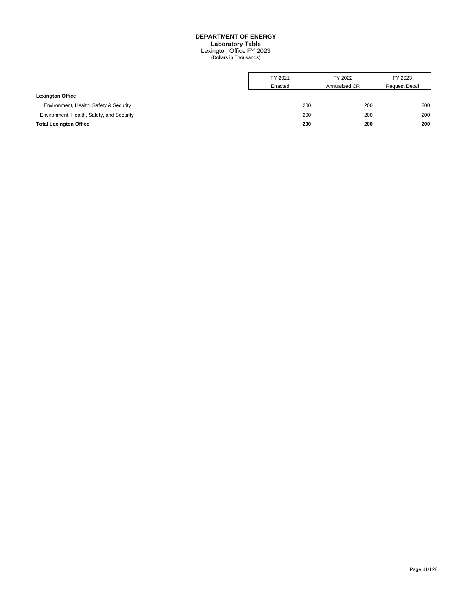Lexington Office FY 2023 (Dollars in Thousands)

|                                           | FY 2021 | FY 2022       | FY 2023               |
|-------------------------------------------|---------|---------------|-----------------------|
|                                           | Enacted | Annualized CR | <b>Request Detail</b> |
| <b>Lexington Office</b>                   |         |               |                       |
| Environment, Health, Safety & Security    | 200     | 200           | 200                   |
| Environment, Health, Safety, and Security | 200     | 200           | 200                   |
| <b>Total Lexington Office</b>             | 200     | 200           | 200                   |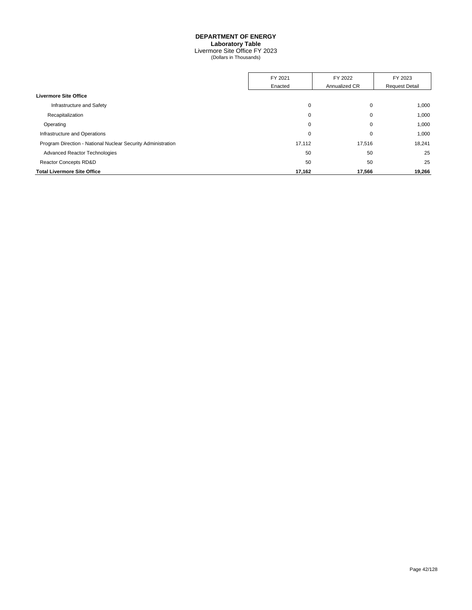Livermore Site Office FY 2023 (Dollars in Thousands)

|                                                              | FY 2021 | FY 2022       | FY 2023               |
|--------------------------------------------------------------|---------|---------------|-----------------------|
|                                                              | Enacted | Annualized CR | <b>Request Detail</b> |
| <b>Livermore Site Office</b>                                 |         |               |                       |
| Infrastructure and Safety                                    | 0       | 0             | 1,000                 |
| Recapitalization                                             | 0       | 0             | 1,000                 |
| Operating                                                    | 0       | 0             | 1,000                 |
| Infrastructure and Operations                                | 0       | 0             | 1,000                 |
| Program Direction - National Nuclear Security Administration | 17,112  | 17,516        | 18,241                |
| Advanced Reactor Technologies                                | 50      | 50            | 25                    |
| <b>Reactor Concepts RD&amp;D</b>                             | 50      | 50            | 25                    |
| <b>Total Livermore Site Office</b>                           | 17,162  | 17,566        | 19,266                |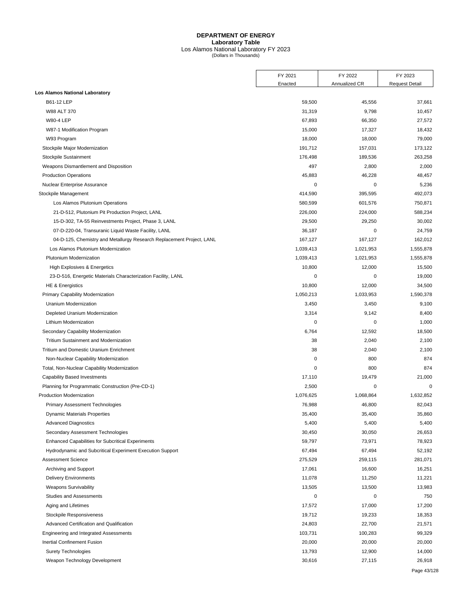# Los Alamos National Laboratory FY 2023 (Dollars in Thousands)

|                                                                       | FY 2021   | FY 2022       | FY 2023               |
|-----------------------------------------------------------------------|-----------|---------------|-----------------------|
|                                                                       | Enacted   | Annualized CR | <b>Request Detail</b> |
| <b>Los Alamos National Laboratory</b>                                 |           |               |                       |
| B61-12 LEP                                                            | 59,500    | 45,556        | 37,661                |
| W88 ALT 370                                                           | 31,319    | 9,798         | 10,457                |
| <b>W80-4 LEP</b>                                                      | 67,893    | 66,350        | 27,572                |
| W87-1 Modification Program                                            | 15,000    | 17,327        | 18,432                |
| W93 Program                                                           | 18,000    | 18,000        | 79,000                |
| Stockpile Major Modernization                                         | 191,712   | 157,031       | 173,122               |
| Stockpile Sustainment                                                 | 176,498   | 189,536       | 263,258               |
| Weapons Dismantlement and Disposition                                 | 497       | 2,800         | 2,000                 |
| <b>Production Operations</b>                                          | 45,883    | 46,228        | 48,457                |
| Nuclear Enterprise Assurance                                          | 0         | 0             | 5,236                 |
| Stockpile Management                                                  | 414,590   | 395,595       | 492,073               |
| Los Alamos Plutonium Operations                                       | 580,599   | 601,576       | 750,871               |
| 21-D-512, Plutonium Pit Production Project, LANL                      | 226,000   | 224,000       | 588,234               |
| 15-D-302, TA-55 Reinvestments Project, Phase 3, LANL                  | 29,500    | 29,250        | 30,002                |
| 07-D-220-04, Transuranic Liquid Waste Facility, LANL                  | 36,187    | 0             | 24,759                |
| 04-D-125, Chemistry and Metallurgy Research Replacement Project, LANL | 167,127   | 167,127       | 162,012               |
| Los Alamos Plutonium Modernization                                    | 1,039,413 | 1,021,953     | 1,555,878             |
| Plutonium Modernization                                               | 1,039,413 | 1,021,953     | 1,555,878             |
| High Explosives & Energetics                                          | 10,800    | 12,000        | 15,500                |
| 23-D-516, Energetic Materials Characterization Facility, LANL         | 0         | 0             | 19,000                |
| <b>HE &amp; Energistics</b>                                           | 10,800    | 12,000        | 34,500                |
| Primary Capability Modernization                                      | 1,050,213 | 1,033,953     | 1,590,378             |
| Uranium Modernization                                                 | 3,450     | 3,450         | 9,100                 |
| Depleted Uranium Modernization                                        | 3,314     | 9,142         | 8,400                 |
| Lithium Modernization                                                 | 0         | 0             | 1,000                 |
| Secondary Capability Modernization                                    | 6,764     | 12,592        | 18,500                |
| Tritium Sustainment and Modernization                                 | 38        | 2,040         | 2,100                 |
| Tritium and Domestic Uranium Enrichment                               | 38        | 2,040         | 2,100                 |
| Non-Nuclear Capability Modernization                                  | 0         | 800           | 874                   |
| Total, Non-Nuclear Capability Modernization                           | 0         | 800           | 874                   |
| <b>Capability Based Investments</b>                                   | 17,110    | 19,479        | 21,000                |
| Planning for Programmatic Construction (Pre-CD-1)                     | 2,500     | 0             | $\mathbf 0$           |
| Production Modernization                                              | 1,076,625 | 1,068,864     | 1,632,852             |
| <b>Primary Assessment Technologies</b>                                | 76,988    | 46,800        | 82,043                |
| Dynamic Materials Properties                                          | 35,400    | 35,400        | 35,860                |
| <b>Advanced Diagnostics</b>                                           | 5,400     | 5,400         | 5,400                 |
| Secondary Assessment Technologies                                     | 30,450    | 30,050        | 26,653                |
| <b>Enhanced Capabilities for Subcritical Experiments</b>              | 59,797    | 73,971        | 78,923                |
| Hydrodynamic and Subcritical Experiment Execution Support             | 67,494    | 67,494        | 52,192                |
| <b>Assessment Science</b>                                             | 275,529   | 259,115       | 281,071               |
| Archiving and Support                                                 | 17,061    | 16,600        | 16,251                |
| <b>Delivery Environments</b>                                          | 11,078    | 11,250        | 11,221                |
| <b>Weapons Survivability</b>                                          | 13,505    | 13,500        | 13,983                |
| Studies and Assessments                                               | 0         | 0             | 750                   |
| Aging and Lifetimes                                                   | 17,572    | 17,000        | 17,200                |
| Stockpile Responsiveness                                              | 19,712    | 19,233        | 18,353                |
| Advanced Certification and Qualification                              | 24,803    | 22,700        | 21,571                |
| Engineering and Integrated Assessments                                | 103,731   | 100,283       | 99,329                |
| Inertial Confinement Fusion                                           | 20,000    | 20,000        | 20,000                |
| <b>Surety Technologies</b>                                            | 13,793    | 12,900        | 14,000                |
| Weapon Technology Development                                         | 30,616    | 27,115        | 26,918                |
|                                                                       |           |               |                       |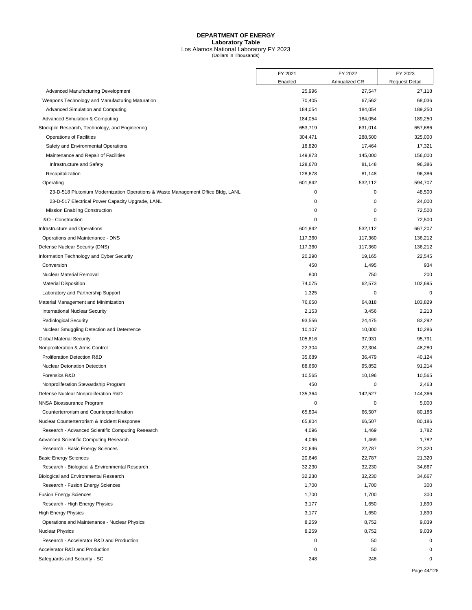# Los Alamos National Laboratory FY 2023 (Dollars in Thousands)

|                                                                                  | FY 2021 | FY 2022       | FY 2023               |
|----------------------------------------------------------------------------------|---------|---------------|-----------------------|
|                                                                                  | Enacted | Annualized CR | <b>Request Detail</b> |
| Advanced Manufacturing Development                                               | 25,996  | 27,547        | 27,118                |
| Weapons Technology and Manufacturing Maturation                                  | 70,405  | 67,562        | 68,036                |
| Advanced Simulation and Computing                                                | 184,054 | 184,054       | 189,250               |
| <b>Advanced Simulation &amp; Computing</b>                                       | 184,054 | 184,054       | 189,250               |
| Stockpile Research, Technology, and Engineering                                  | 653,719 | 631,014       | 657,686               |
| Operations of Facilities                                                         | 304,471 | 288,500       | 325,000               |
| Safety and Environmental Operations                                              | 18,820  | 17,464        | 17,321                |
| Maintenance and Repair of Facilities                                             | 149,873 | 145,000       | 156,000               |
| Infrastructure and Safety                                                        | 128,678 | 81,148        | 96,386                |
| Recapitalization                                                                 | 128,678 | 81,148        | 96,386                |
| Operating                                                                        | 601,842 | 532,112       | 594,707               |
| 23-D-518 Plutonium Modernization Operations & Waste Management Office Bldg, LANL | 0       | 0             | 48,500                |
| 23-D-517 Electrical Power Capacity Upgrade, LANL                                 | 0       | 0             | 24,000                |
| Mission Enabling Construction                                                    | 0       | 0             | 72,500                |
| I&O - Construction                                                               | 0       | $\mathbf 0$   | 72,500                |
| Infrastructure and Operations                                                    | 601,842 | 532,112       | 667,207               |
| Operations and Maintenance - DNS                                                 | 117,360 | 117,360       | 136,212               |
| Defense Nuclear Security (DNS)                                                   | 117,360 | 117,360       | 136,212               |
| Information Technology and Cyber Security                                        | 20,290  | 19,165        | 22,545                |
| Conversion                                                                       | 450     | 1,495         | 934                   |
| Nuclear Material Removal                                                         | 800     | 750           | 200                   |
| <b>Material Disposition</b>                                                      | 74,075  | 62,573        | 102,695               |
| Laboratory and Partnership Support                                               | 1,325   | 0             | $\mathbf 0$           |
| Material Management and Minimization                                             | 76,650  | 64,818        | 103,829               |
| <b>International Nuclear Security</b>                                            | 2,153   | 3,456         | 2,213                 |
| <b>Radiological Security</b>                                                     | 93,556  | 24,475        | 83,292                |
| Nuclear Smuggling Detection and Deterrence                                       | 10,107  | 10,000        | 10,286                |
| <b>Global Material Security</b>                                                  | 105,816 | 37,931        | 95,791                |
| Nonproliferation & Arms Control                                                  | 22,304  | 22,304        | 48,280                |
| Proliferation Detection R&D                                                      | 35,689  | 36,479        | 40,124                |
| <b>Nuclear Detonation Detection</b>                                              | 88,660  | 95,852        | 91,214                |
| Forensics R&D                                                                    | 10,565  | 10,196        | 10,565                |
| Nonproliferation Stewardship Program                                             | 450     | 0             | 2,463                 |
| Defense Nuclear Nonproliferation R&D                                             | 135,364 | 142,527       | 144,366               |
| NNSA Bioassurance Program                                                        | 0       | 0             | 5,000                 |
| Counterterrorism and Counterproliferation                                        | 65,804  | 66,507        | 80,186                |
| Nuclear Counterterrorism & Incident Response                                     | 65,804  | 66,507        | 80,186                |
| Research - Advanced Scientific Computing Research                                | 4,096   | 1,469         | 1,782                 |
| Advanced Scientific Computing Research                                           | 4,096   | 1,469         | 1,782                 |
| Research - Basic Energy Sciences                                                 | 20,646  | 22,787        | 21,320                |
| <b>Basic Energy Sciences</b>                                                     | 20,646  | 22,787        | 21,320                |
| Research - Biological & Environmental Research                                   | 32,230  | 32,230        | 34,667                |
| Biological and Environmental Research                                            | 32,230  | 32,230        | 34,667                |
| Research - Fusion Energy Sciences                                                | 1,700   | 1,700         | 300                   |
| <b>Fusion Energy Sciences</b>                                                    | 1,700   | 1,700         | 300                   |
| Research - High Energy Physics                                                   | 3,177   | 1,650         | 1,890                 |
| <b>High Energy Physics</b>                                                       | 3,177   | 1,650         | 1,890                 |
| Operations and Maintenance - Nuclear Physics                                     | 8,259   | 8,752         | 9,039                 |
| <b>Nuclear Physics</b>                                                           | 8,259   | 8,752         | 9,039                 |
| Research - Accelerator R&D and Production                                        | 0       | 50            | 0                     |
| Accelerator R&D and Production                                                   | 0       | 50            | 0                     |
| Safeguards and Security - SC                                                     | 248     | 248           | 0                     |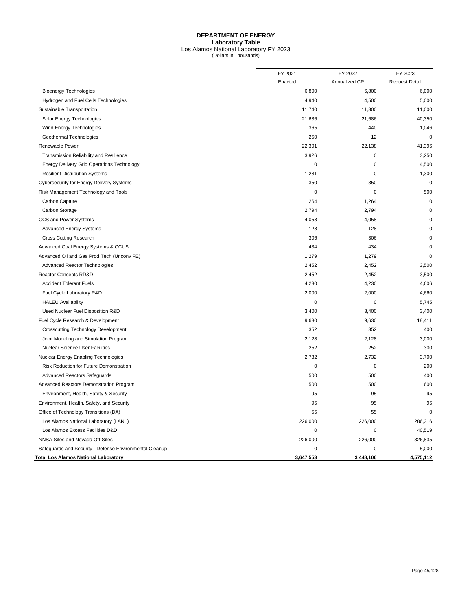# Los Alamos National Laboratory FY 2023 (Dollars in Thousands)

|                                                         | FY 2021     | FY 2022       | FY 2023               |
|---------------------------------------------------------|-------------|---------------|-----------------------|
|                                                         | Enacted     | Annualized CR | <b>Request Detail</b> |
| <b>Bioenergy Technologies</b>                           | 6,800       | 6,800         | 6,000                 |
| Hydrogen and Fuel Cells Technologies                    | 4,940       | 4,500         | 5,000                 |
| Sustainable Transportation                              | 11,740      | 11,300        | 11,000                |
| Solar Energy Technologies                               | 21,686      | 21,686        | 40,350                |
| Wind Energy Technologies                                | 365         | 440           | 1,046                 |
| Geothermal Technologies                                 | 250         | 12            | $\mathbf 0$           |
| Renewable Power                                         | 22,301      | 22,138        | 41,396                |
| Transmission Reliability and Resilience                 | 3,926       | 0             | 3,250                 |
| <b>Energy Delivery Grid Operations Technology</b>       | $\mathbf 0$ | 0             | 4,500                 |
| <b>Resilient Distribution Systems</b>                   | 1,281       | 0             | 1,300                 |
| Cybersecurity for Energy Delivery Systems               | 350         | 350           | $\mathbf 0$           |
| Risk Management Technology and Tools                    | 0           | 0             | 500                   |
| Carbon Capture                                          | 1,264       | 1,264         | $\mathbf 0$           |
| Carbon Storage                                          | 2,794       | 2,794         | $\Omega$              |
| CCS and Power Systems                                   | 4,058       | 4,058         | $\mathbf 0$           |
| <b>Advanced Energy Systems</b>                          | 128         | 128           | $\mathbf 0$           |
| <b>Cross Cutting Research</b>                           | 306         | 306           | $\Omega$              |
| Advanced Coal Energy Systems & CCUS                     | 434         | 434           | $\Omega$              |
| Advanced Oil and Gas Prod Tech (Unconv FE)              | 1,279       | 1,279         | $\mathbf 0$           |
| Advanced Reactor Technologies                           | 2,452       | 2,452         | 3,500                 |
| Reactor Concepts RD&D                                   | 2,452       | 2,452         | 3,500                 |
| <b>Accident Tolerant Fuels</b>                          | 4,230       | 4,230         | 4,606                 |
| Fuel Cycle Laboratory R&D                               | 2,000       | 2,000         | 4,660                 |
| <b>HALEU Availability</b>                               | 0           | 0             | 5,745                 |
| Used Nuclear Fuel Disposition R&D                       | 3,400       | 3,400         | 3,400                 |
| Fuel Cycle Research & Development                       | 9,630       | 9,630         | 18,411                |
| <b>Crosscutting Technology Development</b>              | 352         | 352           | 400                   |
| Joint Modeling and Simulation Program                   | 2,128       | 2,128         | 3,000                 |
| <b>Nuclear Science User Facilities</b>                  | 252         | 252           | 300                   |
| Nuclear Energy Enabling Technologies                    | 2,732       | 2,732         | 3,700                 |
| Risk Reduction for Future Demonstration                 | $\mathbf 0$ | 0             | 200                   |
| <b>Advanced Reactors Safequards</b>                     | 500         | 500           | 400                   |
| Advanced Reactors Demonstration Program                 | 500         | 500           | 600                   |
| Environment, Health, Safety & Security                  | 95          | 95            | 95                    |
| Environment, Health, Safety, and Security               | 95          | 95            | 95                    |
| Office of Technology Transitions (DA)                   | 55          | 55            | $\mathbf 0$           |
| Los Alamos National Laboratory (LANL)                   | 226,000     | 226,000       | 286.316               |
| Los Alamos Excess Facilities D&D                        | 0           | 0             | 40,519                |
| NNSA Sites and Nevada Off-Sites                         | 226,000     | 226,000       | 326,835               |
| Safeguards and Security - Defense Environmental Cleanup | 0           | 0             | 5,000                 |
| Total Los Alamos National Laboratory                    | 3,647,553   | 3.448.106     | 4,575,112             |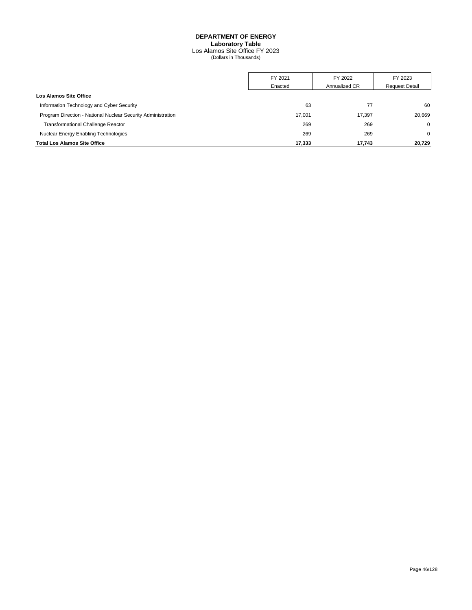## **DEPARTMENT OF ENERGY Laboratory Table** Los Alamos Site Office FY 2023 (Dollars in Thousands)

|                                                              | FY 2021 | FY 2022       | FY 2023               |
|--------------------------------------------------------------|---------|---------------|-----------------------|
|                                                              | Enacted | Annualized CR | <b>Request Detail</b> |
| Los Alamos Site Office                                       |         |               |                       |
| Information Technology and Cyber Security                    | 63      | 77            | 60                    |
| Program Direction - National Nuclear Security Administration | 17.001  | 17.397        | 20.669                |
| <b>Transformational Challenge Reactor</b>                    | 269     | 269           | $\Omega$              |
| Nuclear Energy Enabling Technologies                         | 269     | 269           | $\Omega$              |
| <b>Total Los Alamos Site Office</b>                          | 17,333  | 17.743        | 20,729                |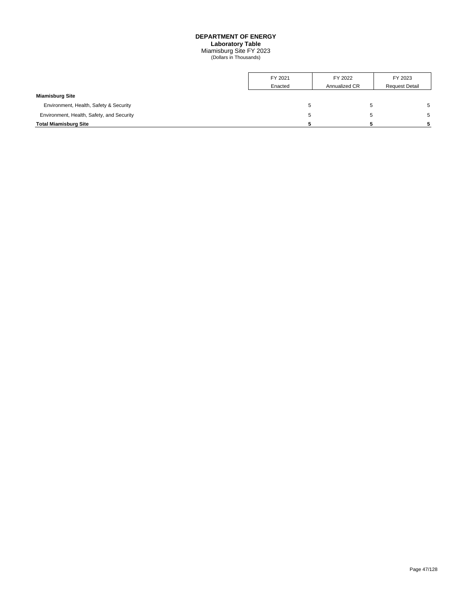Miamisburg Site FY 2023 (Dollars in Thousands)

|                                           | FY 2021 | FY 2022       | FY 2023               |
|-------------------------------------------|---------|---------------|-----------------------|
|                                           | Enacted | Annualized CR | <b>Request Detail</b> |
| <b>Miamisburg Site</b>                    |         |               |                       |
| Environment, Health, Safety & Security    |         | $\mathbf{p}$  |                       |
| Environment, Health, Safety, and Security |         | <sub>5</sub>  |                       |
| <b>Total Miamisburg Site</b>              |         |               |                       |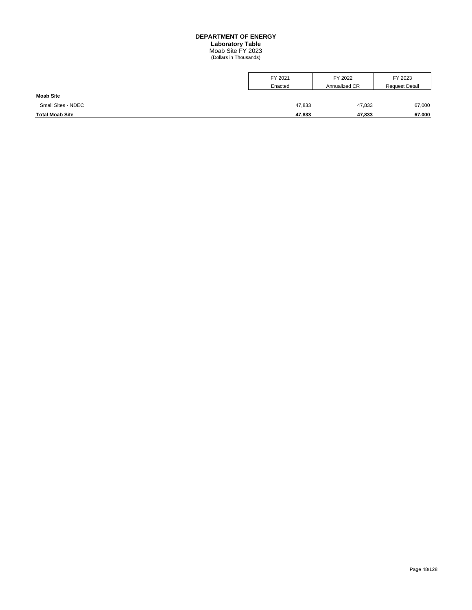## **DEPARTMENT OF ENERGY Laboratory Table** Moab Site FY 2023 (Dollars in Thousands)

| <b>Moab Site</b>       | Enacted | Annualized CR | <b>Request Detail</b> |
|------------------------|---------|---------------|-----------------------|
| Small Sites - NDEC     | 47,833  | 47,833        | 67,000                |
| <b>Total Moab Site</b> | 47,833  | 47.833        | 67,000                |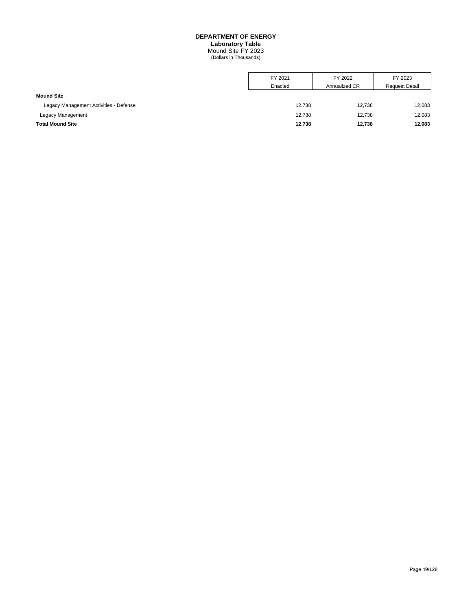## **DEPARTMENT OF ENERGY Laboratory Table** Mound Site FY 2023 (Dollars in Thousands)

|                                        | FY 2021 | FY 2022       | FY 2023               |
|----------------------------------------|---------|---------------|-----------------------|
|                                        | Enacted | Annualized CR | <b>Request Detail</b> |
| <b>Mound Site</b>                      |         |               |                       |
| Legacy Management Activities - Defense | 12,738  | 12.738        | 12,083                |
| Legacy Management                      | 12,738  | 12.738        | 12,083                |
| <b>Total Mound Site</b>                | 12,738  | 12,738        | 12,083                |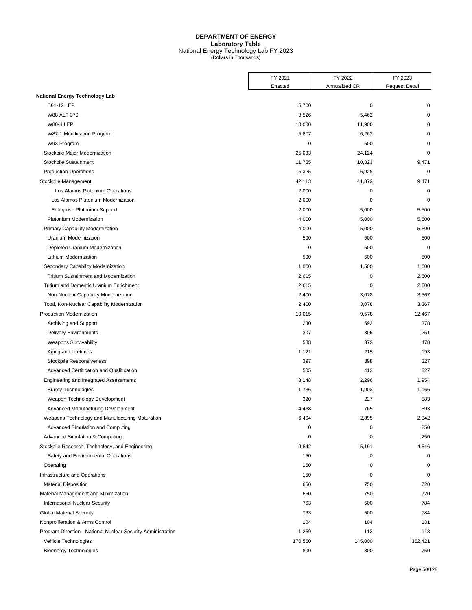### **DEPARTMENT OF ENERGY Laboratory Table** National Energy Technology Lab FY 2023 (Dollars in Thousands)

| Annualized CR<br><b>Request Detail</b><br>Enacted<br><b>National Energy Technology Lab</b><br>B61-12 LEP<br>5,700<br>$\mathbf 0$<br>0<br>W88 ALT 370<br>3,526<br>5,462<br>0<br><b>W80-4 LEP</b><br>10,000<br>11,900<br>0<br>5,807<br>W87-1 Modification Program<br>6,262<br>0<br>$\mathbf 0$<br>500<br>W93 Program<br>0<br>25,033<br>$\mathbf 0$<br>Stockpile Major Modernization<br>24,124<br>Stockpile Sustainment<br>11,755<br>10,823<br>9,471<br>$\mathbf 0$<br><b>Production Operations</b><br>5,325<br>6,926<br>42,113<br>9,471<br>Stockpile Management<br>41,873<br>2,000<br>$\mathbf 0$<br>$\mathbf 0$<br>Los Alamos Plutonium Operations<br>Los Alamos Plutonium Modernization<br>2,000<br>$\mathbf 0$<br>$\mathbf 0$<br>Enterprise Plutonium Support<br>2,000<br>5,000<br>5,500<br>Plutonium Modernization<br>4,000<br>5,000<br>5,500<br>4,000<br>5,000<br>5,500<br>Primary Capability Modernization<br>500<br>500<br>500<br>Uranium Modernization<br>$\mathbf 0$<br>500<br>$\mathbf 0$<br>Depleted Uranium Modernization<br>500<br>500<br>500<br>Lithium Modernization<br>Secondary Capability Modernization<br>1,000<br>1,500<br>1,000<br>2,615<br>$\mathbf 0$<br>2,600<br>Tritium Sustainment and Modernization<br>Tritium and Domestic Uranium Enrichment<br>2,615<br>$\mathbf 0$<br>2,600<br>2,400<br>3,367<br>Non-Nuclear Capability Modernization<br>3,078<br>2,400<br>3,078<br>3,367<br>Total, Non-Nuclear Capability Modernization<br>Production Modernization<br>10,015<br>9,578<br>12,467<br>230<br>592<br>378<br>Archiving and Support<br>307<br>305<br>251<br><b>Delivery Environments</b><br>588<br>373<br>478<br><b>Weapons Survivability</b><br>Aging and Lifetimes<br>1,121<br>215<br>193<br>397<br>Stockpile Responsiveness<br>398<br>327<br>505<br>413<br>327<br>Advanced Certification and Qualification<br>Engineering and Integrated Assessments<br>3,148<br>2,296<br>1,954<br>1,736<br>1,166<br><b>Surety Technologies</b><br>1,903<br>320<br>227<br>Weapon Technology Development<br>583<br>765<br>Advanced Manufacturing Development<br>4,438<br>593<br>Weapons Technology and Manufacturing Maturation<br>6,494<br>2,895<br>2,342<br>250<br>Advanced Simulation and Computing<br>0<br>0<br>Advanced Simulation & Computing<br>$\mathbf 0$<br>$\mathbf 0$<br>250<br>Stockpile Research, Technology, and Engineering<br>9,642<br>5,191<br>4,546<br>Safety and Environmental Operations<br>150<br>0<br>0<br>150<br>Operating<br>0<br>$\mathbf 0$<br>Infrastructure and Operations<br>$\mathbf 0$<br>150<br>0<br><b>Material Disposition</b><br>650<br>720<br>750<br>720<br>Material Management and Minimization<br>650<br>750<br>784<br><b>International Nuclear Security</b><br>763<br>500<br>784<br><b>Global Material Security</b><br>763<br>500<br>104<br>Nonproliferation & Arms Control<br>104<br>131 | FY 2021 | FY 2022 | FY 2023 |
|----------------------------------------------------------------------------------------------------------------------------------------------------------------------------------------------------------------------------------------------------------------------------------------------------------------------------------------------------------------------------------------------------------------------------------------------------------------------------------------------------------------------------------------------------------------------------------------------------------------------------------------------------------------------------------------------------------------------------------------------------------------------------------------------------------------------------------------------------------------------------------------------------------------------------------------------------------------------------------------------------------------------------------------------------------------------------------------------------------------------------------------------------------------------------------------------------------------------------------------------------------------------------------------------------------------------------------------------------------------------------------------------------------------------------------------------------------------------------------------------------------------------------------------------------------------------------------------------------------------------------------------------------------------------------------------------------------------------------------------------------------------------------------------------------------------------------------------------------------------------------------------------------------------------------------------------------------------------------------------------------------------------------------------------------------------------------------------------------------------------------------------------------------------------------------------------------------------------------------------------------------------------------------------------------------------------------------------------------------------------------------------------------------------------------------------------------------------------------------------------------------------------------------------------------------------------------------------------------------------------------------------------------------------------------------------------------------------------------------------------------------------------------------------------------------------------------------------------|---------|---------|---------|
|                                                                                                                                                                                                                                                                                                                                                                                                                                                                                                                                                                                                                                                                                                                                                                                                                                                                                                                                                                                                                                                                                                                                                                                                                                                                                                                                                                                                                                                                                                                                                                                                                                                                                                                                                                                                                                                                                                                                                                                                                                                                                                                                                                                                                                                                                                                                                                                                                                                                                                                                                                                                                                                                                                                                                                                                                                              |         |         |         |
|                                                                                                                                                                                                                                                                                                                                                                                                                                                                                                                                                                                                                                                                                                                                                                                                                                                                                                                                                                                                                                                                                                                                                                                                                                                                                                                                                                                                                                                                                                                                                                                                                                                                                                                                                                                                                                                                                                                                                                                                                                                                                                                                                                                                                                                                                                                                                                                                                                                                                                                                                                                                                                                                                                                                                                                                                                              |         |         |         |
|                                                                                                                                                                                                                                                                                                                                                                                                                                                                                                                                                                                                                                                                                                                                                                                                                                                                                                                                                                                                                                                                                                                                                                                                                                                                                                                                                                                                                                                                                                                                                                                                                                                                                                                                                                                                                                                                                                                                                                                                                                                                                                                                                                                                                                                                                                                                                                                                                                                                                                                                                                                                                                                                                                                                                                                                                                              |         |         |         |
|                                                                                                                                                                                                                                                                                                                                                                                                                                                                                                                                                                                                                                                                                                                                                                                                                                                                                                                                                                                                                                                                                                                                                                                                                                                                                                                                                                                                                                                                                                                                                                                                                                                                                                                                                                                                                                                                                                                                                                                                                                                                                                                                                                                                                                                                                                                                                                                                                                                                                                                                                                                                                                                                                                                                                                                                                                              |         |         |         |
|                                                                                                                                                                                                                                                                                                                                                                                                                                                                                                                                                                                                                                                                                                                                                                                                                                                                                                                                                                                                                                                                                                                                                                                                                                                                                                                                                                                                                                                                                                                                                                                                                                                                                                                                                                                                                                                                                                                                                                                                                                                                                                                                                                                                                                                                                                                                                                                                                                                                                                                                                                                                                                                                                                                                                                                                                                              |         |         |         |
|                                                                                                                                                                                                                                                                                                                                                                                                                                                                                                                                                                                                                                                                                                                                                                                                                                                                                                                                                                                                                                                                                                                                                                                                                                                                                                                                                                                                                                                                                                                                                                                                                                                                                                                                                                                                                                                                                                                                                                                                                                                                                                                                                                                                                                                                                                                                                                                                                                                                                                                                                                                                                                                                                                                                                                                                                                              |         |         |         |
|                                                                                                                                                                                                                                                                                                                                                                                                                                                                                                                                                                                                                                                                                                                                                                                                                                                                                                                                                                                                                                                                                                                                                                                                                                                                                                                                                                                                                                                                                                                                                                                                                                                                                                                                                                                                                                                                                                                                                                                                                                                                                                                                                                                                                                                                                                                                                                                                                                                                                                                                                                                                                                                                                                                                                                                                                                              |         |         |         |
|                                                                                                                                                                                                                                                                                                                                                                                                                                                                                                                                                                                                                                                                                                                                                                                                                                                                                                                                                                                                                                                                                                                                                                                                                                                                                                                                                                                                                                                                                                                                                                                                                                                                                                                                                                                                                                                                                                                                                                                                                                                                                                                                                                                                                                                                                                                                                                                                                                                                                                                                                                                                                                                                                                                                                                                                                                              |         |         |         |
|                                                                                                                                                                                                                                                                                                                                                                                                                                                                                                                                                                                                                                                                                                                                                                                                                                                                                                                                                                                                                                                                                                                                                                                                                                                                                                                                                                                                                                                                                                                                                                                                                                                                                                                                                                                                                                                                                                                                                                                                                                                                                                                                                                                                                                                                                                                                                                                                                                                                                                                                                                                                                                                                                                                                                                                                                                              |         |         |         |
|                                                                                                                                                                                                                                                                                                                                                                                                                                                                                                                                                                                                                                                                                                                                                                                                                                                                                                                                                                                                                                                                                                                                                                                                                                                                                                                                                                                                                                                                                                                                                                                                                                                                                                                                                                                                                                                                                                                                                                                                                                                                                                                                                                                                                                                                                                                                                                                                                                                                                                                                                                                                                                                                                                                                                                                                                                              |         |         |         |
|                                                                                                                                                                                                                                                                                                                                                                                                                                                                                                                                                                                                                                                                                                                                                                                                                                                                                                                                                                                                                                                                                                                                                                                                                                                                                                                                                                                                                                                                                                                                                                                                                                                                                                                                                                                                                                                                                                                                                                                                                                                                                                                                                                                                                                                                                                                                                                                                                                                                                                                                                                                                                                                                                                                                                                                                                                              |         |         |         |
|                                                                                                                                                                                                                                                                                                                                                                                                                                                                                                                                                                                                                                                                                                                                                                                                                                                                                                                                                                                                                                                                                                                                                                                                                                                                                                                                                                                                                                                                                                                                                                                                                                                                                                                                                                                                                                                                                                                                                                                                                                                                                                                                                                                                                                                                                                                                                                                                                                                                                                                                                                                                                                                                                                                                                                                                                                              |         |         |         |
|                                                                                                                                                                                                                                                                                                                                                                                                                                                                                                                                                                                                                                                                                                                                                                                                                                                                                                                                                                                                                                                                                                                                                                                                                                                                                                                                                                                                                                                                                                                                                                                                                                                                                                                                                                                                                                                                                                                                                                                                                                                                                                                                                                                                                                                                                                                                                                                                                                                                                                                                                                                                                                                                                                                                                                                                                                              |         |         |         |
|                                                                                                                                                                                                                                                                                                                                                                                                                                                                                                                                                                                                                                                                                                                                                                                                                                                                                                                                                                                                                                                                                                                                                                                                                                                                                                                                                                                                                                                                                                                                                                                                                                                                                                                                                                                                                                                                                                                                                                                                                                                                                                                                                                                                                                                                                                                                                                                                                                                                                                                                                                                                                                                                                                                                                                                                                                              |         |         |         |
|                                                                                                                                                                                                                                                                                                                                                                                                                                                                                                                                                                                                                                                                                                                                                                                                                                                                                                                                                                                                                                                                                                                                                                                                                                                                                                                                                                                                                                                                                                                                                                                                                                                                                                                                                                                                                                                                                                                                                                                                                                                                                                                                                                                                                                                                                                                                                                                                                                                                                                                                                                                                                                                                                                                                                                                                                                              |         |         |         |
|                                                                                                                                                                                                                                                                                                                                                                                                                                                                                                                                                                                                                                                                                                                                                                                                                                                                                                                                                                                                                                                                                                                                                                                                                                                                                                                                                                                                                                                                                                                                                                                                                                                                                                                                                                                                                                                                                                                                                                                                                                                                                                                                                                                                                                                                                                                                                                                                                                                                                                                                                                                                                                                                                                                                                                                                                                              |         |         |         |
|                                                                                                                                                                                                                                                                                                                                                                                                                                                                                                                                                                                                                                                                                                                                                                                                                                                                                                                                                                                                                                                                                                                                                                                                                                                                                                                                                                                                                                                                                                                                                                                                                                                                                                                                                                                                                                                                                                                                                                                                                                                                                                                                                                                                                                                                                                                                                                                                                                                                                                                                                                                                                                                                                                                                                                                                                                              |         |         |         |
|                                                                                                                                                                                                                                                                                                                                                                                                                                                                                                                                                                                                                                                                                                                                                                                                                                                                                                                                                                                                                                                                                                                                                                                                                                                                                                                                                                                                                                                                                                                                                                                                                                                                                                                                                                                                                                                                                                                                                                                                                                                                                                                                                                                                                                                                                                                                                                                                                                                                                                                                                                                                                                                                                                                                                                                                                                              |         |         |         |
|                                                                                                                                                                                                                                                                                                                                                                                                                                                                                                                                                                                                                                                                                                                                                                                                                                                                                                                                                                                                                                                                                                                                                                                                                                                                                                                                                                                                                                                                                                                                                                                                                                                                                                                                                                                                                                                                                                                                                                                                                                                                                                                                                                                                                                                                                                                                                                                                                                                                                                                                                                                                                                                                                                                                                                                                                                              |         |         |         |
|                                                                                                                                                                                                                                                                                                                                                                                                                                                                                                                                                                                                                                                                                                                                                                                                                                                                                                                                                                                                                                                                                                                                                                                                                                                                                                                                                                                                                                                                                                                                                                                                                                                                                                                                                                                                                                                                                                                                                                                                                                                                                                                                                                                                                                                                                                                                                                                                                                                                                                                                                                                                                                                                                                                                                                                                                                              |         |         |         |
|                                                                                                                                                                                                                                                                                                                                                                                                                                                                                                                                                                                                                                                                                                                                                                                                                                                                                                                                                                                                                                                                                                                                                                                                                                                                                                                                                                                                                                                                                                                                                                                                                                                                                                                                                                                                                                                                                                                                                                                                                                                                                                                                                                                                                                                                                                                                                                                                                                                                                                                                                                                                                                                                                                                                                                                                                                              |         |         |         |
|                                                                                                                                                                                                                                                                                                                                                                                                                                                                                                                                                                                                                                                                                                                                                                                                                                                                                                                                                                                                                                                                                                                                                                                                                                                                                                                                                                                                                                                                                                                                                                                                                                                                                                                                                                                                                                                                                                                                                                                                                                                                                                                                                                                                                                                                                                                                                                                                                                                                                                                                                                                                                                                                                                                                                                                                                                              |         |         |         |
|                                                                                                                                                                                                                                                                                                                                                                                                                                                                                                                                                                                                                                                                                                                                                                                                                                                                                                                                                                                                                                                                                                                                                                                                                                                                                                                                                                                                                                                                                                                                                                                                                                                                                                                                                                                                                                                                                                                                                                                                                                                                                                                                                                                                                                                                                                                                                                                                                                                                                                                                                                                                                                                                                                                                                                                                                                              |         |         |         |
|                                                                                                                                                                                                                                                                                                                                                                                                                                                                                                                                                                                                                                                                                                                                                                                                                                                                                                                                                                                                                                                                                                                                                                                                                                                                                                                                                                                                                                                                                                                                                                                                                                                                                                                                                                                                                                                                                                                                                                                                                                                                                                                                                                                                                                                                                                                                                                                                                                                                                                                                                                                                                                                                                                                                                                                                                                              |         |         |         |
|                                                                                                                                                                                                                                                                                                                                                                                                                                                                                                                                                                                                                                                                                                                                                                                                                                                                                                                                                                                                                                                                                                                                                                                                                                                                                                                                                                                                                                                                                                                                                                                                                                                                                                                                                                                                                                                                                                                                                                                                                                                                                                                                                                                                                                                                                                                                                                                                                                                                                                                                                                                                                                                                                                                                                                                                                                              |         |         |         |
|                                                                                                                                                                                                                                                                                                                                                                                                                                                                                                                                                                                                                                                                                                                                                                                                                                                                                                                                                                                                                                                                                                                                                                                                                                                                                                                                                                                                                                                                                                                                                                                                                                                                                                                                                                                                                                                                                                                                                                                                                                                                                                                                                                                                                                                                                                                                                                                                                                                                                                                                                                                                                                                                                                                                                                                                                                              |         |         |         |
|                                                                                                                                                                                                                                                                                                                                                                                                                                                                                                                                                                                                                                                                                                                                                                                                                                                                                                                                                                                                                                                                                                                                                                                                                                                                                                                                                                                                                                                                                                                                                                                                                                                                                                                                                                                                                                                                                                                                                                                                                                                                                                                                                                                                                                                                                                                                                                                                                                                                                                                                                                                                                                                                                                                                                                                                                                              |         |         |         |
|                                                                                                                                                                                                                                                                                                                                                                                                                                                                                                                                                                                                                                                                                                                                                                                                                                                                                                                                                                                                                                                                                                                                                                                                                                                                                                                                                                                                                                                                                                                                                                                                                                                                                                                                                                                                                                                                                                                                                                                                                                                                                                                                                                                                                                                                                                                                                                                                                                                                                                                                                                                                                                                                                                                                                                                                                                              |         |         |         |
|                                                                                                                                                                                                                                                                                                                                                                                                                                                                                                                                                                                                                                                                                                                                                                                                                                                                                                                                                                                                                                                                                                                                                                                                                                                                                                                                                                                                                                                                                                                                                                                                                                                                                                                                                                                                                                                                                                                                                                                                                                                                                                                                                                                                                                                                                                                                                                                                                                                                                                                                                                                                                                                                                                                                                                                                                                              |         |         |         |
|                                                                                                                                                                                                                                                                                                                                                                                                                                                                                                                                                                                                                                                                                                                                                                                                                                                                                                                                                                                                                                                                                                                                                                                                                                                                                                                                                                                                                                                                                                                                                                                                                                                                                                                                                                                                                                                                                                                                                                                                                                                                                                                                                                                                                                                                                                                                                                                                                                                                                                                                                                                                                                                                                                                                                                                                                                              |         |         |         |
|                                                                                                                                                                                                                                                                                                                                                                                                                                                                                                                                                                                                                                                                                                                                                                                                                                                                                                                                                                                                                                                                                                                                                                                                                                                                                                                                                                                                                                                                                                                                                                                                                                                                                                                                                                                                                                                                                                                                                                                                                                                                                                                                                                                                                                                                                                                                                                                                                                                                                                                                                                                                                                                                                                                                                                                                                                              |         |         |         |
|                                                                                                                                                                                                                                                                                                                                                                                                                                                                                                                                                                                                                                                                                                                                                                                                                                                                                                                                                                                                                                                                                                                                                                                                                                                                                                                                                                                                                                                                                                                                                                                                                                                                                                                                                                                                                                                                                                                                                                                                                                                                                                                                                                                                                                                                                                                                                                                                                                                                                                                                                                                                                                                                                                                                                                                                                                              |         |         |         |
|                                                                                                                                                                                                                                                                                                                                                                                                                                                                                                                                                                                                                                                                                                                                                                                                                                                                                                                                                                                                                                                                                                                                                                                                                                                                                                                                                                                                                                                                                                                                                                                                                                                                                                                                                                                                                                                                                                                                                                                                                                                                                                                                                                                                                                                                                                                                                                                                                                                                                                                                                                                                                                                                                                                                                                                                                                              |         |         |         |
|                                                                                                                                                                                                                                                                                                                                                                                                                                                                                                                                                                                                                                                                                                                                                                                                                                                                                                                                                                                                                                                                                                                                                                                                                                                                                                                                                                                                                                                                                                                                                                                                                                                                                                                                                                                                                                                                                                                                                                                                                                                                                                                                                                                                                                                                                                                                                                                                                                                                                                                                                                                                                                                                                                                                                                                                                                              |         |         |         |
|                                                                                                                                                                                                                                                                                                                                                                                                                                                                                                                                                                                                                                                                                                                                                                                                                                                                                                                                                                                                                                                                                                                                                                                                                                                                                                                                                                                                                                                                                                                                                                                                                                                                                                                                                                                                                                                                                                                                                                                                                                                                                                                                                                                                                                                                                                                                                                                                                                                                                                                                                                                                                                                                                                                                                                                                                                              |         |         |         |
|                                                                                                                                                                                                                                                                                                                                                                                                                                                                                                                                                                                                                                                                                                                                                                                                                                                                                                                                                                                                                                                                                                                                                                                                                                                                                                                                                                                                                                                                                                                                                                                                                                                                                                                                                                                                                                                                                                                                                                                                                                                                                                                                                                                                                                                                                                                                                                                                                                                                                                                                                                                                                                                                                                                                                                                                                                              |         |         |         |
|                                                                                                                                                                                                                                                                                                                                                                                                                                                                                                                                                                                                                                                                                                                                                                                                                                                                                                                                                                                                                                                                                                                                                                                                                                                                                                                                                                                                                                                                                                                                                                                                                                                                                                                                                                                                                                                                                                                                                                                                                                                                                                                                                                                                                                                                                                                                                                                                                                                                                                                                                                                                                                                                                                                                                                                                                                              |         |         |         |
|                                                                                                                                                                                                                                                                                                                                                                                                                                                                                                                                                                                                                                                                                                                                                                                                                                                                                                                                                                                                                                                                                                                                                                                                                                                                                                                                                                                                                                                                                                                                                                                                                                                                                                                                                                                                                                                                                                                                                                                                                                                                                                                                                                                                                                                                                                                                                                                                                                                                                                                                                                                                                                                                                                                                                                                                                                              |         |         |         |
|                                                                                                                                                                                                                                                                                                                                                                                                                                                                                                                                                                                                                                                                                                                                                                                                                                                                                                                                                                                                                                                                                                                                                                                                                                                                                                                                                                                                                                                                                                                                                                                                                                                                                                                                                                                                                                                                                                                                                                                                                                                                                                                                                                                                                                                                                                                                                                                                                                                                                                                                                                                                                                                                                                                                                                                                                                              |         |         |         |
|                                                                                                                                                                                                                                                                                                                                                                                                                                                                                                                                                                                                                                                                                                                                                                                                                                                                                                                                                                                                                                                                                                                                                                                                                                                                                                                                                                                                                                                                                                                                                                                                                                                                                                                                                                                                                                                                                                                                                                                                                                                                                                                                                                                                                                                                                                                                                                                                                                                                                                                                                                                                                                                                                                                                                                                                                                              |         |         |         |
|                                                                                                                                                                                                                                                                                                                                                                                                                                                                                                                                                                                                                                                                                                                                                                                                                                                                                                                                                                                                                                                                                                                                                                                                                                                                                                                                                                                                                                                                                                                                                                                                                                                                                                                                                                                                                                                                                                                                                                                                                                                                                                                                                                                                                                                                                                                                                                                                                                                                                                                                                                                                                                                                                                                                                                                                                                              |         |         |         |
|                                                                                                                                                                                                                                                                                                                                                                                                                                                                                                                                                                                                                                                                                                                                                                                                                                                                                                                                                                                                                                                                                                                                                                                                                                                                                                                                                                                                                                                                                                                                                                                                                                                                                                                                                                                                                                                                                                                                                                                                                                                                                                                                                                                                                                                                                                                                                                                                                                                                                                                                                                                                                                                                                                                                                                                                                                              |         |         |         |
|                                                                                                                                                                                                                                                                                                                                                                                                                                                                                                                                                                                                                                                                                                                                                                                                                                                                                                                                                                                                                                                                                                                                                                                                                                                                                                                                                                                                                                                                                                                                                                                                                                                                                                                                                                                                                                                                                                                                                                                                                                                                                                                                                                                                                                                                                                                                                                                                                                                                                                                                                                                                                                                                                                                                                                                                                                              |         |         |         |
|                                                                                                                                                                                                                                                                                                                                                                                                                                                                                                                                                                                                                                                                                                                                                                                                                                                                                                                                                                                                                                                                                                                                                                                                                                                                                                                                                                                                                                                                                                                                                                                                                                                                                                                                                                                                                                                                                                                                                                                                                                                                                                                                                                                                                                                                                                                                                                                                                                                                                                                                                                                                                                                                                                                                                                                                                                              |         |         |         |
|                                                                                                                                                                                                                                                                                                                                                                                                                                                                                                                                                                                                                                                                                                                                                                                                                                                                                                                                                                                                                                                                                                                                                                                                                                                                                                                                                                                                                                                                                                                                                                                                                                                                                                                                                                                                                                                                                                                                                                                                                                                                                                                                                                                                                                                                                                                                                                                                                                                                                                                                                                                                                                                                                                                                                                                                                                              |         |         |         |
|                                                                                                                                                                                                                                                                                                                                                                                                                                                                                                                                                                                                                                                                                                                                                                                                                                                                                                                                                                                                                                                                                                                                                                                                                                                                                                                                                                                                                                                                                                                                                                                                                                                                                                                                                                                                                                                                                                                                                                                                                                                                                                                                                                                                                                                                                                                                                                                                                                                                                                                                                                                                                                                                                                                                                                                                                                              |         |         |         |
|                                                                                                                                                                                                                                                                                                                                                                                                                                                                                                                                                                                                                                                                                                                                                                                                                                                                                                                                                                                                                                                                                                                                                                                                                                                                                                                                                                                                                                                                                                                                                                                                                                                                                                                                                                                                                                                                                                                                                                                                                                                                                                                                                                                                                                                                                                                                                                                                                                                                                                                                                                                                                                                                                                                                                                                                                                              |         |         |         |
| Program Direction - National Nuclear Security Administration<br>1,269<br>113<br>113                                                                                                                                                                                                                                                                                                                                                                                                                                                                                                                                                                                                                                                                                                                                                                                                                                                                                                                                                                                                                                                                                                                                                                                                                                                                                                                                                                                                                                                                                                                                                                                                                                                                                                                                                                                                                                                                                                                                                                                                                                                                                                                                                                                                                                                                                                                                                                                                                                                                                                                                                                                                                                                                                                                                                          |         |         |         |
| Vehicle Technologies<br>170,560<br>145,000<br>362,421                                                                                                                                                                                                                                                                                                                                                                                                                                                                                                                                                                                                                                                                                                                                                                                                                                                                                                                                                                                                                                                                                                                                                                                                                                                                                                                                                                                                                                                                                                                                                                                                                                                                                                                                                                                                                                                                                                                                                                                                                                                                                                                                                                                                                                                                                                                                                                                                                                                                                                                                                                                                                                                                                                                                                                                        |         |         |         |
| 800<br><b>Bioenergy Technologies</b><br>800<br>750                                                                                                                                                                                                                                                                                                                                                                                                                                                                                                                                                                                                                                                                                                                                                                                                                                                                                                                                                                                                                                                                                                                                                                                                                                                                                                                                                                                                                                                                                                                                                                                                                                                                                                                                                                                                                                                                                                                                                                                                                                                                                                                                                                                                                                                                                                                                                                                                                                                                                                                                                                                                                                                                                                                                                                                           |         |         |         |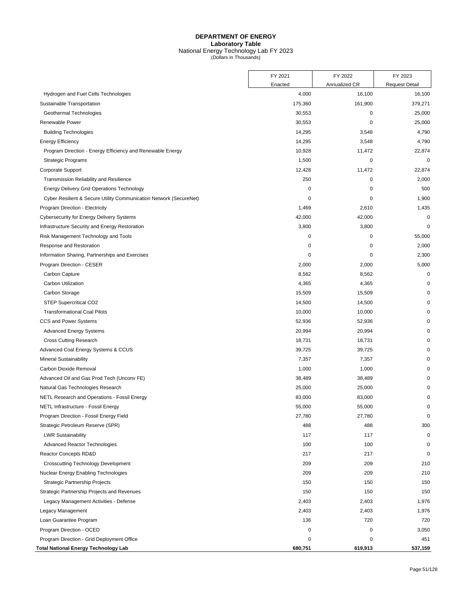## **DEPARTMENT OF ENERGY Laboratory Table** National Energy Technology Lab FY 2023 (Dollars in Thousands)

|                                                                    | FY 2021 | FY 2022       | FY 2023               |
|--------------------------------------------------------------------|---------|---------------|-----------------------|
|                                                                    | Enacted | Annualized CR | <b>Request Detail</b> |
| Hydrogen and Fuel Cells Technologies                               | 4,000   | 16,100        | 16,100                |
| Sustainable Transportation                                         | 175,360 | 161,900       | 379,271               |
| Geothermal Technologies                                            | 30,553  | 0             | 25,000                |
| Renewable Power                                                    | 30,553  | 0             | 25,000                |
| <b>Building Technologies</b>                                       | 14,295  | 3,548         | 4,790                 |
| <b>Energy Efficiency</b>                                           | 14,295  | 3,548         | 4,790                 |
| Program Direction - Energy Efficiency and Renewable Energy         | 10,928  | 11,472        | 22,874                |
| <b>Strategic Programs</b>                                          | 1,500   | 0             | 0                     |
| Corporate Support                                                  | 12,428  | 11,472        | 22,874                |
| Transmission Reliability and Resilience                            | 250     | 0             | 2,000                 |
| <b>Energy Delivery Grid Operations Technology</b>                  | 0       | 0             | 500                   |
| Cyber Resilient & Secure Utility Communication Network (SecureNet) | 0       | 0             | 1,900                 |
| Program Direction - Electricity                                    | 1,469   | 2,610         | 1,435                 |
| Cybersecurity for Energy Delivery Systems                          | 42,000  | 42,000        | $\mathbf 0$           |
| Infrastructure Security and Energy Restoration                     | 3,800   | 3,800         | $\mathbf 0$           |
| Risk Management Technology and Tools                               | 0       | $\mathbf 0$   | 55,000                |
| Response and Restoration                                           | 0       | 0             | 2,000                 |
| Information Sharing, Partnerships and Exercises                    | 0       | 0             | 2,300                 |
| Program Direction - CESER                                          | 2,000   | 2,000         | 5,000                 |
| Carbon Capture                                                     | 8,562   | 8,562         | 0                     |
| <b>Carbon Utilization</b>                                          | 4,365   | 4,365         | 0                     |
| Carbon Storage                                                     | 15,509  | 15,509        | 0                     |
| <b>STEP Supercritical CO2</b>                                      | 14,500  | 14,500        | 0                     |
| <b>Transformational Coal Pilots</b>                                | 10,000  | 10,000        | $\mathbf 0$           |
| CCS and Power Systems                                              | 52,936  | 52,936        | 0                     |
| <b>Advanced Energy Systems</b>                                     | 20,994  | 20,994        | $\mathbf 0$           |
| <b>Cross Cutting Research</b>                                      | 18,731  | 18,731        | 0                     |
| Advanced Coal Energy Systems & CCUS                                | 39,725  | 39,725        | $\mathbf 0$           |
| <b>Mineral Sustainability</b>                                      | 7,357   | 7,357         | $\mathbf 0$           |
| Carbon Dioxide Removal                                             | 1,000   | 1,000         | $\mathbf 0$           |
| Advanced Oil and Gas Prod Tech (Unconv FE)                         | 38,489  | 38,489        | C                     |
| Natural Gas Technologies Research                                  | 25,000  | 25,000        | $\Omega$              |
| NETL Research and Operations - Fossil Energy                       | 83,000  | 83,000        | 0                     |
| NETL Infrastructure - Fossil Energy                                | 55,000  | 55,000        | $\mathbf 0$           |
| Program Direction - Fossil Energy Field                            | 27,780  | 27,780        | $\mathbf 0$           |
| Strategic Petroleum Reserve (SPR)                                  | 488     | 488           | 300                   |
| <b>LWR Sustainability</b>                                          | 117     | 117           | $\pmb{0}$             |
| Advanced Reactor Technologies                                      | 100     | 100           | 0                     |
| Reactor Concepts RD&D                                              | 217     | 217           | $\mathbf 0$           |
| <b>Crosscutting Technology Development</b>                         | 209     | 209           | 210                   |
| Nuclear Energy Enabling Technologies                               | 209     | 209           | 210                   |
| Strategic Partnership Projects                                     | 150     | 150           | 150                   |
| Strategic Partnership Projects and Revenues                        | 150     | 150           | 150                   |
| Legacy Management Activities - Defense                             | 2,403   | 2,403         | 1,976                 |
| Legacy Management                                                  | 2,403   | 2,403         | 1,976                 |
| Loan Guarantee Program                                             | 136     | 720           | 720                   |
| Program Direction - OCED                                           | 0       | $\mathbf 0$   | 3,050                 |
| Program Direction - Grid Deployment Office                         | 0       | 0             | 451                   |
| Total National Energy Technology Lab                               | 680,751 | 619,913       | 537,159               |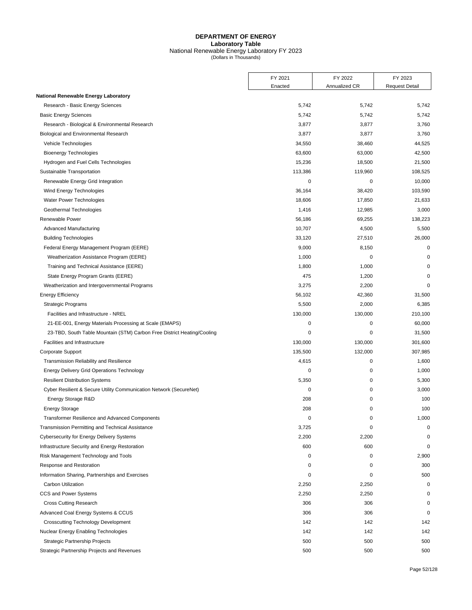#### **DEPARTMENT OF ENERGY Laboratory Table** National Renewable Energy Laboratory FY 2023 (Dollars in Thousands)

FY 2021 FY 2022 FY 2023 Enacted | Annualized CR | Request Detail **National Renewable Energy Laboratory** Research - Basic Energy Sciences 6,742 5,742 5,742 5,742 5,742 5,742 5,742 5,742 5,742 5,742 5,742 5,742 5,742 Basic Energy Sciences 5,742 5,742 5,742 Research - Biological & Environmental Research 3,800 3,877 3,760 Biological and Environmental Research 3,860 3,877 3,877 3,877 3,877 3,877 3,877 3,877 3,760 Vehicle Technologies 34,525 38,460 44,525 Bioenergy Technologies **63,000** 63,000 63,000 63,000 63,000 63,000 63,000 42,500 Hydrogen and Fuel Cells Technologies 15,000 and Fuel Cells Technologies 15,000 and Fuel Cells Technologies 18,500 and Fuel Cells Technologies 15,000 and Fuel Cells Technologies 15,000 and Fuel Cells Technologies 15,000 and Sustainable Transportation 108,525 108,525 113,386 113,386 119,960 108,525 Renewable Energy Grid Integration and the control of the control of the control of the control of the control of the control of the control of the control of the control of the control of the control of the control of the Wind Energy Technologies 2008 103,590 103,590 103,590 103,590 103,590 103,590 103,590 103,590 103,590 103,590 Water Power Technologies 21,633 and 21,633 and 21,633 and 21,633 and 21,633 and 21,633 and 21,633 and 21,633 and 21,633 and 21,633 and 21,633 and 21,633 and 21,633 and 21,633 and 21,633 and 21,633 and 20,633 and 20,633 and Geothermal Technologies **1,416** 12,985 3,000 Renewable Power 56,186 69,255 138,223 Advanced Manufacturing 10,000 to 10,707 10,707 4,500 5,500 5,500 5,500 Building Technologies 33,120 27,510 26,000 Federal Energy Management Program (EERE) 8,000 8,150 0 8,150 0 9,000 8,150 0 9,000 8,150 0 9,000 8,150 0 9,000 8,150 0 9,000 8,150 0 9,000 8,150 0 9,000 8,150 0 9,000 8,150 0 9,000 8,150 0 9,000 8,150 9,000 8,150 9,000 8,1 Weatherization Assistance Program (EERE) 1,000 0 0 Training and Technical Assistance (EERE) 1,800 1,000 1,000 1,000 1,000 1,000 1,000 0 1,000 1,000 0 1,000 0 1,000 0 1,000 0 1,000 0 1,000 1,000 1,000 0 1,000 1,000 1,000 1,000 1,000 1,000 1,000 1,000 1,000 1,000 1,000 1,000 State Energy Program Grants (EERE) 6 (State Energy Program Grants (EERE) 475 1,200 0 0 1,200 0 0 1,200 0 0 1,200 0 0 1,200 0 0 1,200 0 1,200 0 1,200 0 1,200 0 1,200 0 1,200 0 1,200 0 1,200 1,200 0 1,200 1,200 1,200 1,200 1 Weatherization and Intergovernmental Programs 3,275 2,200 0 Energy Efficiency 56,102 42,360 31,500 Strategic Programs 6,385 6 and 5,500 6,385 6,385 6,385 6,385 6,385 6,385 6,385 6,385 6,385 6,385 6,385 6,385 6,385 6,385 6,385 6,385 6,385 6,385 6,385 6,385 6,385 6,385 6,385 6,385 6,385 6,385 6,385 6,385 6,385 6,385 6,385 Facilities and Infrastructure - NREL 210.100 130,000 130,000 130,000 130,000 210,100 21-EE-001, Energy Materials Processing at Scale (EMAPS) 0 0 60,000

23-TBD, South Table Mountain (STM) Carbon Free District Heating/Cooling 0 0 0 0 31,500 Facilities and Infrastructure 130,000 130,000 130,000 130,000 130,000 130,000 130,000 130,000 130,000 130,000 130,000 130,000 130,000 130,000 130,000 130,000 130,000 130,000 130,000 130,000 130,000 130,000 130,000 130,000 Corporate Support 307,985 and 307,985 and 307,985 and 307,985 and 307,985 and 307,985 and 307,985 and 307,985 Transmission Reliability and Resilience and American control of the 1,600 1,600 1,600 1,600 1,600 1,600 1,600 Energy Delivery Grid Operations Technology 0 0 1,000

## Resilient Distribution Systems 65,300 to the state of the state of the state of the state of the state of the state of the state of the state of the state of the state of the state of the state of the state of the state of Cyber Resilient & Secure Utility Communication Network (SecureNet) 0 0 3,000 Energy Storage R&D 208 0 100 Energy Storage 208 0 100 Transformer Resilience and Advanced Components and Advanced Components and Advanced Components and Advanced Components and Advanced Components and Advanced Components and Advanced Components and Advanced Components and Adv Transmission Permitting and Technical Assistance 3,725 0 0 Cybersecurity for Energy Delivery Systems 2,200 2,200 2,200 2,200 2,200 2,200 2,200 2,200 2,200 2,200 2,200 2,200 2,200 2,200 2,200 2,200 2,200 2,200 2,200 2,200 2,200 2,200 2,200 2,200 2,200 2,200 2,200 2,200 2,200 2,200 Infrastructure Security and Energy Restoration 600 600 0 Risk Management Technology and Tools **0** 0 0 2,900 Response and Restoration **0** 300 Information Sharing, Partnerships and Exercises 0 0 500 Carbon Utilization 2,250 2,250 0 CCS and Power Systems and the control of the control of the control of the control of the control of the control of the control of the control of the control of the control of the control of the control of the control of t Cross Cutting Research 306 306 0 Advanced Coal Energy Systems & CCUS and the control of the control of the control of the control of the control of the control of the control of the control of the control of the control of the control of the control of th Crosscutting Technology Development 142 142 142 142 Nuclear Energy Enabling Technologies and the control of the control of the control of the control of the control of the control of the control of the control of the control of the control of the control of the control of t Strategic Partnership Projects 500 500 500

Strategic Partnership Projects and Revenues 500 500 500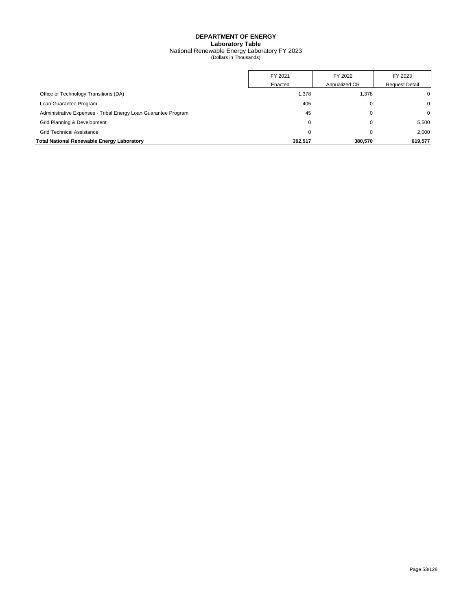## **DEPARTMENT OF ENERGY Laboratory Table** National Renewable Energy Laboratory FY 2023 (Dollars in Thousands)

|                                                                | FY 2021 | FY 2022       | FY 2023               |
|----------------------------------------------------------------|---------|---------------|-----------------------|
|                                                                | Enacted | Annualized CR | <b>Request Detail</b> |
| Office of Technology Transitions (DA)                          | 1,378   | 1,378         |                       |
| Loan Guarantee Program                                         | 405     | 0             | 0                     |
| Administrative Expenses - Tribal Energy Loan Guarantee Program | 45      | 0             | 0                     |
| Grid Planning & Development                                    |         | 0             | 5.500                 |
| <b>Grid Technical Assistance</b>                               |         | C             | 2.000                 |
| Total National Renewable Energy Laboratory                     | 392.517 | 380.570       | 619.577               |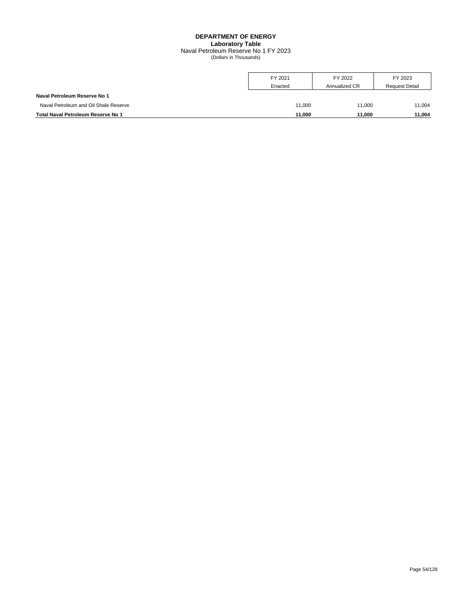## **DEPARTMENT OF ENERGY Laboratory Table** Naval Petroleum Reserve No 1 FY 2023 (Dollars in Thousands)

|                                       | FY 2021 | FY 2022       | FY 2023               |
|---------------------------------------|---------|---------------|-----------------------|
|                                       | Enacted | Annualized CR | <b>Request Detail</b> |
| Naval Petroleum Reserve No 1          |         |               |                       |
| Naval Petroleum and Oil Shale Reserve | 11.000  | 11.000        | 11.004                |
| Total Naval Petroleum Reserve No 1    | 11.000  | 11.000        | 11,004                |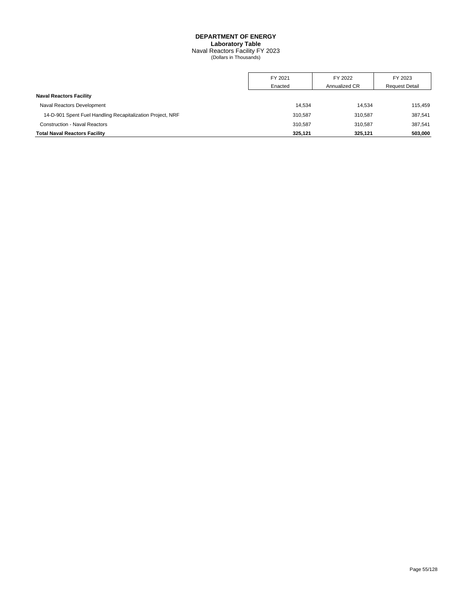## **DEPARTMENT OF ENERGY Laboratory Table** Naval Reactors Facility FY 2023 (Dollars in Thousands)

|                                                            | FY 2021 | FY 2022       | FY 2023               |
|------------------------------------------------------------|---------|---------------|-----------------------|
|                                                            | Enacted | Annualized CR | <b>Request Detail</b> |
| <b>Naval Reactors Facility</b>                             |         |               |                       |
| Naval Reactors Development                                 | 14.534  | 14.534        | 115.459               |
| 14-D-901 Spent Fuel Handling Recapitalization Project, NRF | 310.587 | 310.587       | 387.541               |
| <b>Construction - Naval Reactors</b>                       | 310.587 | 310,587       | 387.541               |
| <b>Total Naval Reactors Facility</b>                       | 325.121 | 325,121       | 503,000               |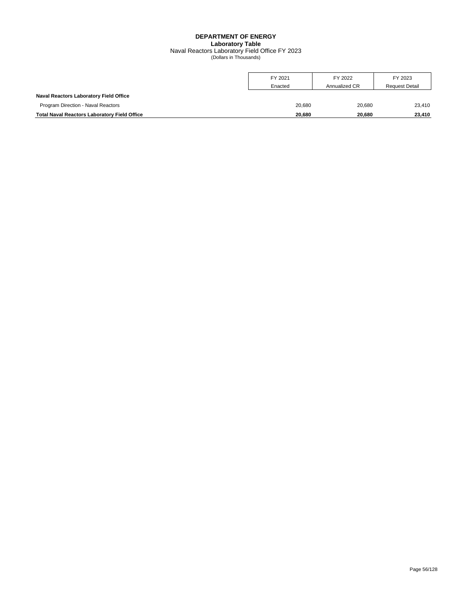## **DEPARTMENT OF ENERGY Laboratory Table** Naval Reactors Laboratory Field Office FY 2023 (Dollars in Thousands)

|                                                     | FY 2021 | FY 2022       | FY 2023               |
|-----------------------------------------------------|---------|---------------|-----------------------|
|                                                     | Enacted | Annualized CR | <b>Request Detail</b> |
| <b>Naval Reactors Laboratory Field Office</b>       |         |               |                       |
| Program Direction - Naval Reactors                  | 20.680  | 20.680        | 23.410                |
| <b>Total Naval Reactors Laboratory Field Office</b> | 20,680  | 20,680        | 23.410                |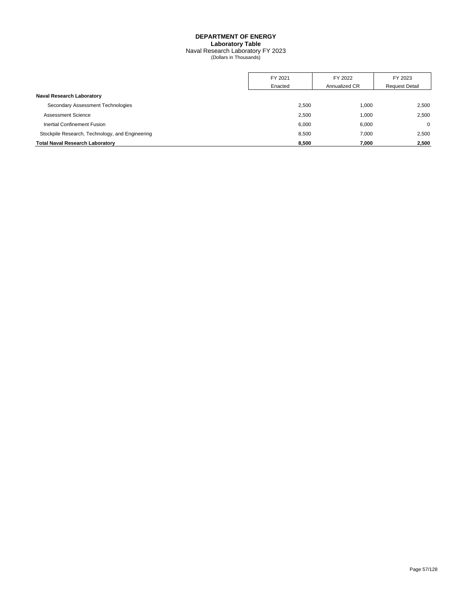## **DEPARTMENT OF ENERGY Laboratory Table** Naval Research Laboratory FY 2023 (Dollars in Thousands)

|                                                 | FY 2021 | FY 2022       | FY 2023               |
|-------------------------------------------------|---------|---------------|-----------------------|
|                                                 | Enacted | Annualized CR | <b>Request Detail</b> |
| <b>Naval Research Laboratory</b>                |         |               |                       |
| Secondary Assessment Technologies               | 2,500   | 1,000         | 2,500                 |
| Assessment Science                              | 2,500   | 1.000         | 2.500                 |
| Inertial Confinement Fusion                     | 6.000   | 6,000         | $\Omega$              |
| Stockpile Research, Technology, and Engineering | 8,500   | 7,000         | 2,500                 |
| <b>Total Naval Research Laboratory</b>          | 8.500   | 7.000         | 2,500                 |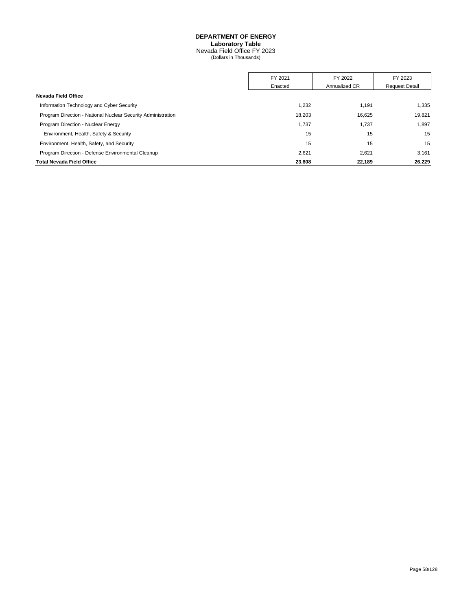Nevada Field Office FY 2023 (Dollars in Thousands)

|                                                              | FY 2021 | FY 2022       | FY 2023               |
|--------------------------------------------------------------|---------|---------------|-----------------------|
|                                                              | Enacted | Annualized CR | <b>Request Detail</b> |
| Nevada Field Office                                          |         |               |                       |
| Information Technology and Cyber Security                    | 1.232   | 1.191         | 1,335                 |
| Program Direction - National Nuclear Security Administration | 18,203  | 16,625        | 19.821                |
| Program Direction - Nuclear Energy                           | 1,737   | 1,737         | 1,897                 |
| Environment, Health, Safety & Security                       | 15      | 15            | 15                    |
| Environment, Health, Safety, and Security                    | 15      | 15            | 15                    |
| Program Direction - Defense Environmental Cleanup            | 2.621   | 2,621         | 3,161                 |
| <b>Total Nevada Field Office</b>                             | 23,808  | 22,189        | 26.229                |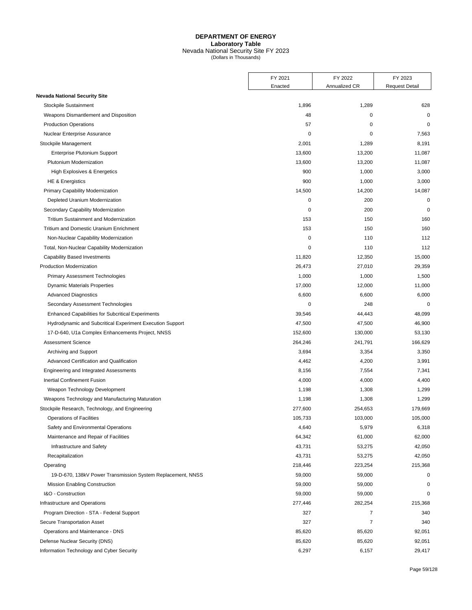## **DEPARTMENT OF ENERGY Laboratory Table** Nevada National Security Site FY 2023 (Dollars in Thousands)

|                                                                       | FY 2021          | FY 2022       | FY 2023               |
|-----------------------------------------------------------------------|------------------|---------------|-----------------------|
|                                                                       | Enacted          | Annualized CR | <b>Request Detail</b> |
| <b>Nevada National Security Site</b>                                  | 1,896            | 1,289         | 628                   |
| Stockpile Sustainment                                                 | 48               | $\mathbf 0$   | 0                     |
| Weapons Dismantlement and Disposition<br><b>Production Operations</b> |                  | 0             | $\mathbf 0$           |
|                                                                       | 57<br>0          |               |                       |
| Nuclear Enterprise Assurance                                          |                  | 0             | 7,563                 |
| Stockpile Management                                                  | 2,001            | 1,289         | 8,191                 |
| <b>Enterprise Plutonium Support</b><br>Plutonium Modernization        | 13,600           | 13,200        | 11,087                |
|                                                                       | 13,600           | 13,200        | 11,087                |
| High Explosives & Energetics                                          | 900<br>900       | 1,000         | 3,000                 |
| HE & Energistics                                                      |                  | 1,000         | 3,000                 |
| Primary Capability Modernization                                      | 14,500<br>0      | 14,200<br>200 | 14,087<br>$\mathbf 0$ |
| Depleted Uranium Modernization                                        |                  |               | $\mathbf 0$           |
| Secondary Capability Modernization                                    | 0                | 200           |                       |
| Tritium Sustainment and Modernization                                 | 153              | 150           | 160                   |
| Tritium and Domestic Uranium Enrichment                               | 153              | 150           | 160                   |
| Non-Nuclear Capability Modernization                                  | $\mathbf 0$<br>0 | 110           | 112<br>112            |
| Total, Non-Nuclear Capability Modernization                           |                  | 110           |                       |
| <b>Capability Based Investments</b>                                   | 11,820           | 12,350        | 15,000                |
| Production Modernization                                              | 26,473           | 27,010        | 29,359                |
| <b>Primary Assessment Technologies</b>                                | 1,000            | 1,000         | 1,500                 |
| <b>Dynamic Materials Properties</b>                                   | 17,000           | 12,000        | 11,000                |
| <b>Advanced Diagnostics</b>                                           | 6,600            | 6,600         | 6,000                 |
| Secondary Assessment Technologies                                     | 0                | 248           | 0                     |
| <b>Enhanced Capabilities for Subcritical Experiments</b>              | 39,546           | 44,443        | 48,099                |
| Hydrodynamic and Subcritical Experiment Execution Support             | 47,500           | 47,500        | 46,900                |
| 17-D-640, U1a Complex Enhancements Project, NNSS                      | 152,600          | 130,000       | 53,130                |
| <b>Assessment Science</b>                                             | 264,246          | 241,791       | 166,629               |
| Archiving and Support                                                 | 3,694            | 3,354         | 3,350                 |
| Advanced Certification and Qualification                              | 4,462            | 4,200         | 3,991                 |
| Engineering and Integrated Assessments                                | 8,156            | 7,554         | 7,341                 |
| Inertial Confinement Fusion                                           | 4,000            | 4,000         | 4,400                 |
| Weapon Technology Development                                         | 1,198            | 1,308         | 1,299                 |
| Weapons Technology and Manufacturing Maturation                       | 1,198            | 1,308         | 1,299                 |
| Stockpile Research, Technology, and Engineering                       | 277,600          | 254,653       | 179,669               |
| <b>Operations of Facilities</b>                                       | 105,733          | 103,000       | 105,000               |
| Safety and Environmental Operations                                   | 4,640            | 5,979         | 6,318                 |
| Maintenance and Repair of Facilities                                  | 64,342           | 61,000        | 62,000                |
| Infrastructure and Safety                                             | 43,731           | 53,275        | 42,050                |
| Recapitalization                                                      | 43,731           | 53,275        | 42,050                |
| Operating                                                             | 218,446          | 223,254       | 215,368               |
| 19-D-670, 138kV Power Transmission System Replacement, NNSS           | 59,000           | 59,000        | 0                     |
| <b>Mission Enabling Construction</b>                                  | 59,000           | 59,000        | 0                     |
| I&O - Construction                                                    | 59,000           | 59,000        | 0                     |
| Infrastructure and Operations                                         | 277,446          | 282,254       | 215,368               |
| Program Direction - STA - Federal Support                             | 327              | 7             | 340                   |
| Secure Transportation Asset                                           | 327              | 7             | 340                   |
| Operations and Maintenance - DNS                                      | 85,620           | 85,620        | 92,051                |
| Defense Nuclear Security (DNS)                                        | 85,620           | 85,620        | 92,051                |
| Information Technology and Cyber Security                             | 6,297            | 6,157         | 29,417                |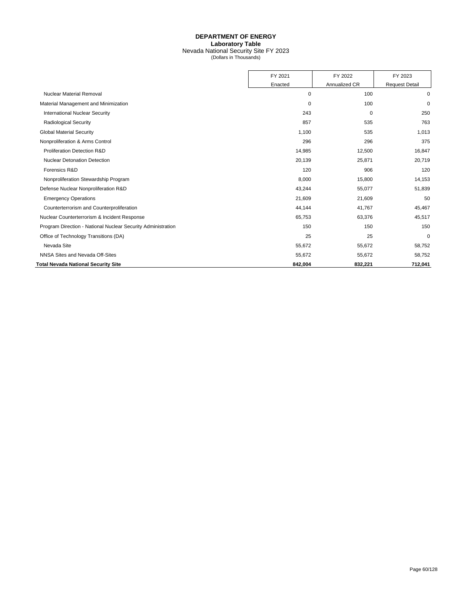## **DEPARTMENT OF ENERGY Laboratory Table** Nevada National Security Site FY 2023 (Dollars in Thousands)

|                                                              | FY 2021 | FY 2022       | FY 2023               |
|--------------------------------------------------------------|---------|---------------|-----------------------|
|                                                              | Enacted | Annualized CR | <b>Request Detail</b> |
| <b>Nuclear Material Removal</b>                              | 0       | 100           | 0                     |
| Material Management and Minimization                         | 0       | 100           | $\mathbf 0$           |
| <b>International Nuclear Security</b>                        | 243     | 0             | 250                   |
| <b>Radiological Security</b>                                 | 857     | 535           | 763                   |
| <b>Global Material Security</b>                              | 1,100   | 535           | 1,013                 |
| Nonproliferation & Arms Control                              | 296     | 296           | 375                   |
| Proliferation Detection R&D                                  | 14,985  | 12,500        | 16,847                |
| <b>Nuclear Detonation Detection</b>                          | 20,139  | 25,871        | 20,719                |
| Forensics R&D                                                | 120     | 906           | 120                   |
| Nonproliferation Stewardship Program                         | 8,000   | 15,800        | 14,153                |
| Defense Nuclear Nonproliferation R&D                         | 43,244  | 55,077        | 51,839                |
| <b>Emergency Operations</b>                                  | 21,609  | 21,609        | 50                    |
| Counterterrorism and Counterproliferation                    | 44,144  | 41,767        | 45,467                |
| Nuclear Counterterrorism & Incident Response                 | 65,753  | 63,376        | 45,517                |
| Program Direction - National Nuclear Security Administration | 150     | 150           | 150                   |
| Office of Technology Transitions (DA)                        | 25      | 25            | $\mathbf 0$           |
| Nevada Site                                                  | 55,672  | 55,672        | 58,752                |
| NNSA Sites and Nevada Off-Sites                              | 55,672  | 55,672        | 58,752                |
| <b>Total Nevada National Security Site</b>                   | 842,004 | 832,221       | 712,041               |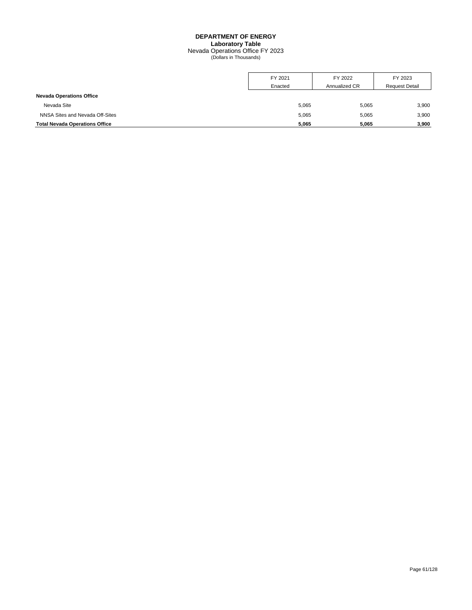Nevada Operations Office FY 2023 (Dollars in Thousands)

|                                       | FY 2021 | FY 2022       | FY 2023               |
|---------------------------------------|---------|---------------|-----------------------|
|                                       | Enacted | Annualized CR | <b>Request Detail</b> |
| <b>Nevada Operations Office</b>       |         |               |                       |
| Nevada Site                           | 5,065   | 5,065         | 3,900                 |
| NNSA Sites and Nevada Off-Sites       | 5,065   | 5,065         | 3,900                 |
| <b>Total Nevada Operations Office</b> | 5,065   | 5,065         | 3,900                 |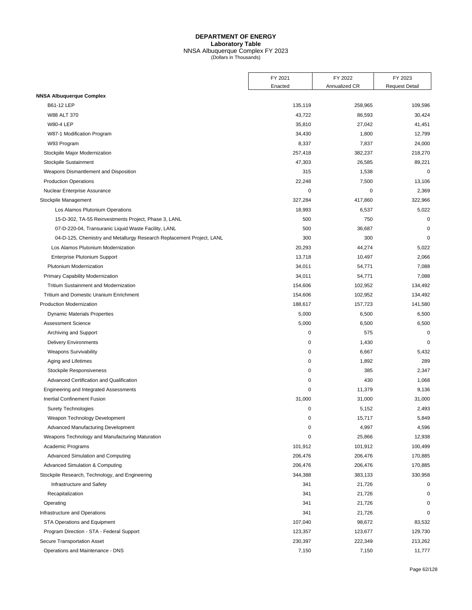## **DEPARTMENT OF ENERGY Laboratory Table** NNSA Albuquerque Complex FY 2023 (Dollars in Thousands)

|                                                                       | FY 2021     | FY 2022       | FY 2023               |
|-----------------------------------------------------------------------|-------------|---------------|-----------------------|
|                                                                       | Enacted     | Annualized CR | <b>Request Detail</b> |
| <b>NNSA Albuquerque Complex</b>                                       |             |               |                       |
| B61-12 LEP                                                            | 135,119     | 258,965       | 109,596               |
| W88 ALT 370                                                           | 43,722      | 86,593        | 30,424                |
| <b>W80-4 LEP</b>                                                      | 35,810      | 27,042        | 41,451                |
| W87-1 Modification Program                                            | 34,430      | 1,800         | 12,799                |
| W93 Program                                                           | 8,337       | 7,837         | 24,000                |
| Stockpile Major Modernization                                         | 257,418     | 382,237       | 218,270               |
| Stockpile Sustainment                                                 | 47,303      | 26,585        | 89,221                |
| Weapons Dismantlement and Disposition                                 | 315         | 1,538         | $\mathbf 0$           |
| <b>Production Operations</b>                                          | 22,248      | 7,500         | 13,106                |
| Nuclear Enterprise Assurance                                          | 0           | $\mathbf 0$   | 2,369                 |
| Stockpile Management                                                  | 327,284     | 417,860       | 322,966               |
| Los Alamos Plutonium Operations                                       | 18,993      | 6,537         | 5,022                 |
| 15-D-302, TA-55 Reinvestments Project, Phase 3, LANL                  | 500         | 750           | $\mathbf 0$           |
| 07-D-220-04, Transuranic Liquid Waste Facility, LANL                  | 500         | 36,687        | $\mathbf 0$           |
| 04-D-125, Chemistry and Metallurgy Research Replacement Project, LANL | 300         | 300           | $\mathbf 0$           |
| Los Alamos Plutonium Modernization                                    | 20,293      | 44,274        | 5,022                 |
| <b>Enterprise Plutonium Support</b>                                   | 13,718      | 10,497        | 2,066                 |
| Plutonium Modernization                                               | 34,011      | 54,771        | 7,088                 |
| Primary Capability Modernization                                      | 34,011      | 54,771        | 7,088                 |
| <b>Tritium Sustainment and Modernization</b>                          | 154,606     | 102,952       | 134,492               |
| Tritium and Domestic Uranium Enrichment                               | 154,606     | 102,952       | 134,492               |
| <b>Production Modernization</b>                                       | 188,617     | 157,723       | 141,580               |
| <b>Dynamic Materials Properties</b>                                   | 5,000       | 6,500         | 6,500                 |
| <b>Assessment Science</b>                                             | 5,000       | 6,500         | 6,500                 |
| Archiving and Support                                                 | 0           | 575           | $\mathbf 0$           |
| <b>Delivery Environments</b>                                          | 0           | 1,430         | $\mathbf 0$           |
| <b>Weapons Survivability</b>                                          | 0           | 6,667         | 5,432                 |
| Aging and Lifetimes                                                   | $\mathbf 0$ | 1,892         | 289                   |
| Stockpile Responsiveness                                              | 0           | 385           | 2,347                 |
| Advanced Certification and Qualification                              | 0           | 430           | 1,068                 |
| Engineering and Integrated Assessments                                | $\mathbf 0$ | 11,379        | 9,136                 |
| <b>Inertial Confinement Fusion</b>                                    | 31,000      | 31,000        | 31,000                |
| <b>Surety Technologies</b>                                            | $\mathbf 0$ | 5,152         | 2,493                 |
| Weapon Technology Development                                         | 0           | 15,717        | 5,849                 |
| Advanced Manufacturing Development                                    | 0           | 4,997         | 4,596                 |
| Weapons Technology and Manufacturing Maturation                       | 0           | 25,866        | 12,938                |
| Academic Programs                                                     | 101,912     | 101,912       | 100,499               |
| Advanced Simulation and Computing                                     | 206,476     | 206,476       | 170,885               |
| Advanced Simulation & Computing                                       | 206,476     | 206,476       | 170,885               |
| Stockpile Research, Technology, and Engineering                       | 344,388     | 383,133       | 330,958               |
| Infrastructure and Safety                                             | 341         | 21,726        | $\pmb{0}$             |
| Recapitalization                                                      | 341         | 21,726        | 0                     |
| Operating                                                             | 341         | 21,726        | 0                     |
| Infrastructure and Operations                                         | 341         | 21,726        | $\mathbf 0$           |
| STA Operations and Equipment                                          | 107,040     | 98,672        | 83,532                |
| Program Direction - STA - Federal Support                             | 123,357     | 123,677       | 129,730               |
| Secure Transportation Asset                                           | 230,397     | 222,349       | 213,262               |
| Operations and Maintenance - DNS                                      | 7,150       | 7,150         | 11,777                |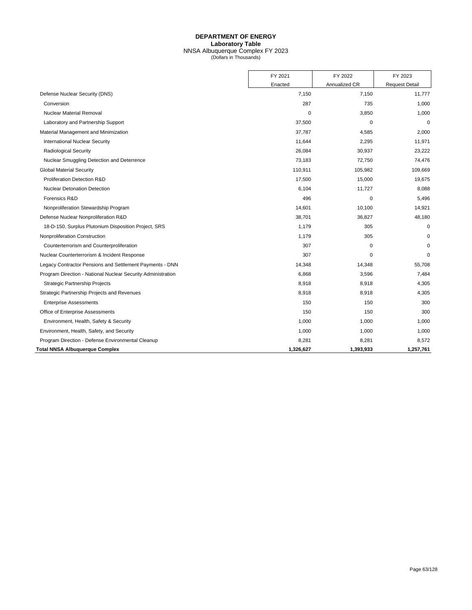## **DEPARTMENT OF ENERGY Laboratory Table** NNSA Albuquerque Complex FY 2023 (Dollars in Thousands)

|                                                              | FY 2021   | FY 2022       | FY 2023               |
|--------------------------------------------------------------|-----------|---------------|-----------------------|
|                                                              | Enacted   | Annualized CR | <b>Request Detail</b> |
| Defense Nuclear Security (DNS)                               | 7,150     | 7,150         | 11,777                |
| Conversion                                                   | 287       | 735           | 1,000                 |
| <b>Nuclear Material Removal</b>                              | 0         | 3,850         | 1,000                 |
| Laboratory and Partnership Support                           | 37,500    | 0             | $\mathbf 0$           |
| Material Management and Minimization                         | 37,787    | 4,585         | 2,000                 |
| <b>International Nuclear Security</b>                        | 11,644    | 2,295         | 11,971                |
| <b>Radiological Security</b>                                 | 26,084    | 30,937        | 23,222                |
| Nuclear Smuggling Detection and Deterrence                   | 73,183    | 72,750        | 74,476                |
| <b>Global Material Security</b>                              | 110,911   | 105,982       | 109,669               |
| Proliferation Detection R&D                                  | 17,500    | 15,000        | 19,675                |
| <b>Nuclear Detonation Detection</b>                          | 6,104     | 11,727        | 8,088                 |
| Forensics R&D                                                | 496       | 0             | 5,496                 |
| Nonproliferation Stewardship Program                         | 14,601    | 10,100        | 14,921                |
| Defense Nuclear Nonproliferation R&D                         | 38,701    | 36,827        | 48,180                |
| 18-D-150, Surplus Plutonium Disposition Project, SRS         | 1,179     | 305           | $\mathbf 0$           |
| Nonproliferation Construction                                | 1,179     | 305           | $\mathbf 0$           |
| Counterterrorism and Counterproliferation                    | 307       | 0             | $\Omega$              |
| Nuclear Counterterrorism & Incident Response                 | 307       | $\mathbf 0$   | $\mathbf 0$           |
| Legacy Contractor Pensions and Settlement Payments - DNN     | 14,348    | 14,348        | 55,708                |
| Program Direction - National Nuclear Security Administration | 6,868     | 3,596         | 7,484                 |
| <b>Strategic Partnership Projects</b>                        | 8,918     | 8,918         | 4,305                 |
| Strategic Partnership Projects and Revenues                  | 8,918     | 8,918         | 4,305                 |
| <b>Enterprise Assessments</b>                                | 150       | 150           | 300                   |
| Office of Enterprise Assessments                             | 150       | 150           | 300                   |
| Environment, Health, Safety & Security                       | 1,000     | 1,000         | 1,000                 |
| Environment, Health, Safety, and Security                    | 1,000     | 1,000         | 1,000                 |
| Program Direction - Defense Environmental Cleanup            | 8,281     | 8,281         | 8,572                 |
| <b>Total NNSA Albuquerque Complex</b>                        | 1,326,627 | 1,393,933     | 1,257,761             |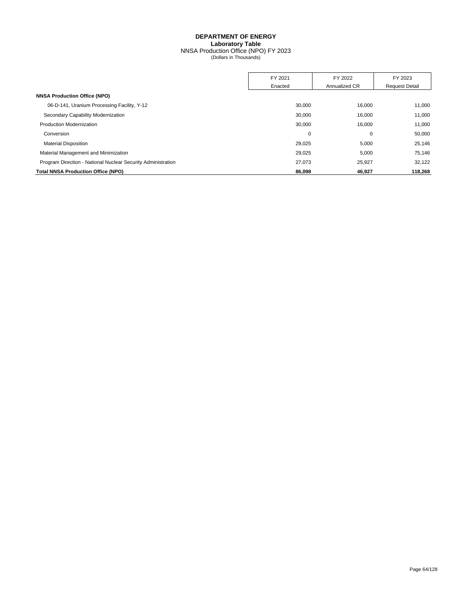NNSA Production Office (NPO) FY 2023 (Dollars in Thousands)

|                                                              | FY 2021 | FY 2022       | FY 2023               |
|--------------------------------------------------------------|---------|---------------|-----------------------|
|                                                              | Enacted | Annualized CR | <b>Request Detail</b> |
| <b>NNSA Production Office (NPO)</b>                          |         |               |                       |
| 06-D-141, Uranium Processing Facility, Y-12                  | 30,000  | 16,000        | 11,000                |
| Secondary Capability Modernization                           | 30,000  | 16.000        | 11,000                |
| <b>Production Modernization</b>                              | 30,000  | 16,000        | 11,000                |
| Conversion                                                   | 0       | 0             | 50,000                |
| <b>Material Disposition</b>                                  | 29,025  | 5,000         | 25,146                |
| Material Management and Minimization                         | 29.025  | 5,000         | 75.146                |
| Program Direction - National Nuclear Security Administration | 27,073  | 25,927        | 32,122                |
| <b>Total NNSA Production Office (NPO)</b>                    | 86,098  | 46,927        | 118,268               |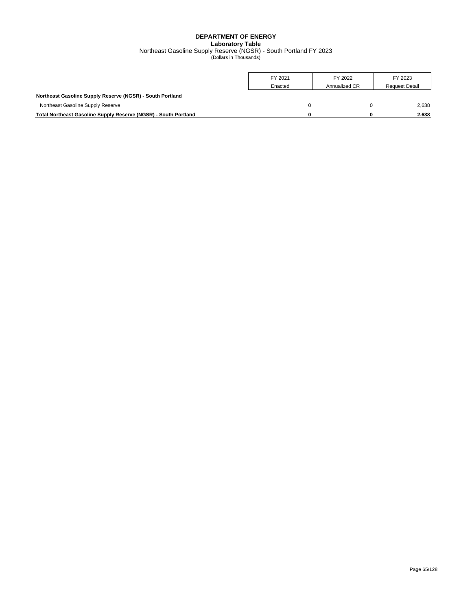## **DEPARTMENT OF ENERGY Laboratory Table** Northeast Gasoline Supply Reserve (NGSR) - South Portland FY 2023 (Dollars in Thousands)

|                                                                 | FY 2021<br>Enacted | FY 2022<br>Annualized CR | FY 2023<br><b>Request Detail</b> |
|-----------------------------------------------------------------|--------------------|--------------------------|----------------------------------|
| Northeast Gasoline Supply Reserve (NGSR) - South Portland       |                    |                          |                                  |
| Northeast Gasoline Supply Reserve                               |                    |                          | 2.638                            |
| Total Northeast Gasoline Supply Reserve (NGSR) - South Portland | n                  | U                        | 2.638                            |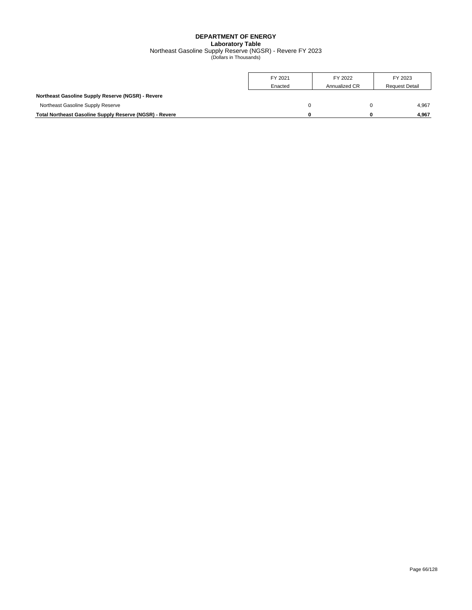## **DEPARTMENT OF ENERGY Laboratory Table** Northeast Gasoline Supply Reserve (NGSR) - Revere FY 2023 (Dollars in Thousands)

|                                                                | FY 2021<br>Enacted | FY 2022<br>Annualized CR | FY 2023<br><b>Request Detail</b> |
|----------------------------------------------------------------|--------------------|--------------------------|----------------------------------|
| <b>Northeast Gasoline Supply Reserve (NGSR) - Revere</b>       |                    |                          |                                  |
| Northeast Gasoline Supply Reserve                              |                    |                          | 4.967                            |
| <b>Total Northeast Gasoline Supply Reserve (NGSR) - Revere</b> | n                  |                          | 4.967                            |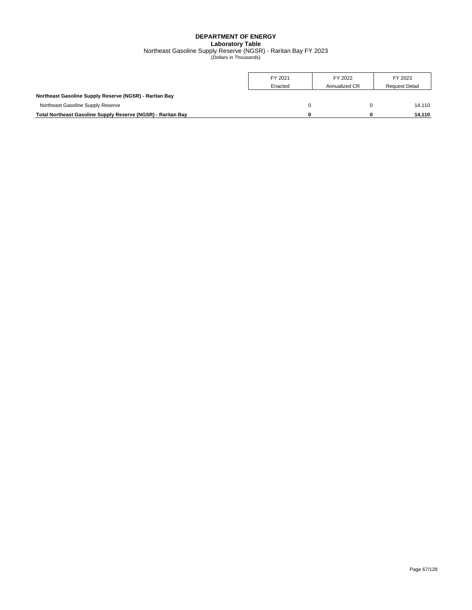### **DEPARTMENT OF ENERGY Laboratory Table** Northeast Gasoline Supply Reserve (NGSR) - Raritan Bay FY 2023 (Dollars in Thousands)

|                                                              | FY 2021<br>Enacted | FY 2022<br>Annualized CR | FY 2023<br><b>Request Detail</b> |
|--------------------------------------------------------------|--------------------|--------------------------|----------------------------------|
| Northeast Gasoline Supply Reserve (NGSR) - Raritan Bay       |                    |                          |                                  |
| Northeast Gasoline Supply Reserve                            |                    |                          | 14.110                           |
| Total Northeast Gasoline Supply Reserve (NGSR) - Raritan Bay | n                  |                          | 14,110                           |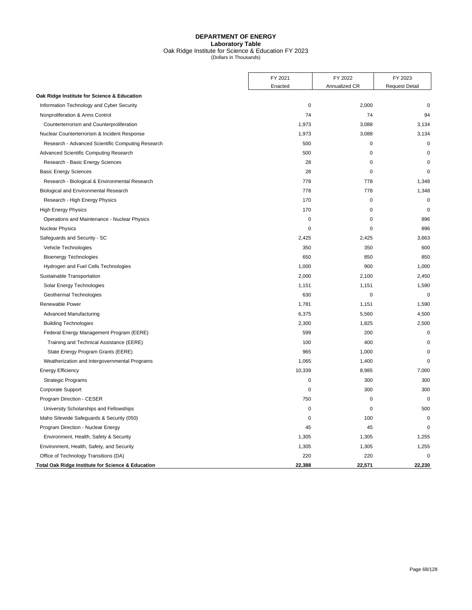## **DEPARTMENT OF ENERGY Laboratory Table** Oak Ridge Institute for Science & Education FY 2023 (Dollars in Thousands)

|                                                   | FY 2021     | FY 2022<br>Annualized CR | FY 2023<br><b>Request Detail</b> |
|---------------------------------------------------|-------------|--------------------------|----------------------------------|
|                                                   | Enacted     |                          |                                  |
| Oak Ridge Institute for Science & Education       |             |                          |                                  |
| Information Technology and Cyber Security         | $\mathbf 0$ | 2,000                    | $\mathbf 0$                      |
| Nonproliferation & Arms Control                   | 74          | 74                       | 94                               |
| Counterterrorism and Counterproliferation         | 1,973       | 3,088                    | 3,134                            |
| Nuclear Counterterrorism & Incident Response      | 1,973       | 3,088                    | 3,134                            |
| Research - Advanced Scientific Computing Research | 500         | $\pmb{0}$                | $\mathbf 0$                      |
| Advanced Scientific Computing Research            | 500         | $\mathbf 0$              | $\mathbf 0$                      |
| Research - Basic Energy Sciences                  | 28          | $\mathbf 0$              | $\mathbf 0$                      |
| <b>Basic Energy Sciences</b>                      | 28          | 0                        | $\mathbf 0$                      |
| Research - Biological & Environmental Research    | 778         | 778                      | 1,348                            |
| Biological and Environmental Research             | 778         | 778                      | 1,348                            |
| Research - High Energy Physics                    | 170         | 0                        | $\mathbf 0$                      |
| <b>High Energy Physics</b>                        | 170         | $\mathbf 0$              | $\Omega$                         |
| Operations and Maintenance - Nuclear Physics      | $\mathbf 0$ | $\mathbf 0$              | 896                              |
| <b>Nuclear Physics</b>                            | 0           | 0                        | 896                              |
| Safeguards and Security - SC                      | 2,425       | 2,425                    | 3,663                            |
| Vehicle Technologies                              | 350         | 350                      | 600                              |
| <b>Bioenergy Technologies</b>                     | 650         | 850                      | 850                              |
| Hydrogen and Fuel Cells Technologies              | 1,000       | 900                      | 1,000                            |
| Sustainable Transportation                        | 2,000       | 2,100                    | 2,450                            |
| Solar Energy Technologies                         | 1,151       | 1,151                    | 1,590                            |
| Geothermal Technologies                           | 630         | 0                        | $\mathbf 0$                      |
| Renewable Power                                   | 1,781       | 1,151                    | 1,590                            |
| <b>Advanced Manufacturing</b>                     | 6,375       | 5,560                    | 4,500                            |
| <b>Building Technologies</b>                      | 2,300       | 1,825                    | 2,500                            |
| Federal Energy Management Program (EERE)          | 599         | 200                      | $\mathbf 0$                      |
| Training and Technical Assistance (EERE)          | 100         | 400                      | $\mathbf 0$                      |
| State Energy Program Grants (EERE)                | 965         | 1,000                    | 0                                |
| Weatherization and Intergovernmental Programs     | 1,065       | 1,400                    | $\mathbf 0$                      |
| <b>Energy Efficiency</b>                          | 10,339      | 8,985                    | 7,000                            |
| <b>Strategic Programs</b>                         | $\mathbf 0$ | 300                      | 300                              |
| Corporate Support                                 | $\mathbf 0$ | 300                      | 300                              |
| Program Direction - CESER                         | 750         | 0                        | $\mathbf 0$                      |
| University Scholarships and Fellowships           | 0           | 0                        | 500                              |
| Idaho Sitewide Safeguards & Security (050)        | 0           | 100                      | $\mathbf 0$                      |
| Program Direction - Nuclear Energy                | 45          | 45                       | $\Omega$                         |
| Environment, Health, Safety & Security            | 1,305       | 1,305                    | 1,255                            |
| Environment, Health, Safety, and Security         | 1,305       | 1,305                    | 1,255                            |
| Office of Technology Transitions (DA)             | 220         | 220                      | $\mathbf 0$                      |
| Total Oak Ridge Institute for Science & Education | 22,388      | 22,571                   | 22,230                           |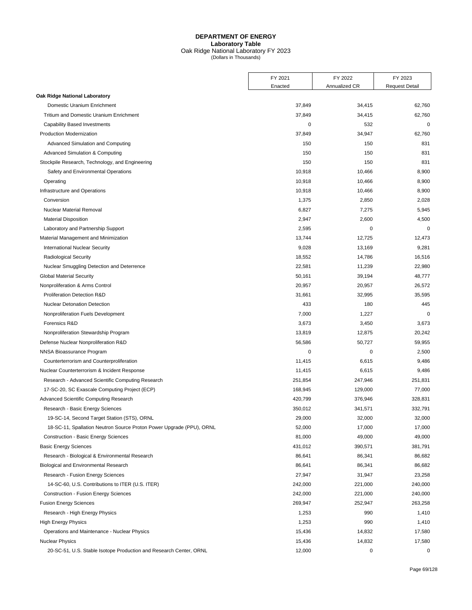## **DEPARTMENT OF ENERGY Laboratory Table** Oak Ridge National Laboratory FY 2023 (Dollars in Thousands)

|                                                                                              | FY 2021          | FY 2022       | FY 2023               |
|----------------------------------------------------------------------------------------------|------------------|---------------|-----------------------|
|                                                                                              | Enacted          | Annualized CR | <b>Request Detail</b> |
| Oak Ridge National Laboratory                                                                |                  |               |                       |
| Domestic Uranium Enrichment                                                                  | 37,849           | 34,415        | 62,760                |
| <b>Tritium and Domestic Uranium Enrichment</b>                                               | 37,849           | 34,415        | 62,760                |
| <b>Capability Based Investments</b>                                                          | 0                | 532           | $\mathbf 0$           |
| Production Modernization                                                                     | 37,849           | 34,947        | 62,760                |
| Advanced Simulation and Computing                                                            | 150              | 150           | 831                   |
| Advanced Simulation & Computing                                                              | 150              | 150           | 831                   |
| Stockpile Research, Technology, and Engineering                                              | 150              | 150           | 831                   |
| Safety and Environmental Operations                                                          | 10,918           | 10,466        | 8,900                 |
| Operating                                                                                    | 10,918           | 10,466        | 8,900                 |
| Infrastructure and Operations                                                                | 10,918           | 10,466        | 8,900                 |
| Conversion                                                                                   | 1,375            | 2,850         | 2,028                 |
| <b>Nuclear Material Removal</b>                                                              | 6,827            | 7,275         | 5,945                 |
| <b>Material Disposition</b>                                                                  | 2,947            | 2,600         | 4,500                 |
| Laboratory and Partnership Support                                                           | 2,595            | 0             | $\mathbf 0$           |
| Material Management and Minimization                                                         | 13,744           | 12,725        | 12,473                |
| International Nuclear Security                                                               | 9,028            | 13,169        | 9,281                 |
| <b>Radiological Security</b>                                                                 | 18,552           | 14,786        | 16,516                |
| Nuclear Smuggling Detection and Deterrence                                                   | 22,581           | 11,239        | 22,980                |
| <b>Global Material Security</b>                                                              | 50,161           | 39,194        | 48,777                |
| Nonproliferation & Arms Control                                                              | 20,957           | 20,957        | 26,572                |
| <b>Proliferation Detection R&amp;D</b>                                                       | 31,661           | 32,995        | 35,595                |
| <b>Nuclear Detonation Detection</b>                                                          | 433              | 180           | 445                   |
| Nonproliferation Fuels Development                                                           | 7,000            | 1,227         | $\mathbf 0$           |
| Forensics R&D                                                                                | 3,673            | 3,450         | 3,673                 |
| Nonproliferation Stewardship Program                                                         | 13,819           | 12,875        | 20,242                |
| Defense Nuclear Nonproliferation R&D                                                         | 56,586           | 50,727        | 59,955                |
| NNSA Bioassurance Program                                                                    | 0                | $\mathbf 0$   | 2,500                 |
| Counterterrorism and Counterproliferation                                                    | 11,415           | 6,615         | 9,486                 |
| Nuclear Counterterrorism & Incident Response                                                 | 11,415           | 6,615         | 9,486                 |
| Research - Advanced Scientific Computing Research                                            | 251,854          | 247,946       | 251,831               |
| 17-SC-20, SC Exascale Computing Project (ECP)                                                | 168,945          | 129,000       | 77,000                |
| Advanced Scientific Computing Research                                                       | 420,799          | 376,946       | 328,831               |
| Research - Basic Energy Sciences                                                             | 350,012          | 341,571       | 332,791               |
| 19-SC-14, Second Target Station (STS), ORNL                                                  | 29,000           | 32,000        | 32,000                |
| 18-SC-11, Spallation Neutron Source Proton Power Upgrade (PPU), ORNL                         | 52,000           | 17,000        | 17,000                |
| <b>Construction - Basic Energy Sciences</b>                                                  | 81,000           | 49,000        | 49,000                |
| <b>Basic Energy Sciences</b>                                                                 | 431,012          | 390,571       | 381,791               |
| Research - Biological & Environmental Research                                               | 86,641           | 86,341        | 86,682                |
| Biological and Environmental Research                                                        | 86,641           | 86,341        | 86,682                |
| Research - Fusion Energy Sciences                                                            | 27,947           | 31,947        | 23,258                |
| 14-SC-60, U.S. Contributions to ITER (U.S. ITER)                                             | 242,000          | 221,000       | 240,000               |
| <b>Construction - Fusion Energy Sciences</b>                                                 | 242,000          | 221,000       | 240,000               |
|                                                                                              |                  |               |                       |
| <b>Fusion Energy Sciences</b>                                                                | 269,947          | 252,947       | 263,258               |
| Research - High Energy Physics                                                               | 1,253            | 990           | 1,410                 |
| <b>High Energy Physics</b>                                                                   | 1,253            | 990           | 1,410                 |
| Operations and Maintenance - Nuclear Physics                                                 | 15,436           | 14,832        | 17,580                |
| <b>Nuclear Physics</b><br>20-SC-51, U.S. Stable Isotope Production and Research Center, ORNL | 15,436<br>12,000 | 14,832<br>0   | 17,580<br>0           |
|                                                                                              |                  |               |                       |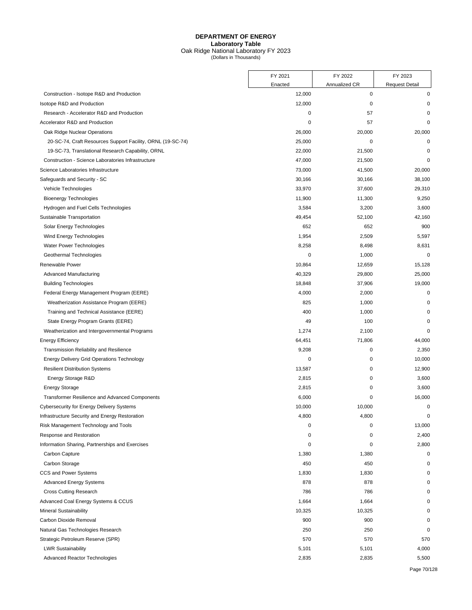## **DEPARTMENT OF ENERGY Laboratory Table** Oak Ridge National Laboratory FY 2023 (Dollars in Thousands)

|                                                             | FY 2021     | FY 2022       | FY 2023               |
|-------------------------------------------------------------|-------------|---------------|-----------------------|
|                                                             | Enacted     | Annualized CR | <b>Request Detail</b> |
| Construction - Isotope R&D and Production                   | 12,000      | 0             | 0                     |
| Isotope R&D and Production                                  | 12,000      | 0             | 0                     |
| Research - Accelerator R&D and Production                   | 0           | 57            | 0                     |
| Accelerator R&D and Production                              | $\mathbf 0$ | 57            | 0                     |
| Oak Ridge Nuclear Operations                                | 26,000      | 20,000        | 20,000                |
| 20-SC-74, Craft Resources Support Facility, ORNL (19-SC-74) | 25,000      | 0             | 0                     |
| 19-SC-73, Translational Research Capability, ORNL           | 22,000      | 21,500        | $\mathbf 0$           |
| Construction - Science Laboratories Infrastructure          | 47,000      | 21,500        | 0                     |
| Science Laboratories Infrastructure                         | 73,000      | 41,500        | 20,000                |
| Safeguards and Security - SC                                | 30,166      | 30,166        | 38,100                |
| Vehicle Technologies                                        | 33,970      | 37,600        | 29,310                |
| <b>Bioenergy Technologies</b>                               | 11,900      | 11,300        | 9,250                 |
| Hydrogen and Fuel Cells Technologies                        | 3,584       | 3,200         | 3,600                 |
| Sustainable Transportation                                  | 49,454      | 52,100        | 42,160                |
| Solar Energy Technologies                                   | 652         | 652           | 900                   |
| Wind Energy Technologies                                    | 1,954       | 2,509         | 5,597                 |
| Water Power Technologies                                    | 8,258       | 8,498         | 8,631                 |
| Geothermal Technologies                                     | 0           | 1,000         | 0                     |
| Renewable Power                                             | 10,864      | 12,659        | 15,128                |
| <b>Advanced Manufacturing</b>                               | 40,329      | 29,800        | 25,000                |
| <b>Building Technologies</b>                                | 18,848      | 37,906        | 19,000                |
| Federal Energy Management Program (EERE)                    | 4,000       | 2,000         | 0                     |
| Weatherization Assistance Program (EERE)                    | 825         | 1,000         | 0                     |
| Training and Technical Assistance (EERE)                    | 400         | 1,000         | 0                     |
| State Energy Program Grants (EERE)                          | 49          | 100           | 0                     |
| Weatherization and Intergovernmental Programs               | 1,274       | 2,100         | 0                     |
| <b>Energy Efficiency</b>                                    | 64,451      | 71,806        | 44,000                |
| Transmission Reliability and Resilience                     | 9,208       | 0             | 2,350                 |
| <b>Energy Delivery Grid Operations Technology</b>           | 0           | 0             | 10,000                |
| <b>Resilient Distribution Systems</b>                       | 13,587      | 0             | 12,900                |
| Energy Storage R&D                                          | 2,815       | 0             | 3,600                 |
| <b>Energy Storage</b>                                       | 2,815       | 0             | 3,600                 |
| <b>Transformer Resilience and Advanced Components</b>       | 6,000       | 0             | 16,000                |
| <b>Cybersecurity for Energy Delivery Systems</b>            | 10,000      | 10,000        | 0                     |
| Infrastructure Security and Energy Restoration              | 4,800       | 4,800         | 0                     |
| Risk Management Technology and Tools                        | $\mathbf 0$ | 0             | 13,000                |
| Response and Restoration                                    | 0           | 0             | 2,400                 |
| Information Sharing, Partnerships and Exercises             | 0           | 0             | 2,800                 |
| Carbon Capture                                              | 1,380       | 1,380         | 0                     |
| Carbon Storage                                              | 450         | 450           | 0                     |
| CCS and Power Systems                                       | 1,830       | 1,830         | $\Omega$              |
| <b>Advanced Energy Systems</b>                              | 878         | 878           | 0                     |
| <b>Cross Cutting Research</b>                               | 786         | 786           | $\Omega$              |
| Advanced Coal Energy Systems & CCUS                         | 1,664       | 1,664         | ŋ                     |
| <b>Mineral Sustainability</b>                               | 10,325      | 10,325        | 0                     |
| Carbon Dioxide Removal                                      | 900         | 900           | 0                     |
| Natural Gas Technologies Research                           | 250         | 250           | 0                     |
| Strategic Petroleum Reserve (SPR)                           | 570         | 570           | 570                   |
| <b>LWR Sustainability</b>                                   | 5,101       | 5,101         | 4,000                 |
| <b>Advanced Reactor Technologies</b>                        | 2,835       | 2,835         | 5,500                 |
|                                                             |             |               |                       |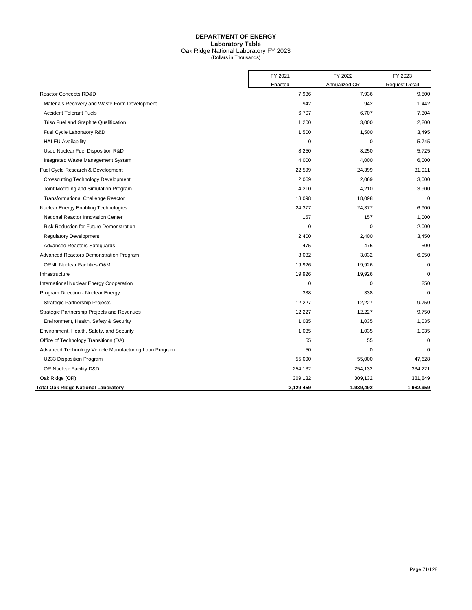#### **DEPARTMENT OF ENERGY Laboratory Table** Oak Ridge National Laboratory FY 2023

|  | (Dollars in Thousands) |  |
|--|------------------------|--|
|--|------------------------|--|

|                                                        | FY 2021     | FY 2022       | FY 2023               |
|--------------------------------------------------------|-------------|---------------|-----------------------|
|                                                        | Enacted     | Annualized CR | <b>Request Detail</b> |
| <b>Reactor Concepts RD&amp;D</b>                       | 7,936       | 7,936         | 9,500                 |
| Materials Recovery and Waste Form Development          | 942         | 942           | 1,442                 |
| <b>Accident Tolerant Fuels</b>                         | 6,707       | 6,707         | 7,304                 |
| Triso Fuel and Graphite Qualification                  | 1,200       | 3,000         | 2,200                 |
| Fuel Cycle Laboratory R&D                              | 1,500       | 1,500         | 3,495                 |
| <b>HALEU Availability</b>                              | 0           | 0             | 5,745                 |
| Used Nuclear Fuel Disposition R&D                      | 8,250       | 8,250         | 5,725                 |
| Integrated Waste Management System                     | 4,000       | 4,000         | 6,000                 |
| Fuel Cycle Research & Development                      | 22,599      | 24,399        | 31,911                |
| <b>Crosscutting Technology Development</b>             | 2,069       | 2,069         | 3,000                 |
| Joint Modeling and Simulation Program                  | 4,210       | 4,210         | 3,900                 |
| <b>Transformational Challenge Reactor</b>              | 18,098      | 18,098        | 0                     |
| Nuclear Energy Enabling Technologies                   | 24,377      | 24,377        | 6,900                 |
| National Reactor Innovation Center                     | 157         | 157           | 1,000                 |
| Risk Reduction for Future Demonstration                | $\mathbf 0$ | $\mathbf 0$   | 2,000                 |
| <b>Regulatory Development</b>                          | 2,400       | 2,400         | 3,450                 |
| <b>Advanced Reactors Safeguards</b>                    | 475         | 475           | 500                   |
| Advanced Reactors Demonstration Program                | 3,032       | 3,032         | 6,950                 |
| <b>ORNL Nuclear Facilities O&amp;M</b>                 | 19,926      | 19,926        | 0                     |
| Infrastructure                                         | 19,926      | 19,926        | $\mathbf 0$           |
| International Nuclear Energy Cooperation               | $\mathbf 0$ | 0             | 250                   |
| Program Direction - Nuclear Energy                     | 338         | 338           | $\mathbf 0$           |
| Strategic Partnership Projects                         | 12,227      | 12,227        | 9,750                 |
| Strategic Partnership Projects and Revenues            | 12,227      | 12,227        | 9,750                 |
| Environment, Health, Safety & Security                 | 1,035       | 1,035         | 1,035                 |
| Environment, Health, Safety, and Security              | 1,035       | 1,035         | 1,035                 |
| Office of Technology Transitions (DA)                  | 55          | 55            | $\Omega$              |
| Advanced Technology Vehicle Manufacturing Loan Program | 50          | $\mathbf 0$   | $\Omega$              |
| U233 Disposition Program                               | 55,000      | 55,000        | 47,628                |
| OR Nuclear Facility D&D                                | 254,132     | 254,132       | 334,221               |
| Oak Ridge (OR)                                         | 309,132     | 309,132       | 381,849               |
| Total Oak Ridge National Laboratory                    | 2,129,459   | 1,939,492     | 1,982,959             |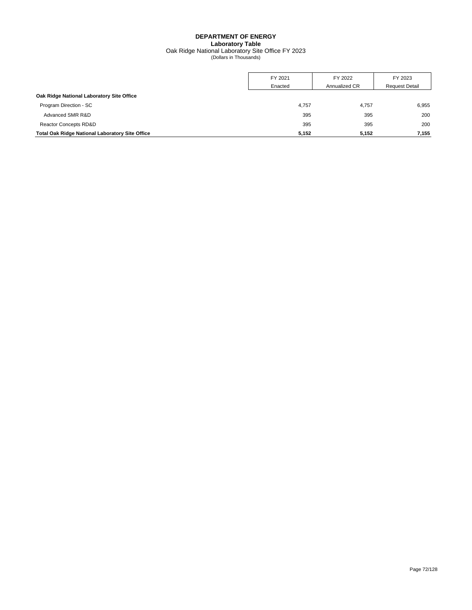## **DEPARTMENT OF ENERGY Laboratory Table** Oak Ridge National Laboratory Site Office FY 2023 (Dollars in Thousands)

|                                                        | FY 2021 | FY 2022       | FY 2023               |
|--------------------------------------------------------|---------|---------------|-----------------------|
|                                                        | Enacted | Annualized CR | <b>Request Detail</b> |
| Oak Ridge National Laboratory Site Office              |         |               |                       |
| Program Direction - SC                                 | 4,757   | 4,757         | 6,955                 |
| Advanced SMR R&D                                       | 395     | 395           | 200                   |
| Reactor Concepts RD&D                                  | 395     | 395           | 200                   |
| <b>Total Oak Ridge National Laboratory Site Office</b> | 5,152   | 5,152         | 7.155                 |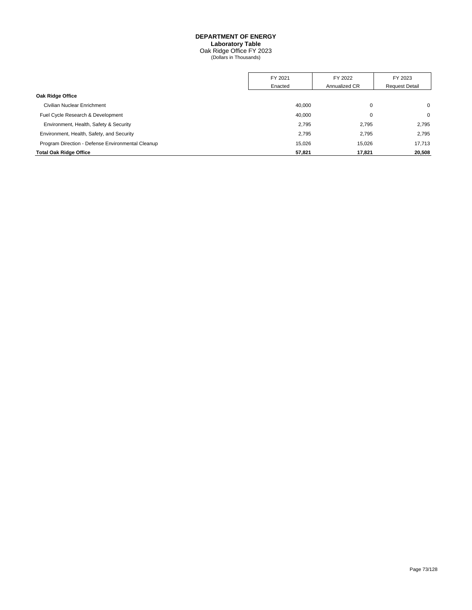#### **DEPARTMENT OF ENERGY Laboratory Table**

Oak Ridge Office FY 2023 (Dollars in Thousands)

|                                                   | FY 2021 | FY 2022       | FY 2023               |
|---------------------------------------------------|---------|---------------|-----------------------|
|                                                   | Enacted | Annualized CR | <b>Request Detail</b> |
| Oak Ridge Office                                  |         |               |                       |
| Civilian Nuclear Enrichment                       | 40,000  | 0             | 0                     |
| Fuel Cycle Research & Development                 | 40,000  | 0             | 0                     |
| Environment, Health, Safety & Security            | 2,795   | 2.795         | 2,795                 |
| Environment, Health, Safety, and Security         | 2,795   | 2,795         | 2,795                 |
| Program Direction - Defense Environmental Cleanup | 15.026  | 15.026        | 17.713                |
| <b>Total Oak Ridge Office</b>                     | 57,821  | 17,821        | 20,508                |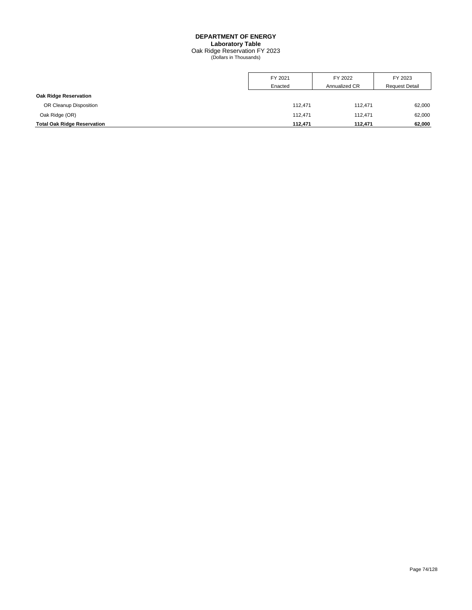## **DEPARTMENT OF ENERGY Laboratory Table** Oak Ridge Reservation FY 2023 (Dollars in Thousands)

|                                    | FY 2021 | FY 2022       | FY 2023               |
|------------------------------------|---------|---------------|-----------------------|
|                                    | Enacted | Annualized CR | <b>Request Detail</b> |
| Oak Ridge Reservation              |         |               |                       |
| OR Cleanup Disposition             | 112.471 | 112,471       | 62,000                |
| Oak Ridge (OR)                     | 112.471 | 112.471       | 62,000                |
| <b>Total Oak Ridge Reservation</b> | 112.471 | 112.471       | 62,000                |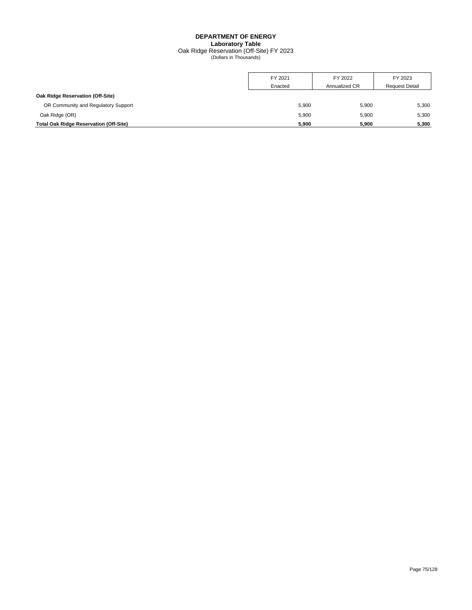## **DEPARTMENT OF ENERGY Laboratory Table** Oak Ridge Reservation (Off-Site) FY 2023 (Dollars in Thousands)

|                                               | FY 2021 | FY 2022       | FY 2023               |
|-----------------------------------------------|---------|---------------|-----------------------|
|                                               | Enacted | Annualized CR | <b>Request Detail</b> |
| Oak Ridge Reservation (Off-Site)              |         |               |                       |
| OR Community and Regulatory Support           | 5,900   | 5,900         | 5,300                 |
| Oak Ridge (OR)                                | 5,900   | 5,900         | 5,300                 |
| <b>Total Oak Ridge Reservation (Off-Site)</b> | 5,900   | 5,900         | 5,300                 |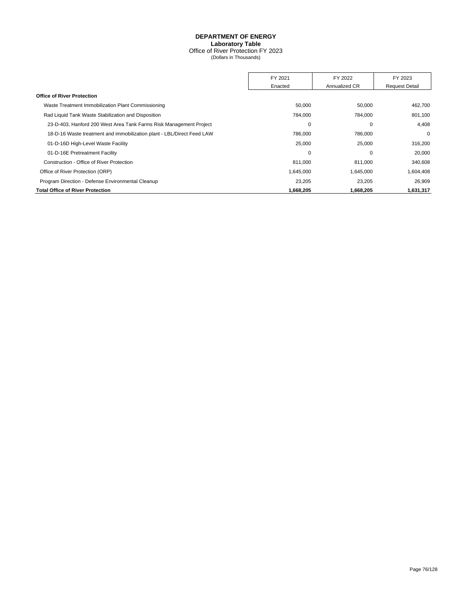#### **DEPARTMENT OF ENERGY Laboratory Table** Office of River Protection FY 2023 (Dollars in Thousands)

FY 2021 FY 2022 FY 2023 Enacted **Annualized CR** Request Detail **Office of River Protection** Waste Treatment Immobilization Plant Commissioning Subsectional Communication Communication of the Subsection of the Subsection of the Subsection of the Subsection of the Subsection of the Subsection of the Subsection of t Rad Liquid Tank Waste Stabilization and Disposition **784,000** 784,000 784,000 784,000 801,100 23-D-403, Hanford 200 West Area Tank Farms Risk Management Project 0 0 4,408 18-D-16 Waste treatment and immobilization plant - LBL/Direct Feed LAW 786,000 786,000 0 01-D-16D High-Level Waste Facility 25,000 25,000 316,200 01-D-16E Pretreatment Facility **0 20,000** 20,000 Construction - Office of River Protection 811,000 811,000 340,608 Office of River Protection (ORP) **1,645,000** 1,645,000 1,645,000 1,604,408 Program Direction - Defense Environmental Cleanup 23,205 23,205 23,205 23,205 26,909 **Total Office of River Protection 1,668,205 1,668,205 1,631,317**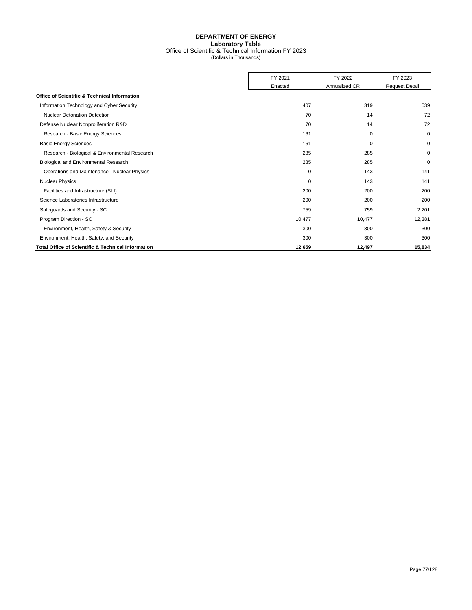# **DEPARTMENT OF ENERGY Laboratory Table** Office of Scientific & Technical Information FY 2023 (Dollars in Thousands)

|                                                               | FY 2021 | FY 2022       | FY 2023               |
|---------------------------------------------------------------|---------|---------------|-----------------------|
|                                                               | Enacted | Annualized CR | <b>Request Detail</b> |
| <b>Office of Scientific &amp; Technical Information</b>       |         |               |                       |
| Information Technology and Cyber Security                     | 407     | 319           | 539                   |
| <b>Nuclear Detonation Detection</b>                           | 70      | 14            | 72                    |
| Defense Nuclear Nonproliferation R&D                          | 70      | 14            | 72                    |
| Research - Basic Energy Sciences                              | 161     | 0             | $\mathbf 0$           |
| <b>Basic Energy Sciences</b>                                  | 161     | 0             | 0                     |
| Research - Biological & Environmental Research                | 285     | 285           | $\mathbf 0$           |
| Biological and Environmental Research                         | 285     | 285           | $\mathbf 0$           |
| Operations and Maintenance - Nuclear Physics                  | 0       | 143           | 141                   |
| <b>Nuclear Physics</b>                                        | 0       | 143           | 141                   |
| Facilities and Infrastructure (SLI)                           | 200     | 200           | 200                   |
| Science Laboratories Infrastructure                           | 200     | 200           | 200                   |
| Safeguards and Security - SC                                  | 759     | 759           | 2,201                 |
| Program Direction - SC                                        | 10,477  | 10,477        | 12,381                |
| Environment, Health, Safety & Security                        | 300     | 300           | 300                   |
| Environment, Health, Safety, and Security                     | 300     | 300           | 300                   |
| <b>Total Office of Scientific &amp; Technical Information</b> | 12,659  | 12,497        | 15,834                |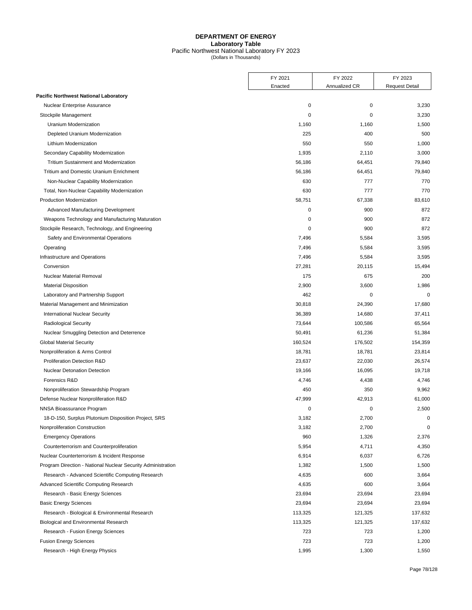## **DEPARTMENT OF ENERGY Laboratory Table** Pacific Northwest National Laboratory FY 2023 (Dollars in Thousands)

|                                                              | FY 2021     | FY 2022       | FY 2023               |
|--------------------------------------------------------------|-------------|---------------|-----------------------|
|                                                              | Enacted     | Annualized CR | <b>Request Detail</b> |
| <b>Pacific Northwest National Laboratory</b>                 |             |               |                       |
| Nuclear Enterprise Assurance                                 | $\mathbf 0$ | 0             | 3,230                 |
| Stockpile Management                                         | 0           | 0             | 3,230                 |
| Uranium Modernization                                        | 1,160       | 1,160         | 1,500                 |
| Depleted Uranium Modernization                               | 225         | 400           | 500                   |
| Lithium Modernization                                        | 550         | 550           | 1,000                 |
| Secondary Capability Modernization                           | 1,935       | 2,110         | 3,000                 |
| Tritium Sustainment and Modernization                        | 56,186      | 64,451        | 79,840                |
| Tritium and Domestic Uranium Enrichment                      | 56,186      | 64,451        | 79,840                |
| Non-Nuclear Capability Modernization                         | 630         | 777           | 770                   |
| Total, Non-Nuclear Capability Modernization                  | 630         | 777           | 770                   |
| Production Modernization                                     | 58,751      | 67,338        | 83,610                |
| Advanced Manufacturing Development                           | 0           | 900           | 872                   |
| Weapons Technology and Manufacturing Maturation              | $\mathbf 0$ | 900           | 872                   |
| Stockpile Research, Technology, and Engineering              | $\mathbf 0$ | 900           | 872                   |
| Safety and Environmental Operations                          | 7,496       | 5,584         | 3,595                 |
| Operating                                                    | 7,496       | 5,584         | 3,595                 |
| Infrastructure and Operations                                | 7,496       | 5,584         | 3,595                 |
| Conversion                                                   | 27,281      | 20,115        | 15,494                |
| <b>Nuclear Material Removal</b>                              | 175         | 675           | 200                   |
| <b>Material Disposition</b>                                  | 2,900       | 3,600         | 1,986                 |
| Laboratory and Partnership Support                           | 462         | 0             | $\mathbf 0$           |
| Material Management and Minimization                         | 30,818      | 24,390        | 17,680                |
| <b>International Nuclear Security</b>                        | 36,389      | 14,680        | 37,411                |
| <b>Radiological Security</b>                                 | 73,644      | 100,586       | 65,564                |
| Nuclear Smuggling Detection and Deterrence                   | 50,491      | 61,236        | 51,384                |
| <b>Global Material Security</b>                              | 160,524     | 176,502       | 154,359               |
| Nonproliferation & Arms Control                              | 18,781      | 18,781        | 23,814                |
| <b>Proliferation Detection R&amp;D</b>                       | 23,637      | 22,030        | 26,574                |
| <b>Nuclear Detonation Detection</b>                          | 19,166      | 16,095        | 19,718                |
| Forensics R&D                                                | 4,746       | 4,438         | 4,746                 |
| Nonproliferation Stewardship Program                         | 450         | 350           | 9,962                 |
| Defense Nuclear Nonproliferation R&D                         | 47,999      | 42,913        | 61,000                |
| NNSA Bioassurance Program                                    | 0           | 0             | 2,500                 |
| 18-D-150, Surplus Plutonium Disposition Project, SRS         | 3,182       | 2,700         | $\Omega$              |
| Nonproliferation Construction                                | 3,182       | 2,700         | 0                     |
| <b>Emergency Operations</b>                                  | 960         | 1,326         | 2,376                 |
| Counterterrorism and Counterproliferation                    | 5,954       | 4,711         | 4,350                 |
| Nuclear Counterterrorism & Incident Response                 | 6,914       | 6,037         | 6,726                 |
| Program Direction - National Nuclear Security Administration | 1,382       | 1,500         | 1,500                 |
| Research - Advanced Scientific Computing Research            | 4,635       | 600           | 3,664                 |
| Advanced Scientific Computing Research                       | 4,635       | 600           | 3,664                 |
| Research - Basic Energy Sciences                             | 23,694      | 23,694        | 23,694                |
| <b>Basic Energy Sciences</b>                                 | 23,694      | 23,694        | 23,694                |
| Research - Biological & Environmental Research               | 113,325     | 121,325       | 137,632               |
| Biological and Environmental Research                        | 113,325     | 121,325       | 137,632               |
| Research - Fusion Energy Sciences                            | 723         | 723           | 1,200                 |
| <b>Fusion Energy Sciences</b>                                | 723         | 723           | 1,200                 |
| Research - High Energy Physics                               | 1,995       | 1,300         | 1,550                 |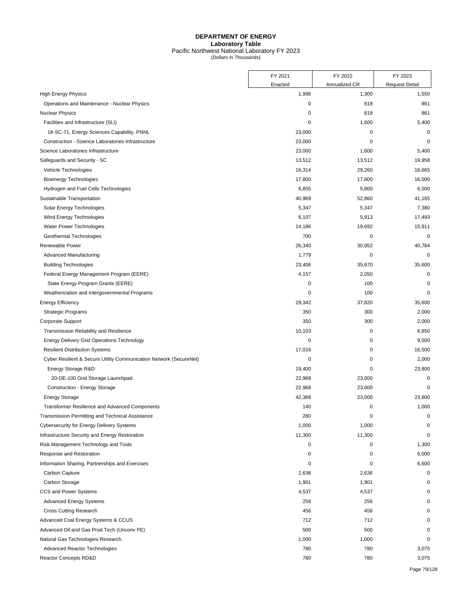## **DEPARTMENT OF ENERGY Laboratory Table** Pacific Northwest National Laboratory FY 2023 (Dollars in Thousands)

|                                                                    | FY 2021     | FY 2022       | FY 2023               |
|--------------------------------------------------------------------|-------------|---------------|-----------------------|
|                                                                    | Enacted     | Annualized CR | <b>Request Detail</b> |
| <b>High Energy Physics</b>                                         | 1,995       | 1,300         | 1,550                 |
| Operations and Maintenance - Nuclear Physics                       | 0           | 818           | 861                   |
| <b>Nuclear Physics</b>                                             | 0           | 818           | 861                   |
| Facilities and Infrastructure (SLI)                                | 0           | 1,600         | 5,400                 |
| 18-SC-71, Energy Sciences Capability, PNNL                         | 23,000      | $\pmb{0}$     | $\mathbf 0$           |
| Construction - Science Laboratories Infrastructure                 | 23,000      | 0             | $\mathbf 0$           |
| Science Laboratories Infrastructure                                | 23,000      | 1,600         | 5,400                 |
| Safeguards and Security - SC                                       | 13,512      | 13,512        | 19,958                |
| Vehicle Technologies                                               | 16,314      | 29,260        | 18,665                |
| <b>Bioenergy Technologies</b>                                      | 17,800      | 17,800        | 16,000                |
| Hydrogen and Fuel Cells Technologies                               | 6,855       | 5,800         | 6,500                 |
| Sustainable Transportation                                         | 40,969      | 52,860        | 41,165                |
| Solar Energy Technologies                                          | 5,347       | 5,347         | 7,380                 |
| Wind Energy Technologies                                           | 6,107       | 5,913         | 17,493                |
| Water Power Technologies                                           | 14,186      | 19,692        | 15,911                |
| Geothermal Technologies                                            | 700         | 0             | 0                     |
| Renewable Power                                                    | 26,340      | 30,952        | 40,784                |
| Advanced Manufacturing                                             | 1,779       | 0             | $\mathbf 0$           |
| <b>Building Technologies</b>                                       | 23,406      | 35,670        | 35,600                |
| Federal Energy Management Program (EERE)                           | 4,157       | 2,050         | 0                     |
| State Energy Program Grants (EERE)                                 | 0           | 100           | 0                     |
| Weatherization and Intergovernmental Programs                      | $\mathbf 0$ | 100           | $\mathbf 0$           |
| <b>Energy Efficiency</b>                                           | 29,342      | 37,820        | 35,600                |
| <b>Strategic Programs</b>                                          | 350         | 300           | 2,000                 |
| Corporate Support                                                  | 350         | 300           | 2,000                 |
| Transmission Reliability and Resilience                            | 10,103      | 0             | 6,850                 |
| <b>Energy Delivery Grid Operations Technology</b>                  | 0           | 0             | 9,500                 |
| <b>Resilient Distribution Systems</b>                              | 17,016      | 0             | 16,500                |
| Cyber Resilient & Secure Utility Communication Network (SecureNet) | 0           | 0             | 2,000                 |
| Energy Storage R&D                                                 | 19,400      | 0             | 23,800                |
| 20-OE-100 Grid Storage Launchpad                                   | 22,968      | 23,000        | 0                     |
| Construction - Energy Storage                                      | 22,968      | 23,000        | 0                     |
| <b>Energy Storage</b>                                              | 42,368      | 23,000        | 23,800                |
| Transformer Resilience and Advanced Components                     | 140         | 0             | 1,000                 |
| Transmission Permitting and Technical Assistance                   | 280         | $\Omega$      | $\mathbf 0$           |
| <b>Cybersecurity for Energy Delivery Systems</b>                   | 1,000       | 1,000         | 0                     |
| Infrastructure Security and Energy Restoration                     | 11,300      | 11,300        | $\mathbf 0$           |
| Risk Management Technology and Tools                               | 0           | 0             | 1,300                 |
| Response and Restoration                                           | 0           | 0             | 6,000                 |
| Information Sharing, Partnerships and Exercises                    | 0           | 0             | 6,600                 |
| Carbon Capture                                                     | 2,636       | 2,636         | $\mathbf 0$           |
| Carbon Storage                                                     | 1,901       | 1,901         | $\mathbf 0$           |
| CCS and Power Systems                                              | 4,537       | 4,537         | ŋ                     |
| <b>Advanced Energy Systems</b>                                     | 256         | 256           |                       |
| <b>Cross Cutting Research</b>                                      | 456         | 456           |                       |
| Advanced Coal Energy Systems & CCUS                                | 712         | 712           | O                     |
| Advanced Oil and Gas Prod Tech (Unconv FE)                         | 500         | 500           | O                     |
| Natural Gas Technologies Research                                  | 1,000       | 1,000         | $\Omega$              |
| Advanced Reactor Technologies                                      | 780         | 780           | 3,075                 |
| Reactor Concepts RD&D                                              | 780         | 780           | 3,075                 |
|                                                                    |             |               |                       |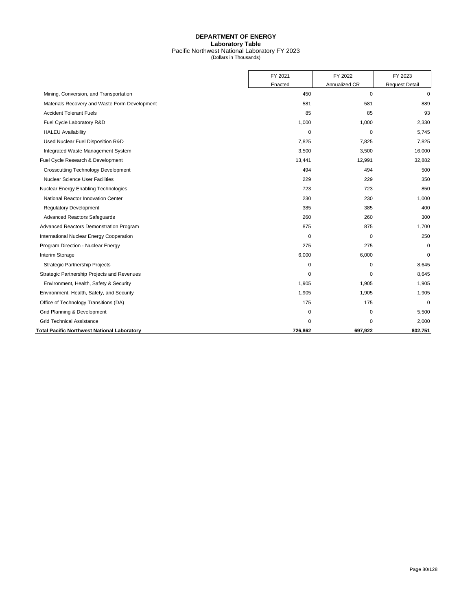## **DEPARTMENT OF ENERGY Laboratory Table** Pacific Northwest National Laboratory FY 2023 (Dollars in Thousands)

|                                                    | FY 2021     | FY 2022       | FY 2023               |
|----------------------------------------------------|-------------|---------------|-----------------------|
|                                                    | Enacted     | Annualized CR | <b>Request Detail</b> |
| Mining, Conversion, and Transportation             | 450         | $\mathbf 0$   | $\mathbf 0$           |
| Materials Recovery and Waste Form Development      | 581         | 581           | 889                   |
| <b>Accident Tolerant Fuels</b>                     | 85          | 85            | 93                    |
| Fuel Cycle Laboratory R&D                          | 1,000       | 1,000         | 2,330                 |
| <b>HALEU Availability</b>                          | $\Omega$    | 0             | 5,745                 |
| Used Nuclear Fuel Disposition R&D                  | 7,825       | 7,825         | 7,825                 |
| Integrated Waste Management System                 | 3,500       | 3,500         | 16,000                |
| Fuel Cycle Research & Development                  | 13,441      | 12,991        | 32,882                |
| <b>Crosscutting Technology Development</b>         | 494         | 494           | 500                   |
| <b>Nuclear Science User Facilities</b>             | 229         | 229           | 350                   |
| Nuclear Energy Enabling Technologies               | 723         | 723           | 850                   |
| National Reactor Innovation Center                 | 230         | 230           | 1,000                 |
| <b>Requlatory Development</b>                      | 385         | 385           | 400                   |
| <b>Advanced Reactors Safeguards</b>                | 260         | 260           | 300                   |
| Advanced Reactors Demonstration Program            | 875         | 875           | 1,700                 |
| International Nuclear Energy Cooperation           | 0           | 0             | 250                   |
| Program Direction - Nuclear Energy                 | 275         | 275           | $\mathbf 0$           |
| Interim Storage                                    | 6,000       | 6,000         | $\mathbf 0$           |
| <b>Strategic Partnership Projects</b>              | $\mathbf 0$ | $\mathbf 0$   | 8,645                 |
| Strategic Partnership Projects and Revenues        | 0           | 0             | 8,645                 |
| Environment, Health, Safety & Security             | 1,905       | 1,905         | 1,905                 |
| Environment, Health, Safety, and Security          | 1,905       | 1,905         | 1,905                 |
| Office of Technology Transitions (DA)              | 175         | 175           | $\mathbf 0$           |
| Grid Planning & Development                        | 0           | 0             | 5,500                 |
| <b>Grid Technical Assistance</b>                   | 0           | $\Omega$      | 2,000                 |
| <b>Total Pacific Northwest National Laboratory</b> | 726,862     | 697,922       | 802,751               |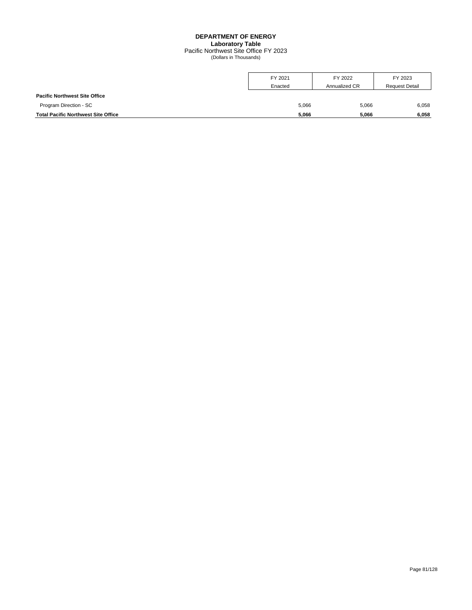# **DEPARTMENT OF ENERGY Laboratory Table**

Pacific Northwest Site Office FY 2023 (Dollars in Thousands)

|                                            | FY 2021<br>Enacted | FY 2022<br>Annualized CR | FY 2023<br><b>Request Detail</b> |
|--------------------------------------------|--------------------|--------------------------|----------------------------------|
| <b>Pacific Northwest Site Office</b>       |                    |                          |                                  |
| Program Direction - SC                     | 5,066              | 5,066                    | 6,058                            |
| <b>Total Pacific Northwest Site Office</b> | 5,066              | 5.066                    | 6.058                            |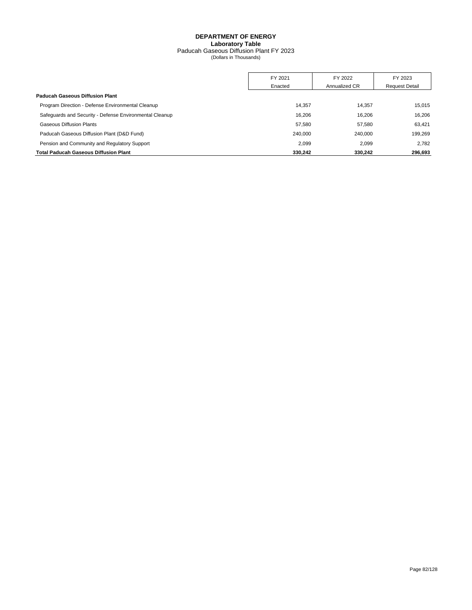## **DEPARTMENT OF ENERGY Laboratory Table** Paducah Gaseous Diffusion Plant FY 2023 (Dollars in Thousands)

|                                                         | FY 2021 | FY 2022       | FY 2023               |
|---------------------------------------------------------|---------|---------------|-----------------------|
|                                                         | Enacted | Annualized CR | <b>Request Detail</b> |
| <b>Paducah Gaseous Diffusion Plant</b>                  |         |               |                       |
| Program Direction - Defense Environmental Cleanup       | 14.357  | 14.357        | 15.015                |
| Safeguards and Security - Defense Environmental Cleanup | 16.206  | 16.206        | 16.206                |
| <b>Gaseous Diffusion Plants</b>                         | 57.580  | 57.580        | 63.421                |
| Paducah Gaseous Diffusion Plant (D&D Fund)              | 240.000 | 240.000       | 199.269               |
| Pension and Community and Regulatory Support            | 2.099   | 2.099         | 2.782                 |
| <b>Total Paducah Gaseous Diffusion Plant</b>            | 330,242 | 330,242       | 296,693               |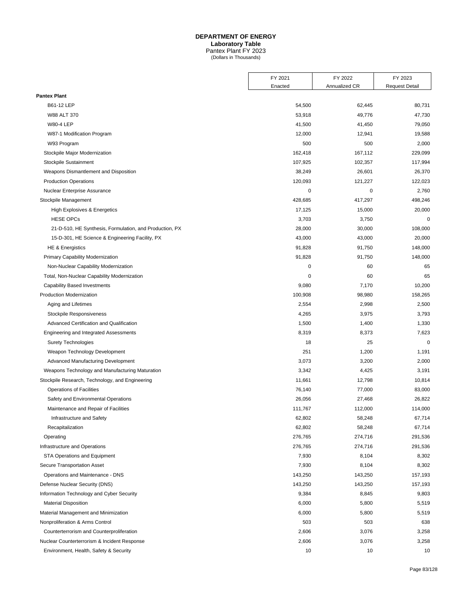# **DEPARTMENT OF ENERGY**

**Laboratory Table**

Pantex Plant FY 2023 (Dollars in Thousands)

|                                                         | FY 2021<br>Enacted | FY 2022<br>Annualized CR | FY 2023<br><b>Request Detail</b> |
|---------------------------------------------------------|--------------------|--------------------------|----------------------------------|
| <b>Pantex Plant</b>                                     |                    |                          |                                  |
| B61-12 LEP                                              | 54,500             | 62,445                   | 80,731                           |
| W88 ALT 370                                             | 53,918             | 49,776                   | 47,730                           |
| <b>W80-4 LEP</b>                                        | 41,500             | 41,450                   | 79,050                           |
|                                                         |                    |                          |                                  |
| W87-1 Modification Program                              | 12,000<br>500      | 12,941<br>500            | 19,588                           |
| W93 Program                                             |                    |                          | 2,000                            |
| Stockpile Major Modernization                           | 162,418            | 167,112                  | 229,099                          |
| Stockpile Sustainment                                   | 107,925            | 102,357                  | 117,994                          |
| Weapons Dismantlement and Disposition                   | 38,249             | 26,601                   | 26,370                           |
| <b>Production Operations</b>                            | 120,093            | 121,227                  | 122,023                          |
| Nuclear Enterprise Assurance                            | 0                  | $\mathbf 0$              | 2,760                            |
| Stockpile Management                                    | 428,685            | 417,297                  | 498,246                          |
| High Explosives & Energetics                            | 17,125             | 15,000                   | 20,000                           |
| <b>HESE OPCs</b>                                        | 3,703              | 3,750                    | $\mathbf 0$                      |
| 21-D-510, HE Synthesis, Formulation, and Production, PX | 28,000             | 30,000                   | 108,000                          |
| 15-D-301, HE Science & Engineering Facility, PX         | 43,000             | 43,000                   | 20,000                           |
| <b>HE &amp; Energistics</b>                             | 91,828             | 91,750                   | 148,000                          |
| Primary Capability Modernization                        | 91,828             | 91,750                   | 148,000                          |
| Non-Nuclear Capability Modernization                    | 0                  | 60                       | 65                               |
| Total, Non-Nuclear Capability Modernization             | 0                  | 60                       | 65                               |
| <b>Capability Based Investments</b>                     | 9,080              | 7,170                    | 10,200                           |
| <b>Production Modernization</b>                         | 100,908            | 98,980                   | 158,265                          |
| Aging and Lifetimes                                     | 2,554              | 2,998                    | 2,500                            |
| Stockpile Responsiveness                                | 4,265              | 3,975                    | 3,793                            |
| Advanced Certification and Qualification                | 1,500              | 1,400                    | 1,330                            |
| Engineering and Integrated Assessments                  | 8,319              | 8,373                    | 7,623                            |
| <b>Surety Technologies</b>                              | 18                 | 25                       | $\mathbf 0$                      |
| Weapon Technology Development                           | 251                | 1,200                    | 1,191                            |
| Advanced Manufacturing Development                      | 3,073              | 3,200                    | 2,000                            |
| Weapons Technology and Manufacturing Maturation         | 3,342              | 4,425                    | 3,191                            |
| Stockpile Research, Technology, and Engineering         | 11,661             | 12,798                   | 10,814                           |
| <b>Operations of Facilities</b>                         | 76,140             | 77,000                   | 83,000                           |
| Safety and Environmental Operations                     | 26,056             | 27,468                   | 26,822                           |
| Maintenance and Repair of Facilities                    | 111,767            | 112,000                  | 114,000                          |
| Infrastructure and Safety                               | 62,802             | 58,248                   | 67,714                           |
| Recapitalization                                        | 62,802             | 58,248                   | 67,714                           |
| Operating                                               | 276,765            | 274,716                  | 291,536                          |
| Infrastructure and Operations                           | 276,765            | 274,716                  | 291,536                          |
| <b>STA Operations and Equipment</b>                     | 7,930              | 8,104                    | 8,302                            |
| Secure Transportation Asset                             | 7,930              | 8,104                    | 8,302                            |
| Operations and Maintenance - DNS                        | 143,250            | 143,250                  | 157,193                          |
| Defense Nuclear Security (DNS)                          | 143,250            | 143,250                  | 157,193                          |
| Information Technology and Cyber Security               | 9,384              | 8,845                    | 9,803                            |
| <b>Material Disposition</b>                             | 6,000              | 5,800                    | 5,519                            |
| Material Management and Minimization                    | 6,000              | 5,800                    | 5,519                            |
| Nonproliferation & Arms Control                         | 503                | 503                      | 638                              |
| Counterterrorism and Counterproliferation               | 2,606              | 3,076                    | 3,258                            |
| Nuclear Counterterrorism & Incident Response            | 2,606              | 3,076                    | 3,258                            |
| Environment, Health, Safety & Security                  | 10                 | 10                       | 10                               |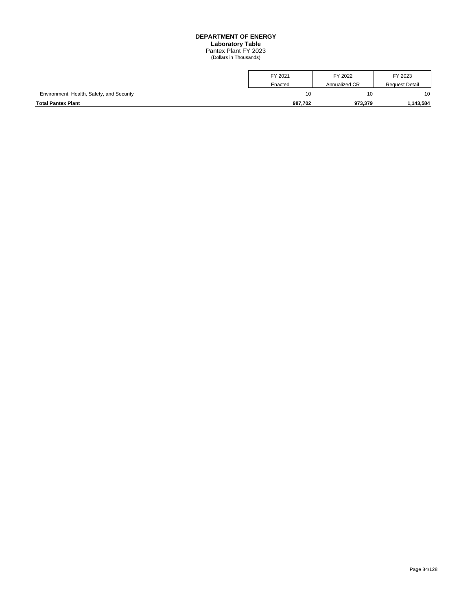## **DEPARTMENT OF ENERGY Laboratory Table** Pantex Plant FY 2023 (Dollars in Thousands)

| <b>Total Pantex Plant</b>                 | 987.702 | 973.379       | .143.584              |
|-------------------------------------------|---------|---------------|-----------------------|
| Environment, Health, Safety, and Security | 10      | 10            | 10                    |
|                                           | Enacted | Annualized CR | <b>Request Detail</b> |
|                                           | FY 2021 | FY 2022       | FY 2023               |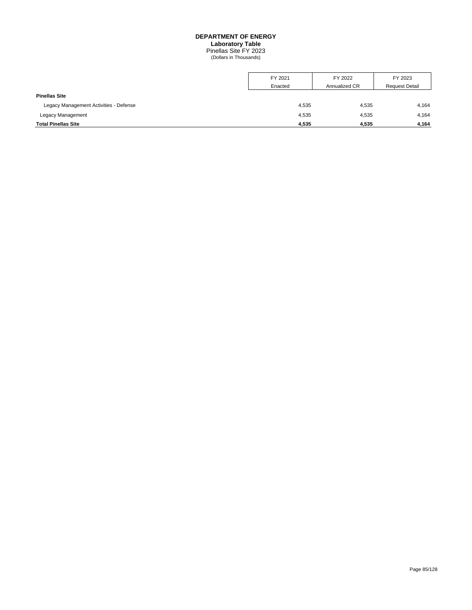# **DEPARTMENT OF ENERGY Laboratory Table**

Pinellas Site FY 2023 (Dollars in Thousands)

|                                        | FY 2021 | FY 2022       | FY 2023               |
|----------------------------------------|---------|---------------|-----------------------|
|                                        | Enacted | Annualized CR | <b>Request Detail</b> |
| <b>Pinellas Site</b>                   |         |               |                       |
| Legacy Management Activities - Defense | 4,535   | 4,535         | 4,164                 |
| Legacy Management                      | 4,535   | 4,535         | 4,164                 |
| <b>Total Pinellas Site</b>             | 4,535   | 4.535         | 4,164                 |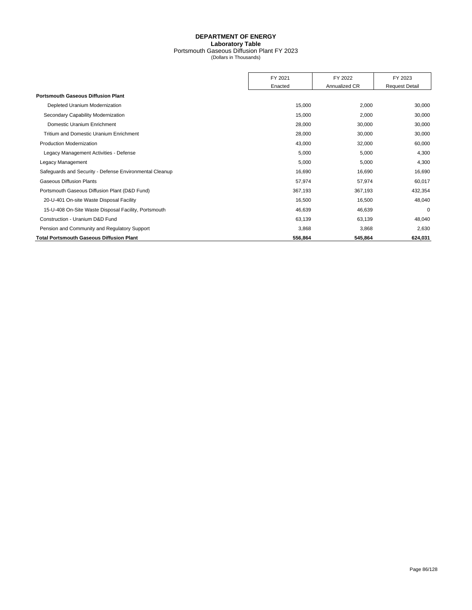## **DEPARTMENT OF ENERGY Laboratory Table** Portsmouth Gaseous Diffusion Plant FY 2023 (Dollars in Thousands)

|                                                         | FY 2021 | FY 2022       | FY 2023               |
|---------------------------------------------------------|---------|---------------|-----------------------|
|                                                         | Enacted | Annualized CR | <b>Request Detail</b> |
| <b>Portsmouth Gaseous Diffusion Plant</b>               |         |               |                       |
| Depleted Uranium Modernization                          | 15,000  | 2,000         | 30,000                |
| Secondary Capability Modernization                      | 15,000  | 2,000         | 30,000                |
| Domestic Uranium Enrichment                             | 28,000  | 30,000        | 30,000                |
| Tritium and Domestic Uranium Enrichment                 | 28,000  | 30,000        | 30,000                |
| <b>Production Modernization</b>                         | 43,000  | 32,000        | 60,000                |
| Legacy Management Activities - Defense                  | 5,000   | 5,000         | 4,300                 |
| Legacy Management                                       | 5,000   | 5,000         | 4,300                 |
| Safeguards and Security - Defense Environmental Cleanup | 16,690  | 16,690        | 16,690                |
| <b>Gaseous Diffusion Plants</b>                         | 57,974  | 57,974        | 60,017                |
| Portsmouth Gaseous Diffusion Plant (D&D Fund)           | 367,193 | 367,193       | 432,354               |
| 20-U-401 On-site Waste Disposal Facility                | 16,500  | 16,500        | 48,040                |
| 15-U-408 On-Site Waste Disposal Facility, Portsmouth    | 46,639  | 46,639        | $\mathbf 0$           |
| Construction - Uranium D&D Fund                         | 63,139  | 63,139        | 48,040                |
| Pension and Community and Regulatory Support            | 3,868   | 3,868         | 2,630                 |
| <b>Total Portsmouth Gaseous Diffusion Plant</b>         | 556,864 | 545,864       | 624,031               |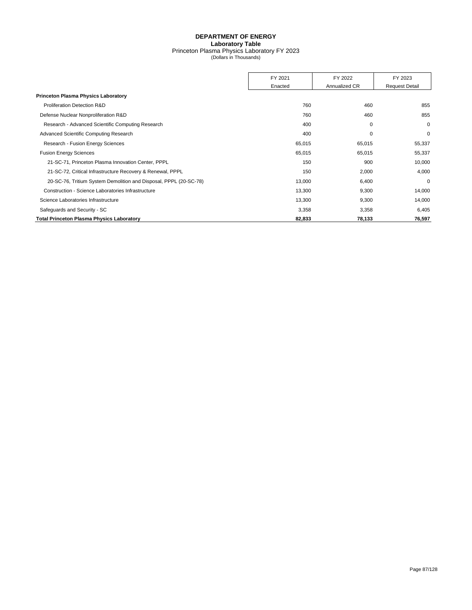## **DEPARTMENT OF ENERGY Laboratory Table** Princeton Plasma Physics Laboratory FY 2023 (Dollars in Thousands)

|                                                                   | FY 2021 | FY 2022       | FY 2023               |
|-------------------------------------------------------------------|---------|---------------|-----------------------|
|                                                                   | Enacted | Annualized CR | <b>Request Detail</b> |
| <b>Princeton Plasma Physics Laboratory</b>                        |         |               |                       |
| <b>Proliferation Detection R&amp;D</b>                            | 760     | 460           | 855                   |
| Defense Nuclear Nonproliferation R&D                              | 760     | 460           | 855                   |
| Research - Advanced Scientific Computing Research                 | 400     | 0             | $\mathbf 0$           |
| Advanced Scientific Computing Research                            | 400     | 0             | $\mathbf 0$           |
| Research - Fusion Energy Sciences                                 | 65,015  | 65,015        | 55,337                |
| <b>Fusion Energy Sciences</b>                                     | 65,015  | 65,015        | 55,337                |
| 21-SC-71, Princeton Plasma Innovation Center, PPPL                | 150     | 900           | 10,000                |
| 21-SC-72, Critical Infrastructure Recovery & Renewal, PPPL        | 150     | 2,000         | 4,000                 |
| 20-SC-76, Tritium System Demolition and Disposal, PPPL (20-SC-78) | 13,000  | 6,400         | $\mathbf 0$           |
| Construction - Science Laboratories Infrastructure                | 13,300  | 9,300         | 14,000                |
| Science Laboratories Infrastructure                               | 13,300  | 9,300         | 14,000                |
| Safequards and Security - SC                                      | 3,358   | 3,358         | 6,405                 |
| <b>Total Princeton Plasma Physics Laboratory</b>                  | 82,833  | 78,133        | 76,597                |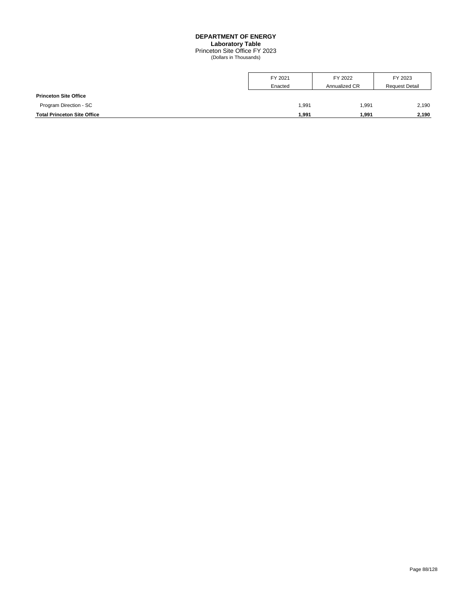## **DEPARTMENT OF ENERGY Laboratory Table** Princeton Site Office FY 2023 (Dollars in Thousands)

|                                    | FY 2021 | FY 2022       | FY 2023               |
|------------------------------------|---------|---------------|-----------------------|
|                                    | Enacted | Annualized CR | <b>Request Detail</b> |
| <b>Princeton Site Office</b>       |         |               |                       |
| Program Direction - SC             | 1,991   | 1,991         | 2,190                 |
| <b>Total Princeton Site Office</b> | 1,991   | 1,991         | 2,190                 |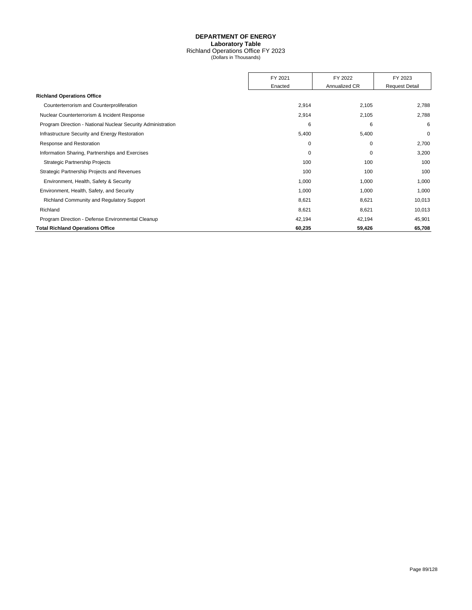## **DEPARTMENT OF ENERGY Laboratory Table** Richland Operations Office FY 2023 (Dollars in Thousands)

|                                                              | FY 2021     | FY 2022       | FY 2023               |
|--------------------------------------------------------------|-------------|---------------|-----------------------|
|                                                              | Enacted     | Annualized CR | <b>Request Detail</b> |
| <b>Richland Operations Office</b>                            |             |               |                       |
| Counterterrorism and Counterproliferation                    | 2,914       | 2,105         | 2,788                 |
| Nuclear Counterterrorism & Incident Response                 | 2,914       | 2,105         | 2,788                 |
| Program Direction - National Nuclear Security Administration | 6           | 6             | 6                     |
| Infrastructure Security and Energy Restoration               | 5,400       | 5,400         | $\mathbf 0$           |
| Response and Restoration                                     | $\mathbf 0$ | 0             | 2,700                 |
| Information Sharing, Partnerships and Exercises              | 0           | 0             | 3,200                 |
| <b>Strategic Partnership Projects</b>                        | 100         | 100           | 100                   |
| Strategic Partnership Projects and Revenues                  | 100         | 100           | 100                   |
| Environment, Health, Safety & Security                       | 1,000       | 1,000         | 1,000                 |
| Environment, Health, Safety, and Security                    | 1,000       | 1,000         | 1,000                 |
| Richland Community and Regulatory Support                    | 8,621       | 8,621         | 10,013                |
| Richland                                                     | 8,621       | 8,621         | 10,013                |
| Program Direction - Defense Environmental Cleanup            | 42,194      | 42,194        | 45,901                |
| <b>Total Richland Operations Office</b>                      | 60,235      | 59,426        | 65,708                |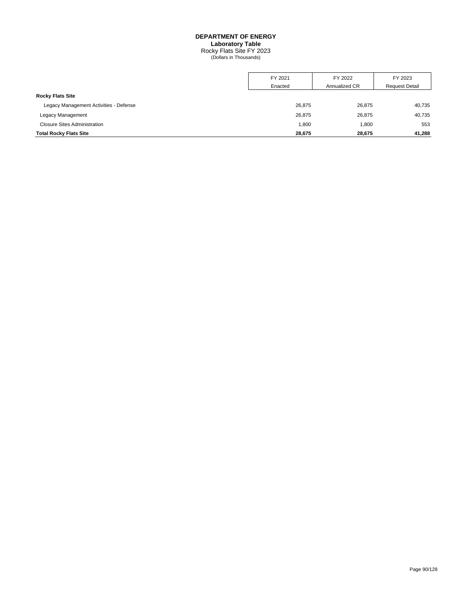#### **DEPARTMENT OF ENERGY Laboratory Table**

Rocky Flats Site FY 2023 (Dollars in Thousands)

|                                        | FY 2021 | FY 2022       | FY 2023               |
|----------------------------------------|---------|---------------|-----------------------|
|                                        | Enacted | Annualized CR | <b>Request Detail</b> |
| <b>Rocky Flats Site</b>                |         |               |                       |
| Legacy Management Activities - Defense | 26,875  | 26,875        | 40,735                |
| Legacy Management                      | 26,875  | 26,875        | 40,735                |
| <b>Closure Sites Administration</b>    | 1,800   | 1,800         | 553                   |
| <b>Total Rocky Flats Site</b>          | 28,675  | 28.675        | 41,288                |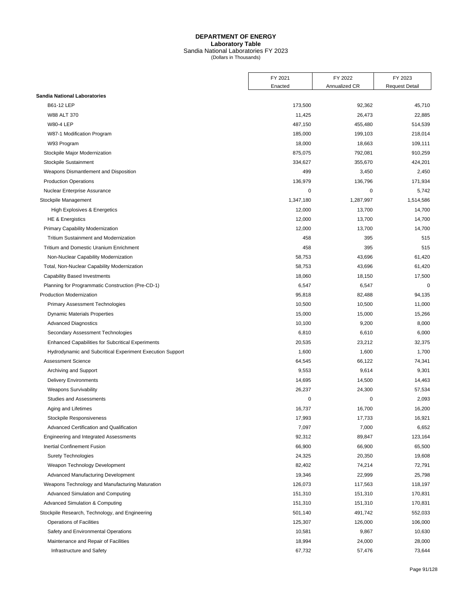## **DEPARTMENT OF ENERGY Laboratory Table** Sandia National Laboratories FY 2023 (Dollars in Thousands)

|                                                           | FY 2021   | FY 2022       | FY 2023               |
|-----------------------------------------------------------|-----------|---------------|-----------------------|
|                                                           | Enacted   | Annualized CR | <b>Request Detail</b> |
| <b>Sandia National Laboratories</b>                       |           |               |                       |
| B61-12 LEP                                                | 173,500   | 92,362        | 45,710                |
| W88 ALT 370                                               | 11,425    | 26,473        | 22,885                |
| <b>W80-4 LEP</b>                                          | 487,150   | 455,480       | 514,539               |
| W87-1 Modification Program                                | 185,000   | 199,103       | 218,014               |
| W93 Program                                               | 18,000    | 18,663        | 109,111               |
| Stockpile Major Modernization                             | 875,075   | 792,081       | 910,259               |
| Stockpile Sustainment                                     | 334,627   | 355,670       | 424,201               |
| Weapons Dismantlement and Disposition                     | 499       | 3,450         | 2,450                 |
| <b>Production Operations</b>                              | 136,979   | 136,796       | 171,934               |
| Nuclear Enterprise Assurance                              | 0         | $\mathbf 0$   | 5,742                 |
| Stockpile Management                                      | 1,347,180 | 1,287,997     | 1,514,586             |
| High Explosives & Energetics                              | 12,000    | 13,700        | 14,700                |
| <b>HE &amp; Energistics</b>                               | 12,000    | 13,700        | 14,700                |
| Primary Capability Modernization                          | 12,000    | 13,700        | 14,700                |
| <b>Tritium Sustainment and Modernization</b>              | 458       | 395           | 515                   |
| <b>Tritium and Domestic Uranium Enrichment</b>            | 458       | 395           | 515                   |
| Non-Nuclear Capability Modernization                      | 58,753    | 43,696        | 61,420                |
| Total, Non-Nuclear Capability Modernization               | 58,753    | 43,696        | 61,420                |
| <b>Capability Based Investments</b>                       | 18,060    | 18,150        | 17,500                |
| Planning for Programmatic Construction (Pre-CD-1)         | 6,547     | 6,547         | $\mathbf 0$           |
| <b>Production Modernization</b>                           | 95,818    | 82,488        | 94,135                |
| <b>Primary Assessment Technologies</b>                    | 10,500    | 10,500        | 11,000                |
| <b>Dynamic Materials Properties</b>                       | 15,000    | 15,000        | 15,266                |
| <b>Advanced Diagnostics</b>                               | 10,100    | 9,200         | 8,000                 |
| Secondary Assessment Technologies                         | 6,810     | 6,610         | 6,000                 |
| <b>Enhanced Capabilities for Subcritical Experiments</b>  | 20,535    | 23,212        | 32,375                |
| Hydrodynamic and Subcritical Experiment Execution Support | 1,600     | 1,600         | 1,700                 |
| <b>Assessment Science</b>                                 | 64,545    | 66,122        | 74,341                |
| Archiving and Support                                     | 9,553     | 9,614         | 9,301                 |
| <b>Delivery Environments</b>                              | 14,695    | 14,500        | 14,463                |
| <b>Weapons Survivability</b>                              | 26,237    | 24,300        | 57,534                |
| <b>Studies and Assessments</b>                            | 0         | $\mathbf 0$   | 2,093                 |
| Aging and Lifetimes                                       | 16,737    | 16,700        | 16,200                |
| Stockpile Responsiveness                                  | 17,993    | 17,733        | 16,921                |
| Advanced Certification and Qualification                  | 7,097     | 7,000         | 6,652                 |
| Engineering and Integrated Assessments                    | 92,312    | 89,847        | 123,164               |
| Inertial Confinement Fusion                               | 66,900    | 66,900        | 65,500                |
| <b>Surety Technologies</b>                                | 24,325    | 20,350        | 19,608                |
| Weapon Technology Development                             | 82,402    | 74,214        | 72,791                |
| Advanced Manufacturing Development                        | 19,346    | 22,999        | 25,798                |
| Weapons Technology and Manufacturing Maturation           | 126,073   | 117,563       | 118,197               |
| Advanced Simulation and Computing                         | 151,310   | 151,310       | 170,831               |
| Advanced Simulation & Computing                           | 151,310   | 151,310       | 170,831               |
| Stockpile Research, Technology, and Engineering           | 501,140   | 491,742       | 552,033               |
| <b>Operations of Facilities</b>                           | 125,307   | 126,000       | 106,000               |
| Safety and Environmental Operations                       | 10,581    | 9,867         | 10,630                |
| Maintenance and Repair of Facilities                      | 18,994    | 24,000        | 28,000                |
| Infrastructure and Safety                                 | 67,732    | 57,476        | 73,644                |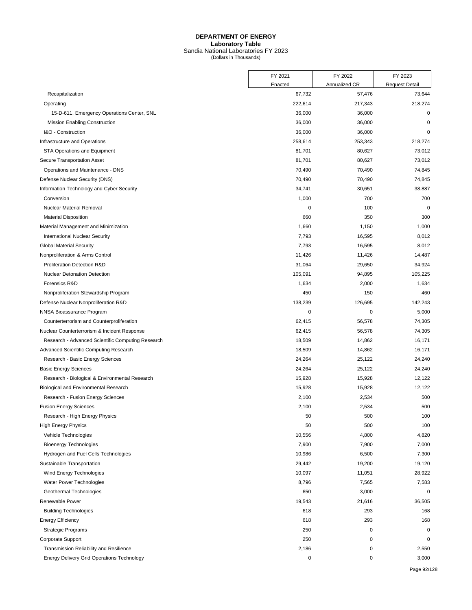## **DEPARTMENT OF ENERGY Laboratory Table** Sandia National Laboratories FY 2023 (Dollars in Thousands)

|                                                   | FY 2021 | FY 2022          | FY 2023               |
|---------------------------------------------------|---------|------------------|-----------------------|
|                                                   | Enacted | Annualized CR    | <b>Request Detail</b> |
| Recapitalization                                  | 67,732  | 57,476           | 73,644                |
| Operating                                         | 222,614 | 217,343          | 218,274               |
| 15-D-611, Emergency Operations Center, SNL        | 36,000  | 36,000           | $\mathbf 0$           |
| Mission Enabling Construction                     | 36,000  | 36,000           | $\mathbf 0$           |
| I&O - Construction                                | 36,000  | 36,000           | $\mathbf 0$           |
| Infrastructure and Operations                     | 258,614 | 253,343          | 218,274               |
| STA Operations and Equipment                      | 81,701  | 80,627           | 73,012                |
| Secure Transportation Asset                       | 81,701  | 80,627           | 73,012                |
| Operations and Maintenance - DNS                  | 70,490  | 70,490           | 74,845                |
| Defense Nuclear Security (DNS)                    | 70,490  | 70,490           | 74,845                |
| Information Technology and Cyber Security         | 34,741  | 30,651           | 38,887                |
| Conversion                                        | 1,000   | 700              | 700                   |
| Nuclear Material Removal                          |         | 100<br>0         | $\mathbf 0$           |
| <b>Material Disposition</b>                       | 660     | 350              | 300                   |
| Material Management and Minimization              | 1,660   | 1,150            | 1,000                 |
| <b>International Nuclear Security</b>             | 7,793   | 16,595           | 8,012                 |
| <b>Global Material Security</b>                   | 7,793   | 16,595           | 8,012                 |
| Nonproliferation & Arms Control                   | 11,426  | 11,426           | 14,487                |
| Proliferation Detection R&D                       | 31,064  | 29,650           | 34,924                |
| Nuclear Detonation Detection                      | 105,091 | 94,895           | 105,225               |
| Forensics R&D                                     | 1,634   | 2,000            | 1,634                 |
| Nonproliferation Stewardship Program              | 450     | 150              | 460                   |
| Defense Nuclear Nonproliferation R&D              | 138,239 | 126,695          | 142,243               |
| NNSA Bioassurance Program                         |         | $\mathbf 0$<br>0 | 5,000                 |
| Counterterrorism and Counterproliferation         | 62,415  | 56,578           | 74,305                |
| Nuclear Counterterrorism & Incident Response      | 62,415  | 56,578           | 74,305                |
| Research - Advanced Scientific Computing Research | 18,509  | 14,862           | 16,171                |
| <b>Advanced Scientific Computing Research</b>     | 18,509  | 14,862           | 16,171                |
| Research - Basic Energy Sciences                  | 24,264  | 25,122           | 24,240                |
| <b>Basic Energy Sciences</b>                      | 24,264  | 25,122           | 24,240                |
| Research - Biological & Environmental Research    | 15,928  | 15,928           | 12,122                |
| Biological and Environmental Research             | 15,928  | 15,928           | 12,122                |
| Research - Fusion Energy Sciences                 | 2,100   | 2,534            | 500                   |
| <b>Fusion Energy Sciences</b>                     | 2,100   | 2,534            | 500                   |
| Research - High Energy Physics                    | 50      | 500              | 100                   |
| <b>High Energy Physics</b>                        | 50      | 500              | 100                   |
| Vehicle Technologies                              | 10,556  | 4,800            | 4,820                 |
| <b>Bioenergy Technologies</b>                     | 7,900   | 7,900            | 7,000                 |
| Hydrogen and Fuel Cells Technologies              | 10,986  | 6,500            | 7,300                 |
| Sustainable Transportation                        | 29,442  | 19,200           | 19,120                |
| Wind Energy Technologies                          | 10,097  | 11,051           | 28,922                |
| Water Power Technologies                          | 8,796   | 7,565            | 7,583                 |
| Geothermal Technologies                           | 650     | 3,000            | $\mathbf 0$           |
| Renewable Power                                   | 19,543  | 21,616           | 36,505                |
| <b>Building Technologies</b>                      | 618     | 293              | 168                   |
| <b>Energy Efficiency</b>                          | 618     | 293              | 168                   |
| <b>Strategic Programs</b>                         | 250     | 0                | 0                     |
| Corporate Support                                 | 250     | 0                | $\mathbf 0$           |
|                                                   |         | 0                |                       |
| Transmission Reliability and Resilience           | 2,186   |                  | 2,550                 |
| Energy Delivery Grid Operations Technology        |         | $\pmb{0}$<br>0   | 3,000                 |

Page 92/128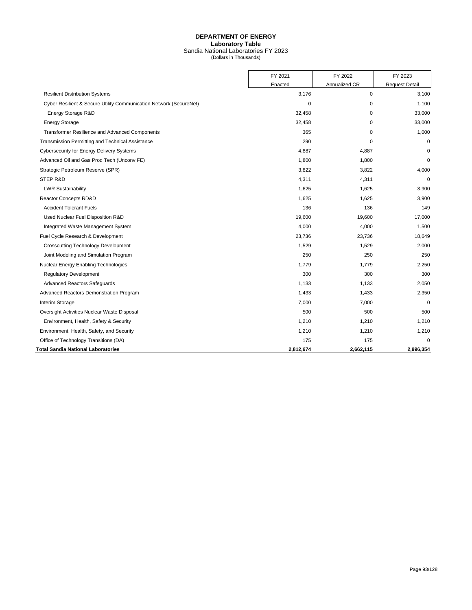## **DEPARTMENT OF ENERGY Laboratory Table** Sandia National Laboratories FY 2023 (Dollars in Thousands)

|                                                                    | FY 2021   | FY 2022       | FY 2023               |
|--------------------------------------------------------------------|-----------|---------------|-----------------------|
|                                                                    | Enacted   | Annualized CR | <b>Request Detail</b> |
| <b>Resilient Distribution Systems</b>                              | 3,176     | 0             | 3,100                 |
| Cyber Resilient & Secure Utility Communication Network (SecureNet) | 0         | 0             | 1,100                 |
| Energy Storage R&D                                                 | 32,458    | $\mathbf 0$   | 33,000                |
| <b>Energy Storage</b>                                              | 32,458    | $\mathbf 0$   | 33,000                |
| <b>Transformer Resilience and Advanced Components</b>              | 365       | $\Omega$      | 1,000                 |
| Transmission Permitting and Technical Assistance                   | 290       | $\mathbf 0$   | $\mathbf 0$           |
| <b>Cybersecurity for Energy Delivery Systems</b>                   | 4,887     | 4,887         | $\mathbf 0$           |
| Advanced Oil and Gas Prod Tech (Unconv FE)                         | 1,800     | 1,800         | $\mathbf 0$           |
| Strategic Petroleum Reserve (SPR)                                  | 3,822     | 3,822         | 4,000                 |
| STEP R&D                                                           | 4,311     | 4,311         | $\mathbf 0$           |
| <b>LWR Sustainability</b>                                          | 1,625     | 1,625         | 3,900                 |
| Reactor Concepts RD&D                                              | 1,625     | 1,625         | 3,900                 |
| <b>Accident Tolerant Fuels</b>                                     | 136       | 136           | 149                   |
| Used Nuclear Fuel Disposition R&D                                  | 19,600    | 19,600        | 17,000                |
| Integrated Waste Management System                                 | 4,000     | 4,000         | 1,500                 |
| Fuel Cycle Research & Development                                  | 23,736    | 23,736        | 18,649                |
|                                                                    |           |               |                       |
| <b>Crosscutting Technology Development</b>                         | 1,529     | 1,529         | 2,000                 |
| Joint Modeling and Simulation Program                              | 250       | 250           | 250                   |
| Nuclear Energy Enabling Technologies                               | 1,779     | 1,779         | 2,250                 |
| <b>Regulatory Development</b>                                      | 300       | 300           | 300                   |
| <b>Advanced Reactors Safeguards</b>                                | 1,133     | 1,133         | 2,050                 |
| Advanced Reactors Demonstration Program                            | 1,433     | 1,433         | 2,350                 |
| Interim Storage                                                    | 7,000     | 7,000         | $\mathbf 0$           |
| Oversight Activities Nuclear Waste Disposal                        | 500       | 500           | 500                   |
| Environment, Health, Safety & Security                             | 1,210     | 1,210         | 1,210                 |
| Environment, Health, Safety, and Security                          | 1,210     | 1,210         | 1,210                 |
| Office of Technology Transitions (DA)                              | 175       | 175           | $\Omega$              |
| Total Sandia National Laboratories                                 | 2,812,674 | 2,662,115     | 2,996,354             |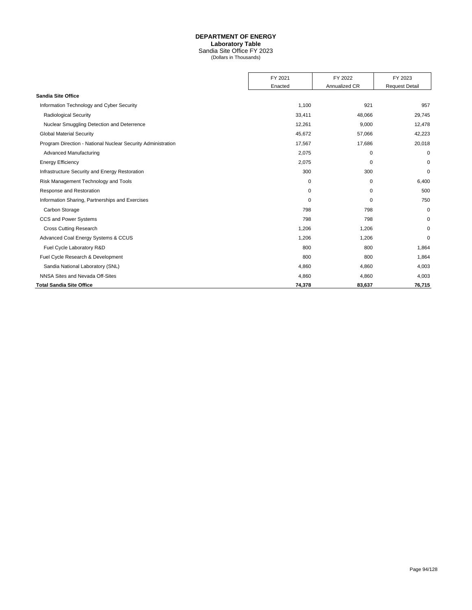# **DEPARTMENT OF ENERGY**

**Laboratory Table**

Sandia Site Office FY 2023 (Dollars in Thousands)

|                                                              | FY 2021     | FY 2022       | FY 2023               |
|--------------------------------------------------------------|-------------|---------------|-----------------------|
|                                                              | Enacted     | Annualized CR | <b>Request Detail</b> |
| <b>Sandia Site Office</b>                                    |             |               |                       |
| Information Technology and Cyber Security                    | 1,100       | 921           | 957                   |
| <b>Radiological Security</b>                                 | 33,411      | 48,066        | 29,745                |
| Nuclear Smuggling Detection and Deterrence                   | 12,261      | 9,000         | 12,478                |
| <b>Global Material Security</b>                              | 45,672      | 57,066        | 42,223                |
| Program Direction - National Nuclear Security Administration | 17,567      | 17,686        | 20,018                |
| Advanced Manufacturing                                       | 2,075       | 0             | 0                     |
| <b>Energy Efficiency</b>                                     | 2,075       | 0             | 0                     |
| Infrastructure Security and Energy Restoration               | 300         | 300           | 0                     |
| Risk Management Technology and Tools                         | 0           | 0             | 6,400                 |
| Response and Restoration                                     | $\mathbf 0$ | $\mathbf 0$   | 500                   |
| Information Sharing, Partnerships and Exercises              | 0           | 0             | 750                   |
| Carbon Storage                                               | 798         | 798           | 0                     |
| CCS and Power Systems                                        | 798         | 798           | 0                     |
| <b>Cross Cutting Research</b>                                | 1,206       | 1,206         | 0                     |
| Advanced Coal Energy Systems & CCUS                          | 1,206       | 1,206         | 0                     |
| Fuel Cycle Laboratory R&D                                    | 800         | 800           | 1,864                 |
| Fuel Cycle Research & Development                            | 800         | 800           | 1,864                 |
| Sandia National Laboratory (SNL)                             | 4,860       | 4,860         | 4,003                 |
| NNSA Sites and Nevada Off-Sites                              | 4,860       | 4,860         | 4,003                 |
| <b>Total Sandia Site Office</b>                              | 74,378      | 83,637        | 76,715                |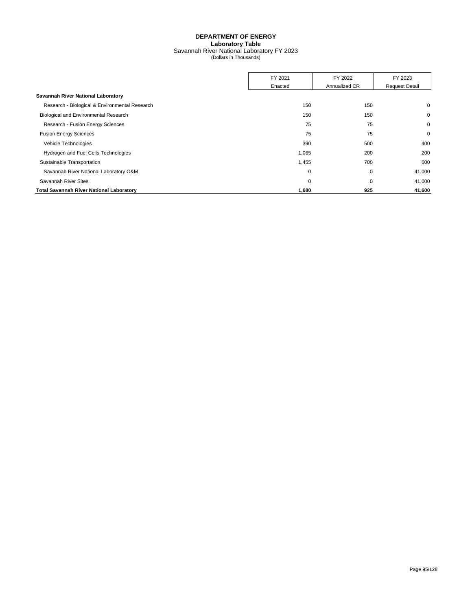## **DEPARTMENT OF ENERGY Laboratory Table** Savannah River National Laboratory FY 2023 (Dollars in Thousands)

|                                                 | FY 2021     | FY 2022       | FY 2023               |
|-------------------------------------------------|-------------|---------------|-----------------------|
|                                                 | Enacted     | Annualized CR | <b>Request Detail</b> |
| Savannah River National Laboratory              |             |               |                       |
| Research - Biological & Environmental Research  | 150         | 150           | $\mathbf 0$           |
| Biological and Environmental Research           | 150         | 150           | 0                     |
| Research - Fusion Energy Sciences               | 75          | 75            | 0                     |
| <b>Fusion Energy Sciences</b>                   | 75          | 75            | $\mathbf 0$           |
| Vehicle Technologies                            | 390         | 500           | 400                   |
| Hydrogen and Fuel Cells Technologies            | 1,065       | 200           | 200                   |
| Sustainable Transportation                      | 1,455       | 700           | 600                   |
| Savannah River National Laboratory O&M          | $\mathbf 0$ | 0             | 41,000                |
| Savannah River Sites                            | $\mathbf 0$ | 0             | 41,000                |
| <b>Total Savannah River National Laboratory</b> | 1,680       | 925           | 41,600                |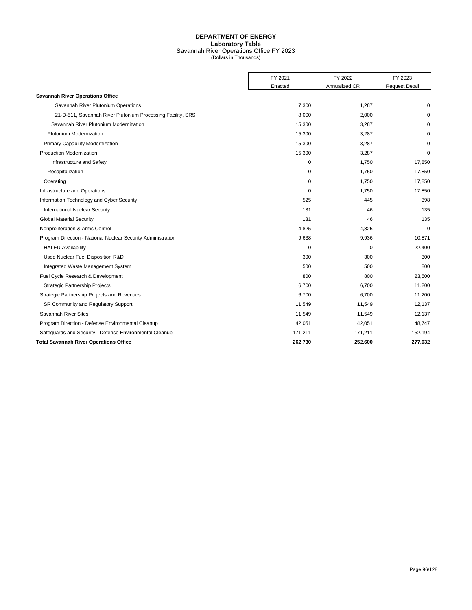## **DEPARTMENT OF ENERGY Laboratory Table** Savannah River Operations Office FY 2023 (Dollars in Thousands)

|                                                              | FY 2021  | FY 2022       | FY 2023               |
|--------------------------------------------------------------|----------|---------------|-----------------------|
|                                                              | Enacted  | Annualized CR | <b>Request Detail</b> |
| <b>Savannah River Operations Office</b>                      |          |               |                       |
| Savannah River Plutonium Operations                          | 7,300    | 1,287         | $\Omega$              |
| 21-D-511, Savannah River Plutonium Processing Facility, SRS  | 8,000    | 2,000         | $\Omega$              |
| Savannah River Plutonium Modernization                       | 15,300   | 3,287         | $\Omega$              |
| Plutonium Modernization                                      | 15,300   | 3,287         | $\Omega$              |
| Primary Capability Modernization                             | 15,300   | 3,287         | $\mathbf 0$           |
| <b>Production Modernization</b>                              | 15,300   | 3,287         | $\mathbf 0$           |
| Infrastructure and Safety                                    | 0        | 1,750         | 17,850                |
| Recapitalization                                             | $\Omega$ | 1,750         | 17,850                |
| Operating                                                    | 0        | 1,750         | 17,850                |
| Infrastructure and Operations                                | $\Omega$ | 1,750         | 17,850                |
| Information Technology and Cyber Security                    | 525      | 445           | 398                   |
| <b>International Nuclear Security</b>                        | 131      | 46            | 135                   |
| <b>Global Material Security</b>                              | 131      | 46            | 135                   |
| Nonproliferation & Arms Control                              | 4,825    | 4,825         | $\mathbf 0$           |
| Program Direction - National Nuclear Security Administration | 9,638    | 9,936         | 10,871                |
| <b>HALEU Availability</b>                                    | 0        | $\mathbf 0$   | 22,400                |
| Used Nuclear Fuel Disposition R&D                            | 300      | 300           | 300                   |
| Integrated Waste Management System                           | 500      | 500           | 800                   |
| Fuel Cycle Research & Development                            | 800      | 800           | 23,500                |
| <b>Strategic Partnership Projects</b>                        | 6,700    | 6,700         | 11,200                |
| Strategic Partnership Projects and Revenues                  | 6,700    | 6,700         | 11,200                |
| SR Community and Regulatory Support                          | 11,549   | 11,549        | 12,137                |
| Savannah River Sites                                         | 11,549   | 11,549        | 12,137                |
| Program Direction - Defense Environmental Cleanup            | 42,051   | 42,051        | 48,747                |
| Safeguards and Security - Defense Environmental Cleanup      | 171,211  | 171,211       | 152,194               |
| <b>Total Savannah River Operations Office</b>                | 262,730  | 252,600       | 277,032               |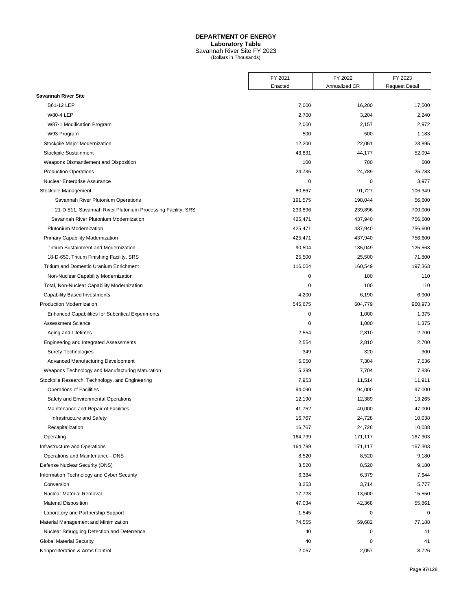#### **DEPARTMENT OF ENERGY Laboratory Table**

Savannah River Site FY 2023 (Dollars in Thousands)

|                                                             | FY 2021 | FY 2022       | FY 2023               |
|-------------------------------------------------------------|---------|---------------|-----------------------|
|                                                             | Enacted | Annualized CR | <b>Request Detail</b> |
| <b>Savannah River Site</b>                                  |         |               |                       |
| B61-12 LEP                                                  | 7,000   | 16,200        | 17,500                |
| <b>W80-4 LEP</b>                                            | 2,700   | 3,204         | 2,240                 |
| W87-1 Modification Program                                  | 2,000   | 2,157         | 2,972                 |
| W93 Program                                                 | 500     | 500           | 1,183                 |
| Stockpile Major Modernization                               | 12,200  | 22,061        | 23,895                |
| Stockpile Sustainment                                       | 43,831  | 44,177        | 52,094                |
| Weapons Dismantlement and Disposition                       | 100     | 700           | 600                   |
| <b>Production Operations</b>                                | 24,736  | 24,789        | 25,783                |
| Nuclear Enterprise Assurance                                | 0       | 0             | 3,977                 |
| Stockpile Management                                        | 80,867  | 91,727        | 106,349               |
| Savannah River Plutonium Operations                         | 191,575 | 198,044       | 56,600                |
| 21-D-511, Savannah River Plutonium Processing Facility, SRS | 233,896 | 239,896       | 700,000               |
| Savannah River Plutonium Modernization                      | 425,471 | 437,940       | 756,600               |
| Plutonium Modernization                                     | 425,471 | 437,940       | 756,600               |
| Primary Capability Modernization                            | 425,471 | 437,940       | 756,600               |
| <b>Tritium Sustainment and Modernization</b>                | 90,504  | 135,049       | 125,563               |
| 18-D-650, Tritium Finishing Facility, SRS                   | 25,500  | 25,500        | 71,800                |
| Tritium and Domestic Uranium Enrichment                     | 116,004 | 160,549       | 197,363               |
| Non-Nuclear Capability Modernization                        | 0       | 100           | 110                   |
| Total, Non-Nuclear Capability Modernization                 | 0       | 100           | 110                   |
| <b>Capability Based Investments</b>                         | 4,200   | 6,190         | 6,900                 |
| <b>Production Modernization</b>                             | 545,675 | 604,779       | 960,973               |
| <b>Enhanced Capabilities for Subcritical Experiments</b>    | 0       | 1,000         | 1,375                 |
| <b>Assessment Science</b>                                   | 0       | 1,000         | 1,375                 |
| Aging and Lifetimes                                         | 2,554   | 2,810         | 2,700                 |
| Engineering and Integrated Assessments                      | 2,554   | 2,810         | 2,700                 |
| <b>Surety Technologies</b>                                  | 349     | 320           | 300                   |
| Advanced Manufacturing Development                          | 5,050   | 7,384         | 7,536                 |
| Weapons Technology and Manufacturing Maturation             | 5,399   | 7,704         | 7,836                 |
| Stockpile Research, Technology, and Engineering             | 7,953   | 11,514        | 11,911                |
| Operations of Facilities                                    | 94,090  | 94,000        | 97,000                |
| Safety and Environmental Operations                         | 12,190  | 12,389        | 13,265                |
| Maintenance and Repair of Facilities                        | 41,752  | 40,000        | 47,000                |
| Infrastructure and Safety                                   | 16,767  | 24,728        | 10,038                |
| Recapitalization                                            | 16,767  | 24,728        | 10,038                |
| Operating                                                   | 164,799 | 171,117       | 167,303               |
| Infrastructure and Operations                               | 164,799 | 171,117       | 167,303               |
| Operations and Maintenance - DNS                            | 8,520   | 8,520         | 9,180                 |
| Defense Nuclear Security (DNS)                              | 8,520   | 8,520         | 9,180                 |
| Information Technology and Cyber Security                   | 6,384   | 6,379         | 7,644                 |
| Conversion                                                  | 8,253   | 3,714         | 5,777                 |
| Nuclear Material Removal                                    | 17,723  | 13,600        | 15,550                |
| <b>Material Disposition</b>                                 | 47,034  | 42,368        | 55,861                |
| Laboratory and Partnership Support                          | 1,545   | 0             | 0                     |
| Material Management and Minimization                        | 74,555  | 59,682        | 77,188                |
| Nuclear Smuggling Detection and Deterrence                  | 40      | 0             | 41                    |
| <b>Global Material Security</b>                             | 40      | 0             | 41                    |
| Nonproliferation & Arms Control                             | 2,057   | 2,057         | 8,726                 |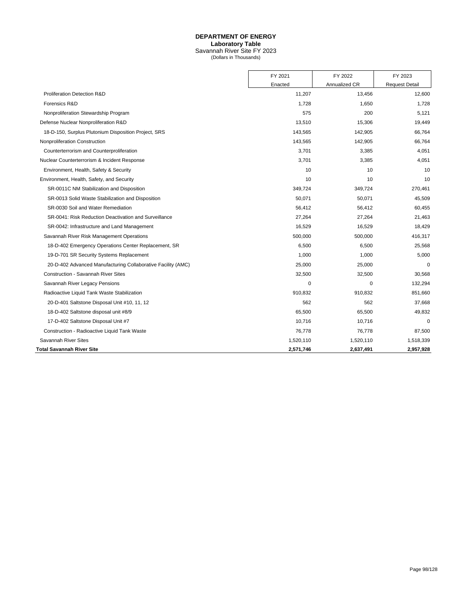## **DEPARTMENT OF ENERGY Laboratory Table** Savannah River Site FY 2023 (Dollars in Thousands)

|                                                              | FY 2021   | FY 2022       | FY 2023               |
|--------------------------------------------------------------|-----------|---------------|-----------------------|
|                                                              | Enacted   | Annualized CR | <b>Request Detail</b> |
| <b>Proliferation Detection R&amp;D</b>                       | 11,207    | 13,456        | 12,600                |
| Forensics R&D                                                | 1,728     | 1,650         | 1,728                 |
| Nonproliferation Stewardship Program                         | 575       | 200           | 5,121                 |
| Defense Nuclear Nonproliferation R&D                         | 13,510    | 15,306        | 19,449                |
| 18-D-150, Surplus Plutonium Disposition Project, SRS         | 143,565   | 142,905       | 66,764                |
| Nonproliferation Construction                                | 143,565   | 142,905       | 66,764                |
| Counterterrorism and Counterproliferation                    | 3,701     | 3,385         | 4,051                 |
| Nuclear Counterterrorism & Incident Response                 | 3,701     | 3,385         | 4,051                 |
| Environment, Health, Safety & Security                       | 10        | 10            | 10                    |
| Environment, Health, Safety, and Security                    | 10        | 10            | 10                    |
| SR-0011C NM Stabilization and Disposition                    | 349,724   | 349,724       | 270,461               |
| SR-0013 Solid Waste Stabilization and Disposition            | 50,071    | 50,071        | 45,509                |
| SR-0030 Soil and Water Remediation                           | 56,412    | 56,412        | 60,455                |
| SR-0041: Risk Reduction Deactivation and Surveillance        | 27,264    | 27,264        | 21,463                |
| SR-0042: Infrastructure and Land Management                  | 16,529    | 16,529        | 18,429                |
| Savannah River Risk Management Operations                    | 500,000   | 500,000       | 416,317               |
| 18-D-402 Emergency Operations Center Replacement, SR         | 6,500     | 6,500         | 25,568                |
| 19-D-701 SR Security Systems Replacement                     | 1.000     | 1,000         | 5,000                 |
| 20-D-402 Advanced Manufacturing Collaborative Facility (AMC) | 25,000    | 25,000        | $\Omega$              |
| <b>Construction - Savannah River Sites</b>                   | 32,500    | 32,500        | 30,568                |
| Savannah River Legacy Pensions                               | 0         | $\mathbf 0$   | 132,294               |
| Radioactive Liquid Tank Waste Stabilization                  | 910,832   | 910,832       | 851,660               |
| 20-D-401 Saltstone Disposal Unit #10, 11, 12                 | 562       | 562           | 37,668                |
| 18-D-402 Saltstone disposal unit #8/9                        | 65,500    | 65,500        | 49,832                |
| 17-D-402 Saltstone Disposal Unit #7                          | 10,716    | 10,716        | 0                     |
| Construction - Radioactive Liquid Tank Waste                 | 76,778    | 76,778        | 87,500                |
| Savannah River Sites                                         | 1,520,110 | 1,520,110     | 1,518,339             |
| <b>Total Savannah River Site</b>                             | 2,571,746 | 2,637,491     | 2,957,928             |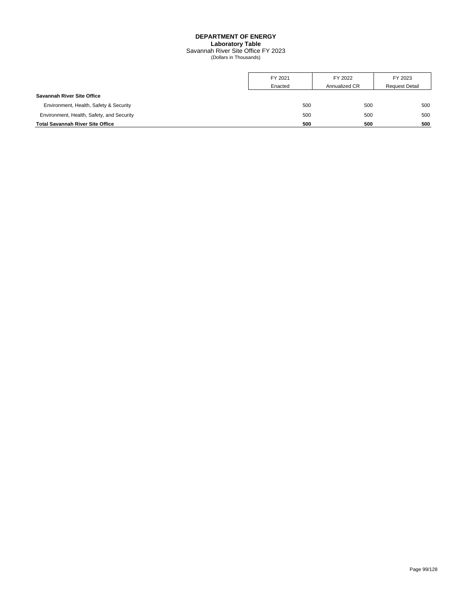## **DEPARTMENT OF ENERGY Laboratory Table** Savannah River Site Office FY 2023 (Dollars in Thousands)

|                                           | FY 2021 | FY 2022       | FY 2023               |
|-------------------------------------------|---------|---------------|-----------------------|
|                                           | Enacted | Annualized CR | <b>Request Detail</b> |
| <b>Savannah River Site Office</b>         |         |               |                       |
| Environment, Health, Safety & Security    | 500     | 500           | 500                   |
| Environment, Health, Safety, and Security | 500     | 500           | 500                   |
| <b>Total Savannah River Site Office</b>   | 500     | 500           | 500                   |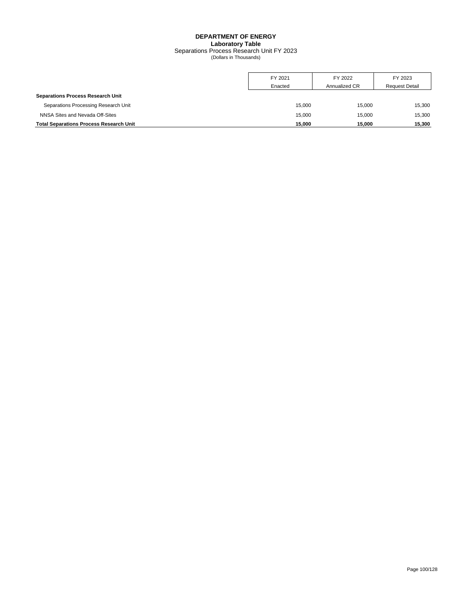## **DEPARTMENT OF ENERGY Laboratory Table** Separations Process Research Unit FY 2023 (Dollars in Thousands)

|                                                | FY 2021 | FY 2022       | FY 2023               |
|------------------------------------------------|---------|---------------|-----------------------|
|                                                | Enacted | Annualized CR | <b>Request Detail</b> |
| <b>Separations Process Research Unit</b>       |         |               |                       |
| Separations Processing Research Unit           | 15.000  | 15.000        | 15,300                |
| NNSA Sites and Nevada Off-Sites                | 15.000  | 15.000        | 15,300                |
| <b>Total Separations Process Research Unit</b> | 15.000  | 15.000        | 15.300                |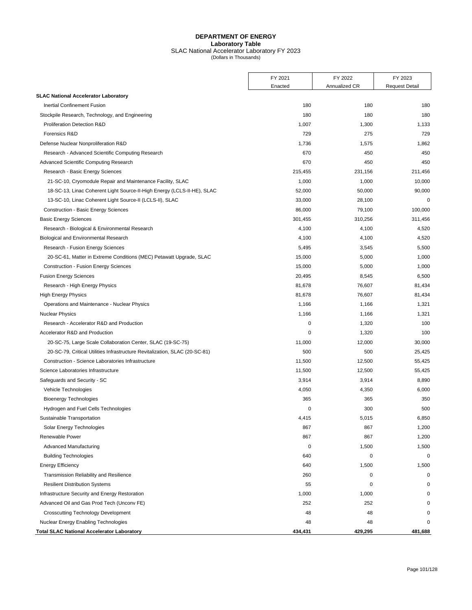## **DEPARTMENT OF ENERGY Laboratory Table** SLAC National Accelerator Laboratory FY 2023 (Dollars in Thousands)

|                                                                             | FY 2021 | FY 2022       | FY 2023               |
|-----------------------------------------------------------------------------|---------|---------------|-----------------------|
|                                                                             | Enacted | Annualized CR | <b>Request Detail</b> |
| <b>SLAC National Accelerator Laboratory</b>                                 |         |               |                       |
| Inertial Confinement Fusion                                                 | 180     | 180           | 180                   |
| Stockpile Research, Technology, and Engineering                             | 180     | 180           | 180                   |
| Proliferation Detection R&D                                                 | 1,007   | 1,300         | 1,133                 |
| Forensics R&D                                                               | 729     | 275           | 729                   |
| Defense Nuclear Nonproliferation R&D                                        | 1,736   | 1,575         | 1,862                 |
| Research - Advanced Scientific Computing Research                           | 670     | 450           | 450                   |
| Advanced Scientific Computing Research                                      | 670     | 450           | 450                   |
| Research - Basic Energy Sciences                                            | 215,455 | 231,156       | 211,456               |
| 21-SC-10, Cryomodule Repair and Maintenance Facility, SLAC                  | 1,000   | 1,000         | 10,000                |
| 18-SC-13, Linac Coherent Light Source-II-High Energy (LCLS-II-HE), SLAC     | 52,000  | 50,000        | 90,000                |
| 13-SC-10, Linac Coherent Light Source-II (LCLS-II), SLAC                    | 33,000  | 28,100        | $\mathbf 0$           |
| Construction - Basic Energy Sciences                                        | 86,000  | 79,100        | 100,000               |
| <b>Basic Energy Sciences</b>                                                | 301,455 | 310,256       | 311,456               |
| Research - Biological & Environmental Research                              | 4,100   | 4,100         | 4,520                 |
| Biological and Environmental Research                                       | 4,100   | 4,100         | 4,520                 |
| Research - Fusion Energy Sciences                                           | 5,495   | 3,545         | 5,500                 |
| 20-SC-61, Matter in Extreme Conditions (MEC) Petawatt Upgrade, SLAC         | 15,000  | 5,000         | 1,000                 |
| <b>Construction - Fusion Energy Sciences</b>                                | 15,000  | 5,000         | 1,000                 |
| <b>Fusion Energy Sciences</b>                                               | 20,495  | 8,545         | 6,500                 |
| Research - High Energy Physics                                              | 81,678  | 76,607        | 81,434                |
| <b>High Energy Physics</b>                                                  | 81,678  | 76,607        | 81,434                |
| Operations and Maintenance - Nuclear Physics                                | 1,166   | 1,166         | 1,321                 |
| <b>Nuclear Physics</b>                                                      | 1,166   | 1,166         | 1,321                 |
| Research - Accelerator R&D and Production                                   | 0       | 1,320         | 100                   |
| Accelerator R&D and Production                                              | 0       | 1,320         | 100                   |
| 20-SC-75, Large Scale Collaboration Center, SLAC (19-SC-75)                 | 11,000  | 12,000        | 30,000                |
| 20-SC-79, Critical Utilities Infrastructure Revitalization, SLAC (20-SC-81) | 500     | 500           | 25,425                |
| Construction - Science Laboratories Infrastructure                          | 11,500  | 12,500        | 55,425                |
| Science Laboratories Infrastructure                                         | 11,500  | 12,500        | 55,425                |
| Safeguards and Security - SC                                                | 3,914   | 3,914         | 8,890                 |
| Vehicle Technologies                                                        | 4,050   | 4,350         | 6,000                 |
| <b>Bioenergy Technologies</b>                                               | 365     | 365           | 350                   |
| Hydrogen and Fuel Cells Technologies                                        | 0       | 300           | 500                   |
| Sustainable Transportation                                                  | 4,415   | 5,015         | 6,850                 |
| Solar Energy Technologies                                                   | 867     | 867           | 1,200                 |
| Renewable Power                                                             | 867     | 867           | 1,200                 |
| <b>Advanced Manufacturing</b>                                               | 0       | 1,500         | 1,500                 |
| <b>Building Technologies</b>                                                | 640     | 0             | $\mathbf 0$           |
| <b>Energy Efficiency</b>                                                    | 640     | 1,500         | 1,500                 |
| Transmission Reliability and Resilience                                     | 260     | 0             | $\mathbf 0$           |
| <b>Resilient Distribution Systems</b>                                       | 55      | $\mathbf 0$   | $\mathbf 0$           |
| Infrastructure Security and Energy Restoration                              | 1,000   | 1,000         | $\Omega$              |
| Advanced Oil and Gas Prod Tech (Unconv FE)                                  | 252     | 252           |                       |
| <b>Crosscutting Technology Development</b>                                  | 48      | 48            | 0                     |
| Nuclear Energy Enabling Technologies                                        | 48      | 48            | $\Omega$              |
| <b>Total SLAC National Accelerator Laboratory</b>                           | 434,431 | 429,295       | 481,688               |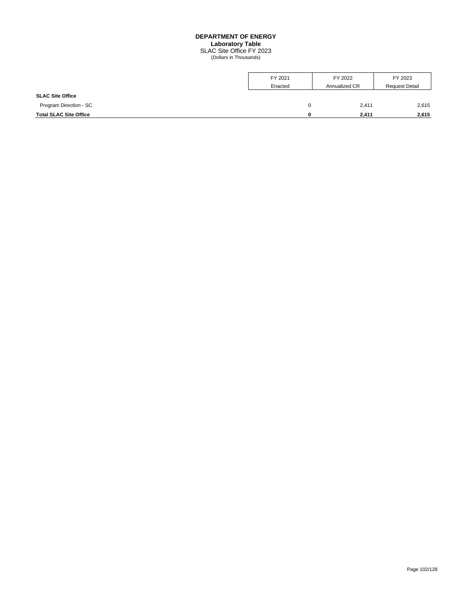#### **DEPARTMENT OF ENERGY**

**Laboratory Table**

SLAC Site Office FY 2023 (Dollars in Thousands)

|                               | FY 2021 | FY 2022       | FY 2023               |
|-------------------------------|---------|---------------|-----------------------|
|                               | Enacted | Annualized CR | <b>Request Detail</b> |
| <b>SLAC Site Office</b>       |         |               |                       |
| Program Direction - SC        | 0       | 2,411         | 2,615                 |
| <b>Total SLAC Site Office</b> | o       | 2,411         | 2,615                 |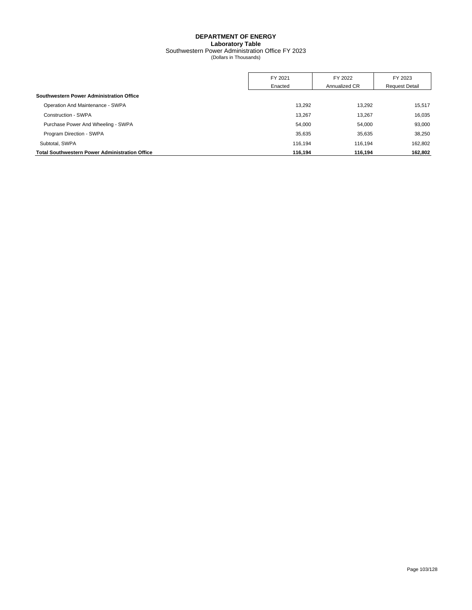## **DEPARTMENT OF ENERGY Laboratory Table** Southwestern Power Administration Office FY 2023 (Dollars in Thousands)

|                                                       | FY 2021 | FY 2022       | FY 2023               |
|-------------------------------------------------------|---------|---------------|-----------------------|
|                                                       | Enacted | Annualized CR | <b>Request Detail</b> |
| Southwestern Power Administration Office              |         |               |                       |
| Operation And Maintenance - SWPA                      | 13.292  | 13,292        | 15,517                |
| Construction - SWPA                                   | 13.267  | 13,267        | 16,035                |
| Purchase Power And Wheeling - SWPA                    | 54.000  | 54,000        | 93,000                |
| Program Direction - SWPA                              | 35.635  | 35.635        | 38,250                |
| Subtotal, SWPA                                        | 116.194 | 116.194       | 162.802               |
| <b>Total Southwestern Power Administration Office</b> | 116.194 | 116.194       | 162,802               |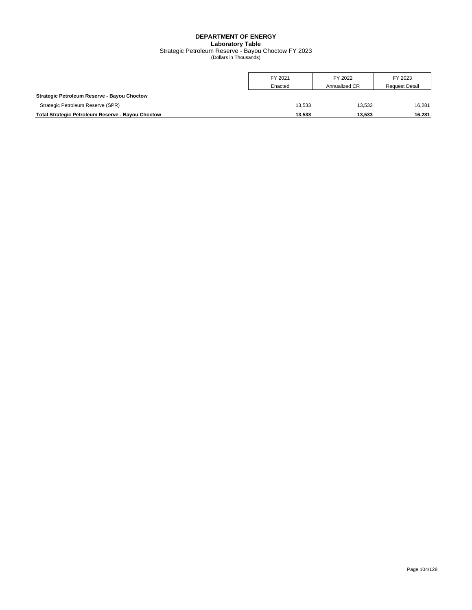# **DEPARTMENT OF ENERGY Laboratory Table** Strategic Petroleum Reserve - Bayou Choctow FY 2023 (Dollars in Thousands)

|                                                          | FY 2021<br>Enacted | FY 2022<br>Annualized CR | FY 2023<br><b>Request Detail</b> |
|----------------------------------------------------------|--------------------|--------------------------|----------------------------------|
| Strategic Petroleum Reserve - Bayou Choctow              |                    |                          |                                  |
| Strategic Petroleum Reserve (SPR)                        | 13.533             | 13.533                   | 16.281                           |
| <b>Total Strategic Petroleum Reserve - Bayou Choctow</b> | 13.533             | 13.533                   | 16.281                           |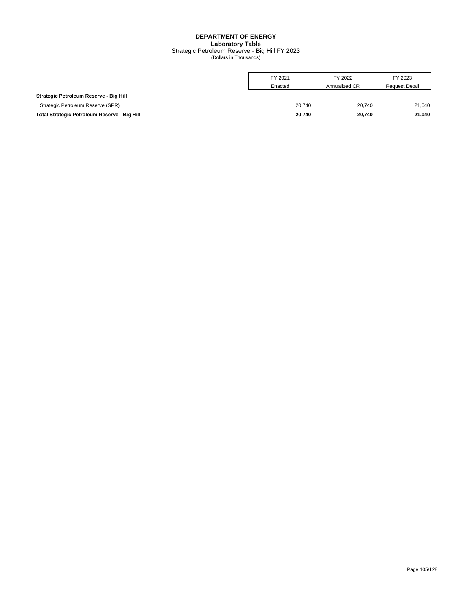## **DEPARTMENT OF ENERGY Laboratory Table** Strategic Petroleum Reserve - Big Hill FY 2023 (Dollars in Thousands)

|                                              | FY 2021 | FY 2022       | FY 2023               |
|----------------------------------------------|---------|---------------|-----------------------|
|                                              | Enacted | Annualized CR | <b>Request Detail</b> |
| Strategic Petroleum Reserve - Big Hill       |         |               |                       |
| Strategic Petroleum Reserve (SPR)            | 20.740  | 20.740        | 21.040                |
| Total Strategic Petroleum Reserve - Big Hill | 20.740  | 20.740        | 21.040                |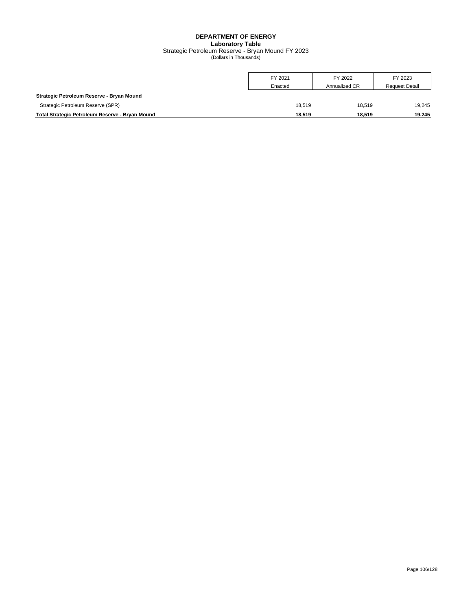#### **DEPARTMENT OF ENERGY Laboratory Table** Strategic Petroleum Reserve - Bryan Mound FY 2023 (Dollars in Thousands)

|                                                 | FY 2021<br>Enacted | FY 2022<br>Annualized CR | FY 2023<br><b>Request Detail</b> |
|-------------------------------------------------|--------------------|--------------------------|----------------------------------|
| Strategic Petroleum Reserve - Bryan Mound       |                    |                          |                                  |
| Strategic Petroleum Reserve (SPR)               | 18.519             | 18.519                   | 19.245                           |
| Total Strategic Petroleum Reserve - Bryan Mound | 18.519             | 18.519                   | 19.245                           |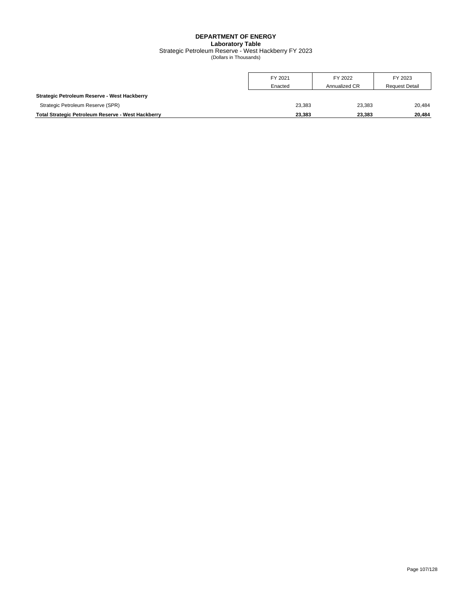#### **DEPARTMENT OF ENERGY Laboratory Table** Strategic Petroleum Reserve - West Hackberry FY 2023 (Dollars in Thousands)

|                                                    | FY 2021<br>Enacted | FY 2022<br>Annualized CR | FY 2023<br><b>Request Detail</b> |
|----------------------------------------------------|--------------------|--------------------------|----------------------------------|
| Strategic Petroleum Reserve - West Hackberry       |                    |                          |                                  |
| Strategic Petroleum Reserve (SPR)                  | 23.383             | 23,383                   | 20,484                           |
| Total Strategic Petroleum Reserve - West Hackberry | 23.383             | 23.383                   | 20.484                           |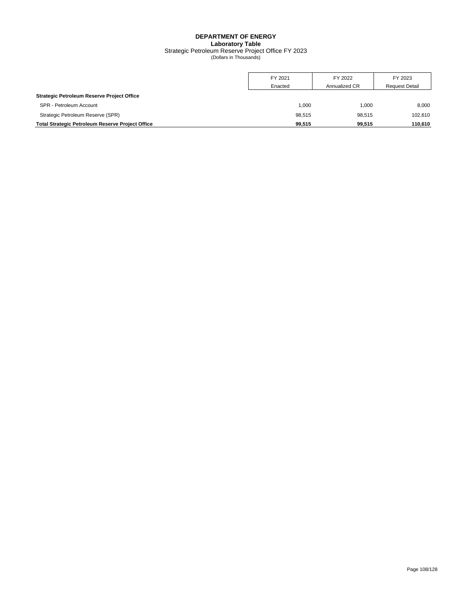#### **DEPARTMENT OF ENERGY Laboratory Table** Strategic Petroleum Reserve Project Office FY 2023 (Dollars in Thousands)

|                                                         | FY 2021 | FY 2022       | FY 2023               |
|---------------------------------------------------------|---------|---------------|-----------------------|
|                                                         | Enacted | Annualized CR | <b>Request Detail</b> |
| <b>Strategic Petroleum Reserve Project Office</b>       |         |               |                       |
| SPR - Petroleum Account                                 | 000,    | 1.000         | 8,000                 |
| Strategic Petroleum Reserve (SPR)                       | 98.515  | 98.515        | 102,610               |
| <b>Total Strategic Petroleum Reserve Project Office</b> | 99.515  | 99.515        | 110.610               |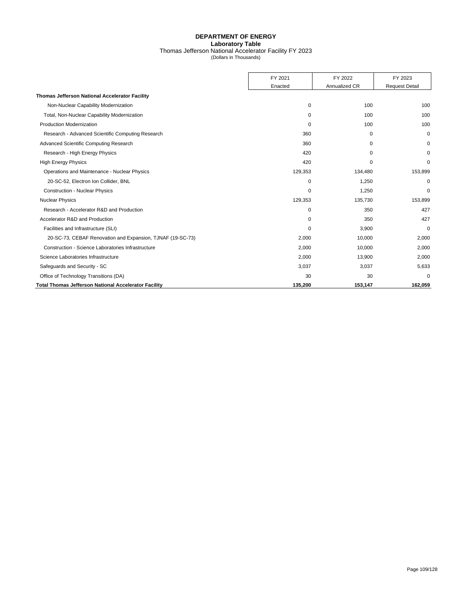#### **DEPARTMENT OF ENERGY Laboratory Table** Thomas Jefferson National Accelerator Facility FY 2023 (Dollars in Thousands)

|                                                             | FY 2021     | FY 2022       | FY 2023               |
|-------------------------------------------------------------|-------------|---------------|-----------------------|
|                                                             | Enacted     | Annualized CR | <b>Request Detail</b> |
| <b>Thomas Jefferson National Accelerator Facility</b>       |             |               |                       |
| Non-Nuclear Capability Modernization                        | $\mathbf 0$ | 100           | 100                   |
| Total, Non-Nuclear Capability Modernization                 | 0           | 100           | 100                   |
| <b>Production Modernization</b>                             | $\Omega$    | 100           | 100                   |
| Research - Advanced Scientific Computing Research           | 360         | $\Omega$      | $\mathbf 0$           |
| Advanced Scientific Computing Research                      | 360         | $\mathbf 0$   | $\Omega$              |
| Research - High Energy Physics                              | 420         | $\Omega$      | $\Omega$              |
| <b>High Energy Physics</b>                                  | 420         | $\Omega$      | 0                     |
| Operations and Maintenance - Nuclear Physics                | 129,353     | 134,480       | 153,899               |
| 20-SC-52, Electron Ion Collider, BNL                        | 0           | 1,250         | $\mathbf 0$           |
| <b>Construction - Nuclear Physics</b>                       | $\Omega$    | 1,250         | $\Omega$              |
| <b>Nuclear Physics</b>                                      | 129,353     | 135,730       | 153,899               |
| Research - Accelerator R&D and Production                   | 0           | 350           | 427                   |
| Accelerator R&D and Production                              | 0           | 350           | 427                   |
| Facilities and Infrastructure (SLI)                         | $\Omega$    | 3,900         | $\mathbf 0$           |
| 20-SC-73, CEBAF Renovation and Expansion, TJNAF (19-SC-73)  | 2,000       | 10,000        | 2,000                 |
| Construction - Science Laboratories Infrastructure          | 2,000       | 10,000        | 2,000                 |
| Science Laboratories Infrastructure                         | 2,000       | 13,900        | 2,000                 |
| Safeguards and Security - SC                                | 3,037       | 3,037         | 5,633                 |
| Office of Technology Transitions (DA)                       | 30          | 30            | $\Omega$              |
| <b>Total Thomas Jefferson National Accelerator Facility</b> | 135.200     | 153.147       | 162.059               |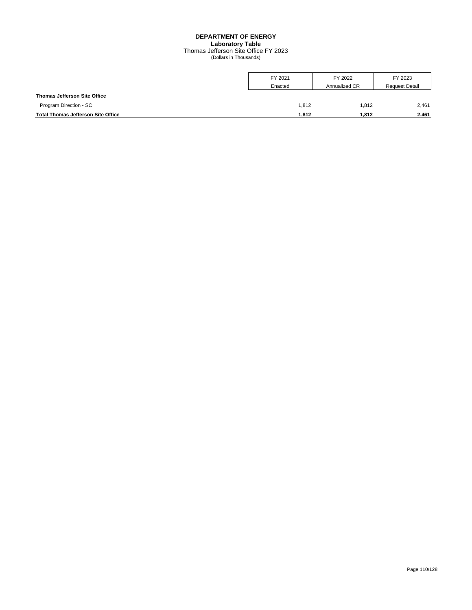#### **DEPARTMENT OF ENERGY Laboratory Table** Thomas Jefferson Site Office FY 2023 (Dollars in Thousands)

|                                           | FY 2021 | FY 2022       | FY 2023               |
|-------------------------------------------|---------|---------------|-----------------------|
|                                           | Enacted | Annualized CR | <b>Request Detail</b> |
| <b>Thomas Jefferson Site Office</b>       |         |               |                       |
| Program Direction - SC                    | 1,812   | 1.812         | 2,461                 |
| <b>Total Thomas Jefferson Site Office</b> | 1,812   | 1.812         | 2,461                 |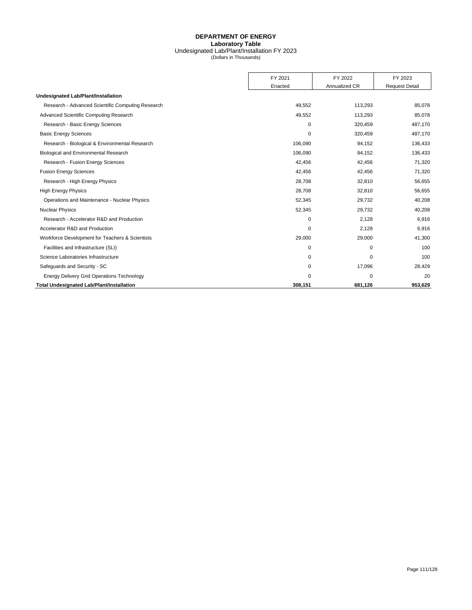#### **DEPARTMENT OF ENERGY Laboratory Table** Undesignated Lab/Plant/Installation FY 2023 (Dollars in Thousands)

|                                                   | FY 2021  | FY 2022       | FY 2023               |
|---------------------------------------------------|----------|---------------|-----------------------|
|                                                   | Enacted  | Annualized CR | <b>Request Detail</b> |
| Undesignated Lab/Plant/Installation               |          |               |                       |
| Research - Advanced Scientific Computing Research | 49,552   | 113,293       | 85,078                |
| Advanced Scientific Computing Research            | 49,552   | 113,293       | 85,078                |
| Research - Basic Energy Sciences                  | $\Omega$ | 320,459       | 487,170               |
| <b>Basic Energy Sciences</b>                      | 0        | 320,459       | 487,170               |
| Research - Biological & Environmental Research    | 106,090  | 94.152        | 136,433               |
| Biological and Environmental Research             | 106,090  | 94,152        | 136,433               |
| Research - Fusion Energy Sciences                 | 42,456   | 42,456        | 71,320                |
| <b>Fusion Energy Sciences</b>                     | 42,456   | 42,456        | 71,320                |
| Research - High Energy Physics                    | 28,708   | 32,810        | 56,655                |
| <b>High Energy Physics</b>                        | 28,708   | 32,810        | 56,655                |
| Operations and Maintenance - Nuclear Physics      | 52,345   | 29,732        | 40,208                |
| <b>Nuclear Physics</b>                            | 52,345   | 29,732        | 40,208                |
| Research - Accelerator R&D and Production         | $\Omega$ | 2,128         | 6,916                 |
| Accelerator R&D and Production                    | $\Omega$ | 2,128         | 6,916                 |
| Workforce Development for Teachers & Scientists   | 29,000   | 29,000        | 41,300                |
| Facilities and Infrastructure (SLI)               | $\Omega$ | 0             | 100                   |
| Science Laboratories Infrastructure               | 0        | $\mathbf 0$   | 100                   |
| Safequards and Security - SC                      | $\Omega$ | 17,096        | 28,429                |
| <b>Energy Delivery Grid Operations Technology</b> | $\Omega$ | $\Omega$      | 20                    |
| <b>Total Undesignated Lab/Plant/Installation</b>  | 308,151  | 681,126       | 953.629               |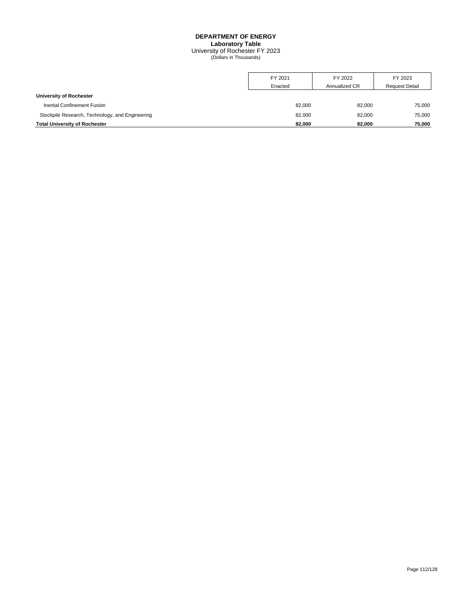#### **DEPARTMENT OF ENERGY Laboratory Table** University of Rochester FY 2023 (Dollars in Thousands)

|                                                 | FY 2021 | FY 2022       | FY 2023               |
|-------------------------------------------------|---------|---------------|-----------------------|
|                                                 | Enacted | Annualized CR | <b>Request Detail</b> |
| University of Rochester                         |         |               |                       |
| <b>Inertial Confinement Fusion</b>              | 82.000  | 82.000        | 75,000                |
| Stockpile Research, Technology, and Engineering | 82,000  | 82.000        | 75,000                |
| <b>Total University of Rochester</b>            | 82.000  | 82.000        | 75,000                |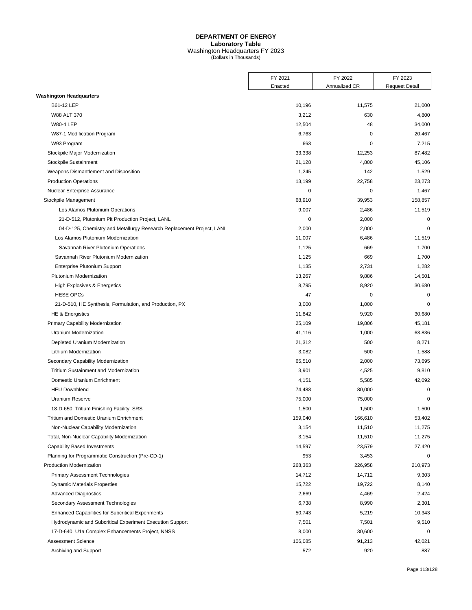|                                                                       | FY 2021 | FY 2022       | FY 2023               |
|-----------------------------------------------------------------------|---------|---------------|-----------------------|
|                                                                       | Enacted | Annualized CR | <b>Request Detail</b> |
| <b>Washington Headquarters</b>                                        |         |               |                       |
| B61-12 LEP                                                            | 10,196  | 11,575        | 21,000                |
| W88 ALT 370                                                           | 3,212   | 630           | 4,800                 |
| <b>W80-4 LEP</b>                                                      | 12,504  | 48            | 34,000                |
| W87-1 Modification Program                                            | 6,763   | 0             | 20,467                |
| W93 Program                                                           | 663     | 0             | 7,215                 |
| Stockpile Major Modernization                                         | 33,338  | 12,253        | 87,482                |
| Stockpile Sustainment                                                 | 21,128  | 4,800         | 45,106                |
| Weapons Dismantlement and Disposition                                 | 1,245   | 142           | 1,529                 |
| <b>Production Operations</b>                                          | 13,199  | 22,758        | 23,273                |
| Nuclear Enterprise Assurance                                          | 0       | 0             | 1,467                 |
| Stockpile Management                                                  | 68,910  | 39,953        | 158,857               |
| Los Alamos Plutonium Operations                                       | 9,007   | 2,486         | 11,519                |
| 21-D-512, Plutonium Pit Production Project, LANL                      | 0       | 2,000         | $\mathbf 0$           |
| 04-D-125, Chemistry and Metallurgy Research Replacement Project, LANL | 2,000   | 2,000         | $\mathbf 0$           |
| Los Alamos Plutonium Modernization                                    | 11,007  | 6,486         | 11,519                |
| Savannah River Plutonium Operations                                   | 1,125   | 669           | 1,700                 |
| Savannah River Plutonium Modernization                                | 1,125   | 669           | 1,700                 |
| Enterprise Plutonium Support                                          | 1,135   | 2,731         | 1,282                 |
| Plutonium Modernization                                               | 13,267  | 9,886         | 14,501                |
| High Explosives & Energetics                                          | 8,795   | 8,920         | 30,680                |
| <b>HESE OPCs</b>                                                      | 47      | 0             | $\mathbf 0$           |
| 21-D-510, HE Synthesis, Formulation, and Production, PX               | 3,000   | 1,000         | $\mathbf 0$           |
| <b>HE &amp; Energistics</b>                                           | 11,842  | 9,920         | 30,680                |
| Primary Capability Modernization                                      | 25,109  | 19,806        | 45,181                |
| Uranium Modernization                                                 | 41,116  | 1,000         | 63,836                |
| Depleted Uranium Modernization                                        | 21,312  | 500           | 8,271                 |
| Lithium Modernization                                                 | 3,082   | 500           | 1,588                 |
| Secondary Capability Modernization                                    | 65,510  | 2,000         | 73,695                |
| <b>Tritium Sustainment and Modernization</b>                          | 3,901   | 4,525         | 9,810                 |
| Domestic Uranium Enrichment                                           | 4,151   | 5,585         | 42,092                |
| <b>HEU Downblend</b>                                                  | 74,488  | 80,000        | $\mathbf 0$           |
| <b>Uranium Reserve</b>                                                | 75,000  | 75,000        | $\mathbf 0$           |
| 18-D-650, Tritium Finishing Facility, SRS                             | 1,500   | 1,500         | 1,500                 |
| Tritium and Domestic Uranium Enrichment                               | 159,040 | 166,610       | 53,402                |
| Non-Nuclear Capability Modernization                                  | 3,154   | 11,510        | 11,275                |
| Total, Non-Nuclear Capability Modernization                           | 3,154   | 11,510        | 11,275                |
| <b>Capability Based Investments</b>                                   | 14,597  | 23,579        | 27,420                |
| Planning for Programmatic Construction (Pre-CD-1)                     | 953     | 3,453         | 0                     |
| <b>Production Modernization</b>                                       | 268,363 | 226,958       | 210,973               |
| <b>Primary Assessment Technologies</b>                                | 14,712  | 14,712        | 9,303                 |
| <b>Dynamic Materials Properties</b>                                   | 15,722  | 19,722        | 8,140                 |
| <b>Advanced Diagnostics</b>                                           | 2,669   | 4,469         | 2,424                 |
| Secondary Assessment Technologies                                     | 6,738   | 8,990         | 2,301                 |
| <b>Enhanced Capabilities for Subcritical Experiments</b>              | 50,743  | 5,219         | 10,343                |
| Hydrodynamic and Subcritical Experiment Execution Support             | 7,501   | 7,501         | 9,510                 |
| 17-D-640, U1a Complex Enhancements Project, NNSS                      | 8,000   | 30,600        | $\pmb{0}$             |
| <b>Assessment Science</b>                                             | 106,085 | 91,213        | 42,021                |
| Archiving and Support                                                 | 572     | 920           | 887                   |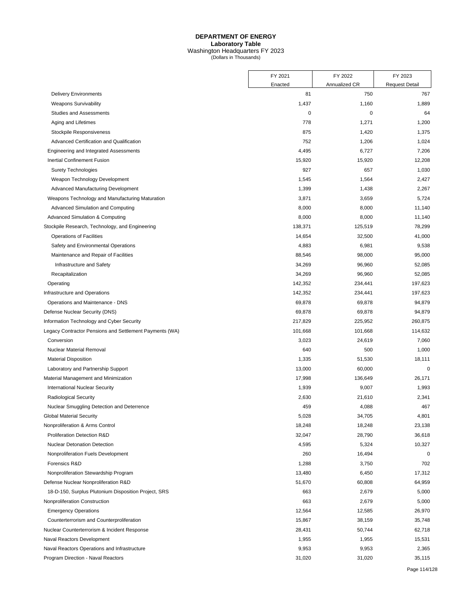|                                                         | FY 2021   | FY 2022       | FY 2023               |
|---------------------------------------------------------|-----------|---------------|-----------------------|
|                                                         | Enacted   | Annualized CR | <b>Request Detail</b> |
| <b>Delivery Environments</b>                            | 81        | 750           | 767                   |
| <b>Weapons Survivability</b>                            | 1,437     | 1,160         | 1,889                 |
| <b>Studies and Assessments</b>                          | $\pmb{0}$ | 0             | 64                    |
| Aging and Lifetimes                                     | 778       | 1,271         | 1,200                 |
| Stockpile Responsiveness                                | 875       | 1,420         | 1,375                 |
| Advanced Certification and Qualification                | 752       | 1,206         | 1,024                 |
| Engineering and Integrated Assessments                  | 4,495     | 6,727         | 7,206                 |
| Inertial Confinement Fusion                             | 15,920    | 15,920        | 12,208                |
| <b>Surety Technologies</b>                              | 927       | 657           | 1,030                 |
| Weapon Technology Development                           | 1,545     | 1,564         | 2,427                 |
| Advanced Manufacturing Development                      | 1,399     | 1,438         | 2,267                 |
| Weapons Technology and Manufacturing Maturation         | 3,871     | 3,659         | 5,724                 |
| Advanced Simulation and Computing                       | 8,000     | 8,000         | 11,140                |
| Advanced Simulation & Computing                         | 8,000     | 8,000         | 11,140                |
| Stockpile Research, Technology, and Engineering         | 138,371   | 125,519       | 78,299                |
| <b>Operations of Facilities</b>                         | 14,654    | 32,500        | 41,000                |
| Safety and Environmental Operations                     | 4,883     | 6,981         | 9,538                 |
| Maintenance and Repair of Facilities                    | 88,546    | 98,000        | 95,000                |
| Infrastructure and Safety                               | 34,269    | 96,960        | 52,085                |
| Recapitalization                                        | 34,269    | 96,960        | 52,085                |
| Operating                                               | 142,352   | 234,441       | 197,623               |
| Infrastructure and Operations                           | 142,352   | 234,441       | 197,623               |
| Operations and Maintenance - DNS                        | 69,878    | 69,878        | 94,879                |
| Defense Nuclear Security (DNS)                          | 69,878    | 69,878        | 94,879                |
| Information Technology and Cyber Security               | 217,829   | 225,952       | 260,875               |
| Legacy Contractor Pensions and Settlement Payments (WA) | 101,668   | 101,668       | 114,632               |
| Conversion                                              | 3,023     | 24,619        | 7,060                 |
| <b>Nuclear Material Removal</b>                         | 640       | 500           | 1,000                 |
| <b>Material Disposition</b>                             | 1,335     | 51,530        | 18,111                |
| Laboratory and Partnership Support                      | 13,000    | 60,000        | $\mathbf 0$           |
| Material Management and Minimization                    | 17,998    | 136,649       | 26,171                |
| <b>International Nuclear Security</b>                   | 1,939     | 9,007         | 1,993                 |
| <b>Radiological Security</b>                            | 2,630     | 21,610        | 2,341                 |
| Nuclear Smuggling Detection and Deterrence              | 459       | 4,088         | 467                   |
| <b>Global Material Security</b>                         | 5,028     | 34,705        | 4,801                 |
| Nonproliferation & Arms Control                         | 18,248    | 18,248        | 23,138                |
| <b>Proliferation Detection R&amp;D</b>                  | 32,047    | 28,790        | 36,618                |
| <b>Nuclear Detonation Detection</b>                     | 4,595     | 5,324         | 10,327                |
| Nonproliferation Fuels Development                      | 260       | 16,494        |                       |
| Forensics R&D                                           | 1,288     | 3,750         | 702                   |
| Nonproliferation Stewardship Program                    | 13,480    | 6,450         | 17,312                |
| Defense Nuclear Nonproliferation R&D                    | 51,670    | 60,808        | 64,959                |
| 18-D-150, Surplus Plutonium Disposition Project, SRS    | 663       | 2,679         | 5,000                 |
| Nonproliferation Construction                           | 663       | 2,679         | 5,000                 |
| <b>Emergency Operations</b>                             | 12,564    | 12,585        | 26,970                |
| Counterterrorism and Counterproliferation               | 15,867    | 38,159        | 35,748                |
| Nuclear Counterterrorism & Incident Response            | 28,431    | 50,744        | 62,718                |
| Naval Reactors Development                              | 1,955     | 1,955         | 15,531                |
| Naval Reactors Operations and Infrastructure            | 9,953     | 9,953         | 2,365                 |
| Program Direction - Naval Reactors                      | 31,020    | 31,020        | 35,115                |
|                                                         |           |               |                       |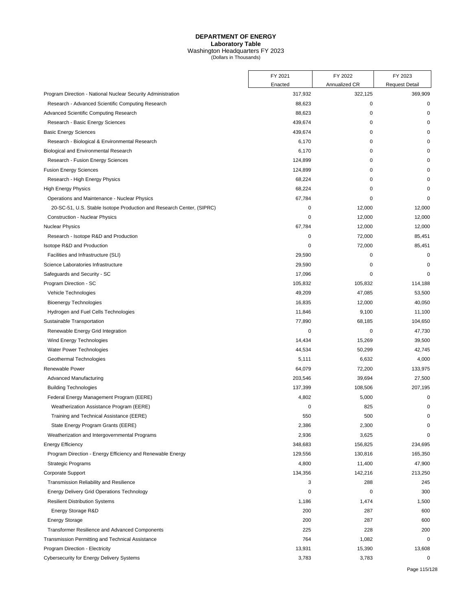|                                                                       | FY 2021 | FY 2022       | FY 2023               |
|-----------------------------------------------------------------------|---------|---------------|-----------------------|
|                                                                       | Enacted | Annualized CR | <b>Request Detail</b> |
| Program Direction - National Nuclear Security Administration          | 317,932 | 322,125       | 369,909               |
| Research - Advanced Scientific Computing Research                     | 88,623  | 0             | $\mathbf 0$           |
| Advanced Scientific Computing Research                                | 88,623  | 0             | $\Omega$              |
| Research - Basic Energy Sciences                                      | 439,674 | 0             | $\Omega$              |
| <b>Basic Energy Sciences</b>                                          | 439,674 | 0             | $\Omega$              |
| Research - Biological & Environmental Research                        | 6,170   | 0             |                       |
| Biological and Environmental Research                                 | 6,170   | 0             | O                     |
| Research - Fusion Energy Sciences                                     | 124,899 | 0             | O                     |
| <b>Fusion Energy Sciences</b>                                         | 124,899 | $\mathbf 0$   | 0                     |
| Research - High Energy Physics                                        | 68,224  | 0             | 0                     |
| <b>High Energy Physics</b>                                            | 68,224  | 0             | $\mathbf 0$           |
| Operations and Maintenance - Nuclear Physics                          | 67,784  | 0             | 0                     |
| 20-SC-51, U.S. Stable Isotope Production and Research Center, (SIPRC) | 0       | 12,000        | 12,000                |
| <b>Construction - Nuclear Physics</b>                                 | 0       | 12,000        | 12,000                |
| <b>Nuclear Physics</b>                                                | 67,784  | 12,000        | 12,000                |
| Research - Isotope R&D and Production                                 | 0       | 72,000        | 85,451                |
| Isotope R&D and Production                                            | 0       | 72,000        | 85,451                |
| Facilities and Infrastructure (SLI)                                   | 29,590  | 0             | $\mathbf 0$           |
| Science Laboratories Infrastructure                                   | 29,590  | 0             | $\mathbf 0$           |
| Safeguards and Security - SC                                          | 17,096  | 0             | $\mathbf 0$           |
| Program Direction - SC                                                | 105,832 | 105,832       | 114,188               |
| Vehicle Technologies                                                  | 49,209  | 47,085        | 53,500                |
| <b>Bioenergy Technologies</b>                                         | 16,835  | 12,000        | 40,050                |
| Hydrogen and Fuel Cells Technologies                                  | 11,846  | 9,100         | 11,100                |
| Sustainable Transportation                                            | 77,890  | 68,185        | 104,650               |
| Renewable Energy Grid Integration                                     | 0       | 0             | 47,730                |
| Wind Energy Technologies                                              | 14,434  | 15,269        | 39,500                |
| Water Power Technologies                                              | 44,534  | 50,299        | 42,745                |
| Geothermal Technologies                                               | 5,111   | 6,632         | 4,000                 |
| Renewable Power                                                       | 64,079  | 72,200        | 133,975               |
| Advanced Manufacturing                                                | 203,546 | 39,694        | 27,500                |
| <b>Building Technologies</b>                                          | 137,399 | 108,506       | 207,195               |
| Federal Energy Management Program (EERE)                              | 4,802   | 5,000         | 0                     |
| Weatherization Assistance Program (EERE)                              | 0       | 825           | 0                     |
| Training and Technical Assistance (EERE)                              | 550     | 500           | 0                     |
| State Energy Program Grants (EERE)                                    | 2,386   | 2,300         | 0                     |
| Weatherization and Intergovernmental Programs                         | 2,936   | 3,625         | 0                     |
| <b>Energy Efficiency</b>                                              | 348,683 | 156,825       | 234,695               |
| Program Direction - Energy Efficiency and Renewable Energy            | 129,556 | 130,816       | 165,350               |
| <b>Strategic Programs</b>                                             | 4,800   | 11,400        | 47,900                |
| Corporate Support                                                     | 134,356 | 142,216       | 213,250               |
| Transmission Reliability and Resilience                               | 3       | 288           | 245                   |
| <b>Energy Delivery Grid Operations Technology</b>                     | 0       | 0             | 300                   |
| <b>Resilient Distribution Systems</b>                                 | 1,186   | 1,474         | 1,500                 |
| Energy Storage R&D                                                    | 200     | 287           | 600                   |
| <b>Energy Storage</b>                                                 | 200     | 287           | 600                   |
| Transformer Resilience and Advanced Components                        | 225     | 228           | 200                   |
| Transmission Permitting and Technical Assistance                      | 764     | 1,082         | $\mathbf 0$           |
| Program Direction - Electricity                                       | 13,931  | 15,390        | 13,608                |
| Cybersecurity for Energy Delivery Systems                             | 3,783   | 3,783         | 0                     |
|                                                                       |         |               |                       |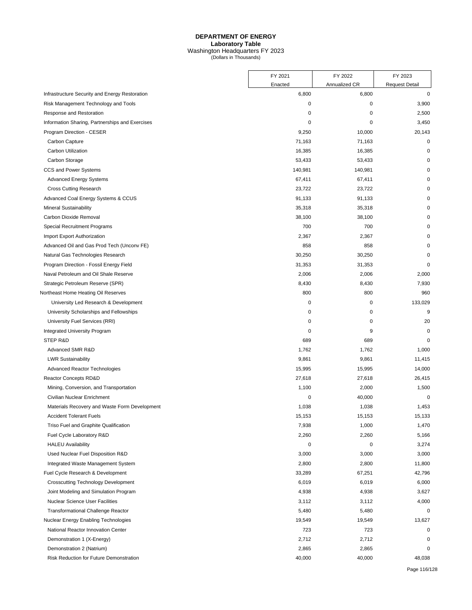|                                                 | FY 2021           | FY 2022                | FY 2023                              |
|-------------------------------------------------|-------------------|------------------------|--------------------------------------|
| Infrastructure Security and Energy Restoration  | Enacted<br>6,800  | Annualized CR<br>6,800 | <b>Request Detail</b><br>$\mathbf 0$ |
| Risk Management Technology and Tools            | 0                 | 0                      | 3,900                                |
| Response and Restoration                        | 0                 | 0                      | 2,500                                |
| Information Sharing, Partnerships and Exercises | 0                 | 0                      | 3,450                                |
| Program Direction - CESER                       | 9,250             | 10,000                 | 20,143                               |
|                                                 | 71,163            | 71,163                 | 0                                    |
| Carbon Capture<br>Carbon Utilization            | 16,385            | 16,385                 | $\Omega$                             |
|                                                 | 53,433            |                        | 0                                    |
| Carbon Storage<br>CCS and Power Systems         |                   | 53,433                 |                                      |
|                                                 | 140,981<br>67,411 | 140,981<br>67,411      | 0<br>0                               |
| <b>Advanced Energy Systems</b>                  | 23,722            |                        | 0                                    |
| <b>Cross Cutting Research</b>                   |                   | 23,722                 |                                      |
| Advanced Coal Energy Systems & CCUS             | 91,133            | 91,133                 | 0                                    |
| <b>Mineral Sustainability</b>                   | 35,318            | 35,318                 | 0                                    |
| Carbon Dioxide Removal                          | 38,100            | 38,100                 | 0                                    |
| <b>Special Recruitment Programs</b>             | 700               | 700                    | 0                                    |
| Import Export Authorization                     | 2,367             | 2,367                  | $\mathbf 0$                          |
| Advanced Oil and Gas Prod Tech (Unconv FE)      | 858               | 858                    | 0                                    |
| Natural Gas Technologies Research               | 30,250            | 30,250                 | 0                                    |
| Program Direction - Fossil Energy Field         | 31,353            | 31,353                 | 0                                    |
| Naval Petroleum and Oil Shale Reserve           | 2,006             | 2,006                  | 2,000                                |
| Strategic Petroleum Reserve (SPR)               | 8,430             | 8,430                  | 7,930                                |
| Northeast Home Heating Oil Reserves             | 800               | 800                    | 960                                  |
| University Led Research & Development           | 0                 | 0                      | 133,029                              |
| University Scholarships and Fellowships         | 0                 | 0                      | 9                                    |
| University Fuel Services (RRI)                  | 0                 | 0                      | 20                                   |
| <b>Integrated University Program</b>            | 0                 | 9                      | $\mathbf 0$                          |
| STEP R&D                                        | 689               | 689                    | 0                                    |
| Advanced SMR R&D                                | 1,762             | 1,762                  | 1,000                                |
| <b>LWR Sustainability</b>                       | 9,861             | 9,861                  | 11,415                               |
| <b>Advanced Reactor Technologies</b>            | 15,995            | 15,995                 | 14,000                               |
| Reactor Concepts RD&D                           | 27,618            | 27,618                 | 26,415                               |
| Mining, Conversion, and Transportation          | 1,100             | 2,000                  | 1,500                                |
| Civilian Nuclear Enrichment                     | 0                 | 40,000                 | 0                                    |
| Materials Recovery and Waste Form Development   | 1,038             | 1,038                  | 1,453                                |
| <b>Accident Tolerant Fuels</b>                  | 15,153            | 15,153                 | 15,133                               |
| Triso Fuel and Graphite Qualification           | 7,938             | 1,000                  | 1,470                                |
| Fuel Cycle Laboratory R&D                       | 2,260             | 2,260                  | 5,166                                |
| <b>HALEU Availability</b>                       | $\pmb{0}$         | 0                      | 3,274                                |
| Used Nuclear Fuel Disposition R&D               | 3,000             | 3,000                  | 3,000                                |
| Integrated Waste Management System              | 2,800             | 2,800                  | 11,800                               |
| Fuel Cycle Research & Development               | 33,289            | 67,251                 | 42,796                               |
| <b>Crosscutting Technology Development</b>      | 6,019             | 6,019                  | 6,000                                |
| Joint Modeling and Simulation Program           | 4,938             | 4,938                  | 3,627                                |
| <b>Nuclear Science User Facilities</b>          | 3,112             | 3,112                  | 4,000                                |
| <b>Transformational Challenge Reactor</b>       | 5,480             | 5,480                  | 0                                    |
| Nuclear Energy Enabling Technologies            | 19,549            | 19,549                 | 13,627                               |
| National Reactor Innovation Center              | 723               | 723                    | 0                                    |
| Demonstration 1 (X-Energy)                      | 2,712             | 2,712                  | 0                                    |
| Demonstration 2 (Natrium)                       | 2,865             | 2,865                  | 0                                    |
| Risk Reduction for Future Demonstration         | 40,000            | 40,000                 | 48,038                               |
|                                                 |                   |                        |                                      |

Page 116/128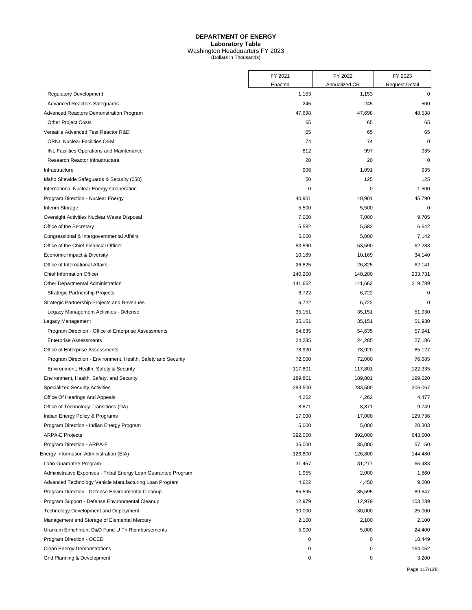|                                                                | FY 2021          | FY 2022                | FY 2023                              |
|----------------------------------------------------------------|------------------|------------------------|--------------------------------------|
| <b>Regulatory Development</b>                                  | Enacted<br>1,153 | Annualized CR<br>1,153 | <b>Request Detail</b><br>$\mathbf 0$ |
| <b>Advanced Reactors Safeguards</b>                            | 245              | 245                    | 500                                  |
| Advanced Reactors Demonstration Program                        | 47,698           | 47,698                 | 48,538                               |
| <b>Other Project Costs</b>                                     | 65               | 65                     | 65                                   |
| Versatile Advanced Test Reactor R&D                            | 65               | 65                     | 65                                   |
| <b>ORNL Nuclear Facilities O&amp;M</b>                         | 74               | 74                     | $\mathbf 0$                          |
| INL Facilities Operations and Maintenance                      | 812              | 997                    | 935                                  |
| Research Reactor Infrastructure                                | 20               | 20                     | $\mathbf 0$                          |
| Infrastructure                                                 | 906              | 1,091                  | 935                                  |
| Idaho Sitewide Safeguards & Security (050)                     | 50               | 125                    | 125                                  |
| International Nuclear Energy Cooperation                       | $\mathbf 0$      | 0                      | 1,500                                |
| Program Direction - Nuclear Energy                             | 40,901           | 40,901                 | 45,790                               |
| Interim Storage                                                | 5,500            | 5,500                  | 0                                    |
| Oversight Activities Nuclear Waste Disposal                    | 7,000            | 7,000                  | 9,705                                |
| Office of the Secretary                                        | 5,582            | 5,582                  | 6,642                                |
| Congressional & Intergovernmental Affairs                      | 5,000            | 5,000                  | 7,142                                |
| Office of the Chief Financial Officer                          | 53,590           | 53,590                 | 62,283                               |
| Economic Impact & Diversity                                    | 10,169           | 10,169                 | 34,140                               |
| Office of International Affairs                                | 26,825           | 26,825                 | 62,141                               |
| <b>Chief Information Officer</b>                               | 140,200          | 140,200                | 233,731                              |
| Other Departmental Administration                              | 141,662          | 141,662                | 219,789                              |
| Strategic Partnership Projects                                 | 6,722            | 6,722                  | 0                                    |
| Strategic Partnership Projects and Revenues                    | 6,722            | 6,722                  | 0                                    |
| Legacy Management Activities - Defense                         | 35,151           | 35,151                 | 51,930                               |
| Legacy Management                                              | 35,151           | 35,151                 | 51,930                               |
| Program Direction - Office of Enterprise Assessments           | 54,635           | 54,635                 | 57,941                               |
| <b>Enterprise Assessments</b>                                  | 24,285           | 24,285                 | 27,186                               |
| Office of Enterprise Assessments                               | 78,920           | 78,920                 | 85,127                               |
| Program Direction - Environment, Health, Safety and Security   | 72,000           | 72,000                 | 76,685                               |
| Environment, Health, Safety & Security                         | 117,801          | 117,801                | 122,335                              |
| Environment, Health, Safety, and Security                      | 189,801          | 189,801                | 199,020                              |
| <b>Specialized Security Activities</b>                         | 283,500          | 283,500                | 306,067                              |
| Office Of Hearings And Appeals                                 | 4,262            | 4,262                  | 4,477                                |
| Office of Technology Transitions (DA)                          | 8,871            | 8,871                  | 9,749                                |
| Indian Energy Policy & Programs                                | 17,000           | 17,000                 | 129,736                              |
| Program Direction - Indian Energy Program                      | 5,000            | 5,000                  | 20,303                               |
| <b>ARPA-E Projects</b>                                         | 392,000          | 392,000                | 643,000                              |
| Program Direction - ARPA-E                                     | 35,000           | 35,000                 | 57,150                               |
| Energy Information Administration (EIA)                        | 126,800          | 126,800                | 144,480                              |
| Loan Guarantee Program                                         | 31,457           | 31,277                 | 65,483                               |
| Administrative Expenses - Tribal Energy Loan Guarantee Program | 1,955            | 2,000                  | 1,860                                |
| Advanced Technology Vehicle Manufacturing Loan Program         | 4,622            | 4,450                  | 9,200                                |
| Program Direction - Defense Environmental Cleanup              | 85,595           | 85,595                 | 89,647                               |
| Program Support - Defense Environmental Cleanup                | 12,979           | 12,979                 | 103,239                              |
| Technology Development and Deployment                          | 30,000           | 30,000                 | 25,000                               |
| Management and Storage of Elemental Mercury                    | 2,100            | 2,100                  | 2,100                                |
| Uranium Enrichment D&D Fund-U Th Reimbursements                | 5,000            | 5,000                  | 24,400                               |
| Program Direction - OCED                                       | 0                | 0                      | 18,449                               |
| <b>Clean Energy Demonstrations</b>                             | 0                | 0                      | 164,052                              |
| Grid Planning & Development                                    | 0                | 0                      | 3,200                                |
|                                                                |                  |                        |                                      |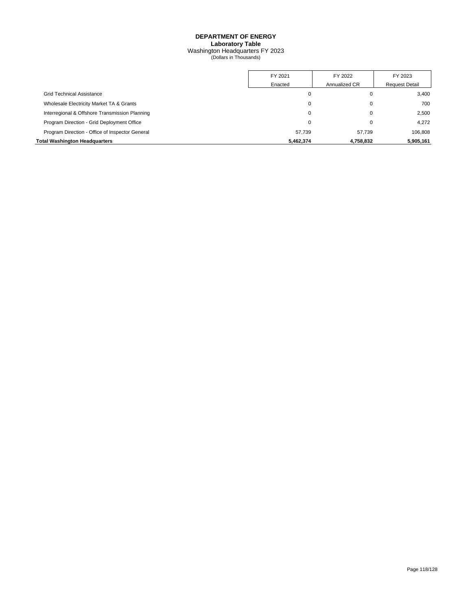|                                                 | FY 2021   | FY 2022       | FY 2023               |
|-------------------------------------------------|-----------|---------------|-----------------------|
|                                                 | Enacted   | Annualized CR | <b>Request Detail</b> |
| <b>Grid Technical Assistance</b>                | 0         | 0             | 3,400                 |
| Wholesale Electricity Market TA & Grants        | 0         | 0             | 700                   |
| Interregional & Offshore Transmission Planning  | 0         | $\Omega$      | 2.500                 |
| Program Direction - Grid Deployment Office      | 0         | 0             | 4.272                 |
| Program Direction - Office of Inspector General | 57.739    | 57.739        | 106,808               |
| <b>Total Washington Headquarters</b>            | 5,462,374 | 4,758,832     | 5,905,161             |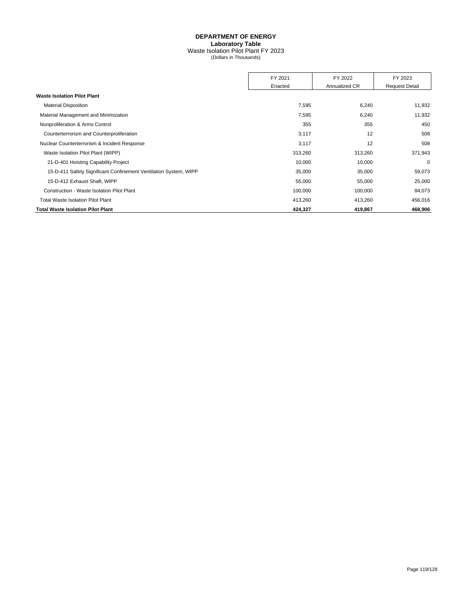## **DEPARTMENT OF ENERGY Laboratory Table**

Waste Isolation Pilot Plant FY 2023 (Dollars in Thousands)

|                                                                  | FY 2021 | FY 2022       | FY 2023               |
|------------------------------------------------------------------|---------|---------------|-----------------------|
|                                                                  | Enacted | Annualized CR | <b>Request Detail</b> |
| <b>Waste Isolation Pilot Plant</b>                               |         |               |                       |
| <b>Material Disposition</b>                                      | 7,595   | 6,240         | 11,932                |
| Material Management and Minimization                             | 7,595   | 6,240         | 11,932                |
| Nonproliferation & Arms Control                                  | 355     | 355           | 450                   |
| Counterterrorism and Counterproliferation                        | 3,117   | 12            | 508                   |
| Nuclear Counterterrorism & Incident Response                     | 3,117   | 12            | 508                   |
| Waste Isolation Pilot Plant (WIPP)                               | 313,260 | 313,260       | 371,943               |
| 21-D-401 Hoisting Capability Project                             | 10,000  | 10,000        | $\mathbf 0$           |
| 15-D-411 Safety Significant Confinement Ventilation System, WIPP | 35,000  | 35,000        | 59,073                |
| 15-D-412 Exhaust Shaft, WIPP                                     | 55,000  | 55,000        | 25,000                |
| Construction - Waste Isolation Pilot Plant                       | 100,000 | 100,000       | 84,073                |
| <b>Total Waste Isolation Pilot Plant</b>                         | 413,260 | 413,260       | 456,016               |
| <b>Total Waste Isolation Pilot Plant</b>                         | 424,327 | 419,867       | 468,906               |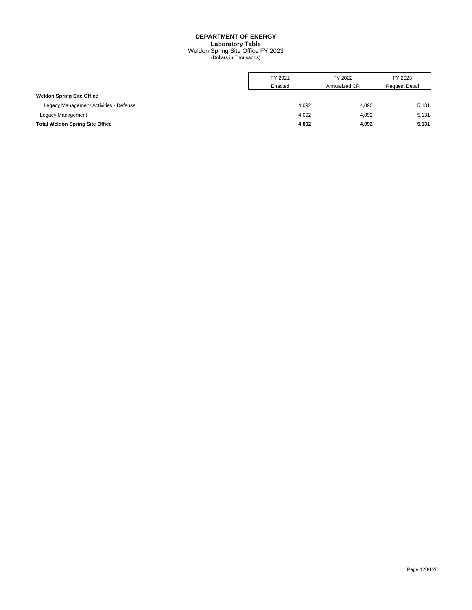## **DEPARTMENT OF ENERGY Laboratory Table**

Weldon Spring Site Office FY 2023 (Dollars in Thousands)

|                                        | FY 2021 | FY 2022       | FY 2023               |
|----------------------------------------|---------|---------------|-----------------------|
|                                        | Enacted | Annualized CR | <b>Request Detail</b> |
| <b>Weldon Spring Site Office</b>       |         |               |                       |
| Legacy Management Activities - Defense | 4,092   | 4,092         | 5.131                 |
| Legacy Management                      | 4.092   | 4.092         | 5,131                 |
| <b>Total Weldon Spring Site Office</b> | 4,092   | 4.092         | 5,131                 |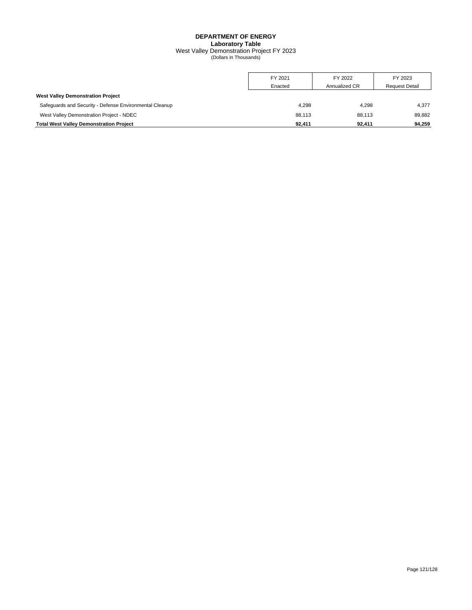#### **DEPARTMENT OF ENERGY Laboratory Table** West Valley Demonstration Project FY 2023 (Dollars in Thousands)

|                                                         | FY 2021 | FY 2022       | FY 2023               |
|---------------------------------------------------------|---------|---------------|-----------------------|
|                                                         | Enacted | Annualized CR | <b>Request Detail</b> |
| <b>West Valley Demonstration Project</b>                |         |               |                       |
| Safequards and Security - Defense Environmental Cleanup | 4.298   | 4.298         | 4.377                 |
| West Valley Demonstration Project - NDEC                | 88.113  | 88.113        | 89,882                |
| <b>Total West Valley Demonstration Project</b>          | 92.411  | 92.411        | 94.259                |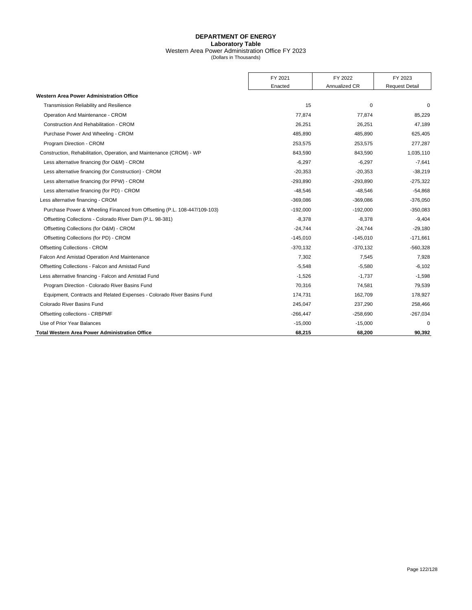#### **DEPARTMENT OF ENERGY Laboratory Table** Western Area Power Administration Office FY 2023 (Dollars in Thousands)

|                                                                           | FY 2021    | FY 2022       | FY 2023               |
|---------------------------------------------------------------------------|------------|---------------|-----------------------|
|                                                                           | Enacted    | Annualized CR | <b>Request Detail</b> |
| <b>Western Area Power Administration Office</b>                           |            |               |                       |
| <b>Transmission Reliability and Resilience</b>                            | 15         | 0             | $\Omega$              |
| Operation And Maintenance - CROM                                          | 77,874     | 77,874        | 85,229                |
| <b>Construction And Rehabilitation - CROM</b>                             | 26,251     | 26,251        | 47,189                |
| Purchase Power And Wheeling - CROM                                        | 485.890    | 485,890       | 625,405               |
| Program Direction - CROM                                                  | 253,575    | 253,575       | 277,287               |
| Construction, Rehabilitation, Operation, and Maintenance (CROM) - WP      | 843,590    | 843,590       | 1,035,110             |
| Less alternative financing (for O&M) - CROM                               | $-6,297$   | $-6,297$      | $-7,641$              |
| Less alternative financing (for Construction) - CROM                      | $-20,353$  | $-20,353$     | $-38,219$             |
| Less alternative financing (for PPW) - CROM                               | $-293,890$ | $-293,890$    | $-275,322$            |
| Less alternative financing (for PD) - CROM                                | $-48,546$  | $-48,546$     | $-54,868$             |
| Less alternative financing - CROM                                         | $-369,086$ | $-369,086$    | $-376,050$            |
| Purchase Power & Wheeling Financed from Offsetting (P.L. 108-447/109-103) | $-192,000$ | $-192,000$    | $-350,083$            |
| Offsetting Collections - Colorado River Dam (P.L. 98-381)                 | $-8,378$   | $-8,378$      | $-9,404$              |
| Offsetting Collections (for O&M) - CROM                                   | $-24.744$  | $-24.744$     | $-29,180$             |
| Offsetting Collections (for PD) - CROM                                    | $-145,010$ | $-145,010$    | $-171,661$            |
| <b>Offsetting Collections - CROM</b>                                      | $-370,132$ | $-370,132$    | $-560,328$            |
| Falcon And Amistad Operation And Maintenance                              | 7,302      | 7,545         | 7,928                 |
| Offsetting Collections - Falcon and Amistad Fund                          | $-5.548$   | $-5,580$      | $-6,102$              |
| Less alternative financing - Falcon and Amistad Fund                      | $-1.526$   | $-1.737$      | $-1,598$              |
| Program Direction - Colorado River Basins Fund                            | 70,316     | 74,581        | 79,539                |
| Equipment, Contracts and Related Expenses - Colorado River Basins Fund    | 174,731    | 162,709       | 178,927               |
| Colorado River Basins Fund                                                | 245,047    | 237,290       | 258,466               |
| Offsetting collections - CRBPMF                                           | $-266,447$ | $-258,690$    | $-267,034$            |
| Use of Prior Year Balances                                                | $-15,000$  | $-15,000$     | n                     |
| <b>Total Western Area Power Administration Office</b>                     | 68,215     | 68,200        | 90,392                |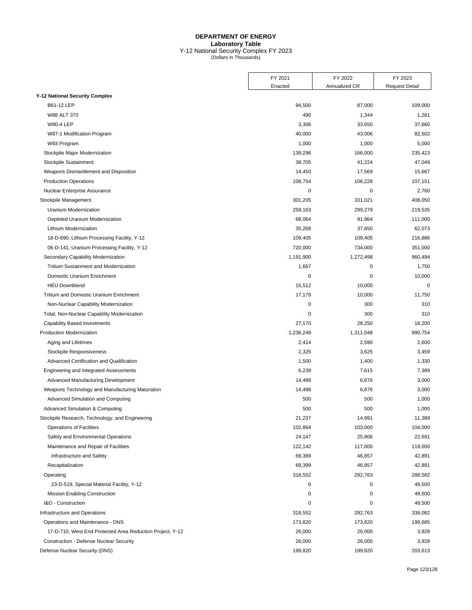#### **DEPARTMENT OF ENERGY Laboratory Table** Y-12 National Security Complex FY 2023 (Dollars in Thousands)

|                                                           | FY 2021   | FY 2022       | FY 2023               |
|-----------------------------------------------------------|-----------|---------------|-----------------------|
|                                                           | Enacted   | Annualized CR | <b>Request Detail</b> |
| <b>Y-12 National Security Complex</b>                     |           |               |                       |
| B61-12 LEP                                                | 94,500    | 87,000        | 109,000               |
| W88 ALT 370                                               | 490       | 1,344         | 1,261                 |
| <b>W80-4 LEP</b>                                          | 3,306     | 33,650        | 37,660                |
| W87-1 Modification Program                                | 40,000    | 43,006        | 82,502                |
| W93 Program                                               | 1,000     | 1,000         | 5,000                 |
| Stockpile Major Modernization                             | 139,296   | 166,000       | 235,423               |
| Stockpile Sustainment                                     | 38,705    | 41,224        | 47,049                |
| Weapons Dismantlement and Disposition                     | 14,450    | 17,569        | 15,667                |
| <b>Production Operations</b>                              | 108,754   | 106,228       | 107,151               |
| Nuclear Enterprise Assurance                              | 0         | $\mathbf 0$   | 2,760                 |
| Stockpile Management                                      | 301,205   | 331,021       | 408,050               |
| Uranium Modernization                                     | 259,163   | 299,279       | 219,535               |
| Depleted Uranium Modernization                            | 68,064    | 91,964        | 111,000               |
| Lithium Modernization                                     | 35,268    | 37,850        | 62,073                |
| 18-D-690, Lithium Processing Facility, Y-12               | 109,405   | 109,405       | 216,886               |
| 06-D-141, Uranium Processing Facility, Y-12               | 720,000   | 734,000       | 351,000               |
| Secondary Capability Modernization                        | 1,191,900 | 1,272,498     | 960,494               |
| Tritium Sustainment and Modernization                     | 1,667     | 0             | 1,750                 |
| Domestic Uranium Enrichment                               | 0         | $\mathbf 0$   | 10,000                |
| <b>HEU Downblend</b>                                      | 15,512    | 10,000        | 0                     |
| <b>Tritium and Domestic Uranium Enrichment</b>            | 17,179    | 10,000        | 11,750                |
| Non-Nuclear Capability Modernization                      | 0         | 300           | 310                   |
| Total, Non-Nuclear Capability Modernization               | 0         | 300           | 310                   |
| <b>Capability Based Investments</b>                       | 27,170    | 28,250        | 18,200                |
| <b>Production Modernization</b>                           | 1,236,249 | 1,311,048     | 990,754               |
| Aging and Lifetimes                                       | 2,414     | 2,590         | 2,600                 |
| Stockpile Responsiveness                                  | 2,325     | 3,625         | 3,459                 |
| Advanced Certification and Qualification                  | 1,500     | 1,400         | 1,330                 |
| Engineering and Integrated Assessments                    | 6,239     | 7,615         | 7,389                 |
| Advanced Manufacturing Development                        | 14,498    | 6,876         | 3,000                 |
| Weapons Technology and Manufacturing Maturation           | 14,498    | 6,876         | 3,000                 |
| Advanced Simulation and Computing                         | 500       | 500           | 1,000                 |
| Advanced Simulation & Computing                           | 500       | 500           | 1,000                 |
| Stockpile Research, Technology, and Engineering           | 21,237    | 14,991        | 11,389                |
| <b>Operations of Facilities</b>                           | 102,864   | 103,000       | 104,000               |
| Safety and Environmental Operations                       | 24,147    | 25,906        | 22,691                |
| Maintenance and Repair of Facilities                      | 122,142   | 117,000       | 119,000               |
|                                                           | 69,399    |               | 42,891                |
| Infrastructure and Safety                                 | 69,399    | 46,857        | 42,891                |
| Recapitalization                                          |           | 46,857        | 288,582               |
| Operating                                                 | 318,552   | 292,763       |                       |
| 23-D-519, Special Material Facility, Y-12                 | 0         | 0             | 49,500                |
| <b>Mission Enabling Construction</b>                      | 0         | 0             | 49,500                |
| I&O - Construction                                        | 0         | $\mathbf 0$   | 49,500                |
| Infrastructure and Operations                             | 318,552   | 292,763       | 338,082               |
| Operations and Maintenance - DNS                          | 173,820   | 173,820       | 199,685               |
| 17-D-710, West End Protected Area Reduction Project, Y-12 | 26,000    | 26,000        | 3,928                 |
| Construction - Defense Nuclear Security                   | 26,000    | 26,000        | 3,928                 |
| Defense Nuclear Security (DNS)                            | 199,820   | 199,820       | 203,613               |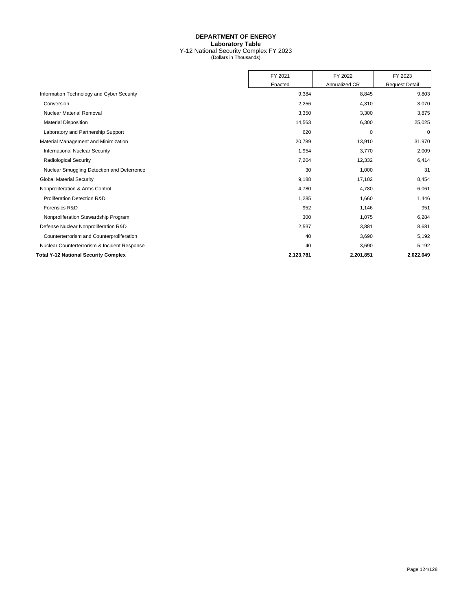#### **DEPARTMENT OF ENERGY Laboratory Table** Y-12 National Security Complex FY 2023 (Dollars in Thousands)

|                                              | FY 2021   | FY 2022       | FY 2023               |
|----------------------------------------------|-----------|---------------|-----------------------|
|                                              | Enacted   | Annualized CR | <b>Request Detail</b> |
| Information Technology and Cyber Security    | 9,384     | 8,845         | 9,803                 |
| Conversion                                   | 2,256     | 4,310         | 3,070                 |
| <b>Nuclear Material Removal</b>              | 3,350     | 3,300         | 3,875                 |
| <b>Material Disposition</b>                  | 14,563    | 6,300         | 25,025                |
| Laboratory and Partnership Support           | 620       | 0             | 0                     |
| Material Management and Minimization         | 20,789    | 13,910        | 31,970                |
| <b>International Nuclear Security</b>        | 1,954     | 3,770         | 2,009                 |
| <b>Radiological Security</b>                 | 7,204     | 12,332        | 6,414                 |
| Nuclear Smuggling Detection and Deterrence   | 30        | 1,000         | 31                    |
| <b>Global Material Security</b>              | 9,188     | 17,102        | 8,454                 |
| Nonproliferation & Arms Control              | 4,780     | 4,780         | 6,061                 |
| Proliferation Detection R&D                  | 1,285     | 1,660         | 1,446                 |
| Forensics R&D                                | 952       | 1,146         | 951                   |
| Nonproliferation Stewardship Program         | 300       | 1,075         | 6,284                 |
| Defense Nuclear Nonproliferation R&D         | 2,537     | 3,881         | 8,681                 |
| Counterterrorism and Counterproliferation    | 40        | 3,690         | 5,192                 |
| Nuclear Counterterrorism & Incident Response | 40        | 3,690         | 5,192                 |
| <b>Total Y-12 National Security Complex</b>  | 2,123,781 | 2,201,851     | 2,022,049             |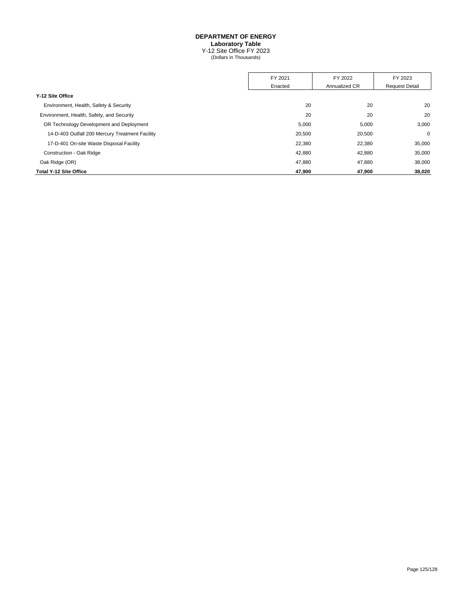#### **DEPARTMENT OF ENERGY**

**Laboratory Table**

Y-12 Site Office FY 2023 (Dollars in Thousands)

|                                                 | FY 2021 | FY 2022       | FY 2023               |
|-------------------------------------------------|---------|---------------|-----------------------|
|                                                 | Enacted | Annualized CR | <b>Request Detail</b> |
| Y-12 Site Office                                |         |               |                       |
| Environment, Health, Safety & Security          | 20      | 20            | 20                    |
| Environment, Health, Safety, and Security       | 20      | 20            | 20                    |
| OR Technology Development and Deployment        | 5,000   | 5,000         | 3,000                 |
| 14-D-403 Outfall 200 Mercury Treatment Facility | 20,500  | 20,500        | $\mathbf 0$           |
| 17-D-401 On-site Waste Disposal Facility        | 22,380  | 22,380        | 35,000                |
| Construction - Oak Ridge                        | 42,880  | 42,880        | 35,000                |
| Oak Ridge (OR)                                  | 47.880  | 47,880        | 38,000                |
| <b>Total Y-12 Site Office</b>                   | 47,900  | 47.900        | 38,020                |
|                                                 |         |               |                       |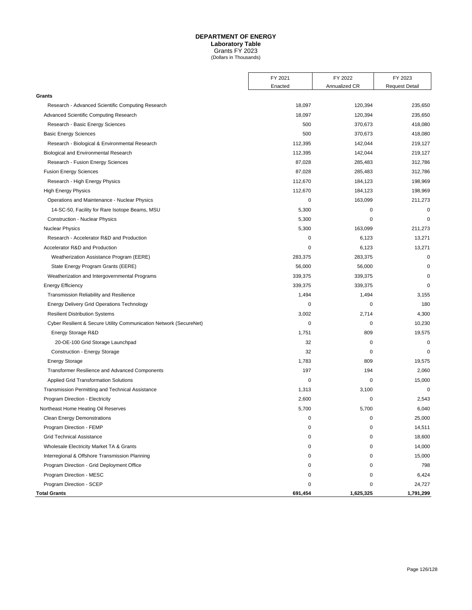# **DEPARTMENT OF ENERGY Laboratory Table**

Grants FY 2023 (Dollars in Thousands)

|                                                                    | FY 2021 | FY 2022       | FY 2023               |
|--------------------------------------------------------------------|---------|---------------|-----------------------|
|                                                                    | Enacted | Annualized CR | <b>Request Detail</b> |
| Grants                                                             |         |               |                       |
| Research - Advanced Scientific Computing Research                  | 18,097  | 120,394       | 235,650               |
| Advanced Scientific Computing Research                             | 18,097  | 120,394       | 235,650               |
| Research - Basic Energy Sciences                                   | 500     | 370,673       | 418,080               |
| <b>Basic Energy Sciences</b>                                       | 500     | 370,673       | 418,080               |
| Research - Biological & Environmental Research                     | 112,395 | 142,044       | 219,127               |
| Biological and Environmental Research                              | 112,395 | 142,044       | 219,127               |
| Research - Fusion Energy Sciences                                  | 87,028  | 285,483       | 312,786               |
| <b>Fusion Energy Sciences</b>                                      | 87,028  | 285,483       | 312,786               |
| Research - High Energy Physics                                     | 112,670 | 184,123       | 198,969               |
| <b>High Energy Physics</b>                                         | 112,670 | 184,123       | 198,969               |
| Operations and Maintenance - Nuclear Physics                       | 0       | 163,099       | 211,273               |
| 14-SC-50, Facility for Rare Isotope Beams, MSU                     | 5,300   | 0             | 0                     |
| <b>Construction - Nuclear Physics</b>                              | 5,300   | $\mathbf 0$   | $\mathbf 0$           |
| <b>Nuclear Physics</b>                                             | 5,300   | 163,099       | 211,273               |
| Research - Accelerator R&D and Production                          | 0       | 6,123         | 13,271                |
| Accelerator R&D and Production                                     | 0       | 6,123         | 13,271                |
| Weatherization Assistance Program (EERE)                           | 283,375 | 283,375       | 0                     |
| State Energy Program Grants (EERE)                                 | 56,000  | 56,000        | $\mathbf 0$           |
| Weatherization and Intergovernmental Programs                      | 339,375 | 339,375       | $\mathbf 0$           |
| <b>Energy Efficiency</b>                                           | 339,375 | 339,375       | $\mathbf 0$           |
| Transmission Reliability and Resilience                            | 1,494   | 1,494         | 3,155                 |
| <b>Energy Delivery Grid Operations Technology</b>                  | 0       | 0             | 180                   |
| <b>Resilient Distribution Systems</b>                              | 3,002   | 2,714         | 4,300                 |
| Cyber Resilient & Secure Utility Communication Network (SecureNet) | 0       | 0             | 10,230                |
| Energy Storage R&D                                                 | 1,751   | 809           | 19,575                |
| 20-OE-100 Grid Storage Launchpad                                   | 32      | 0             | $\mathbf 0$           |
| Construction - Energy Storage                                      | 32      | 0             | $\mathbf 0$           |
| <b>Energy Storage</b>                                              | 1,783   | 809           | 19,575                |
| <b>Transformer Resilience and Advanced Components</b>              | 197     | 194           | 2,060                 |
| <b>Applied Grid Transformation Solutions</b>                       | 0       | 0             | 15,000                |
| Transmission Permitting and Technical Assistance                   | 1,313   | 3,100         | $\mathbf 0$           |
| Program Direction - Electricity                                    | 2,600   | 0             | 2,543                 |
| Northeast Home Heating Oil Reserves                                | 5,700   | 5,700         | 6,040                 |
| <b>Clean Energy Demonstrations</b>                                 | 0       | 0             | 25,000                |
| Program Direction - FEMP                                           | 0       | 0             | 14,511                |
| <b>Grid Technical Assistance</b>                                   | 0       | 0             | 18,600                |
| Wholesale Electricity Market TA & Grants                           | 0       | 0             | 14,000                |
| Interregional & Offshore Transmission Planning                     | 0       | 0             | 15,000                |
| Program Direction - Grid Deployment Office                         | 0       | 0             | 798                   |
| Program Direction - MESC                                           | 0       | $\mathbf 0$   | 6,424                 |
| Program Direction - SCEP                                           | 0       | 0             | 24,727                |
| <b>Total Grants</b>                                                | 691,454 | 1,625,325     | 1,791,299             |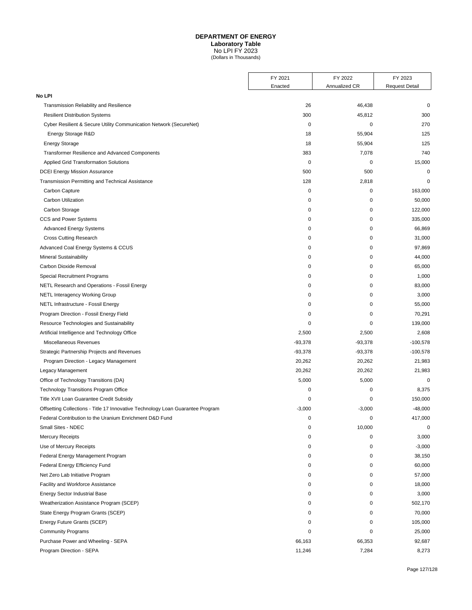## **DEPARTMENT OF ENERGY**

**Laboratory Table**

No LPI FY 2023 (Dollars in Thousands)

|                                                                                | FY 2021     | FY 2022       | FY 2023               |
|--------------------------------------------------------------------------------|-------------|---------------|-----------------------|
|                                                                                | Enacted     | Annualized CR | <b>Request Detail</b> |
| No LPI                                                                         |             |               |                       |
| Transmission Reliability and Resilience                                        | 26          | 46,438        | $\mathbf 0$           |
| <b>Resilient Distribution Systems</b>                                          | 300         | 45,812        | 300                   |
| Cyber Resilient & Secure Utility Communication Network (SecureNet)             | $\mathbf 0$ | 0             | 270                   |
| Energy Storage R&D                                                             | 18          | 55,904        | 125                   |
| <b>Energy Storage</b>                                                          | 18          | 55,904        | 125                   |
| <b>Transformer Resilience and Advanced Components</b>                          | 383         | 7,078         | 740                   |
| <b>Applied Grid Transformation Solutions</b>                                   | $\mathbf 0$ | $\mathsf 0$   | 15,000                |
| <b>DCEI Energy Mission Assurance</b>                                           | 500         | 500           | $\mathbf 0$           |
| Transmission Permitting and Technical Assistance                               | 128         | 2,818         | 0                     |
| Carbon Capture                                                                 | $\mathbf 0$ | 0             | 163,000               |
| Carbon Utilization                                                             | 0           | 0             | 50,000                |
| Carbon Storage                                                                 | 0           | 0             | 122,000               |
| CCS and Power Systems                                                          | 0           | 0             | 335,000               |
| <b>Advanced Energy Systems</b>                                                 | 0           | $\mathbf 0$   | 66,869                |
| <b>Cross Cutting Research</b>                                                  | 0           | 0             | 31,000                |
| Advanced Coal Energy Systems & CCUS                                            | 0           | 0             | 97,869                |
| <b>Mineral Sustainability</b>                                                  | 0           | 0             | 44,000                |
| Carbon Dioxide Removal                                                         | 0           | 0             | 65,000                |
| <b>Special Recruitment Programs</b>                                            | 0           | 0             | 1,000                 |
| NETL Research and Operations - Fossil Energy                                   | 0           | 0             | 83,000                |
| <b>NETL Interagency Working Group</b>                                          | 0           | 0             | 3,000                 |
| NETL Infrastructure - Fossil Energy                                            | 0           | 0             | 55,000                |
| Program Direction - Fossil Energy Field                                        | 0           | 0             | 70,291                |
| Resource Technologies and Sustainability                                       | 0           | 0             | 139,000               |
| Artificial Intelligence and Technology Office                                  | 2,500       | 2,500         | 2,608                 |
| Miscellaneous Revenues                                                         | $-93,378$   | $-93,378$     | $-100,578$            |
| Strategic Partnership Projects and Revenues                                    | $-93,378$   | $-93,378$     | $-100,578$            |
| Program Direction - Legacy Management                                          | 20,262      | 20,262        | 21,983                |
| Legacy Management                                                              | 20,262      | 20,262        | 21,983                |
| Office of Technology Transitions (DA)                                          | 5,000       | 5,000         | 0                     |
| <b>Technology Transitions Program Office</b>                                   | 0           | 0             | 8,375                 |
| Title XVII Loan Guarantee Credit Subsidy                                       | 0           | 0             | 150,000               |
| Offsetting Collections - Title 17 Innovative Technology Loan Guarantee Program | $-3,000$    | $-3,000$      | $-48,000$             |
| Federal Contribution to the Uranium Enrichment D&D Fund                        | 0           | 0             | 417,000               |
| Small Sites - NDEC                                                             | $\mathbf 0$ | 10,000        | $\pmb{0}$             |
| <b>Mercury Receipts</b>                                                        | 0           | 0             | 3,000                 |
| Use of Mercury Receipts                                                        | 0           | 0             | $-3,000$              |
| Federal Energy Management Program                                              | 0           | 0             | 38,150                |
| Federal Energy Efficiency Fund                                                 | 0           | 0             | 60,000                |
| Net Zero Lab Initiative Program                                                | 0           | 0             | 57,000                |
| Facility and Workforce Assistance                                              | 0           | 0             | 18,000                |
| <b>Energy Sector Industrial Base</b>                                           | 0           | 0             | 3,000                 |
| Weatherization Assistance Program (SCEP)                                       | 0           | 0             | 502,170               |
| State Energy Program Grants (SCEP)                                             | 0           | 0             | 70,000                |
| Energy Future Grants (SCEP)                                                    | 0           | 0             | 105,000               |
| <b>Community Programs</b>                                                      | 0           | 0             | 25,000                |
| Purchase Power and Wheeling - SEPA                                             | 66,163      | 66,353        | 92,687                |
| Program Direction - SEPA                                                       | 11,246      | 7,284         | 8,273                 |
|                                                                                |             |               |                       |